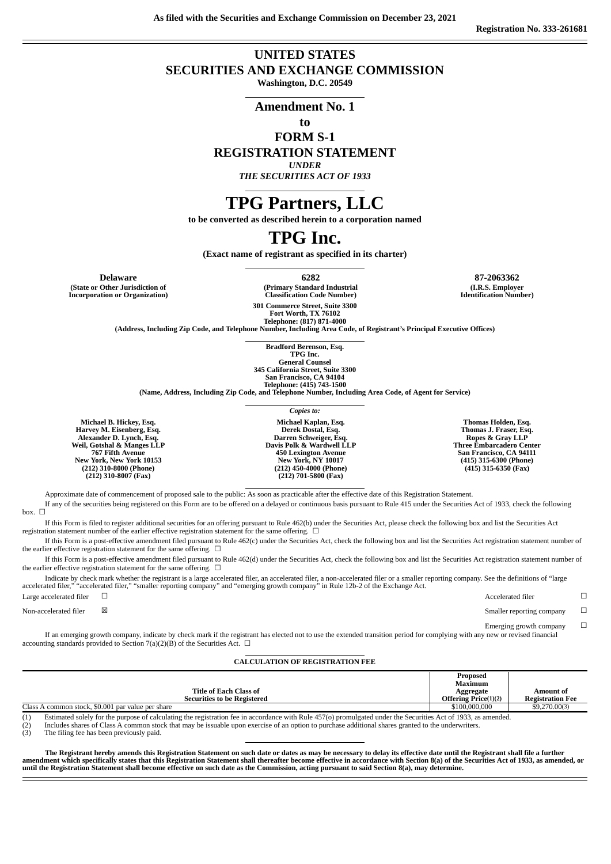# **UNITED STATES SECURITIES AND EXCHANGE COMMISSION**

**Washington, D.C. 20549**

#### **Amendment No. 1**

## **to**

### **FORM S-1 REGISTRATION STATEMENT**

#### *UNDER*

*THE SECURITIES ACT OF 1933*

# **TPG Partners, LLC**

**to be converted as described herein to a corporation named**

# **TPG Inc.**

**(Exact name of registrant as specified in its charter)**

**(State or Other Jurisdiction of Incorporation or Organization)**

**Delaware 6282 87-2063362 (Primary Standard Industrial Classification Code Number) 301 Commerce Street, Suite 3300**

> **Fort Worth, TX 76102 Telephone: (817) 871-4000**

**(Address, Including Zip Code, and Telephone Number, Including Area Code, of Registrant's Principal Executive Offices)**

**Bradford Berenson, Esq. TPG Inc. General Counsel 345 California Street, Suite 3300 San Francisco, CA 94104 Telephone: (415) 743-1500**

**(Name, Address, Including Zip Code, and Telephone Number, Including Area Code, of Agent for Service)**

**Michael B. Hickey, Esq. Harvey M. Eisenberg, Esq. Alexander D. Lynch, Esq. Weil, Gotshal & Manges LLP 767 Fifth Avenue New York, New York 10153 (212) 310-8000 (Phone) (212) 310-8007 (Fax) Michael Kaplan, Esq. Derek Dostal, Esq. Darren Schweiger, Esq. Davis Polk & Wardwell LLP 450 Lexington Avenue New York, NY 10017 (212) 450-4000 (Phone) (212) 701-5800 (Fax) Thomas Holden, Esq. Thomas J. Fraser, Esq. Ropes & Gray LLP Three Embarcadero Center San Francisco, CA 94111 (415) 315-6300 (Phone) (415) 315-6350 (Fax)**

Approximate date of commencement of proposed sale to the public: As soon as practicable after the effective date of this Registration Statement.

If any of the securities being registered on this Form are to be offered on a delayed or continuous basis pursuant to Rule 415 under the Securities Act of 1933, check the following box.  $\Box$ 

If this Form is filed to register additional securities for an offering pursuant to Rule 462(b) under the Securities Act, please check the following box and list the Securities Act registration statement number of the earlier effective registration statement for the same offering.  $\Box$ 

If this Form is a post-effective amendment filed pursuant to Rule 462(c) under the Securities Act, check the following box and list the Securities Act registration statement number of the earlier effective registration statement for the same offering.  $\Box$ 

If this Form is a post-effective amendment filed pursuant to Rule 462(d) under the Securities Act, check the following box and list the Securities Act registration statement number of the earlier effective registration statement for the same offering.  $\Box$ 

Indicate by check mark whether the registrant is a large accelerated filer, an accelerated filer, a non-accelerated filer or a smaller reporting company. See the definitions of "large accelerated filer," "accelerated filer," "smaller reporting company" and "emerging growth company" in Rule 12b-2 of the Exchange Act.

| Large accelerated filer |              | Accelerated filer         |  |
|-------------------------|--------------|---------------------------|--|
| Non-accelerated filer   | $\mathbb{X}$ | Smaller reporting company |  |

Emerging growth company  $\Box$ 

If an emerging growth company, indicate by check mark if the registrant has elected not to use the extended transition period for complying with any new or revised financial accounting standards provided to Section 7(a)(2)(B) of the Securities Act.  $\Box$ 

#### **CALCULATION OF REGISTRATION FEE**

|                                                                                                                                                                     | Proposed                     |                         |
|---------------------------------------------------------------------------------------------------------------------------------------------------------------------|------------------------------|-------------------------|
|                                                                                                                                                                     | Maximum                      |                         |
| <b>Title of Each Class of</b>                                                                                                                                       | Aggregate                    | Amount of               |
| <b>Securities to be Registered</b>                                                                                                                                  | <b>Offering Price</b> (1)(2) | <b>Registration Fee</b> |
| Class A common stock, \$0.001 par value per share                                                                                                                   | \$100,000,000                | \$9,270,00(3)           |
| (1)<br>Estimated solely for the purpose of calculating the registration foe in accordance with Pule 457(a) promulgated under the Securities Act of 1022, as amonded |                              |                         |

(1) Estimated solely for the purpose of calculating the registration fee in accordance with Rule 457(o) promulgated under the Securities Act of 1933, as amended.<br>(2) Includes shares of Class A common stock that may be issu

 $\hat{C}(2)$  Includes shares of Class A common store (3) The filing fee has been previously paid.

The Registrant hereby amends this Registration Statement on such date or dates as may be necessary to delay its effective date until the Registrant shall file a further amendment which specifically states that this Registration Statement shall thereafter become effective in accordance with Section 8(a) of the Securities Act of 1933, as amended, or until the Registration Statement shall become effective on such date as the Commission, acting pursuant to said Section 8(a), may determine.

**(I.R.S. Employer Identification Number)**

*Copies to:*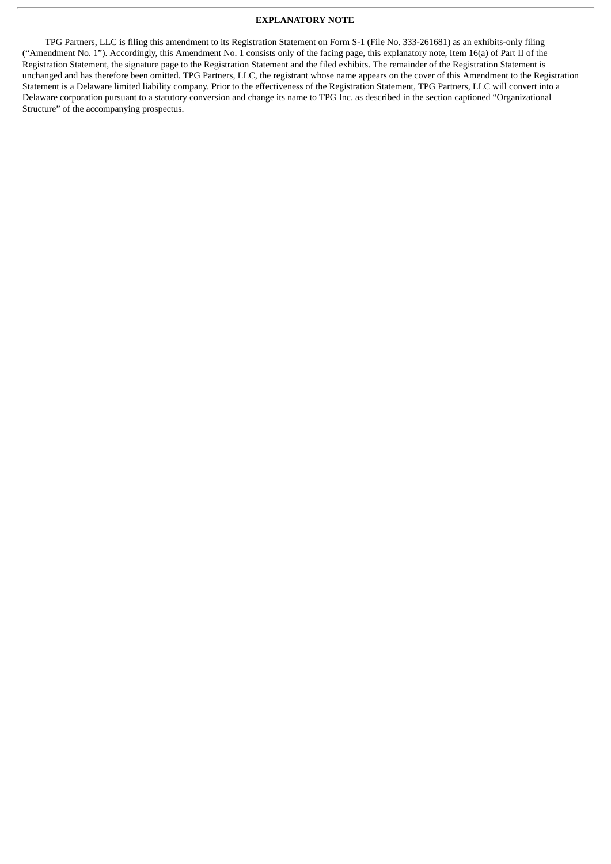#### **EXPLANATORY NOTE**

TPG Partners, LLC is filing this amendment to its Registration Statement on Form S-1 (File No. 333-261681) as an exhibits-only filing ("Amendment No. 1"). Accordingly, this Amendment No. 1 consists only of the facing page, this explanatory note, Item 16(a) of Part II of the Registration Statement, the signature page to the Registration Statement and the filed exhibits. The remainder of the Registration Statement is unchanged and has therefore been omitted. TPG Partners, LLC, the registrant whose name appears on the cover of this Amendment to the Registration Statement is a Delaware limited liability company. Prior to the effectiveness of the Registration Statement, TPG Partners, LLC will convert into a Delaware corporation pursuant to a statutory conversion and change its name to TPG Inc. as described in the section captioned "Organizational Structure" of the accompanying prospectus.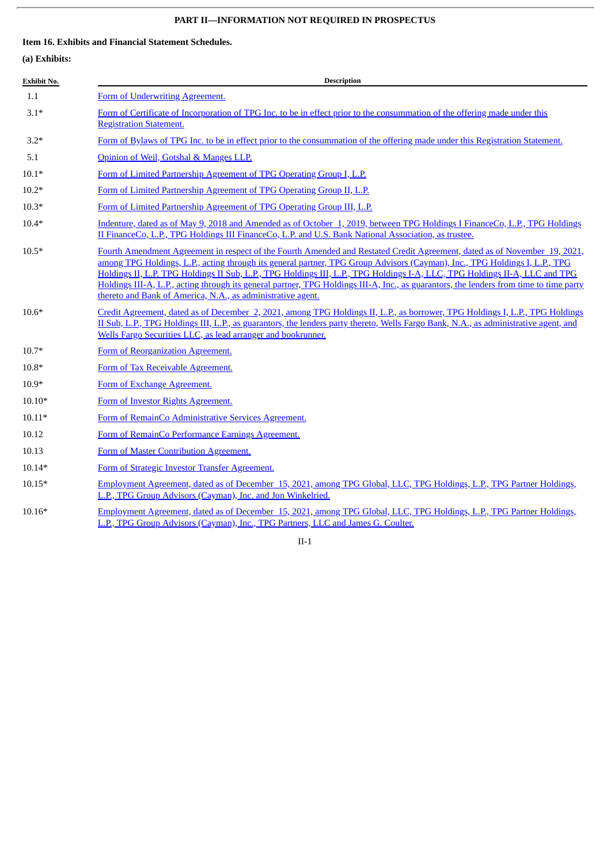# **PART II—INFORMATION NOT REQUIRED IN PROSPECTUS**

### **Item 16. Exhibits and Financial Statement Schedules.**

## **(a) Exhibits:**

| <b>Exhibit No.</b> | <b>Description</b>                                                                                                                                                                                                                                                                                                                                                                                                                                                                                                                                                                             |
|--------------------|------------------------------------------------------------------------------------------------------------------------------------------------------------------------------------------------------------------------------------------------------------------------------------------------------------------------------------------------------------------------------------------------------------------------------------------------------------------------------------------------------------------------------------------------------------------------------------------------|
| 1.1                | Form of Underwriting Agreement.                                                                                                                                                                                                                                                                                                                                                                                                                                                                                                                                                                |
| $3.1*$             | Form of Certificate of Incorporation of TPG Inc. to be in effect prior to the consummation of the offering made under this<br><b>Registration Statement.</b>                                                                                                                                                                                                                                                                                                                                                                                                                                   |
| $3.2*$             | Form of Bylaws of TPG Inc. to be in effect prior to the consummation of the offering made under this Registration Statement.                                                                                                                                                                                                                                                                                                                                                                                                                                                                   |
| 5.1                | Opinion of Weil, Gotshal & Manges LLP.                                                                                                                                                                                                                                                                                                                                                                                                                                                                                                                                                         |
| $10.1*$            | Form of Limited Partnership Agreement of TPG Operating Group I, L.P.                                                                                                                                                                                                                                                                                                                                                                                                                                                                                                                           |
| $10.2*$            | Form of Limited Partnership Agreement of TPG Operating Group II, L.P.                                                                                                                                                                                                                                                                                                                                                                                                                                                                                                                          |
| $10.3*$            | Form of Limited Partnership Agreement of TPG Operating Group III, L.P.                                                                                                                                                                                                                                                                                                                                                                                                                                                                                                                         |
| $10.4*$            | Indenture, dated as of May 9, 2018 and Amended as of October 1, 2019, between TPG Holdings I FinanceCo, L.P., TPG Holdings<br>II FinanceCo, L.P., TPG Holdings III FinanceCo, L.P. and U.S. Bank National Association, as trustee.                                                                                                                                                                                                                                                                                                                                                             |
| $10.5*$            | Fourth Amendment Agreement in respect of the Fourth Amended and Restated Credit Agreement, dated as of November 19, 2021,<br>among TPG Holdings, L.P., acting through its general partner, TPG Group Advisors (Cayman), Inc., TPG Holdings I, L.P., TPG<br>Holdings II, L.P. TPG Holdings II Sub, L.P., TPG Holdings III, L.P., TPG Holdings I-A, LLC, TPG Holdings II-A, LLC and TPG<br>Holdings III-A, L.P., acting through its general partner, TPG Holdings III-A, Inc., as guarantors, the lenders from time to time party<br>thereto and Bank of America, N.A., as administrative agent. |
| $10.6*$            | Credit Agreement, dated as of December 2, 2021, among TPG Holdings II, L.P., as borrower, TPG Holdings I, L.P., TPG Holdings<br>II Sub, L.P., TPG Holdings III, L.P., as guarantors, the lenders party thereto, Wells Fargo Bank, N.A., as administrative agent, and<br>Wells Fargo Securities LLC, as lead arranger and bookrunner.                                                                                                                                                                                                                                                           |
| $10.7*$            | Form of Reorganization Agreement.                                                                                                                                                                                                                                                                                                                                                                                                                                                                                                                                                              |
| $10.8*$            | Form of Tax Receivable Agreement.                                                                                                                                                                                                                                                                                                                                                                                                                                                                                                                                                              |
| $10.9*$            | Form of Exchange Agreement.                                                                                                                                                                                                                                                                                                                                                                                                                                                                                                                                                                    |
| $10.10*$           | Form of Investor Rights Agreement.                                                                                                                                                                                                                                                                                                                                                                                                                                                                                                                                                             |
| $10.11*$           | Form of RemainCo Administrative Services Agreement.                                                                                                                                                                                                                                                                                                                                                                                                                                                                                                                                            |
| 10.12              | Form of RemainCo Performance Earnings Agreement.                                                                                                                                                                                                                                                                                                                                                                                                                                                                                                                                               |
| 10.13              | Form of Master Contribution Agreement.                                                                                                                                                                                                                                                                                                                                                                                                                                                                                                                                                         |
| $10.14*$           | Form of Strategic Investor Transfer Agreement.                                                                                                                                                                                                                                                                                                                                                                                                                                                                                                                                                 |
| $10.15*$           | Employment Agreement, dated as of December 15, 2021, among TPG Global, LLC, TPG Holdings, L.P., TPG Partner Holdings,<br>L.P., TPG Group Advisors (Cayman), Inc. and Jon Winkelried.                                                                                                                                                                                                                                                                                                                                                                                                           |
| $10.16*$           | Employment Agreement, dated as of December 15, 2021, among TPG Global, LLC, TPG Holdings, L.P., TPG Partner Holdings,<br>L.P., TPG Group Advisors (Cayman), Inc., TPG Partners, LLC and James G. Coulter.                                                                                                                                                                                                                                                                                                                                                                                      |

II-1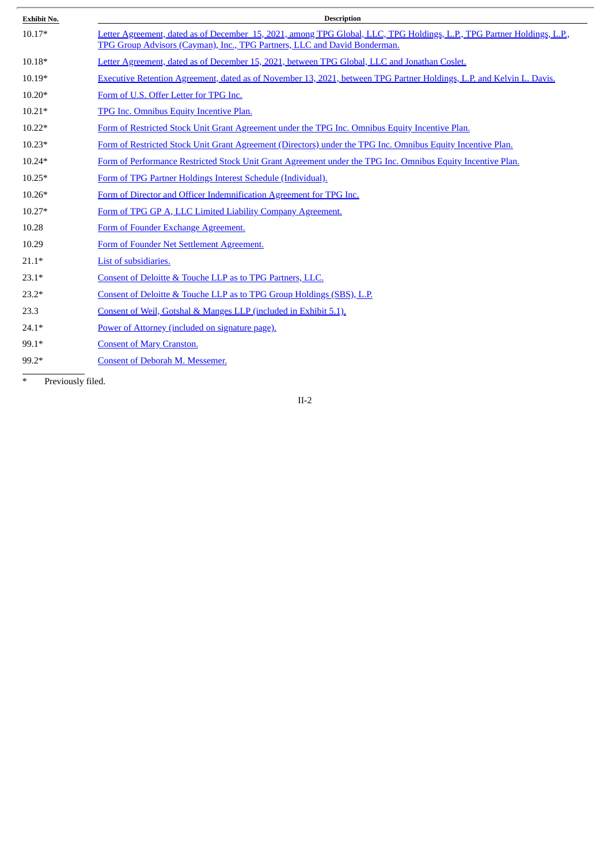| <b>Exhibit No.</b> | <b>Description</b>                                                                                                                                                                                   |
|--------------------|------------------------------------------------------------------------------------------------------------------------------------------------------------------------------------------------------|
| $10.17*$           | Letter Agreement, dated as of December 15, 2021, among TPG Global, LLC, TPG Holdings, L.P., TPG Partner Holdings, L.P.,<br>TPG Group Advisors (Cayman), Inc., TPG Partners, LLC and David Bonderman. |
| $10.18*$           | Letter Agreement, dated as of December 15, 2021, between TPG Global, LLC and Jonathan Coslet.                                                                                                        |
| $10.19*$           | Executive Retention Agreement, dated as of November 13, 2021, between TPG Partner Holdings, L.P. and Kelvin L. Davis.                                                                                |
| $10.20*$           | Form of U.S. Offer Letter for TPG Inc.                                                                                                                                                               |
| $10.21*$           | TPG Inc. Omnibus Equity Incentive Plan.                                                                                                                                                              |
| $10.22*$           | Form of Restricted Stock Unit Grant Agreement under the TPG Inc. Omnibus Equity Incentive Plan.                                                                                                      |
| $10.23*$           | Form of Restricted Stock Unit Grant Agreement (Directors) under the TPG Inc. Omnibus Equity Incentive Plan.                                                                                          |
| $10.24*$           | Form of Performance Restricted Stock Unit Grant Agreement under the TPG Inc. Omnibus Equity Incentive Plan.                                                                                          |
| $10.25*$           | Form of TPG Partner Holdings Interest Schedule (Individual).                                                                                                                                         |
| $10.26*$           | Form of Director and Officer Indemnification Agreement for TPG Inc.                                                                                                                                  |
| $10.27*$           | Form of TPG GP A, LLC Limited Liability Company Agreement.                                                                                                                                           |
| 10.28              | Form of Founder Exchange Agreement.                                                                                                                                                                  |
| 10.29              | Form of Founder Net Settlement Agreement.                                                                                                                                                            |
| $21.1*$            | List of subsidiaries.                                                                                                                                                                                |
| $23.1*$            | Consent of Deloitte & Touche LLP as to TPG Partners, LLC.                                                                                                                                            |
| $23.2*$            | Consent of Deloitte & Touche LLP as to TPG Group Holdings (SBS), L.P.                                                                                                                                |
| 23.3               | Consent of Weil, Gotshal & Manges LLP (included in Exhibit 5.1).                                                                                                                                     |
| $24.1*$            | Power of Attorney (included on signature page).                                                                                                                                                      |
| 99.1*              | <b>Consent of Mary Cranston.</b>                                                                                                                                                                     |
| 99.2*              | Consent of Deborah M. Messemer.                                                                                                                                                                      |

 $\overline{\phantom{a}}$ 

\* Previously filed.

II-2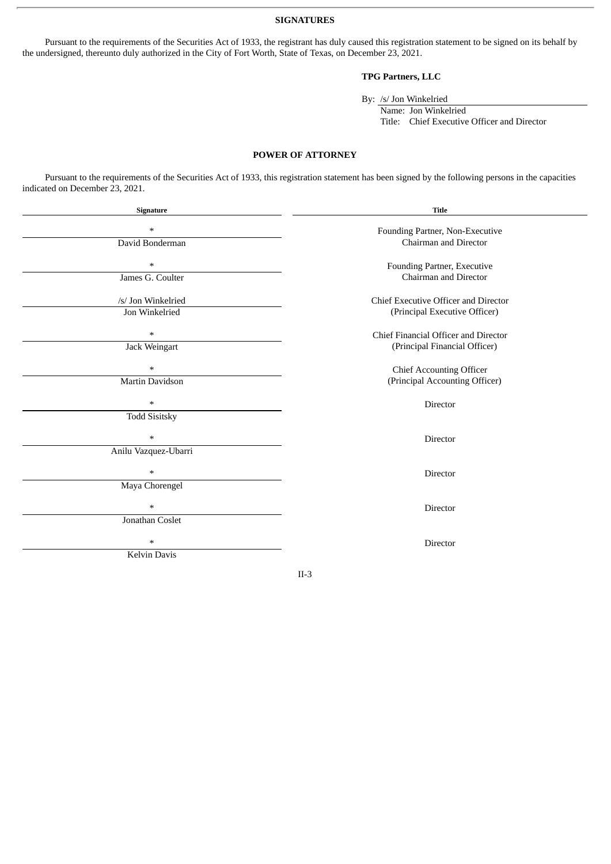**SIGNATURES**

Pursuant to the requirements of the Securities Act of 1933, the registrant has duly caused this registration statement to be signed on its behalf by the undersigned, thereunto duly authorized in the City of Fort Worth, State of Texas, on December 23, 2021.

#### **TPG Partners, LLC**

By: /s/ Jon Winkelried

Name: Jon Winkelried Title: Chief Executive Officer and Director

#### **POWER OF ATTORNEY**

Pursuant to the requirements of the Securities Act of 1933, this registration statement has been signed by the following persons in the capacities indicated on December 23, 2021.

| Signature                                        | <b>Title</b>                                                          |
|--------------------------------------------------|-----------------------------------------------------------------------|
| $\ast$<br>David Bonderman                        | Founding Partner, Non-Executive<br>Chairman and Director              |
| $\ast$<br>James G. Coulter                       | Founding Partner, Executive<br>Chairman and Director                  |
| /s/ Jon Winkelried<br>Jon Winkelried             | Chief Executive Officer and Director<br>(Principal Executive Officer) |
| $\ast$<br>Jack Weingart                          | Chief Financial Officer and Director<br>(Principal Financial Officer) |
| $\ast$<br><b>Martin Davidson</b>                 | Chief Accounting Officer<br>(Principal Accounting Officer)            |
| $\ast$<br><b>Todd Sisitsky</b>                   | Director                                                              |
| $\ast$<br>Anilu Vazquez-Ubarri                   | Director                                                              |
| $\ast$                                           | Director                                                              |
| Maya Chorengel<br>$\ast$                         | Director                                                              |
| Jonathan Coslet<br>$\ast$<br><b>Kelvin Davis</b> | <b>Director</b>                                                       |
|                                                  | $II-3$                                                                |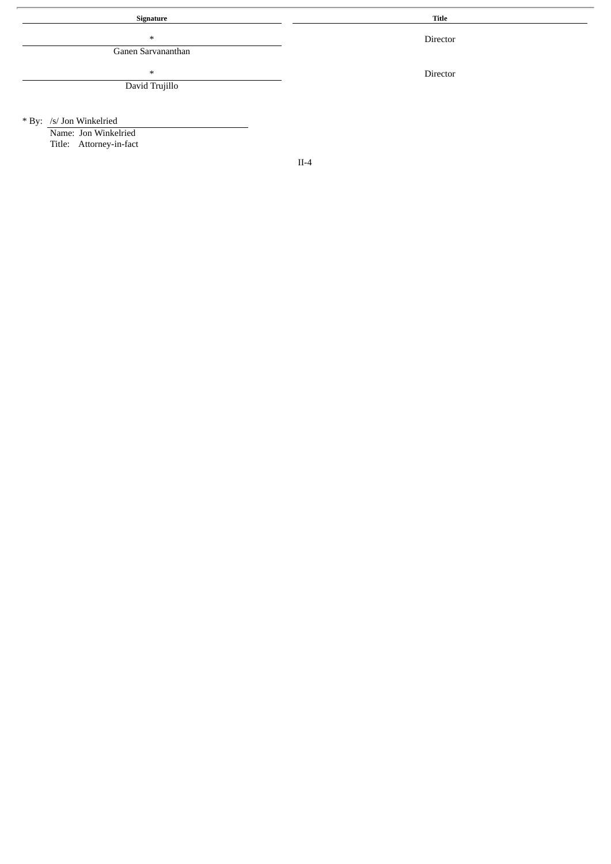**Signature Title**

\*

Ganen Sarvananthan

\* David Trujillo

Director

Director

\* By: /s/ Jon Winkelried

Name: Jon Winkelried Title: Attorney-in-fact

II-4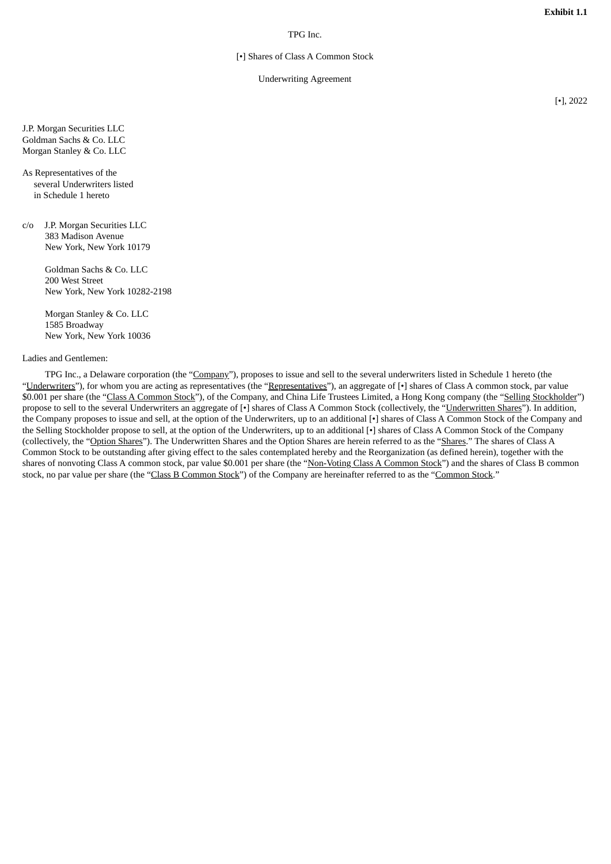#### TPG Inc.

#### [•] Shares of Class A Common Stock

#### Underwriting Agreement

[•], 2022

<span id="page-6-0"></span>J.P. Morgan Securities LLC Goldman Sachs & Co. LLC Morgan Stanley & Co. LLC

As Representatives of the several Underwriters listed in Schedule 1 hereto

c/o J.P. Morgan Securities LLC 383 Madison Avenue New York, New York 10179

> Goldman Sachs & Co. LLC 200 West Street New York, New York 10282-2198

Morgan Stanley & Co. LLC 1585 Broadway New York, New York 10036

#### Ladies and Gentlemen:

TPG Inc., a Delaware corporation (the "Company"), proposes to issue and sell to the several underwriters listed in Schedule 1 hereto (the "Underwriters"), for whom you are acting as representatives (the "Representatives"), an aggregate of [ $\cdot$ ] shares of Class A common stock, par value \$0.001 per share (the "Class A Common Stock"), of the Company, and China Life Trustees Limited, a Hong Kong company (the "Selling Stockholder") propose to sell to the several Underwriters an aggregate of [•] shares of Class A Common Stock (collectively, the "Underwritten Shares"). In addition, the Company proposes to issue and sell, at the option of the Underwriters, up to an additional [•] shares of Class A Common Stock of the Company and the Selling Stockholder propose to sell, at the option of the Underwriters, up to an additional [•] shares of Class A Common Stock of the Company (collectively, the "Option Shares"). The Underwritten Shares and the Option Shares are herein referred to as the "Shares." The shares of Class A Common Stock to be outstanding after giving effect to the sales contemplated hereby and the Reorganization (as defined herein), together with the shares of nonvoting Class A common stock, par value \$0.001 per share (the "Non-Voting Class A Common Stock") and the shares of Class B common stock, no par value per share (the "Class B Common Stock") of the Company are hereinafter referred to as the "Common Stock."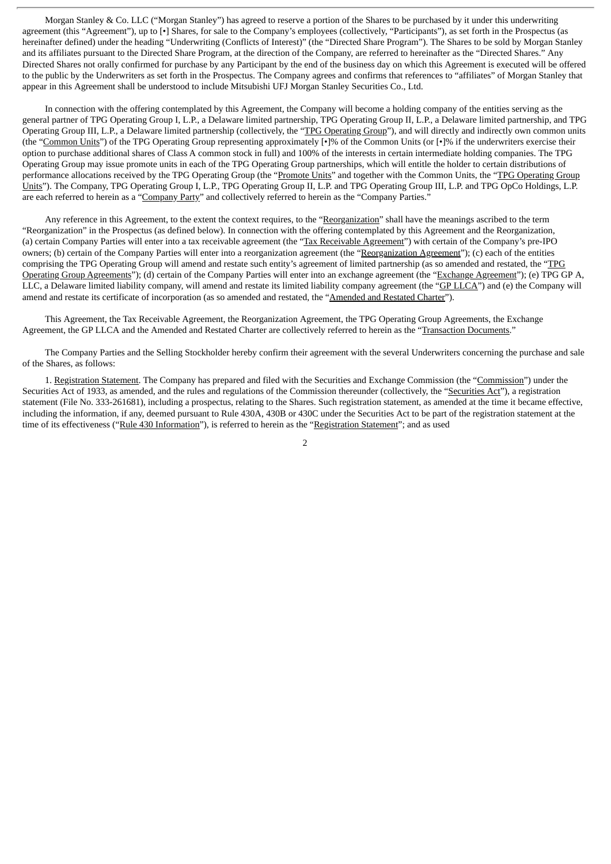Morgan Stanley & Co. LLC ("Morgan Stanley") has agreed to reserve a portion of the Shares to be purchased by it under this underwriting agreement (this "Agreement"), up to [•] Shares, for sale to the Company's employees (collectively, "Participants"), as set forth in the Prospectus (as hereinafter defined) under the heading "Underwriting (Conflicts of Interest)" (the "Directed Share Program"). The Shares to be sold by Morgan Stanley and its affiliates pursuant to the Directed Share Program, at the direction of the Company, are referred to hereinafter as the "Directed Shares." Any Directed Shares not orally confirmed for purchase by any Participant by the end of the business day on which this Agreement is executed will be offered to the public by the Underwriters as set forth in the Prospectus. The Company agrees and confirms that references to "affiliates" of Morgan Stanley that appear in this Agreement shall be understood to include Mitsubishi UFJ Morgan Stanley Securities Co., Ltd.

In connection with the offering contemplated by this Agreement, the Company will become a holding company of the entities serving as the general partner of TPG Operating Group I, L.P., a Delaware limited partnership, TPG Operating Group II, L.P., a Delaware limited partnership, and TPG Operating Group III, L.P., a Delaware limited partnership (collectively, the "TPG Operating Group"), and will directly and indirectly own common units (the "Common Units") of the TPG Operating Group representing approximately [•]% of the Common Units (or [•]% if the underwriters exercise their option to purchase additional shares of Class A common stock in full) and 100% of the interests in certain intermediate holding companies. The TPG Operating Group may issue promote units in each of the TPG Operating Group partnerships, which will entitle the holder to certain distributions of performance allocations received by the TPG Operating Group (the "Promote Units" and together with the Common Units, the "TPG Operating Group Units"). The Company, TPG Operating Group I, L.P., TPG Operating Group II, L.P. and TPG Operating Group III, L.P. and TPG OpCo Holdings, L.P. are each referred to herein as a "Company Party" and collectively referred to herein as the "Company Parties."

Any reference in this Agreement, to the extent the context requires, to the "Reorganization" shall have the meanings ascribed to the term "Reorganization" in the Prospectus (as defined below). In connection with the offering contemplated by this Agreement and the Reorganization, (a) certain Company Parties will enter into a tax receivable agreement (the "Tax Receivable Agreement") with certain of the Company's pre-IPO owners; (b) certain of the Company Parties will enter into a reorganization agreement (the "Reorganization Agreement"); (c) each of the entities comprising the TPG Operating Group will amend and restate such entity's agreement of limited partnership (as so amended and restated, the "TPG Operating Group Agreements"); (d) certain of the Company Parties will enter into an exchange agreement (the "Exchange Agreement"); (e) TPG GP A, LLC, a Delaware limited liability company, will amend and restate its limited liability company agreement (the "GP LLCA") and (e) the Company will amend and restate its certificate of incorporation (as so amended and restated, the "Amended and Restated Charter").

This Agreement, the Tax Receivable Agreement, the Reorganization Agreement, the TPG Operating Group Agreements, the Exchange Agreement, the GP LLCA and the Amended and Restated Charter are collectively referred to herein as the "Transaction Documents."

The Company Parties and the Selling Stockholder hereby confirm their agreement with the several Underwriters concerning the purchase and sale of the Shares, as follows:

1. Registration Statement. The Company has prepared and filed with the Securities and Exchange Commission (the "Commission") under the Securities Act of 1933, as amended, and the rules and regulations of the Commission thereunder (collectively, the "Securities Act"), a registration statement (File No. 333-261681), including a prospectus, relating to the Shares. Such registration statement, as amended at the time it became effective, including the information, if any, deemed pursuant to Rule 430A, 430B or 430C under the Securities Act to be part of the registration statement at the time of its effectiveness ("Rule 430 Information"), is referred to herein as the "Registration Statement"; and as used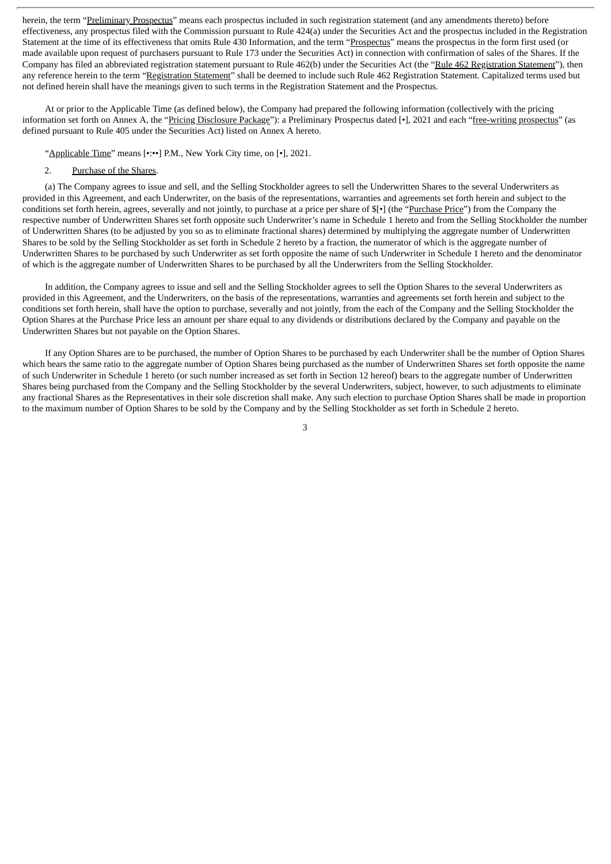herein, the term "Preliminary Prospectus" means each prospectus included in such registration statement (and any amendments thereto) before effectiveness, any prospectus filed with the Commission pursuant to Rule 424(a) under the Securities Act and the prospectus included in the Registration Statement at the time of its effectiveness that omits Rule 430 Information, and the term "Prospectus" means the prospectus in the form first used (or made available upon request of purchasers pursuant to Rule 173 under the Securities Act) in connection with confirmation of sales of the Shares. If the Company has filed an abbreviated registration statement pursuant to Rule 462(b) under the Securities Act (the "Rule 462 Registration Statement"), then any reference herein to the term "Registration Statement" shall be deemed to include such Rule 462 Registration Statement. Capitalized terms used but not defined herein shall have the meanings given to such terms in the Registration Statement and the Prospectus.

At or prior to the Applicable Time (as defined below), the Company had prepared the following information (collectively with the pricing information set forth on Annex A, the "Pricing Disclosure Package"): a Preliminary Prospectus dated [•], 2021 and each "free-writing prospectus" (as defined pursuant to Rule 405 under the Securities Act) listed on Annex A hereto.

"Applicable Time" means [•:••] P.M., New York City time, on [•], 2021.

#### 2. Purchase of the Shares.

(a) The Company agrees to issue and sell, and the Selling Stockholder agrees to sell the Underwritten Shares to the several Underwriters as provided in this Agreement, and each Underwriter, on the basis of the representations, warranties and agreements set forth herein and subject to the conditions set forth herein, agrees, severally and not jointly, to purchase at a price per share of  $\frac{f}{g}$  (the "Purchase Price") from the Company the respective number of Underwritten Shares set forth opposite such Underwriter's name in Schedule 1 hereto and from the Selling Stockholder the number of Underwritten Shares (to be adjusted by you so as to eliminate fractional shares) determined by multiplying the aggregate number of Underwritten Shares to be sold by the Selling Stockholder as set forth in Schedule 2 hereto by a fraction, the numerator of which is the aggregate number of Underwritten Shares to be purchased by such Underwriter as set forth opposite the name of such Underwriter in Schedule 1 hereto and the denominator of which is the aggregate number of Underwritten Shares to be purchased by all the Underwriters from the Selling Stockholder.

In addition, the Company agrees to issue and sell and the Selling Stockholder agrees to sell the Option Shares to the several Underwriters as provided in this Agreement, and the Underwriters, on the basis of the representations, warranties and agreements set forth herein and subject to the conditions set forth herein, shall have the option to purchase, severally and not jointly, from the each of the Company and the Selling Stockholder the Option Shares at the Purchase Price less an amount per share equal to any dividends or distributions declared by the Company and payable on the Underwritten Shares but not payable on the Option Shares.

If any Option Shares are to be purchased, the number of Option Shares to be purchased by each Underwriter shall be the number of Option Shares which bears the same ratio to the aggregate number of Option Shares being purchased as the number of Underwritten Shares set forth opposite the name of such Underwriter in Schedule 1 hereto (or such number increased as set forth in Section 12 hereof) bears to the aggregate number of Underwritten Shares being purchased from the Company and the Selling Stockholder by the several Underwriters, subject, however, to such adjustments to eliminate any fractional Shares as the Representatives in their sole discretion shall make. Any such election to purchase Option Shares shall be made in proportion to the maximum number of Option Shares to be sold by the Company and by the Selling Stockholder as set forth in Schedule 2 hereto.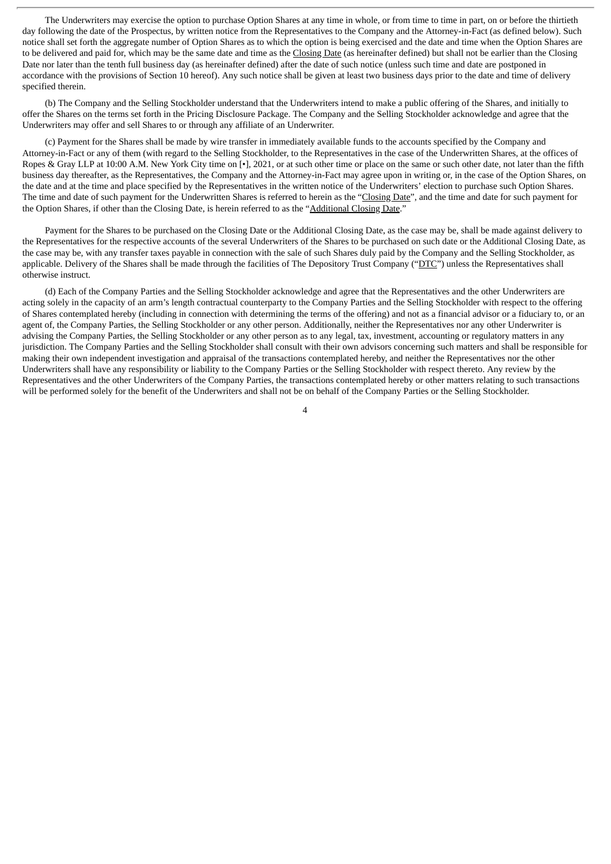The Underwriters may exercise the option to purchase Option Shares at any time in whole, or from time to time in part, on or before the thirtieth day following the date of the Prospectus, by written notice from the Representatives to the Company and the Attorney-in-Fact (as defined below). Such notice shall set forth the aggregate number of Option Shares as to which the option is being exercised and the date and time when the Option Shares are to be delivered and paid for, which may be the same date and time as the Closing Date (as hereinafter defined) but shall not be earlier than the Closing Date nor later than the tenth full business day (as hereinafter defined) after the date of such notice (unless such time and date are postponed in accordance with the provisions of Section 10 hereof). Any such notice shall be given at least two business days prior to the date and time of delivery specified therein.

(b) The Company and the Selling Stockholder understand that the Underwriters intend to make a public offering of the Shares, and initially to offer the Shares on the terms set forth in the Pricing Disclosure Package. The Company and the Selling Stockholder acknowledge and agree that the Underwriters may offer and sell Shares to or through any affiliate of an Underwriter.

(c) Payment for the Shares shall be made by wire transfer in immediately available funds to the accounts specified by the Company and Attorney-in-Fact or any of them (with regard to the Selling Stockholder, to the Representatives in the case of the Underwritten Shares, at the offices of Ropes & Gray LLP at 10:00 A.M. New York City time on [•], 2021, or at such other time or place on the same or such other date, not later than the fifth business day thereafter, as the Representatives, the Company and the Attorney-in-Fact may agree upon in writing or, in the case of the Option Shares, on the date and at the time and place specified by the Representatives in the written notice of the Underwriters' election to purchase such Option Shares. The time and date of such payment for the Underwritten Shares is referred to herein as the "Closing Date", and the time and date for such payment for the Option Shares, if other than the Closing Date, is herein referred to as the "Additional Closing Date."

Payment for the Shares to be purchased on the Closing Date or the Additional Closing Date, as the case may be, shall be made against delivery to the Representatives for the respective accounts of the several Underwriters of the Shares to be purchased on such date or the Additional Closing Date, as the case may be, with any transfer taxes payable in connection with the sale of such Shares duly paid by the Company and the Selling Stockholder, as applicable. Delivery of the Shares shall be made through the facilities of The Depository Trust Company ("DTC") unless the Representatives shall otherwise instruct.

(d) Each of the Company Parties and the Selling Stockholder acknowledge and agree that the Representatives and the other Underwriters are acting solely in the capacity of an arm's length contractual counterparty to the Company Parties and the Selling Stockholder with respect to the offering of Shares contemplated hereby (including in connection with determining the terms of the offering) and not as a financial advisor or a fiduciary to, or an agent of, the Company Parties, the Selling Stockholder or any other person. Additionally, neither the Representatives nor any other Underwriter is advising the Company Parties, the Selling Stockholder or any other person as to any legal, tax, investment, accounting or regulatory matters in any jurisdiction. The Company Parties and the Selling Stockholder shall consult with their own advisors concerning such matters and shall be responsible for making their own independent investigation and appraisal of the transactions contemplated hereby, and neither the Representatives nor the other Underwriters shall have any responsibility or liability to the Company Parties or the Selling Stockholder with respect thereto. Any review by the Representatives and the other Underwriters of the Company Parties, the transactions contemplated hereby or other matters relating to such transactions will be performed solely for the benefit of the Underwriters and shall not be on behalf of the Company Parties or the Selling Stockholder.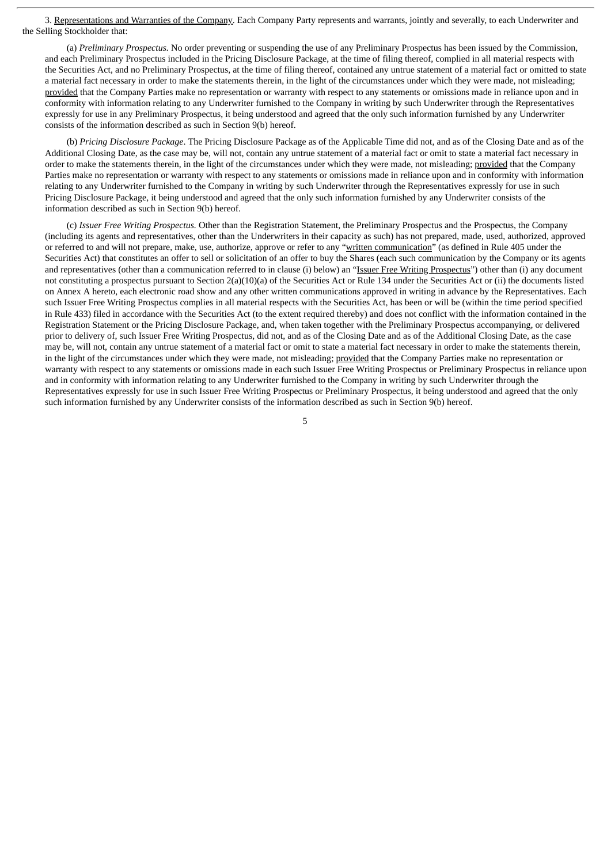3. Representations and Warranties of the Company. Each Company Party represents and warrants, jointly and severally, to each Underwriter and the Selling Stockholder that:

(a) *Preliminary Prospectus.* No order preventing or suspending the use of any Preliminary Prospectus has been issued by the Commission, and each Preliminary Prospectus included in the Pricing Disclosure Package, at the time of filing thereof, complied in all material respects with the Securities Act, and no Preliminary Prospectus, at the time of filing thereof, contained any untrue statement of a material fact or omitted to state a material fact necessary in order to make the statements therein, in the light of the circumstances under which they were made, not misleading; provided that the Company Parties make no representation or warranty with respect to any statements or omissions made in reliance upon and in conformity with information relating to any Underwriter furnished to the Company in writing by such Underwriter through the Representatives expressly for use in any Preliminary Prospectus, it being understood and agreed that the only such information furnished by any Underwriter consists of the information described as such in Section 9(b) hereof.

(b) *Pricing Disclosure Package*. The Pricing Disclosure Package as of the Applicable Time did not, and as of the Closing Date and as of the Additional Closing Date, as the case may be, will not, contain any untrue statement of a material fact or omit to state a material fact necessary in order to make the statements therein, in the light of the circumstances under which they were made, not misleading; provided that the Company Parties make no representation or warranty with respect to any statements or omissions made in reliance upon and in conformity with information relating to any Underwriter furnished to the Company in writing by such Underwriter through the Representatives expressly for use in such Pricing Disclosure Package, it being understood and agreed that the only such information furnished by any Underwriter consists of the information described as such in Section 9(b) hereof.

(c) *Issuer Free Writing Prospectus.* Other than the Registration Statement, the Preliminary Prospectus and the Prospectus, the Company (including its agents and representatives, other than the Underwriters in their capacity as such) has not prepared, made, used, authorized, approved or referred to and will not prepare, make, use, authorize, approve or refer to any "written communication" (as defined in Rule 405 under the Securities Act) that constitutes an offer to sell or solicitation of an offer to buy the Shares (each such communication by the Company or its agents and representatives (other than a communication referred to in clause (i) below) an "Issuer Free Writing Prospectus") other than (i) any document not constituting a prospectus pursuant to Section 2(a)(10)(a) of the Securities Act or Rule 134 under the Securities Act or (ii) the documents listed on Annex A hereto, each electronic road show and any other written communications approved in writing in advance by the Representatives. Each such Issuer Free Writing Prospectus complies in all material respects with the Securities Act, has been or will be (within the time period specified in Rule 433) filed in accordance with the Securities Act (to the extent required thereby) and does not conflict with the information contained in the Registration Statement or the Pricing Disclosure Package, and, when taken together with the Preliminary Prospectus accompanying, or delivered prior to delivery of, such Issuer Free Writing Prospectus, did not, and as of the Closing Date and as of the Additional Closing Date, as the case may be, will not, contain any untrue statement of a material fact or omit to state a material fact necessary in order to make the statements therein, in the light of the circumstances under which they were made, not misleading; provided that the Company Parties make no representation or warranty with respect to any statements or omissions made in each such Issuer Free Writing Prospectus or Preliminary Prospectus in reliance upon and in conformity with information relating to any Underwriter furnished to the Company in writing by such Underwriter through the Representatives expressly for use in such Issuer Free Writing Prospectus or Preliminary Prospectus, it being understood and agreed that the only such information furnished by any Underwriter consists of the information described as such in Section 9(b) hereof.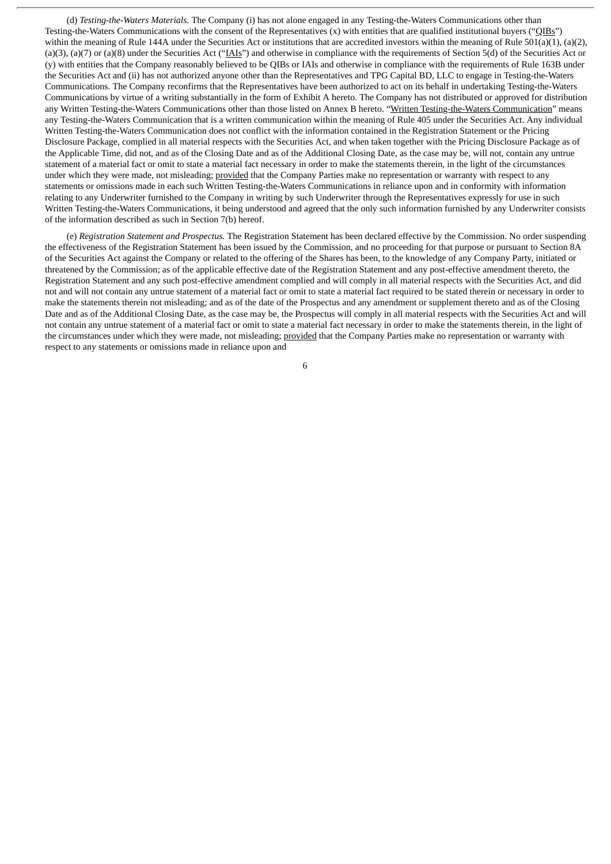(d) *Testing-the-Waters Materials.* The Company (i) has not alone engaged in any Testing-the-Waters Communications other than Testing-the-Waters Communications with the consent of the Representatives (x) with entities that are qualified institutional buyers ("QIBs") within the meaning of Rule 144A under the Securities Act or institutions that are accredited investors within the meaning of Rule 501(a)(1), (a)(2), (a)(3), (a)(7) or (a)(8) under the Securities Act (" $AIs$ ") and otherwise in compliance with the requirements of Section 5(d) of the Securities Act or (y) with entities that the Company reasonably believed to be QIBs or IAIs and otherwise in compliance with the requirements of Rule 163B under the Securities Act and (ii) has not authorized anyone other than the Representatives and TPG Capital BD, LLC to engage in Testing-the-Waters Communications. The Company reconfirms that the Representatives have been authorized to act on its behalf in undertaking Testing-the-Waters Communications by virtue of a writing substantially in the form of Exhibit A hereto. The Company has not distributed or approved for distribution any Written Testing-the-Waters Communications other than those listed on Annex B hereto. "Written Testing-the-Waters Communication" means any Testing-the-Waters Communication that is a written communication within the meaning of Rule 405 under the Securities Act. Any individual Written Testing-the-Waters Communication does not conflict with the information contained in the Registration Statement or the Pricing Disclosure Package, complied in all material respects with the Securities Act, and when taken together with the Pricing Disclosure Package as of the Applicable Time, did not, and as of the Closing Date and as of the Additional Closing Date, as the case may be, will not, contain any untrue statement of a material fact or omit to state a material fact necessary in order to make the statements therein, in the light of the circumstances under which they were made, not misleading; provided that the Company Parties make no representation or warranty with respect to any statements or omissions made in each such Written Testing-the-Waters Communications in reliance upon and in conformity with information relating to any Underwriter furnished to the Company in writing by such Underwriter through the Representatives expressly for use in such Written Testing-the-Waters Communications, it being understood and agreed that the only such information furnished by any Underwriter consists of the information described as such in Section 7(b) hereof.

(e) *Registration Statement and Prospectus.* The Registration Statement has been declared effective by the Commission. No order suspending the effectiveness of the Registration Statement has been issued by the Commission, and no proceeding for that purpose or pursuant to Section 8A of the Securities Act against the Company or related to the offering of the Shares has been, to the knowledge of any Company Party, initiated or threatened by the Commission; as of the applicable effective date of the Registration Statement and any post-effective amendment thereto, the Registration Statement and any such post-effective amendment complied and will comply in all material respects with the Securities Act, and did not and will not contain any untrue statement of a material fact or omit to state a material fact required to be stated therein or necessary in order to make the statements therein not misleading; and as of the date of the Prospectus and any amendment or supplement thereto and as of the Closing Date and as of the Additional Closing Date, as the case may be, the Prospectus will comply in all material respects with the Securities Act and will not contain any untrue statement of a material fact or omit to state a material fact necessary in order to make the statements therein, in the light of the circumstances under which they were made, not misleading; provided that the Company Parties make no representation or warranty with respect to any statements or omissions made in reliance upon and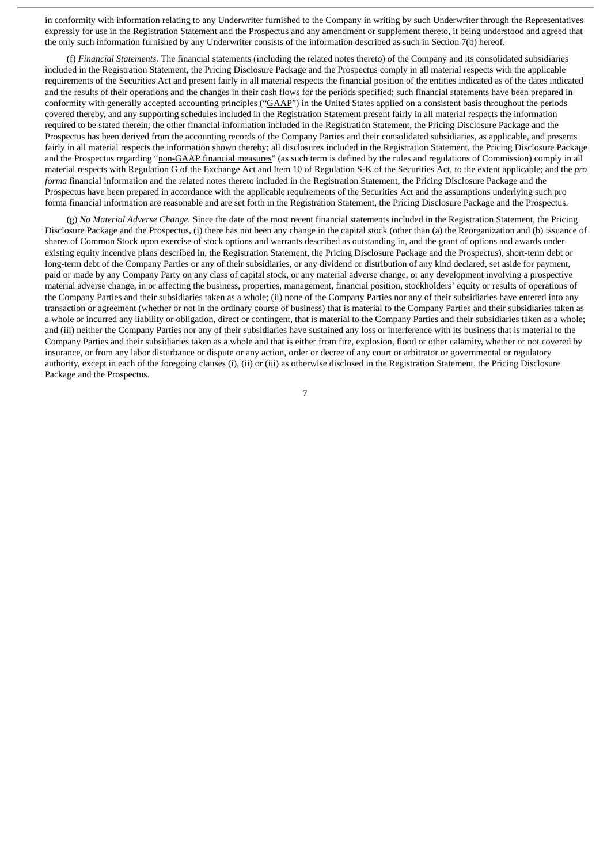in conformity with information relating to any Underwriter furnished to the Company in writing by such Underwriter through the Representatives expressly for use in the Registration Statement and the Prospectus and any amendment or supplement thereto, it being understood and agreed that the only such information furnished by any Underwriter consists of the information described as such in Section 7(b) hereof.

(f) *Financial Statements.* The financial statements (including the related notes thereto) of the Company and its consolidated subsidiaries included in the Registration Statement, the Pricing Disclosure Package and the Prospectus comply in all material respects with the applicable requirements of the Securities Act and present fairly in all material respects the financial position of the entities indicated as of the dates indicated and the results of their operations and the changes in their cash flows for the periods specified; such financial statements have been prepared in conformity with generally accepted accounting principles ("GAAP") in the United States applied on a consistent basis throughout the periods covered thereby, and any supporting schedules included in the Registration Statement present fairly in all material respects the information required to be stated therein; the other financial information included in the Registration Statement, the Pricing Disclosure Package and the Prospectus has been derived from the accounting records of the Company Parties and their consolidated subsidiaries, as applicable, and presents fairly in all material respects the information shown thereby; all disclosures included in the Registration Statement, the Pricing Disclosure Package and the Prospectus regarding "non-GAAP financial measures" (as such term is defined by the rules and regulations of Commission) comply in all material respects with Regulation G of the Exchange Act and Item 10 of Regulation S-K of the Securities Act, to the extent applicable; and the *pro forma* financial information and the related notes thereto included in the Registration Statement, the Pricing Disclosure Package and the Prospectus have been prepared in accordance with the applicable requirements of the Securities Act and the assumptions underlying such pro forma financial information are reasonable and are set forth in the Registration Statement, the Pricing Disclosure Package and the Prospectus.

(g) *No Material Adverse Change.* Since the date of the most recent financial statements included in the Registration Statement, the Pricing Disclosure Package and the Prospectus, (i) there has not been any change in the capital stock (other than (a) the Reorganization and (b) issuance of shares of Common Stock upon exercise of stock options and warrants described as outstanding in, and the grant of options and awards under existing equity incentive plans described in, the Registration Statement, the Pricing Disclosure Package and the Prospectus), short-term debt or long-term debt of the Company Parties or any of their subsidiaries, or any dividend or distribution of any kind declared, set aside for payment, paid or made by any Company Party on any class of capital stock, or any material adverse change, or any development involving a prospective material adverse change, in or affecting the business, properties, management, financial position, stockholders' equity or results of operations of the Company Parties and their subsidiaries taken as a whole; (ii) none of the Company Parties nor any of their subsidiaries have entered into any transaction or agreement (whether or not in the ordinary course of business) that is material to the Company Parties and their subsidiaries taken as a whole or incurred any liability or obligation, direct or contingent, that is material to the Company Parties and their subsidiaries taken as a whole; and (iii) neither the Company Parties nor any of their subsidiaries have sustained any loss or interference with its business that is material to the Company Parties and their subsidiaries taken as a whole and that is either from fire, explosion, flood or other calamity, whether or not covered by insurance, or from any labor disturbance or dispute or any action, order or decree of any court or arbitrator or governmental or regulatory authority, except in each of the foregoing clauses (i), (ii) or (iii) as otherwise disclosed in the Registration Statement, the Pricing Disclosure Package and the Prospectus.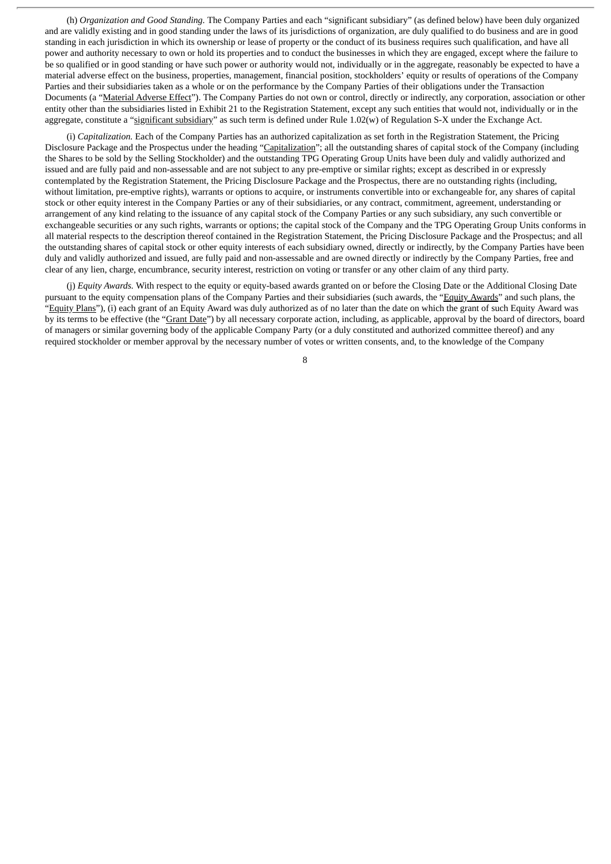(h) *Organization and Good Standing.* The Company Parties and each "significant subsidiary" (as defined below) have been duly organized and are validly existing and in good standing under the laws of its jurisdictions of organization, are duly qualified to do business and are in good standing in each jurisdiction in which its ownership or lease of property or the conduct of its business requires such qualification, and have all power and authority necessary to own or hold its properties and to conduct the businesses in which they are engaged, except where the failure to be so qualified or in good standing or have such power or authority would not, individually or in the aggregate, reasonably be expected to have a material adverse effect on the business, properties, management, financial position, stockholders' equity or results of operations of the Company Parties and their subsidiaries taken as a whole or on the performance by the Company Parties of their obligations under the Transaction Documents (a "Material Adverse Effect"). The Company Parties do not own or control, directly or indirectly, any corporation, association or other entity other than the subsidiaries listed in Exhibit 21 to the Registration Statement, except any such entities that would not, individually or in the aggregate, constitute a "significant subsidiary" as such term is defined under Rule 1.02(w) of Regulation S-X under the Exchange Act.

(i) *Capitalization.* Each of the Company Parties has an authorized capitalization as set forth in the Registration Statement, the Pricing Disclosure Package and the Prospectus under the heading "Capitalization"; all the outstanding shares of capital stock of the Company (including the Shares to be sold by the Selling Stockholder) and the outstanding TPG Operating Group Units have been duly and validly authorized and issued and are fully paid and non-assessable and are not subject to any pre-emptive or similar rights; except as described in or expressly contemplated by the Registration Statement, the Pricing Disclosure Package and the Prospectus, there are no outstanding rights (including, without limitation, pre-emptive rights), warrants or options to acquire, or instruments convertible into or exchangeable for, any shares of capital stock or other equity interest in the Company Parties or any of their subsidiaries, or any contract, commitment, agreement, understanding or arrangement of any kind relating to the issuance of any capital stock of the Company Parties or any such subsidiary, any such convertible or exchangeable securities or any such rights, warrants or options; the capital stock of the Company and the TPG Operating Group Units conforms in all material respects to the description thereof contained in the Registration Statement, the Pricing Disclosure Package and the Prospectus; and all the outstanding shares of capital stock or other equity interests of each subsidiary owned, directly or indirectly, by the Company Parties have been duly and validly authorized and issued, are fully paid and non-assessable and are owned directly or indirectly by the Company Parties, free and clear of any lien, charge, encumbrance, security interest, restriction on voting or transfer or any other claim of any third party.

(j) *Equity Awards.* With respect to the equity or equity-based awards granted on or before the Closing Date or the Additional Closing Date pursuant to the equity compensation plans of the Company Parties and their subsidiaries (such awards, the "Equity Awards" and such plans, the "Equity Plans"), (i) each grant of an Equity Award was duly authorized as of no later than the date on which the grant of such Equity Award was by its terms to be effective (the "Grant Date") by all necessary corporate action, including, as applicable, approval by the board of directors, board of managers or similar governing body of the applicable Company Party (or a duly constituted and authorized committee thereof) and any required stockholder or member approval by the necessary number of votes or written consents, and, to the knowledge of the Company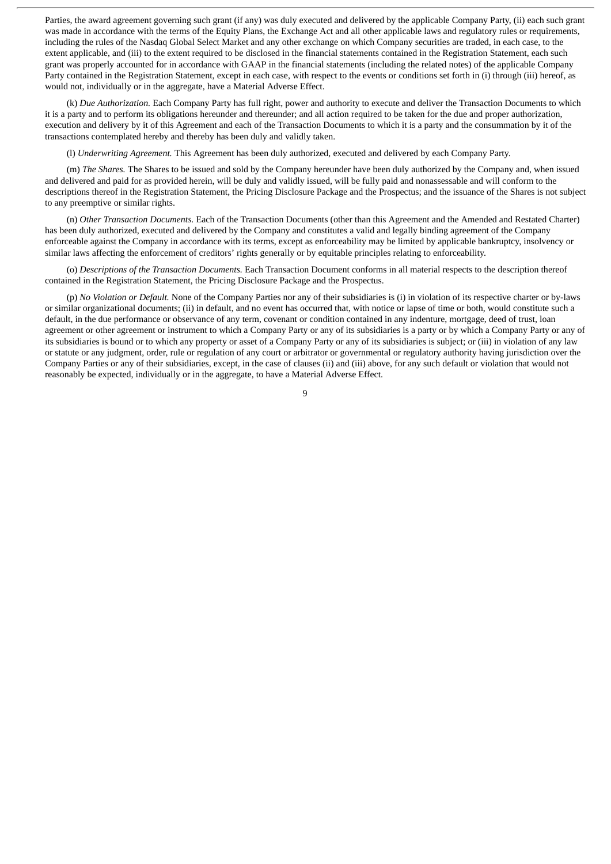Parties, the award agreement governing such grant (if any) was duly executed and delivered by the applicable Company Party, (ii) each such grant was made in accordance with the terms of the Equity Plans, the Exchange Act and all other applicable laws and regulatory rules or requirements, including the rules of the Nasdaq Global Select Market and any other exchange on which Company securities are traded, in each case, to the extent applicable, and (iii) to the extent required to be disclosed in the financial statements contained in the Registration Statement, each such grant was properly accounted for in accordance with GAAP in the financial statements (including the related notes) of the applicable Company Party contained in the Registration Statement, except in each case, with respect to the events or conditions set forth in (i) through (iii) hereof, as would not, individually or in the aggregate, have a Material Adverse Effect.

(k) *Due Authorization.* Each Company Party has full right, power and authority to execute and deliver the Transaction Documents to which it is a party and to perform its obligations hereunder and thereunder; and all action required to be taken for the due and proper authorization, execution and delivery by it of this Agreement and each of the Transaction Documents to which it is a party and the consummation by it of the transactions contemplated hereby and thereby has been duly and validly taken.

(l) *Underwriting Agreement.* This Agreement has been duly authorized, executed and delivered by each Company Party.

(m) *The Shares.* The Shares to be issued and sold by the Company hereunder have been duly authorized by the Company and, when issued and delivered and paid for as provided herein, will be duly and validly issued, will be fully paid and nonassessable and will conform to the descriptions thereof in the Registration Statement, the Pricing Disclosure Package and the Prospectus; and the issuance of the Shares is not subject to any preemptive or similar rights.

(n) *Other Transaction Documents.* Each of the Transaction Documents (other than this Agreement and the Amended and Restated Charter) has been duly authorized, executed and delivered by the Company and constitutes a valid and legally binding agreement of the Company enforceable against the Company in accordance with its terms, except as enforceability may be limited by applicable bankruptcy, insolvency or similar laws affecting the enforcement of creditors' rights generally or by equitable principles relating to enforceability.

(o) *Descriptions of the Transaction Documents.* Each Transaction Document conforms in all material respects to the description thereof contained in the Registration Statement, the Pricing Disclosure Package and the Prospectus.

(p) *No Violation or Default.* None of the Company Parties nor any of their subsidiaries is (i) in violation of its respective charter or by-laws or similar organizational documents; (ii) in default, and no event has occurred that, with notice or lapse of time or both, would constitute such a default, in the due performance or observance of any term, covenant or condition contained in any indenture, mortgage, deed of trust, loan agreement or other agreement or instrument to which a Company Party or any of its subsidiaries is a party or by which a Company Party or any of its subsidiaries is bound or to which any property or asset of a Company Party or any of its subsidiaries is subject; or (iii) in violation of any law or statute or any judgment, order, rule or regulation of any court or arbitrator or governmental or regulatory authority having jurisdiction over the Company Parties or any of their subsidiaries, except, in the case of clauses (ii) and (iii) above, for any such default or violation that would not reasonably be expected, individually or in the aggregate, to have a Material Adverse Effect.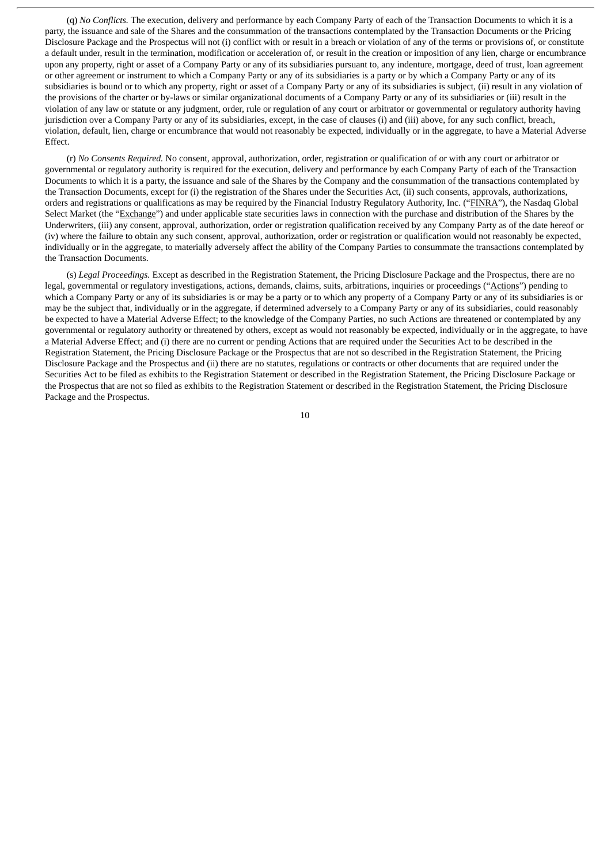(q) *No Conflicts.* The execution, delivery and performance by each Company Party of each of the Transaction Documents to which it is a party, the issuance and sale of the Shares and the consummation of the transactions contemplated by the Transaction Documents or the Pricing Disclosure Package and the Prospectus will not (i) conflict with or result in a breach or violation of any of the terms or provisions of, or constitute a default under, result in the termination, modification or acceleration of, or result in the creation or imposition of any lien, charge or encumbrance upon any property, right or asset of a Company Party or any of its subsidiaries pursuant to, any indenture, mortgage, deed of trust, loan agreement or other agreement or instrument to which a Company Party or any of its subsidiaries is a party or by which a Company Party or any of its subsidiaries is bound or to which any property, right or asset of a Company Party or any of its subsidiaries is subject, (ii) result in any violation of the provisions of the charter or by-laws or similar organizational documents of a Company Party or any of its subsidiaries or (iii) result in the violation of any law or statute or any judgment, order, rule or regulation of any court or arbitrator or governmental or regulatory authority having jurisdiction over a Company Party or any of its subsidiaries, except, in the case of clauses (i) and (iii) above, for any such conflict, breach, violation, default, lien, charge or encumbrance that would not reasonably be expected, individually or in the aggregate, to have a Material Adverse Effect.

(r) *No Consents Required.* No consent, approval, authorization, order, registration or qualification of or with any court or arbitrator or governmental or regulatory authority is required for the execution, delivery and performance by each Company Party of each of the Transaction Documents to which it is a party, the issuance and sale of the Shares by the Company and the consummation of the transactions contemplated by the Transaction Documents, except for (i) the registration of the Shares under the Securities Act, (ii) such consents, approvals, authorizations, orders and registrations or qualifications as may be required by the Financial Industry Regulatory Authority, Inc. ("FINRA"), the Nasdaq Global Select Market (the "Exchange") and under applicable state securities laws in connection with the purchase and distribution of the Shares by the Underwriters, (iii) any consent, approval, authorization, order or registration qualification received by any Company Party as of the date hereof or (iv) where the failure to obtain any such consent, approval, authorization, order or registration or qualification would not reasonably be expected, individually or in the aggregate, to materially adversely affect the ability of the Company Parties to consummate the transactions contemplated by the Transaction Documents.

(s) *Legal Proceedings.* Except as described in the Registration Statement, the Pricing Disclosure Package and the Prospectus, there are no legal, governmental or regulatory investigations, actions, demands, claims, suits, arbitrations, inquiries or proceedings ("Actions") pending to which a Company Party or any of its subsidiaries is or may be a party or to which any property of a Company Party or any of its subsidiaries is or may be the subject that, individually or in the aggregate, if determined adversely to a Company Party or any of its subsidiaries, could reasonably be expected to have a Material Adverse Effect; to the knowledge of the Company Parties, no such Actions are threatened or contemplated by any governmental or regulatory authority or threatened by others, except as would not reasonably be expected, individually or in the aggregate, to have a Material Adverse Effect; and (i) there are no current or pending Actions that are required under the Securities Act to be described in the Registration Statement, the Pricing Disclosure Package or the Prospectus that are not so described in the Registration Statement, the Pricing Disclosure Package and the Prospectus and (ii) there are no statutes, regulations or contracts or other documents that are required under the Securities Act to be filed as exhibits to the Registration Statement or described in the Registration Statement, the Pricing Disclosure Package or the Prospectus that are not so filed as exhibits to the Registration Statement or described in the Registration Statement, the Pricing Disclosure Package and the Prospectus.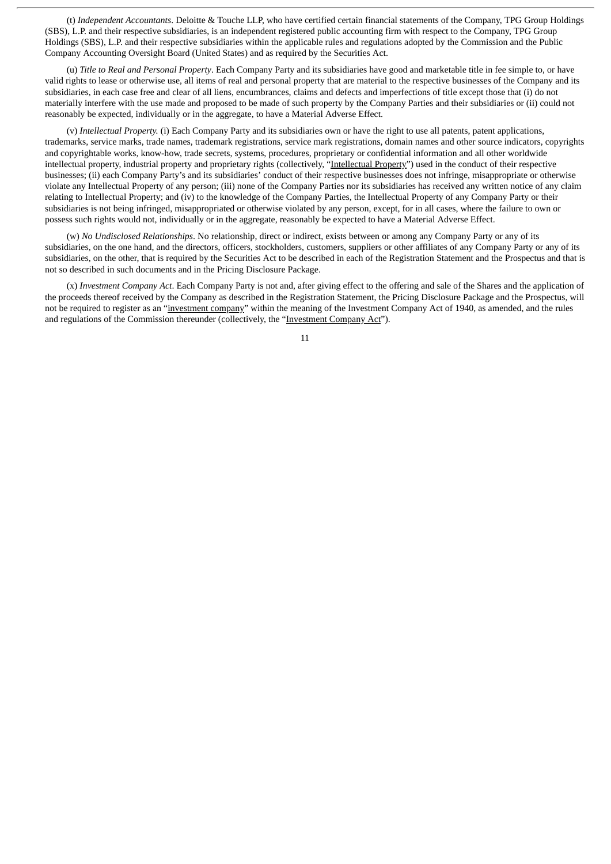(t) *Independent Accountants*. Deloitte & Touche LLP, who have certified certain financial statements of the Company, TPG Group Holdings (SBS), L.P. and their respective subsidiaries, is an independent registered public accounting firm with respect to the Company, TPG Group Holdings (SBS), L.P. and their respective subsidiaries within the applicable rules and regulations adopted by the Commission and the Public Company Accounting Oversight Board (United States) and as required by the Securities Act.

(u) *Title to Real and Personal Property*. Each Company Party and its subsidiaries have good and marketable title in fee simple to, or have valid rights to lease or otherwise use, all items of real and personal property that are material to the respective businesses of the Company and its subsidiaries, in each case free and clear of all liens, encumbrances, claims and defects and imperfections of title except those that (i) do not materially interfere with the use made and proposed to be made of such property by the Company Parties and their subsidiaries or (ii) could not reasonably be expected, individually or in the aggregate, to have a Material Adverse Effect.

(v) *Intellectual Property.* (i) Each Company Party and its subsidiaries own or have the right to use all patents, patent applications, trademarks, service marks, trade names, trademark registrations, service mark registrations, domain names and other source indicators, copyrights and copyrightable works, know-how, trade secrets, systems, procedures, proprietary or confidential information and all other worldwide intellectual property, industrial property and proprietary rights (collectively, "Intellectual Property") used in the conduct of their respective businesses; (ii) each Company Party's and its subsidiaries' conduct of their respective businesses does not infringe, misappropriate or otherwise violate any Intellectual Property of any person; (iii) none of the Company Parties nor its subsidiaries has received any written notice of any claim relating to Intellectual Property; and (iv) to the knowledge of the Company Parties, the Intellectual Property of any Company Party or their subsidiaries is not being infringed, misappropriated or otherwise violated by any person, except, for in all cases, where the failure to own or possess such rights would not, individually or in the aggregate, reasonably be expected to have a Material Adverse Effect.

(w) *No Undisclosed Relationships*. No relationship, direct or indirect, exists between or among any Company Party or any of its subsidiaries, on the one hand, and the directors, officers, stockholders, customers, suppliers or other affiliates of any Company Party or any of its subsidiaries, on the other, that is required by the Securities Act to be described in each of the Registration Statement and the Prospectus and that is not so described in such documents and in the Pricing Disclosure Package.

(x) *Investment Company Act*. Each Company Party is not and, after giving effect to the offering and sale of the Shares and the application of the proceeds thereof received by the Company as described in the Registration Statement, the Pricing Disclosure Package and the Prospectus, will not be required to register as an "investment company" within the meaning of the Investment Company Act of 1940, as amended, and the rules and regulations of the Commission thereunder (collectively, the "Investment Company Act").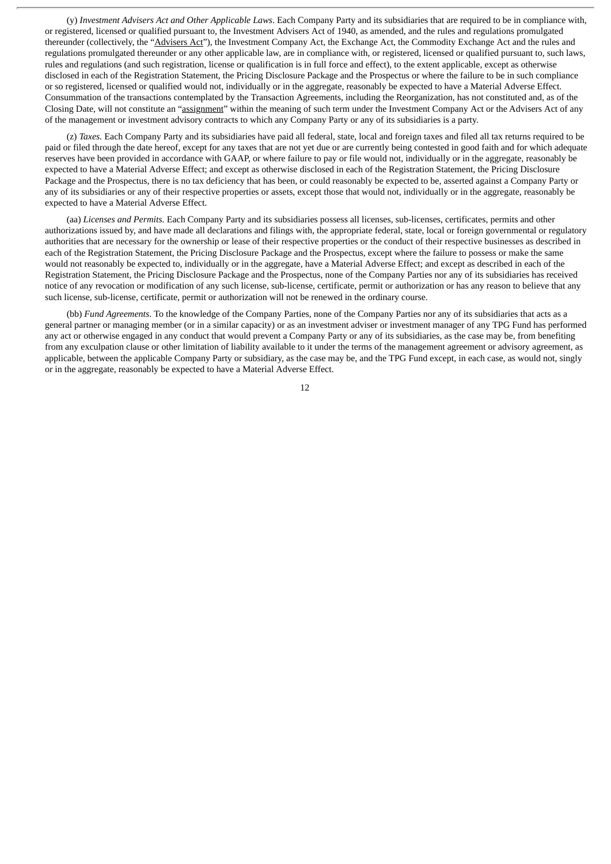(y) *Investment Advisers Act and Other Applicable Laws*. Each Company Party and its subsidiaries that are required to be in compliance with, or registered, licensed or qualified pursuant to, the Investment Advisers Act of 1940, as amended, and the rules and regulations promulgated thereunder (collectively, the "Advisers Act"), the Investment Company Act, the Exchange Act, the Commodity Exchange Act and the rules and regulations promulgated thereunder or any other applicable law, are in compliance with, or registered, licensed or qualified pursuant to, such laws, rules and regulations (and such registration, license or qualification is in full force and effect), to the extent applicable, except as otherwise disclosed in each of the Registration Statement, the Pricing Disclosure Package and the Prospectus or where the failure to be in such compliance or so registered, licensed or qualified would not, individually or in the aggregate, reasonably be expected to have a Material Adverse Effect. Consummation of the transactions contemplated by the Transaction Agreements, including the Reorganization, has not constituted and, as of the Closing Date, will not constitute an "assignment" within the meaning of such term under the Investment Company Act or the Advisers Act of any of the management or investment advisory contracts to which any Company Party or any of its subsidiaries is a party.

(z) *Taxes.* Each Company Party and its subsidiaries have paid all federal, state, local and foreign taxes and filed all tax returns required to be paid or filed through the date hereof, except for any taxes that are not yet due or are currently being contested in good faith and for which adequate reserves have been provided in accordance with GAAP, or where failure to pay or file would not, individually or in the aggregate, reasonably be expected to have a Material Adverse Effect; and except as otherwise disclosed in each of the Registration Statement, the Pricing Disclosure Package and the Prospectus, there is no tax deficiency that has been, or could reasonably be expected to be, asserted against a Company Party or any of its subsidiaries or any of their respective properties or assets, except those that would not, individually or in the aggregate, reasonably be expected to have a Material Adverse Effect.

(aa) *Licenses and Permits.* Each Company Party and its subsidiaries possess all licenses, sub-licenses, certificates, permits and other authorizations issued by, and have made all declarations and filings with, the appropriate federal, state, local or foreign governmental or regulatory authorities that are necessary for the ownership or lease of their respective properties or the conduct of their respective businesses as described in each of the Registration Statement, the Pricing Disclosure Package and the Prospectus, except where the failure to possess or make the same would not reasonably be expected to, individually or in the aggregate, have a Material Adverse Effect; and except as described in each of the Registration Statement, the Pricing Disclosure Package and the Prospectus, none of the Company Parties nor any of its subsidiaries has received notice of any revocation or modification of any such license, sub-license, certificate, permit or authorization or has any reason to believe that any such license, sub-license, certificate, permit or authorization will not be renewed in the ordinary course.

(bb) *Fund Agreements*. To the knowledge of the Company Parties, none of the Company Parties nor any of its subsidiaries that acts as a general partner or managing member (or in a similar capacity) or as an investment adviser or investment manager of any TPG Fund has performed any act or otherwise engaged in any conduct that would prevent a Company Party or any of its subsidiaries, as the case may be, from benefiting from any exculpation clause or other limitation of liability available to it under the terms of the management agreement or advisory agreement, as applicable, between the applicable Company Party or subsidiary, as the case may be, and the TPG Fund except, in each case, as would not, singly or in the aggregate, reasonably be expected to have a Material Adverse Effect.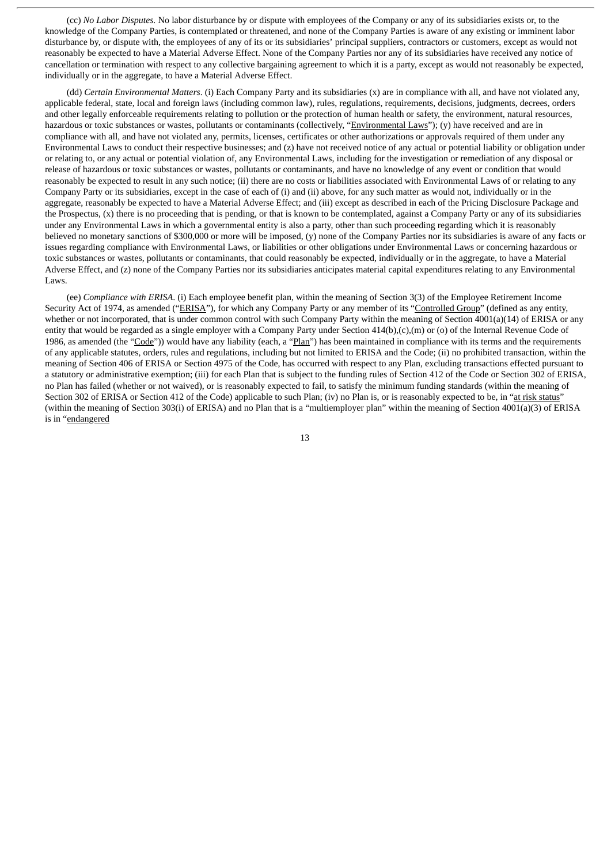(cc) *No Labor Disputes.* No labor disturbance by or dispute with employees of the Company or any of its subsidiaries exists or, to the knowledge of the Company Parties, is contemplated or threatened, and none of the Company Parties is aware of any existing or imminent labor disturbance by, or dispute with, the employees of any of its or its subsidiaries' principal suppliers, contractors or customers, except as would not reasonably be expected to have a Material Adverse Effect. None of the Company Parties nor any of its subsidiaries have received any notice of cancellation or termination with respect to any collective bargaining agreement to which it is a party, except as would not reasonably be expected, individually or in the aggregate, to have a Material Adverse Effect.

(dd) *Certain Environmental Matters*. (i) Each Company Party and its subsidiaries (x) are in compliance with all, and have not violated any, applicable federal, state, local and foreign laws (including common law), rules, regulations, requirements, decisions, judgments, decrees, orders and other legally enforceable requirements relating to pollution or the protection of human health or safety, the environment, natural resources, hazardous or toxic substances or wastes, pollutants or contaminants (collectively, "Environmental Laws"); (y) have received and are in compliance with all, and have not violated any, permits, licenses, certificates or other authorizations or approvals required of them under any Environmental Laws to conduct their respective businesses; and (z) have not received notice of any actual or potential liability or obligation under or relating to, or any actual or potential violation of, any Environmental Laws, including for the investigation or remediation of any disposal or release of hazardous or toxic substances or wastes, pollutants or contaminants, and have no knowledge of any event or condition that would reasonably be expected to result in any such notice; (ii) there are no costs or liabilities associated with Environmental Laws of or relating to any Company Party or its subsidiaries, except in the case of each of (i) and (ii) above, for any such matter as would not, individually or in the aggregate, reasonably be expected to have a Material Adverse Effect; and (iii) except as described in each of the Pricing Disclosure Package and the Prospectus, (x) there is no proceeding that is pending, or that is known to be contemplated, against a Company Party or any of its subsidiaries under any Environmental Laws in which a governmental entity is also a party, other than such proceeding regarding which it is reasonably believed no monetary sanctions of \$300,000 or more will be imposed, (y) none of the Company Parties nor its subsidiaries is aware of any facts or issues regarding compliance with Environmental Laws, or liabilities or other obligations under Environmental Laws or concerning hazardous or toxic substances or wastes, pollutants or contaminants, that could reasonably be expected, individually or in the aggregate, to have a Material Adverse Effect, and (z) none of the Company Parties nor its subsidiaries anticipates material capital expenditures relating to any Environmental Laws.

(ee) *Compliance with ERISA*. (i) Each employee benefit plan, within the meaning of Section 3(3) of the Employee Retirement Income Security Act of 1974, as amended ("ERISA"), for which any Company Party or any member of its "Controlled Group" (defined as any entity, whether or not incorporated, that is under common control with such Company Party within the meaning of Section 4001(a)(14) of ERISA or any entity that would be regarded as a single employer with a Company Party under Section 414(b),(c),(m) or (o) of the Internal Revenue Code of 1986, as amended (the "Code")) would have any liability (each, a "Plan") has been maintained in compliance with its terms and the requirements of any applicable statutes, orders, rules and regulations, including but not limited to ERISA and the Code; (ii) no prohibited transaction, within the meaning of Section 406 of ERISA or Section 4975 of the Code, has occurred with respect to any Plan, excluding transactions effected pursuant to a statutory or administrative exemption; (iii) for each Plan that is subject to the funding rules of Section 412 of the Code or Section 302 of ERISA, no Plan has failed (whether or not waived), or is reasonably expected to fail, to satisfy the minimum funding standards (within the meaning of Section 302 of ERISA or Section 412 of the Code) applicable to such Plan; (iv) no Plan is, or is reasonably expected to be, in "at risk status" (within the meaning of Section 303(i) of ERISA) and no Plan that is a "multiemployer plan" within the meaning of Section 4001(a)(3) of ERISA is in "endangered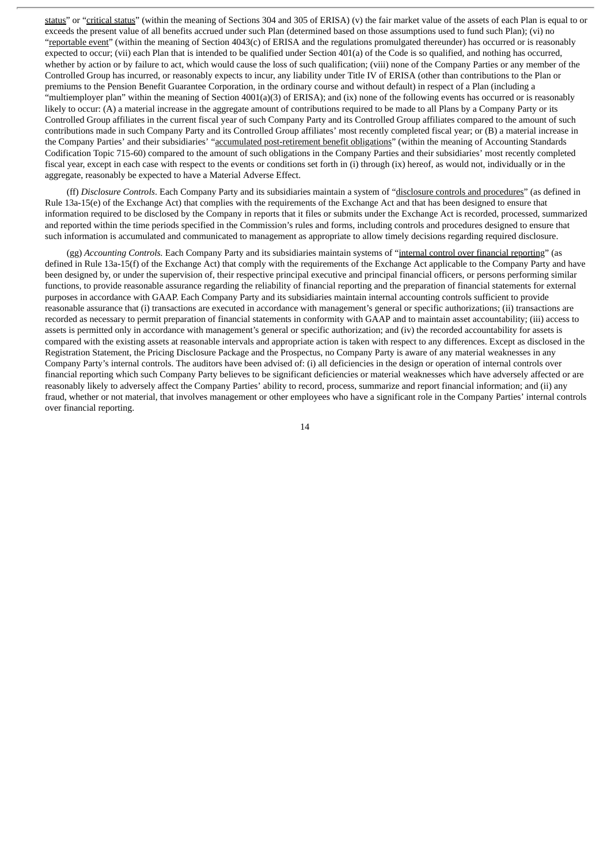status" or "critical status" (within the meaning of Sections 304 and 305 of ERISA) (v) the fair market value of the assets of each Plan is equal to or exceeds the present value of all benefits accrued under such Plan (determined based on those assumptions used to fund such Plan); (vi) no "reportable event" (within the meaning of Section 4043(c) of ERISA and the regulations promulgated thereunder) has occurred or is reasonably expected to occur; (vii) each Plan that is intended to be qualified under Section 401(a) of the Code is so qualified, and nothing has occurred, whether by action or by failure to act, which would cause the loss of such qualification; (viii) none of the Company Parties or any member of the Controlled Group has incurred, or reasonably expects to incur, any liability under Title IV of ERISA (other than contributions to the Plan or premiums to the Pension Benefit Guarantee Corporation, in the ordinary course and without default) in respect of a Plan (including a "multiemployer plan" within the meaning of Section 4001(a)(3) of ERISA); and (ix) none of the following events has occurred or is reasonably likely to occur: (A) a material increase in the aggregate amount of contributions required to be made to all Plans by a Company Party or its Controlled Group affiliates in the current fiscal year of such Company Party and its Controlled Group affiliates compared to the amount of such contributions made in such Company Party and its Controlled Group affiliates' most recently completed fiscal year; or (B) a material increase in the Company Parties' and their subsidiaries' "accumulated post-retirement benefit obligations" (within the meaning of Accounting Standards Codification Topic 715-60) compared to the amount of such obligations in the Company Parties and their subsidiaries' most recently completed fiscal year, except in each case with respect to the events or conditions set forth in (i) through (ix) hereof, as would not, individually or in the aggregate, reasonably be expected to have a Material Adverse Effect.

(ff) *Disclosure Controls*. Each Company Party and its subsidiaries maintain a system of "disclosure controls and procedures" (as defined in Rule 13a-15(e) of the Exchange Act) that complies with the requirements of the Exchange Act and that has been designed to ensure that information required to be disclosed by the Company in reports that it files or submits under the Exchange Act is recorded, processed, summarized and reported within the time periods specified in the Commission's rules and forms, including controls and procedures designed to ensure that such information is accumulated and communicated to management as appropriate to allow timely decisions regarding required disclosure.

(gg) *Accounting Controls.* Each Company Party and its subsidiaries maintain systems of "internal control over financial reporting" (as defined in Rule 13a-15(f) of the Exchange Act) that comply with the requirements of the Exchange Act applicable to the Company Party and have been designed by, or under the supervision of, their respective principal executive and principal financial officers, or persons performing similar functions, to provide reasonable assurance regarding the reliability of financial reporting and the preparation of financial statements for external purposes in accordance with GAAP. Each Company Party and its subsidiaries maintain internal accounting controls sufficient to provide reasonable assurance that (i) transactions are executed in accordance with management's general or specific authorizations; (ii) transactions are recorded as necessary to permit preparation of financial statements in conformity with GAAP and to maintain asset accountability; (iii) access to assets is permitted only in accordance with management's general or specific authorization; and (iv) the recorded accountability for assets is compared with the existing assets at reasonable intervals and appropriate action is taken with respect to any differences. Except as disclosed in the Registration Statement, the Pricing Disclosure Package and the Prospectus, no Company Party is aware of any material weaknesses in any Company Party's internal controls. The auditors have been advised of: (i) all deficiencies in the design or operation of internal controls over financial reporting which such Company Party believes to be significant deficiencies or material weaknesses which have adversely affected or are reasonably likely to adversely affect the Company Parties' ability to record, process, summarize and report financial information; and (ii) any fraud, whether or not material, that involves management or other employees who have a significant role in the Company Parties' internal controls over financial reporting.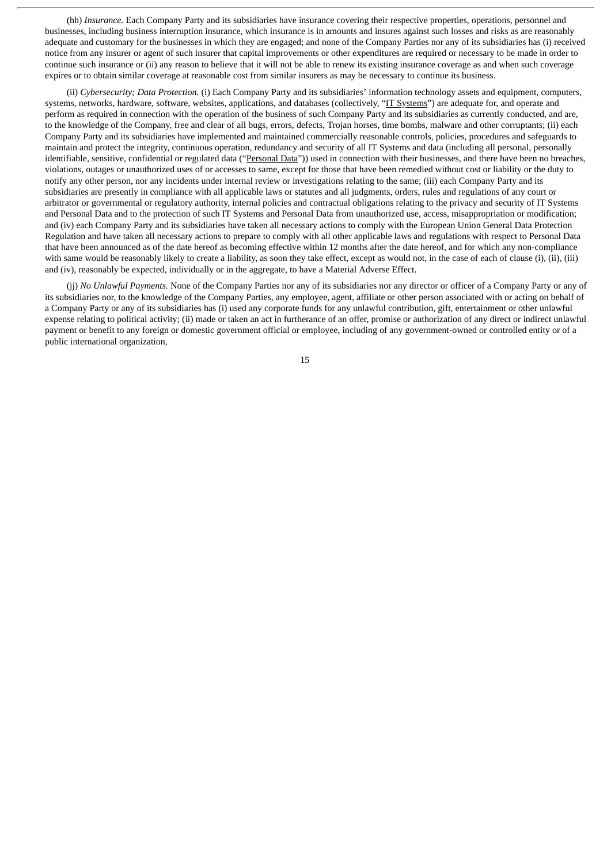(hh) *Insurance.* Each Company Party and its subsidiaries have insurance covering their respective properties, operations, personnel and businesses, including business interruption insurance, which insurance is in amounts and insures against such losses and risks as are reasonably adequate and customary for the businesses in which they are engaged; and none of the Company Parties nor any of its subsidiaries has (i) received notice from any insurer or agent of such insurer that capital improvements or other expenditures are required or necessary to be made in order to continue such insurance or (ii) any reason to believe that it will not be able to renew its existing insurance coverage as and when such coverage expires or to obtain similar coverage at reasonable cost from similar insurers as may be necessary to continue its business.

(ii) *Cybersecurity; Data Protection.* (i) Each Company Party and its subsidiaries' information technology assets and equipment, computers, systems, networks, hardware, software, websites, applications, and databases (collectively, "IT Systems") are adequate for, and operate and perform as required in connection with the operation of the business of such Company Party and its subsidiaries as currently conducted, and are, to the knowledge of the Company, free and clear of all bugs, errors, defects, Trojan horses, time bombs, malware and other corruptants; (ii) each Company Party and its subsidiaries have implemented and maintained commercially reasonable controls, policies, procedures and safeguards to maintain and protect the integrity, continuous operation, redundancy and security of all IT Systems and data (including all personal, personally identifiable, sensitive, confidential or regulated data ("Personal Data")) used in connection with their businesses, and there have been no breaches, violations, outages or unauthorized uses of or accesses to same, except for those that have been remedied without cost or liability or the duty to notify any other person, nor any incidents under internal review or investigations relating to the same; (iii) each Company Party and its subsidiaries are presently in compliance with all applicable laws or statutes and all judgments, orders, rules and regulations of any court or arbitrator or governmental or regulatory authority, internal policies and contractual obligations relating to the privacy and security of IT Systems and Personal Data and to the protection of such IT Systems and Personal Data from unauthorized use, access, misappropriation or modification; and (iv) each Company Party and its subsidiaries have taken all necessary actions to comply with the European Union General Data Protection Regulation and have taken all necessary actions to prepare to comply with all other applicable laws and regulations with respect to Personal Data that have been announced as of the date hereof as becoming effective within 12 months after the date hereof, and for which any non-compliance with same would be reasonably likely to create a liability, as soon they take effect, except as would not, in the case of each of clause (i), (ii), (iii) and (iv), reasonably be expected, individually or in the aggregate, to have a Material Adverse Effect.

(jj) *No Unlawful Payments.* None of the Company Parties nor any of its subsidiaries nor any director or officer of a Company Party or any of its subsidiaries nor, to the knowledge of the Company Parties, any employee, agent, affiliate or other person associated with or acting on behalf of a Company Party or any of its subsidiaries has (i) used any corporate funds for any unlawful contribution, gift, entertainment or other unlawful expense relating to political activity; (ii) made or taken an act in furtherance of an offer, promise or authorization of any direct or indirect unlawful payment or benefit to any foreign or domestic government official or employee, including of any government-owned or controlled entity or of a public international organization,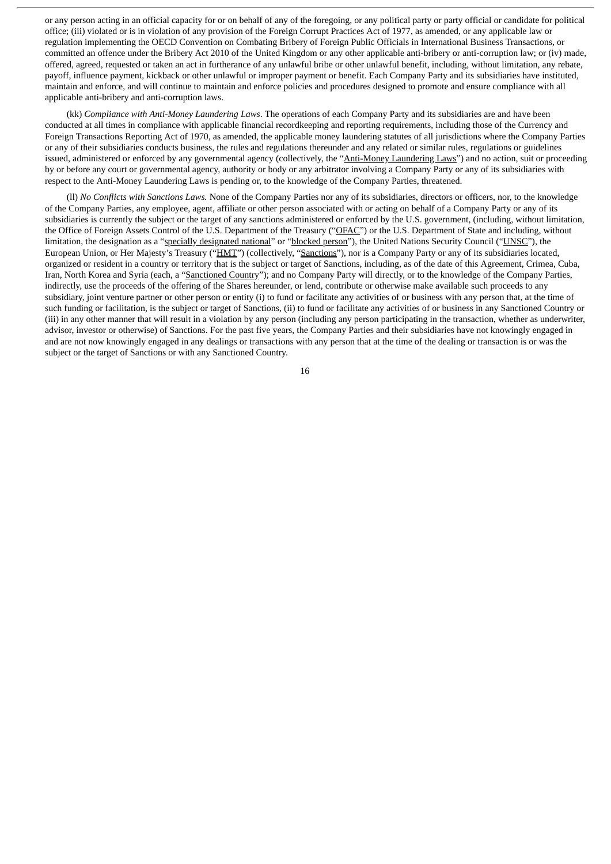or any person acting in an official capacity for or on behalf of any of the foregoing, or any political party or party official or candidate for political office; (iii) violated or is in violation of any provision of the Foreign Corrupt Practices Act of 1977, as amended, or any applicable law or regulation implementing the OECD Convention on Combating Bribery of Foreign Public Officials in International Business Transactions, or committed an offence under the Bribery Act 2010 of the United Kingdom or any other applicable anti-bribery or anti-corruption law; or (iv) made, offered, agreed, requested or taken an act in furtherance of any unlawful bribe or other unlawful benefit, including, without limitation, any rebate, payoff, influence payment, kickback or other unlawful or improper payment or benefit. Each Company Party and its subsidiaries have instituted, maintain and enforce, and will continue to maintain and enforce policies and procedures designed to promote and ensure compliance with all applicable anti-bribery and anti-corruption laws.

(kk) *Compliance with Anti-Money Laundering Laws*. The operations of each Company Party and its subsidiaries are and have been conducted at all times in compliance with applicable financial recordkeeping and reporting requirements, including those of the Currency and Foreign Transactions Reporting Act of 1970, as amended, the applicable money laundering statutes of all jurisdictions where the Company Parties or any of their subsidiaries conducts business, the rules and regulations thereunder and any related or similar rules, regulations or guidelines issued, administered or enforced by any governmental agency (collectively, the "Anti-Money Laundering Laws") and no action, suit or proceeding by or before any court or governmental agency, authority or body or any arbitrator involving a Company Party or any of its subsidiaries with respect to the Anti-Money Laundering Laws is pending or, to the knowledge of the Company Parties, threatened.

(ll) *No Conflicts with Sanctions Laws.* None of the Company Parties nor any of its subsidiaries, directors or officers, nor, to the knowledge of the Company Parties, any employee, agent, affiliate or other person associated with or acting on behalf of a Company Party or any of its subsidiaries is currently the subject or the target of any sanctions administered or enforced by the U.S. government, (including, without limitation, the Office of Foreign Assets Control of the U.S. Department of the Treasury ("OFAC") or the U.S. Department of State and including, without limitation, the designation as a "specially designated national" or "blocked person"), the United Nations Security Council ("UNSC"), the European Union, or Her Majesty's Treasury ("HMT") (collectively, "Sanctions"), nor is a Company Party or any of its subsidiaries located, organized or resident in a country or territory that is the subject or target of Sanctions, including, as of the date of this Agreement, Crimea, Cuba, Iran, North Korea and Syria (each, a "Sanctioned Country"); and no Company Party will directly, or to the knowledge of the Company Parties, indirectly, use the proceeds of the offering of the Shares hereunder, or lend, contribute or otherwise make available such proceeds to any subsidiary, joint venture partner or other person or entity (i) to fund or facilitate any activities of or business with any person that, at the time of such funding or facilitation, is the subject or target of Sanctions, (ii) to fund or facilitate any activities of or business in any Sanctioned Country or (iii) in any other manner that will result in a violation by any person (including any person participating in the transaction, whether as underwriter, advisor, investor or otherwise) of Sanctions. For the past five years, the Company Parties and their subsidiaries have not knowingly engaged in and are not now knowingly engaged in any dealings or transactions with any person that at the time of the dealing or transaction is or was the subject or the target of Sanctions or with any Sanctioned Country.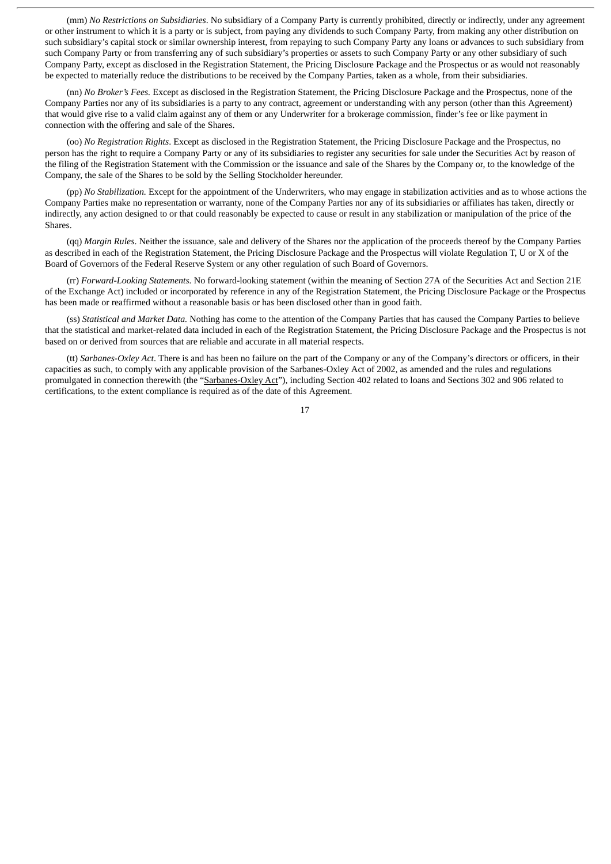(mm) *No Restrictions on Subsidiaries*. No subsidiary of a Company Party is currently prohibited, directly or indirectly, under any agreement or other instrument to which it is a party or is subject, from paying any dividends to such Company Party, from making any other distribution on such subsidiary's capital stock or similar ownership interest, from repaying to such Company Party any loans or advances to such subsidiary from such Company Party or from transferring any of such subsidiary's properties or assets to such Company Party or any other subsidiary of such Company Party, except as disclosed in the Registration Statement, the Pricing Disclosure Package and the Prospectus or as would not reasonably be expected to materially reduce the distributions to be received by the Company Parties, taken as a whole, from their subsidiaries.

(nn) *No Broker's Fees.* Except as disclosed in the Registration Statement, the Pricing Disclosure Package and the Prospectus, none of the Company Parties nor any of its subsidiaries is a party to any contract, agreement or understanding with any person (other than this Agreement) that would give rise to a valid claim against any of them or any Underwriter for a brokerage commission, finder's fee or like payment in connection with the offering and sale of the Shares.

(oo) *No Registration Rights*. Except as disclosed in the Registration Statement, the Pricing Disclosure Package and the Prospectus, no person has the right to require a Company Party or any of its subsidiaries to register any securities for sale under the Securities Act by reason of the filing of the Registration Statement with the Commission or the issuance and sale of the Shares by the Company or, to the knowledge of the Company, the sale of the Shares to be sold by the Selling Stockholder hereunder.

(pp) *No Stabilization.* Except for the appointment of the Underwriters, who may engage in stabilization activities and as to whose actions the Company Parties make no representation or warranty, none of the Company Parties nor any of its subsidiaries or affiliates has taken, directly or indirectly, any action designed to or that could reasonably be expected to cause or result in any stabilization or manipulation of the price of the Shares.

(qq) *Margin Rules*. Neither the issuance, sale and delivery of the Shares nor the application of the proceeds thereof by the Company Parties as described in each of the Registration Statement, the Pricing Disclosure Package and the Prospectus will violate Regulation T, U or X of the Board of Governors of the Federal Reserve System or any other regulation of such Board of Governors.

(rr) *Forward-Looking Statements.* No forward-looking statement (within the meaning of Section 27A of the Securities Act and Section 21E of the Exchange Act) included or incorporated by reference in any of the Registration Statement, the Pricing Disclosure Package or the Prospectus has been made or reaffirmed without a reasonable basis or has been disclosed other than in good faith.

(ss) *Statistical and Market Data.* Nothing has come to the attention of the Company Parties that has caused the Company Parties to believe that the statistical and market-related data included in each of the Registration Statement, the Pricing Disclosure Package and the Prospectus is not based on or derived from sources that are reliable and accurate in all material respects.

(tt) *Sarbanes-Oxley Act*. There is and has been no failure on the part of the Company or any of the Company's directors or officers, in their capacities as such, to comply with any applicable provision of the Sarbanes-Oxley Act of 2002, as amended and the rules and regulations promulgated in connection therewith (the "Sarbanes-Oxley Act"), including Section 402 related to loans and Sections 302 and 906 related to certifications, to the extent compliance is required as of the date of this Agreement.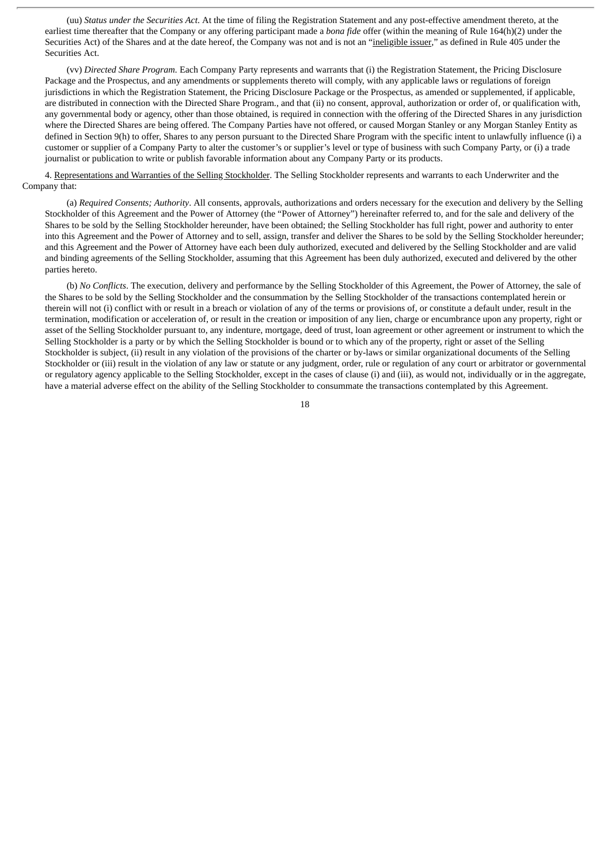(uu) *Status under the Securities Act*. At the time of filing the Registration Statement and any post-effective amendment thereto, at the earliest time thereafter that the Company or any offering participant made a *bona fide* offer (within the meaning of Rule 164(h)(2) under the Securities Act) of the Shares and at the date hereof, the Company was not and is not an "ineligible issuer," as defined in Rule 405 under the Securities Act.

(vv) *Directed Share Program.* Each Company Party represents and warrants that (i) the Registration Statement, the Pricing Disclosure Package and the Prospectus, and any amendments or supplements thereto will comply, with any applicable laws or regulations of foreign jurisdictions in which the Registration Statement, the Pricing Disclosure Package or the Prospectus, as amended or supplemented, if applicable, are distributed in connection with the Directed Share Program., and that (ii) no consent, approval, authorization or order of, or qualification with, any governmental body or agency, other than those obtained, is required in connection with the offering of the Directed Shares in any jurisdiction where the Directed Shares are being offered. The Company Parties have not offered, or caused Morgan Stanley or any Morgan Stanley Entity as defined in Section 9(h) to offer, Shares to any person pursuant to the Directed Share Program with the specific intent to unlawfully influence (i) a customer or supplier of a Company Party to alter the customer's or supplier's level or type of business with such Company Party, or (i) a trade journalist or publication to write or publish favorable information about any Company Party or its products.

4. Representations and Warranties of the Selling Stockholder. The Selling Stockholder represents and warrants to each Underwriter and the Company that:

(a) *Required Consents; Authority*. All consents, approvals, authorizations and orders necessary for the execution and delivery by the Selling Stockholder of this Agreement and the Power of Attorney (the "Power of Attorney") hereinafter referred to, and for the sale and delivery of the Shares to be sold by the Selling Stockholder hereunder, have been obtained; the Selling Stockholder has full right, power and authority to enter into this Agreement and the Power of Attorney and to sell, assign, transfer and deliver the Shares to be sold by the Selling Stockholder hereunder; and this Agreement and the Power of Attorney have each been duly authorized, executed and delivered by the Selling Stockholder and are valid and binding agreements of the Selling Stockholder, assuming that this Agreement has been duly authorized, executed and delivered by the other parties hereto.

(b) *No Conflicts*. The execution, delivery and performance by the Selling Stockholder of this Agreement, the Power of Attorney, the sale of the Shares to be sold by the Selling Stockholder and the consummation by the Selling Stockholder of the transactions contemplated herein or therein will not (i) conflict with or result in a breach or violation of any of the terms or provisions of, or constitute a default under, result in the termination, modification or acceleration of, or result in the creation or imposition of any lien, charge or encumbrance upon any property, right or asset of the Selling Stockholder pursuant to, any indenture, mortgage, deed of trust, loan agreement or other agreement or instrument to which the Selling Stockholder is a party or by which the Selling Stockholder is bound or to which any of the property, right or asset of the Selling Stockholder is subject, (ii) result in any violation of the provisions of the charter or by-laws or similar organizational documents of the Selling Stockholder or (iii) result in the violation of any law or statute or any judgment, order, rule or regulation of any court or arbitrator or governmental or regulatory agency applicable to the Selling Stockholder, except in the cases of clause (i) and (iii), as would not, individually or in the aggregate, have a material adverse effect on the ability of the Selling Stockholder to consummate the transactions contemplated by this Agreement.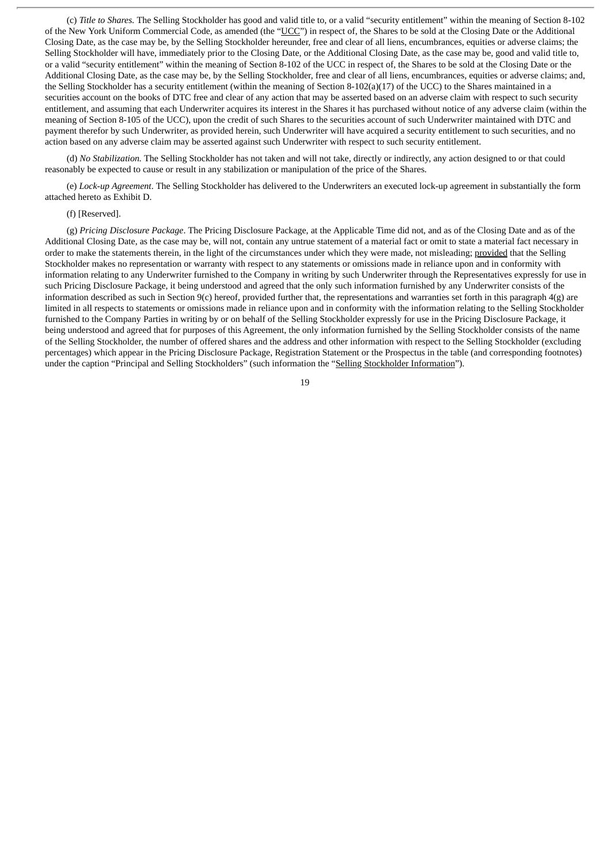(c) *Title to Shares.* The Selling Stockholder has good and valid title to, or a valid "security entitlement" within the meaning of Section 8-102 of the New York Uniform Commercial Code, as amended (the "UCC") in respect of, the Shares to be sold at the Closing Date or the Additional Closing Date, as the case may be, by the Selling Stockholder hereunder, free and clear of all liens, encumbrances, equities or adverse claims; the Selling Stockholder will have, immediately prior to the Closing Date, or the Additional Closing Date, as the case may be, good and valid title to, or a valid "security entitlement" within the meaning of Section 8-102 of the UCC in respect of, the Shares to be sold at the Closing Date or the Additional Closing Date, as the case may be, by the Selling Stockholder, free and clear of all liens, encumbrances, equities or adverse claims; and, the Selling Stockholder has a security entitlement (within the meaning of Section 8-102(a)(17) of the UCC) to the Shares maintained in a securities account on the books of DTC free and clear of any action that may be asserted based on an adverse claim with respect to such security entitlement, and assuming that each Underwriter acquires its interest in the Shares it has purchased without notice of any adverse claim (within the meaning of Section 8-105 of the UCC), upon the credit of such Shares to the securities account of such Underwriter maintained with DTC and payment therefor by such Underwriter, as provided herein, such Underwriter will have acquired a security entitlement to such securities, and no action based on any adverse claim may be asserted against such Underwriter with respect to such security entitlement.

(d) *No Stabilization.* The Selling Stockholder has not taken and will not take, directly or indirectly, any action designed to or that could reasonably be expected to cause or result in any stabilization or manipulation of the price of the Shares.

(e) *Lock-up Agreement*. The Selling Stockholder has delivered to the Underwriters an executed lock-up agreement in substantially the form attached hereto as Exhibit D.

#### (f) [Reserved].

(g) *Pricing Disclosure Package*. The Pricing Disclosure Package, at the Applicable Time did not, and as of the Closing Date and as of the Additional Closing Date, as the case may be, will not, contain any untrue statement of a material fact or omit to state a material fact necessary in order to make the statements therein, in the light of the circumstances under which they were made, not misleading; provided that the Selling Stockholder makes no representation or warranty with respect to any statements or omissions made in reliance upon and in conformity with information relating to any Underwriter furnished to the Company in writing by such Underwriter through the Representatives expressly for use in such Pricing Disclosure Package, it being understood and agreed that the only such information furnished by any Underwriter consists of the information described as such in Section 9(c) hereof, provided further that, the representations and warranties set forth in this paragraph 4(g) are limited in all respects to statements or omissions made in reliance upon and in conformity with the information relating to the Selling Stockholder furnished to the Company Parties in writing by or on behalf of the Selling Stockholder expressly for use in the Pricing Disclosure Package, it being understood and agreed that for purposes of this Agreement, the only information furnished by the Selling Stockholder consists of the name of the Selling Stockholder, the number of offered shares and the address and other information with respect to the Selling Stockholder (excluding percentages) which appear in the Pricing Disclosure Package, Registration Statement or the Prospectus in the table (and corresponding footnotes) under the caption "Principal and Selling Stockholders" (such information the "Selling Stockholder Information").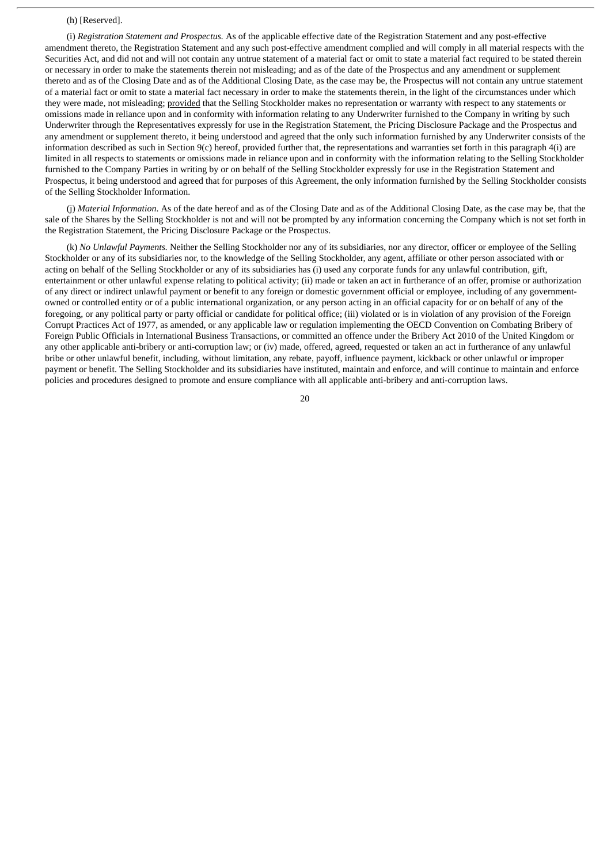#### (h) [Reserved].

(i) *Registration Statement and Prospectus.* As of the applicable effective date of the Registration Statement and any post-effective amendment thereto, the Registration Statement and any such post-effective amendment complied and will comply in all material respects with the Securities Act, and did not and will not contain any untrue statement of a material fact or omit to state a material fact required to be stated therein or necessary in order to make the statements therein not misleading; and as of the date of the Prospectus and any amendment or supplement thereto and as of the Closing Date and as of the Additional Closing Date, as the case may be, the Prospectus will not contain any untrue statement of a material fact or omit to state a material fact necessary in order to make the statements therein, in the light of the circumstances under which they were made, not misleading; provided that the Selling Stockholder makes no representation or warranty with respect to any statements or omissions made in reliance upon and in conformity with information relating to any Underwriter furnished to the Company in writing by such Underwriter through the Representatives expressly for use in the Registration Statement, the Pricing Disclosure Package and the Prospectus and any amendment or supplement thereto, it being understood and agreed that the only such information furnished by any Underwriter consists of the information described as such in Section 9(c) hereof, provided further that, the representations and warranties set forth in this paragraph 4(i) are limited in all respects to statements or omissions made in reliance upon and in conformity with the information relating to the Selling Stockholder furnished to the Company Parties in writing by or on behalf of the Selling Stockholder expressly for use in the Registration Statement and Prospectus, it being understood and agreed that for purposes of this Agreement, the only information furnished by the Selling Stockholder consists of the Selling Stockholder Information.

(j) *Material Information*. As of the date hereof and as of the Closing Date and as of the Additional Closing Date, as the case may be, that the sale of the Shares by the Selling Stockholder is not and will not be prompted by any information concerning the Company which is not set forth in the Registration Statement, the Pricing Disclosure Package or the Prospectus.

(k) *No Unlawful Payments.* Neither the Selling Stockholder nor any of its subsidiaries, nor any director, officer or employee of the Selling Stockholder or any of its subsidiaries nor, to the knowledge of the Selling Stockholder, any agent, affiliate or other person associated with or acting on behalf of the Selling Stockholder or any of its subsidiaries has (i) used any corporate funds for any unlawful contribution, gift, entertainment or other unlawful expense relating to political activity; (ii) made or taken an act in furtherance of an offer, promise or authorization of any direct or indirect unlawful payment or benefit to any foreign or domestic government official or employee, including of any governmentowned or controlled entity or of a public international organization, or any person acting in an official capacity for or on behalf of any of the foregoing, or any political party or party official or candidate for political office; (iii) violated or is in violation of any provision of the Foreign Corrupt Practices Act of 1977, as amended, or any applicable law or regulation implementing the OECD Convention on Combating Bribery of Foreign Public Officials in International Business Transactions, or committed an offence under the Bribery Act 2010 of the United Kingdom or any other applicable anti-bribery or anti-corruption law; or (iv) made, offered, agreed, requested or taken an act in furtherance of any unlawful bribe or other unlawful benefit, including, without limitation, any rebate, payoff, influence payment, kickback or other unlawful or improper payment or benefit. The Selling Stockholder and its subsidiaries have instituted, maintain and enforce, and will continue to maintain and enforce policies and procedures designed to promote and ensure compliance with all applicable anti-bribery and anti-corruption laws.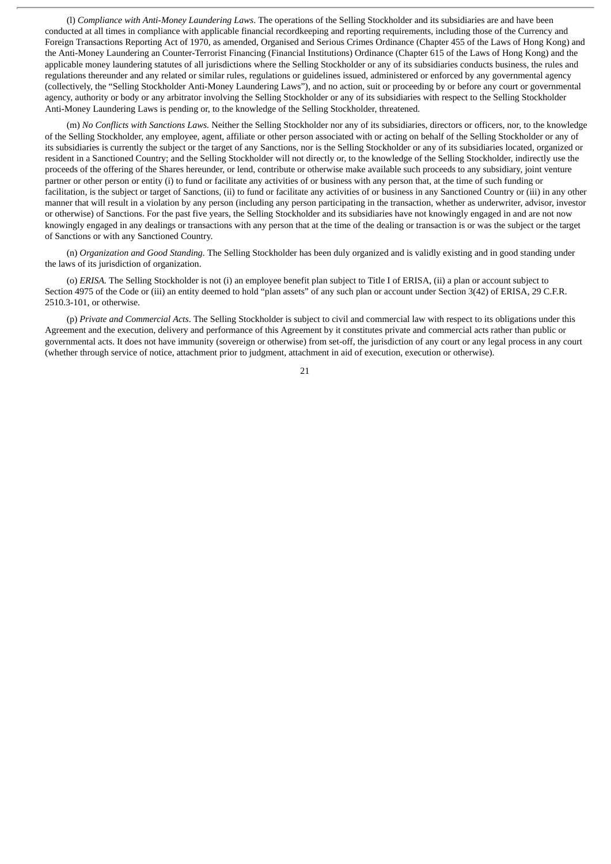(l) *Compliance with Anti-Money Laundering Laws*. The operations of the Selling Stockholder and its subsidiaries are and have been conducted at all times in compliance with applicable financial recordkeeping and reporting requirements, including those of the Currency and Foreign Transactions Reporting Act of 1970, as amended, Organised and Serious Crimes Ordinance (Chapter 455 of the Laws of Hong Kong) and the Anti-Money Laundering an Counter-Terrorist Financing (Financial Institutions) Ordinance (Chapter 615 of the Laws of Hong Kong) and the applicable money laundering statutes of all jurisdictions where the Selling Stockholder or any of its subsidiaries conducts business, the rules and regulations thereunder and any related or similar rules, regulations or guidelines issued, administered or enforced by any governmental agency (collectively, the "Selling Stockholder Anti-Money Laundering Laws"), and no action, suit or proceeding by or before any court or governmental agency, authority or body or any arbitrator involving the Selling Stockholder or any of its subsidiaries with respect to the Selling Stockholder Anti-Money Laundering Laws is pending or, to the knowledge of the Selling Stockholder, threatened.

(m) *No Conflicts with Sanctions Laws.* Neither the Selling Stockholder nor any of its subsidiaries, directors or officers, nor, to the knowledge of the Selling Stockholder, any employee, agent, affiliate or other person associated with or acting on behalf of the Selling Stockholder or any of its subsidiaries is currently the subject or the target of any Sanctions, nor is the Selling Stockholder or any of its subsidiaries located, organized or resident in a Sanctioned Country; and the Selling Stockholder will not directly or, to the knowledge of the Selling Stockholder, indirectly use the proceeds of the offering of the Shares hereunder, or lend, contribute or otherwise make available such proceeds to any subsidiary, joint venture partner or other person or entity (i) to fund or facilitate any activities of or business with any person that, at the time of such funding or facilitation, is the subject or target of Sanctions, (ii) to fund or facilitate any activities of or business in any Sanctioned Country or (iii) in any other manner that will result in a violation by any person (including any person participating in the transaction, whether as underwriter, advisor, investor or otherwise) of Sanctions. For the past five years, the Selling Stockholder and its subsidiaries have not knowingly engaged in and are not now knowingly engaged in any dealings or transactions with any person that at the time of the dealing or transaction is or was the subject or the target of Sanctions or with any Sanctioned Country.

(n) *Organization and Good Standing.* The Selling Stockholder has been duly organized and is validly existing and in good standing under the laws of its jurisdiction of organization.

(o) *ERISA.* The Selling Stockholder is not (i) an employee benefit plan subject to Title I of ERISA, (ii) a plan or account subject to Section 4975 of the Code or (iii) an entity deemed to hold "plan assets" of any such plan or account under Section 3(42) of ERISA, 29 C.F.R. 2510.3-101, or otherwise.

(p) *Private and Commercial Acts*. The Selling Stockholder is subject to civil and commercial law with respect to its obligations under this Agreement and the execution, delivery and performance of this Agreement by it constitutes private and commercial acts rather than public or governmental acts. It does not have immunity (sovereign or otherwise) from set-off, the jurisdiction of any court or any legal process in any court (whether through service of notice, attachment prior to judgment, attachment in aid of execution, execution or otherwise).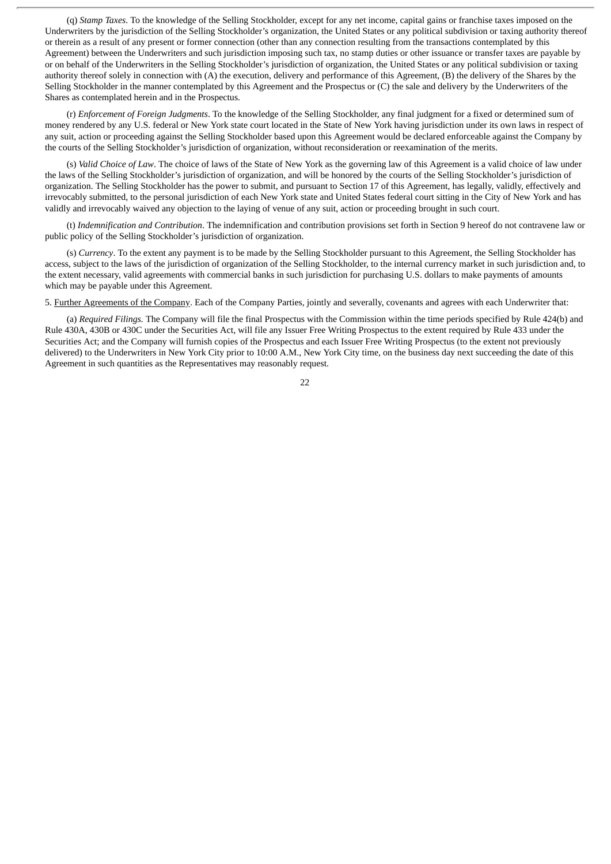(q) *Stamp Taxes*. To the knowledge of the Selling Stockholder, except for any net income, capital gains or franchise taxes imposed on the Underwriters by the jurisdiction of the Selling Stockholder's organization, the United States or any political subdivision or taxing authority thereof or therein as a result of any present or former connection (other than any connection resulting from the transactions contemplated by this Agreement) between the Underwriters and such jurisdiction imposing such tax, no stamp duties or other issuance or transfer taxes are payable by or on behalf of the Underwriters in the Selling Stockholder's jurisdiction of organization, the United States or any political subdivision or taxing authority thereof solely in connection with (A) the execution, delivery and performance of this Agreement, (B) the delivery of the Shares by the Selling Stockholder in the manner contemplated by this Agreement and the Prospectus or (C) the sale and delivery by the Underwriters of the Shares as contemplated herein and in the Prospectus.

(r) *Enforcement of Foreign Judgments*. To the knowledge of the Selling Stockholder, any final judgment for a fixed or determined sum of money rendered by any U.S. federal or New York state court located in the State of New York having jurisdiction under its own laws in respect of any suit, action or proceeding against the Selling Stockholder based upon this Agreement would be declared enforceable against the Company by the courts of the Selling Stockholder's jurisdiction of organization, without reconsideration or reexamination of the merits.

(s) *Valid Choice of Law*. The choice of laws of the State of New York as the governing law of this Agreement is a valid choice of law under the laws of the Selling Stockholder's jurisdiction of organization, and will be honored by the courts of the Selling Stockholder's jurisdiction of organization. The Selling Stockholder has the power to submit, and pursuant to Section 17 of this Agreement, has legally, validly, effectively and irrevocably submitted, to the personal jurisdiction of each New York state and United States federal court sitting in the City of New York and has validly and irrevocably waived any objection to the laying of venue of any suit, action or proceeding brought in such court.

(t) *Indemnification and Contribution*. The indemnification and contribution provisions set forth in Section 9 hereof do not contravene law or public policy of the Selling Stockholder's jurisdiction of organization.

(s) *Currency*. To the extent any payment is to be made by the Selling Stockholder pursuant to this Agreement, the Selling Stockholder has access, subject to the laws of the jurisdiction of organization of the Selling Stockholder, to the internal currency market in such jurisdiction and, to the extent necessary, valid agreements with commercial banks in such jurisdiction for purchasing U.S. dollars to make payments of amounts which may be payable under this Agreement.

5. Further Agreements of the Company. Each of the Company Parties, jointly and severally, covenants and agrees with each Underwriter that:

(a) *Required Filings.* The Company will file the final Prospectus with the Commission within the time periods specified by Rule 424(b) and Rule 430A, 430B or 430C under the Securities Act, will file any Issuer Free Writing Prospectus to the extent required by Rule 433 under the Securities Act; and the Company will furnish copies of the Prospectus and each Issuer Free Writing Prospectus (to the extent not previously delivered) to the Underwriters in New York City prior to 10:00 A.M., New York City time, on the business day next succeeding the date of this Agreement in such quantities as the Representatives may reasonably request.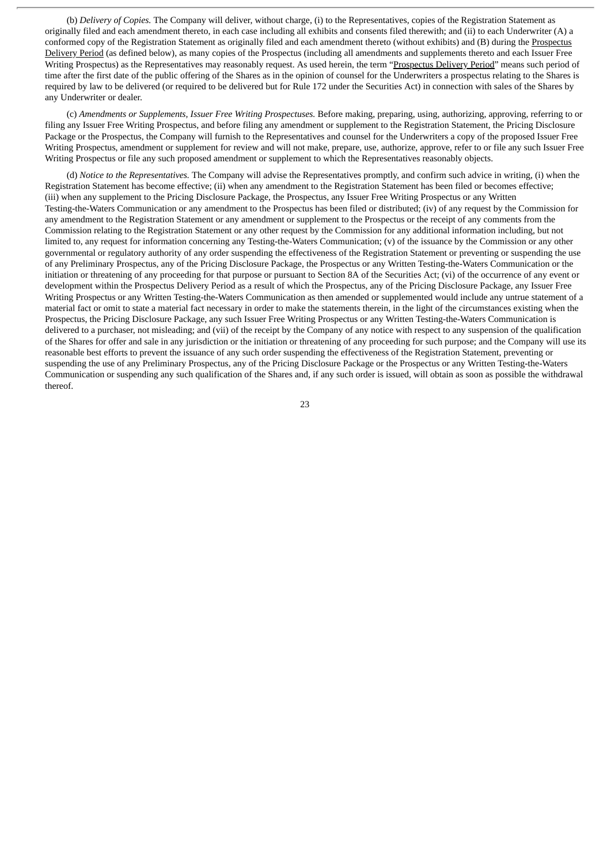(b) *Delivery of Copies.* The Company will deliver, without charge, (i) to the Representatives, copies of the Registration Statement as originally filed and each amendment thereto, in each case including all exhibits and consents filed therewith; and (ii) to each Underwriter (A) a conformed copy of the Registration Statement as originally filed and each amendment thereto (without exhibits) and (B) during the Prospectus Delivery Period (as defined below), as many copies of the Prospectus (including all amendments and supplements thereto and each Issuer Free Writing Prospectus) as the Representatives may reasonably request. As used herein, the term "Prospectus Delivery Period" means such period of time after the first date of the public offering of the Shares as in the opinion of counsel for the Underwriters a prospectus relating to the Shares is required by law to be delivered (or required to be delivered but for Rule 172 under the Securities Act) in connection with sales of the Shares by any Underwriter or dealer.

(c) *Amendments or Supplements, Issuer Free Writing Prospectuses.* Before making, preparing, using, authorizing, approving, referring to or filing any Issuer Free Writing Prospectus, and before filing any amendment or supplement to the Registration Statement, the Pricing Disclosure Package or the Prospectus, the Company will furnish to the Representatives and counsel for the Underwriters a copy of the proposed Issuer Free Writing Prospectus, amendment or supplement for review and will not make, prepare, use, authorize, approve, refer to or file any such Issuer Free Writing Prospectus or file any such proposed amendment or supplement to which the Representatives reasonably objects.

(d) *Notice to the Representatives.* The Company will advise the Representatives promptly, and confirm such advice in writing, (i) when the Registration Statement has become effective; (ii) when any amendment to the Registration Statement has been filed or becomes effective; (iii) when any supplement to the Pricing Disclosure Package, the Prospectus, any Issuer Free Writing Prospectus or any Written Testing-the-Waters Communication or any amendment to the Prospectus has been filed or distributed; (iv) of any request by the Commission for any amendment to the Registration Statement or any amendment or supplement to the Prospectus or the receipt of any comments from the Commission relating to the Registration Statement or any other request by the Commission for any additional information including, but not limited to, any request for information concerning any Testing-the-Waters Communication; (v) of the issuance by the Commission or any other governmental or regulatory authority of any order suspending the effectiveness of the Registration Statement or preventing or suspending the use of any Preliminary Prospectus, any of the Pricing Disclosure Package, the Prospectus or any Written Testing-the-Waters Communication or the initiation or threatening of any proceeding for that purpose or pursuant to Section 8A of the Securities Act; (vi) of the occurrence of any event or development within the Prospectus Delivery Period as a result of which the Prospectus, any of the Pricing Disclosure Package, any Issuer Free Writing Prospectus or any Written Testing-the-Waters Communication as then amended or supplemented would include any untrue statement of a material fact or omit to state a material fact necessary in order to make the statements therein, in the light of the circumstances existing when the Prospectus, the Pricing Disclosure Package, any such Issuer Free Writing Prospectus or any Written Testing-the-Waters Communication is delivered to a purchaser, not misleading; and (vii) of the receipt by the Company of any notice with respect to any suspension of the qualification of the Shares for offer and sale in any jurisdiction or the initiation or threatening of any proceeding for such purpose; and the Company will use its reasonable best efforts to prevent the issuance of any such order suspending the effectiveness of the Registration Statement, preventing or suspending the use of any Preliminary Prospectus, any of the Pricing Disclosure Package or the Prospectus or any Written Testing-the-Waters Communication or suspending any such qualification of the Shares and, if any such order is issued, will obtain as soon as possible the withdrawal thereof.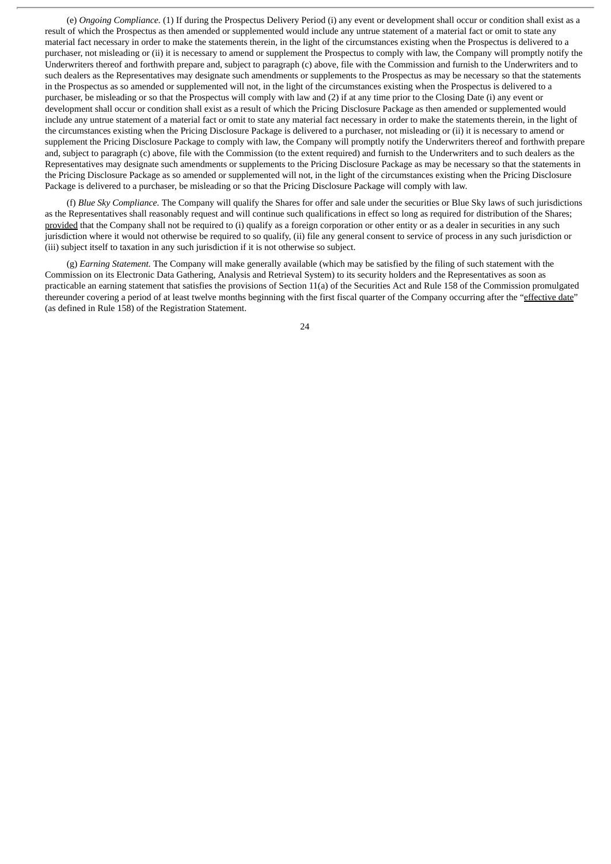(e) *Ongoing Compliance.* (1) If during the Prospectus Delivery Period (i) any event or development shall occur or condition shall exist as a result of which the Prospectus as then amended or supplemented would include any untrue statement of a material fact or omit to state any material fact necessary in order to make the statements therein, in the light of the circumstances existing when the Prospectus is delivered to a purchaser, not misleading or (ii) it is necessary to amend or supplement the Prospectus to comply with law, the Company will promptly notify the Underwriters thereof and forthwith prepare and, subject to paragraph (c) above, file with the Commission and furnish to the Underwriters and to such dealers as the Representatives may designate such amendments or supplements to the Prospectus as may be necessary so that the statements in the Prospectus as so amended or supplemented will not, in the light of the circumstances existing when the Prospectus is delivered to a purchaser, be misleading or so that the Prospectus will comply with law and (2) if at any time prior to the Closing Date (i) any event or development shall occur or condition shall exist as a result of which the Pricing Disclosure Package as then amended or supplemented would include any untrue statement of a material fact or omit to state any material fact necessary in order to make the statements therein, in the light of the circumstances existing when the Pricing Disclosure Package is delivered to a purchaser, not misleading or (ii) it is necessary to amend or supplement the Pricing Disclosure Package to comply with law, the Company will promptly notify the Underwriters thereof and forthwith prepare and, subject to paragraph (c) above, file with the Commission (to the extent required) and furnish to the Underwriters and to such dealers as the Representatives may designate such amendments or supplements to the Pricing Disclosure Package as may be necessary so that the statements in the Pricing Disclosure Package as so amended or supplemented will not, in the light of the circumstances existing when the Pricing Disclosure Package is delivered to a purchaser, be misleading or so that the Pricing Disclosure Package will comply with law.

(f) *Blue Sky Compliance.* The Company will qualify the Shares for offer and sale under the securities or Blue Sky laws of such jurisdictions as the Representatives shall reasonably request and will continue such qualifications in effect so long as required for distribution of the Shares; provided that the Company shall not be required to (i) qualify as a foreign corporation or other entity or as a dealer in securities in any such jurisdiction where it would not otherwise be required to so qualify, (ii) file any general consent to service of process in any such jurisdiction or (iii) subject itself to taxation in any such jurisdiction if it is not otherwise so subject.

(g) *Earning Statement.* The Company will make generally available (which may be satisfied by the filing of such statement with the Commission on its Electronic Data Gathering, Analysis and Retrieval System) to its security holders and the Representatives as soon as practicable an earning statement that satisfies the provisions of Section 11(a) of the Securities Act and Rule 158 of the Commission promulgated thereunder covering a period of at least twelve months beginning with the first fiscal quarter of the Company occurring after the "effective date" (as defined in Rule 158) of the Registration Statement.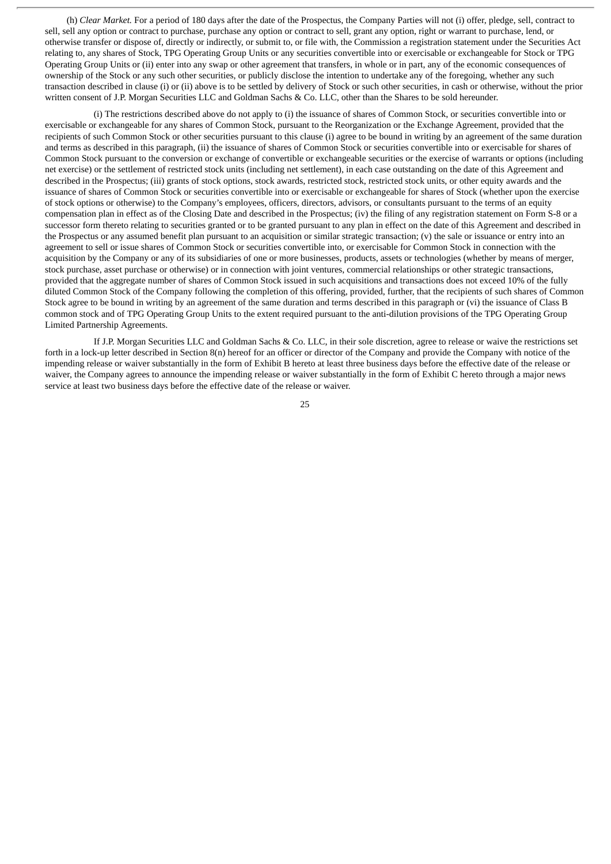(h) *Clear Market.* For a period of 180 days after the date of the Prospectus, the Company Parties will not (i) offer, pledge, sell, contract to sell, sell any option or contract to purchase, purchase any option or contract to sell, grant any option, right or warrant to purchase, lend, or otherwise transfer or dispose of, directly or indirectly, or submit to, or file with, the Commission a registration statement under the Securities Act relating to, any shares of Stock, TPG Operating Group Units or any securities convertible into or exercisable or exchangeable for Stock or TPG Operating Group Units or (ii) enter into any swap or other agreement that transfers, in whole or in part, any of the economic consequences of ownership of the Stock or any such other securities, or publicly disclose the intention to undertake any of the foregoing, whether any such transaction described in clause (i) or (ii) above is to be settled by delivery of Stock or such other securities, in cash or otherwise, without the prior written consent of J.P. Morgan Securities LLC and Goldman Sachs & Co. LLC, other than the Shares to be sold hereunder.

(i) The restrictions described above do not apply to (i) the issuance of shares of Common Stock, or securities convertible into or exercisable or exchangeable for any shares of Common Stock, pursuant to the Reorganization or the Exchange Agreement, provided that the recipients of such Common Stock or other securities pursuant to this clause (i) agree to be bound in writing by an agreement of the same duration and terms as described in this paragraph, (ii) the issuance of shares of Common Stock or securities convertible into or exercisable for shares of Common Stock pursuant to the conversion or exchange of convertible or exchangeable securities or the exercise of warrants or options (including net exercise) or the settlement of restricted stock units (including net settlement), in each case outstanding on the date of this Agreement and described in the Prospectus; (iii) grants of stock options, stock awards, restricted stock, restricted stock units, or other equity awards and the issuance of shares of Common Stock or securities convertible into or exercisable or exchangeable for shares of Stock (whether upon the exercise of stock options or otherwise) to the Company's employees, officers, directors, advisors, or consultants pursuant to the terms of an equity compensation plan in effect as of the Closing Date and described in the Prospectus; (iv) the filing of any registration statement on Form S-8 or a successor form thereto relating to securities granted or to be granted pursuant to any plan in effect on the date of this Agreement and described in the Prospectus or any assumed benefit plan pursuant to an acquisition or similar strategic transaction;  $(v)$  the sale or issuance or entry into an agreement to sell or issue shares of Common Stock or securities convertible into, or exercisable for Common Stock in connection with the acquisition by the Company or any of its subsidiaries of one or more businesses, products, assets or technologies (whether by means of merger, stock purchase, asset purchase or otherwise) or in connection with joint ventures, commercial relationships or other strategic transactions, provided that the aggregate number of shares of Common Stock issued in such acquisitions and transactions does not exceed 10% of the fully diluted Common Stock of the Company following the completion of this offering, provided, further, that the recipients of such shares of Common Stock agree to be bound in writing by an agreement of the same duration and terms described in this paragraph or (vi) the issuance of Class B common stock and of TPG Operating Group Units to the extent required pursuant to the anti-dilution provisions of the TPG Operating Group Limited Partnership Agreements.

If J.P. Morgan Securities LLC and Goldman Sachs & Co. LLC, in their sole discretion, agree to release or waive the restrictions set forth in a lock-up letter described in Section 8(n) hereof for an officer or director of the Company and provide the Company with notice of the impending release or waiver substantially in the form of Exhibit B hereto at least three business days before the effective date of the release or waiver, the Company agrees to announce the impending release or waiver substantially in the form of Exhibit C hereto through a major news service at least two business days before the effective date of the release or waiver.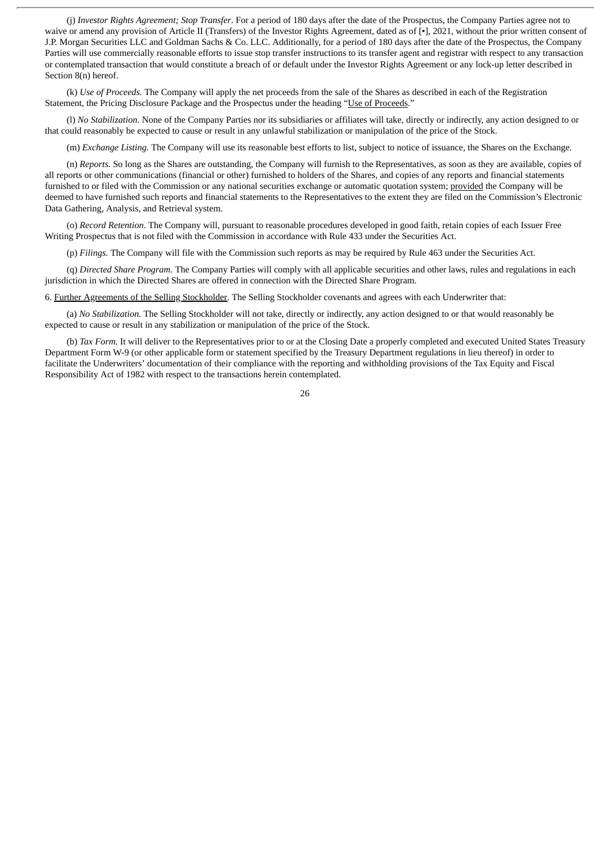(j) *Investor Rights Agreement; Stop Transfer*. For a period of 180 days after the date of the Prospectus, the Company Parties agree not to waive or amend any provision of Article II (Transfers) of the Investor Rights Agreement, dated as of [•], 2021, without the prior written consent of J.P. Morgan Securities LLC and Goldman Sachs & Co. LLC. Additionally, for a period of 180 days after the date of the Prospectus, the Company Parties will use commercially reasonable efforts to issue stop transfer instructions to its transfer agent and registrar with respect to any transaction or contemplated transaction that would constitute a breach of or default under the Investor Rights Agreement or any lock-up letter described in Section 8(n) hereof.

(k) *Use of Proceeds.* The Company will apply the net proceeds from the sale of the Shares as described in each of the Registration Statement, the Pricing Disclosure Package and the Prospectus under the heading "Use of Proceeds."

(l) *No Stabilization.* None of the Company Parties nor its subsidiaries or affiliates will take, directly or indirectly, any action designed to or that could reasonably be expected to cause or result in any unlawful stabilization or manipulation of the price of the Stock.

(m) *Exchange Listing.* The Company will use its reasonable best efforts to list, subject to notice of issuance, the Shares on the Exchange.

(n) *Reports.* So long as the Shares are outstanding, the Company will furnish to the Representatives, as soon as they are available, copies of all reports or other communications (financial or other) furnished to holders of the Shares, and copies of any reports and financial statements furnished to or filed with the Commission or any national securities exchange or automatic quotation system; provided the Company will be deemed to have furnished such reports and financial statements to the Representatives to the extent they are filed on the Commission's Electronic Data Gathering, Analysis, and Retrieval system.

(o) *Record Retention*. The Company will, pursuant to reasonable procedures developed in good faith, retain copies of each Issuer Free Writing Prospectus that is not filed with the Commission in accordance with Rule 433 under the Securities Act.

(p) *Filings.* The Company will file with the Commission such reports as may be required by Rule 463 under the Securities Act.

(q) *Directed Share Program.* The Company Parties will comply with all applicable securities and other laws, rules and regulations in each jurisdiction in which the Directed Shares are offered in connection with the Directed Share Program.

6. Further Agreements of the Selling Stockholder. The Selling Stockholder covenants and agrees with each Underwriter that:

(a) *No Stabilization.* The Selling Stockholder will not take, directly or indirectly, any action designed to or that would reasonably be expected to cause or result in any stabilization or manipulation of the price of the Stock.

(b) *Tax Form.* It will deliver to the Representatives prior to or at the Closing Date a properly completed and executed United States Treasury Department Form W-9 (or other applicable form or statement specified by the Treasury Department regulations in lieu thereof) in order to facilitate the Underwriters' documentation of their compliance with the reporting and withholding provisions of the Tax Equity and Fiscal Responsibility Act of 1982 with respect to the transactions herein contemplated.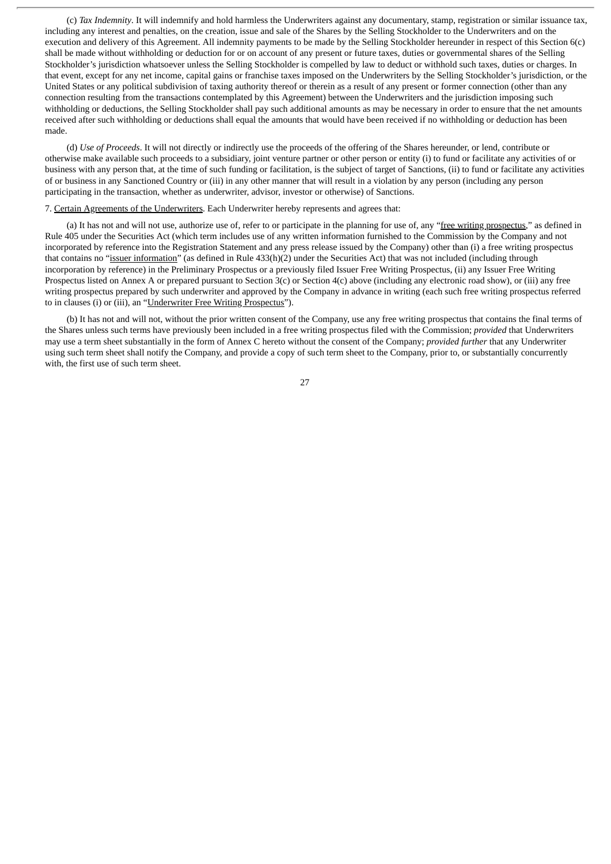(c) *Tax Indemnity*. It will indemnify and hold harmless the Underwriters against any documentary, stamp, registration or similar issuance tax, including any interest and penalties, on the creation, issue and sale of the Shares by the Selling Stockholder to the Underwriters and on the execution and delivery of this Agreement. All indemnity payments to be made by the Selling Stockholder hereunder in respect of this Section 6(c) shall be made without withholding or deduction for or on account of any present or future taxes, duties or governmental shares of the Selling Stockholder's jurisdiction whatsoever unless the Selling Stockholder is compelled by law to deduct or withhold such taxes, duties or charges. In that event, except for any net income, capital gains or franchise taxes imposed on the Underwriters by the Selling Stockholder's jurisdiction, or the United States or any political subdivision of taxing authority thereof or therein as a result of any present or former connection (other than any connection resulting from the transactions contemplated by this Agreement) between the Underwriters and the jurisdiction imposing such withholding or deductions, the Selling Stockholder shall pay such additional amounts as may be necessary in order to ensure that the net amounts received after such withholding or deductions shall equal the amounts that would have been received if no withholding or deduction has been made.

(d) *Use of Proceeds*. It will not directly or indirectly use the proceeds of the offering of the Shares hereunder, or lend, contribute or otherwise make available such proceeds to a subsidiary, joint venture partner or other person or entity (i) to fund or facilitate any activities of or business with any person that, at the time of such funding or facilitation, is the subject of target of Sanctions, (ii) to fund or facilitate any activities of or business in any Sanctioned Country or (iii) in any other manner that will result in a violation by any person (including any person participating in the transaction, whether as underwriter, advisor, investor or otherwise) of Sanctions.

#### 7. Certain Agreements of the Underwriters. Each Underwriter hereby represents and agrees that:

(a) It has not and will not use, authorize use of, refer to or participate in the planning for use of, any "free writing prospectus," as defined in Rule 405 under the Securities Act (which term includes use of any written information furnished to the Commission by the Company and not incorporated by reference into the Registration Statement and any press release issued by the Company) other than (i) a free writing prospectus that contains no "issuer information" (as defined in Rule 433(h)(2) under the Securities Act) that was not included (including through incorporation by reference) in the Preliminary Prospectus or a previously filed Issuer Free Writing Prospectus, (ii) any Issuer Free Writing Prospectus listed on Annex A or prepared pursuant to Section 3(c) or Section 4(c) above (including any electronic road show), or (iii) any free writing prospectus prepared by such underwriter and approved by the Company in advance in writing (each such free writing prospectus referred to in clauses (i) or (iii), an "Underwriter Free Writing Prospectus").

(b) It has not and will not, without the prior written consent of the Company, use any free writing prospectus that contains the final terms of the Shares unless such terms have previously been included in a free writing prospectus filed with the Commission; *provided* that Underwriters may use a term sheet substantially in the form of Annex C hereto without the consent of the Company; *provided further* that any Underwriter using such term sheet shall notify the Company, and provide a copy of such term sheet to the Company, prior to, or substantially concurrently with, the first use of such term sheet.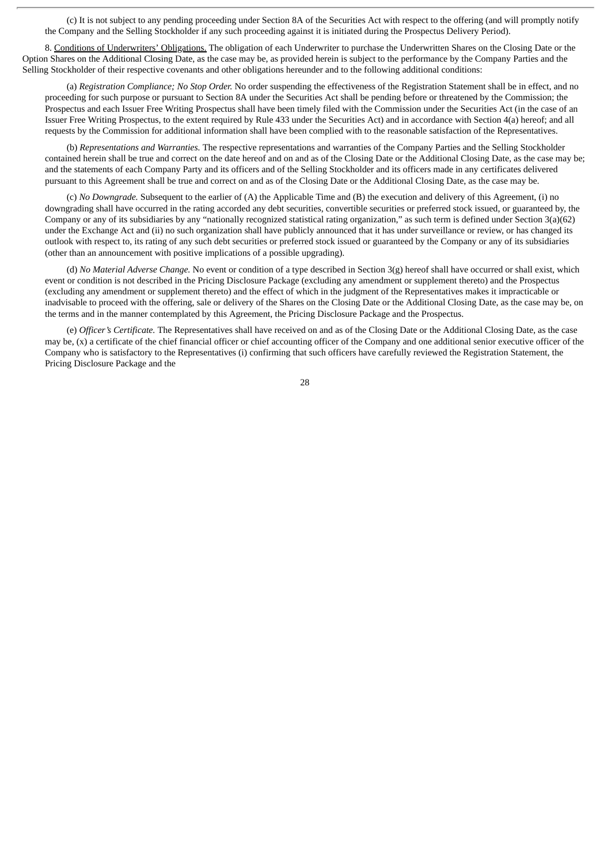(c) It is not subject to any pending proceeding under Section 8A of the Securities Act with respect to the offering (and will promptly notify the Company and the Selling Stockholder if any such proceeding against it is initiated during the Prospectus Delivery Period).

8. Conditions of Underwriters' Obligations. The obligation of each Underwriter to purchase the Underwritten Shares on the Closing Date or the Option Shares on the Additional Closing Date, as the case may be, as provided herein is subject to the performance by the Company Parties and the Selling Stockholder of their respective covenants and other obligations hereunder and to the following additional conditions:

(a) *Registration Compliance; No Stop Order.* No order suspending the effectiveness of the Registration Statement shall be in effect, and no proceeding for such purpose or pursuant to Section 8A under the Securities Act shall be pending before or threatened by the Commission; the Prospectus and each Issuer Free Writing Prospectus shall have been timely filed with the Commission under the Securities Act (in the case of an Issuer Free Writing Prospectus, to the extent required by Rule 433 under the Securities Act) and in accordance with Section 4(a) hereof; and all requests by the Commission for additional information shall have been complied with to the reasonable satisfaction of the Representatives.

(b) *Representations and Warranties.* The respective representations and warranties of the Company Parties and the Selling Stockholder contained herein shall be true and correct on the date hereof and on and as of the Closing Date or the Additional Closing Date, as the case may be; and the statements of each Company Party and its officers and of the Selling Stockholder and its officers made in any certificates delivered pursuant to this Agreement shall be true and correct on and as of the Closing Date or the Additional Closing Date, as the case may be.

(c) *No Downgrade.* Subsequent to the earlier of (A) the Applicable Time and (B) the execution and delivery of this Agreement, (i) no downgrading shall have occurred in the rating accorded any debt securities, convertible securities or preferred stock issued, or guaranteed by, the Company or any of its subsidiaries by any "nationally recognized statistical rating organization," as such term is defined under Section 3(a)(62) under the Exchange Act and (ii) no such organization shall have publicly announced that it has under surveillance or review, or has changed its outlook with respect to, its rating of any such debt securities or preferred stock issued or guaranteed by the Company or any of its subsidiaries (other than an announcement with positive implications of a possible upgrading).

(d) *No Material Adverse Change.* No event or condition of a type described in Section 3(g) hereof shall have occurred or shall exist, which event or condition is not described in the Pricing Disclosure Package (excluding any amendment or supplement thereto) and the Prospectus (excluding any amendment or supplement thereto) and the effect of which in the judgment of the Representatives makes it impracticable or inadvisable to proceed with the offering, sale or delivery of the Shares on the Closing Date or the Additional Closing Date, as the case may be, on the terms and in the manner contemplated by this Agreement, the Pricing Disclosure Package and the Prospectus.

(e) *Officer's Certificate.* The Representatives shall have received on and as of the Closing Date or the Additional Closing Date, as the case may be, (x) a certificate of the chief financial officer or chief accounting officer of the Company and one additional senior executive officer of the Company who is satisfactory to the Representatives (i) confirming that such officers have carefully reviewed the Registration Statement, the Pricing Disclosure Package and the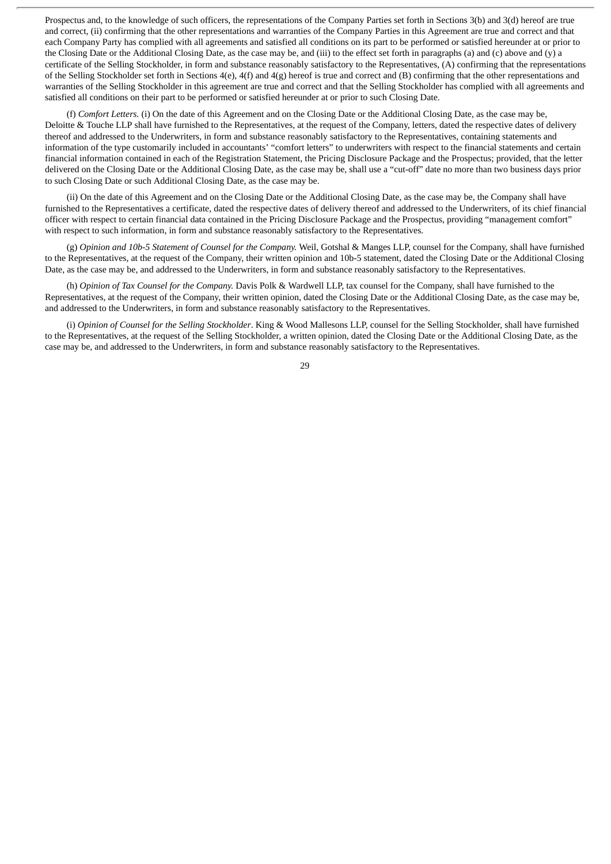Prospectus and, to the knowledge of such officers, the representations of the Company Parties set forth in Sections 3(b) and 3(d) hereof are true and correct, (ii) confirming that the other representations and warranties of the Company Parties in this Agreement are true and correct and that each Company Party has complied with all agreements and satisfied all conditions on its part to be performed or satisfied hereunder at or prior to the Closing Date or the Additional Closing Date, as the case may be, and (iii) to the effect set forth in paragraphs (a) and (c) above and (y) a certificate of the Selling Stockholder, in form and substance reasonably satisfactory to the Representatives, (A) confirming that the representations of the Selling Stockholder set forth in Sections 4(e), 4(f) and 4(g) hereof is true and correct and (B) confirming that the other representations and warranties of the Selling Stockholder in this agreement are true and correct and that the Selling Stockholder has complied with all agreements and satisfied all conditions on their part to be performed or satisfied hereunder at or prior to such Closing Date.

(f) *Comfort Letters.* (i) On the date of this Agreement and on the Closing Date or the Additional Closing Date, as the case may be, Deloitte & Touche LLP shall have furnished to the Representatives, at the request of the Company, letters, dated the respective dates of delivery thereof and addressed to the Underwriters, in form and substance reasonably satisfactory to the Representatives, containing statements and information of the type customarily included in accountants' "comfort letters" to underwriters with respect to the financial statements and certain financial information contained in each of the Registration Statement, the Pricing Disclosure Package and the Prospectus; provided, that the letter delivered on the Closing Date or the Additional Closing Date, as the case may be, shall use a "cut-off" date no more than two business days prior to such Closing Date or such Additional Closing Date, as the case may be.

(ii) On the date of this Agreement and on the Closing Date or the Additional Closing Date, as the case may be, the Company shall have furnished to the Representatives a certificate, dated the respective dates of delivery thereof and addressed to the Underwriters, of its chief financial officer with respect to certain financial data contained in the Pricing Disclosure Package and the Prospectus, providing "management comfort" with respect to such information, in form and substance reasonably satisfactory to the Representatives.

(g) *Opinion and 10b-5 Statement of Counsel for the Company.* Weil, Gotshal & Manges LLP, counsel for the Company, shall have furnished to the Representatives, at the request of the Company, their written opinion and 10b-5 statement, dated the Closing Date or the Additional Closing Date, as the case may be, and addressed to the Underwriters, in form and substance reasonably satisfactory to the Representatives.

(h) *Opinion of Tax Counsel for the Company.* Davis Polk & Wardwell LLP, tax counsel for the Company, shall have furnished to the Representatives, at the request of the Company, their written opinion, dated the Closing Date or the Additional Closing Date, as the case may be, and addressed to the Underwriters, in form and substance reasonably satisfactory to the Representatives.

(i) *Opinion of Counsel for the Selling Stockholder*. King & Wood Mallesons LLP, counsel for the Selling Stockholder, shall have furnished to the Representatives, at the request of the Selling Stockholder, a written opinion, dated the Closing Date or the Additional Closing Date, as the case may be, and addressed to the Underwriters, in form and substance reasonably satisfactory to the Representatives.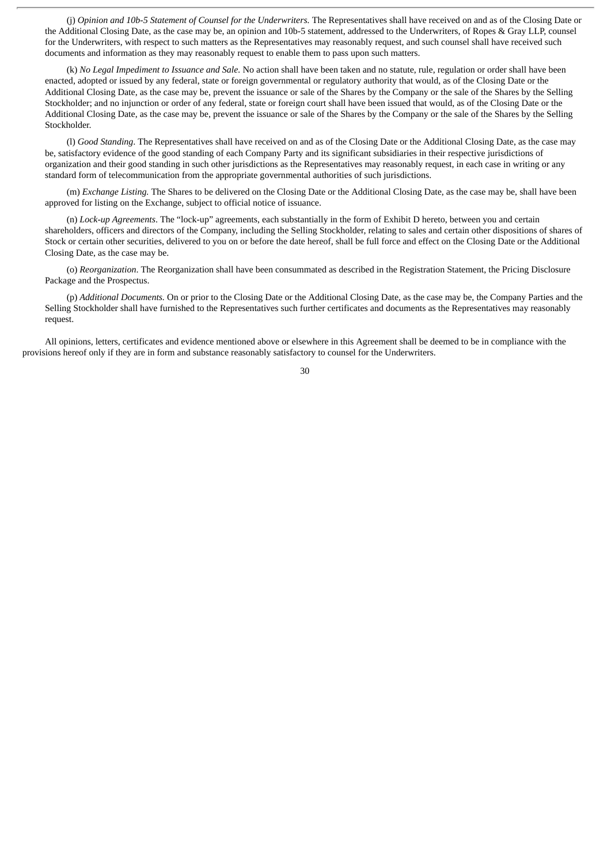(j) *Opinion and 10b-5 Statement of Counsel for the Underwriters.* The Representatives shall have received on and as of the Closing Date or the Additional Closing Date, as the case may be, an opinion and 10b-5 statement, addressed to the Underwriters, of Ropes & Gray LLP, counsel for the Underwriters, with respect to such matters as the Representatives may reasonably request, and such counsel shall have received such documents and information as they may reasonably request to enable them to pass upon such matters.

(k) *No Legal Impediment to Issuance and Sale.* No action shall have been taken and no statute, rule, regulation or order shall have been enacted, adopted or issued by any federal, state or foreign governmental or regulatory authority that would, as of the Closing Date or the Additional Closing Date, as the case may be, prevent the issuance or sale of the Shares by the Company or the sale of the Shares by the Selling Stockholder; and no injunction or order of any federal, state or foreign court shall have been issued that would, as of the Closing Date or the Additional Closing Date, as the case may be, prevent the issuance or sale of the Shares by the Company or the sale of the Shares by the Selling Stockholder.

(l) *Good Standing*. The Representatives shall have received on and as of the Closing Date or the Additional Closing Date, as the case may be, satisfactory evidence of the good standing of each Company Party and its significant subsidiaries in their respective jurisdictions of organization and their good standing in such other jurisdictions as the Representatives may reasonably request, in each case in writing or any standard form of telecommunication from the appropriate governmental authorities of such jurisdictions.

(m) *Exchange Listing.* The Shares to be delivered on the Closing Date or the Additional Closing Date, as the case may be, shall have been approved for listing on the Exchange, subject to official notice of issuance.

(n) *Lock-up Agreements*. The "lock-up" agreements, each substantially in the form of Exhibit D hereto, between you and certain shareholders, officers and directors of the Company, including the Selling Stockholder, relating to sales and certain other dispositions of shares of Stock or certain other securities, delivered to you on or before the date hereof, shall be full force and effect on the Closing Date or the Additional Closing Date, as the case may be.

(o) *Reorganization*. The Reorganization shall have been consummated as described in the Registration Statement, the Pricing Disclosure Package and the Prospectus.

(p) *Additional Documents.* On or prior to the Closing Date or the Additional Closing Date, as the case may be, the Company Parties and the Selling Stockholder shall have furnished to the Representatives such further certificates and documents as the Representatives may reasonably request.

All opinions, letters, certificates and evidence mentioned above or elsewhere in this Agreement shall be deemed to be in compliance with the provisions hereof only if they are in form and substance reasonably satisfactory to counsel for the Underwriters.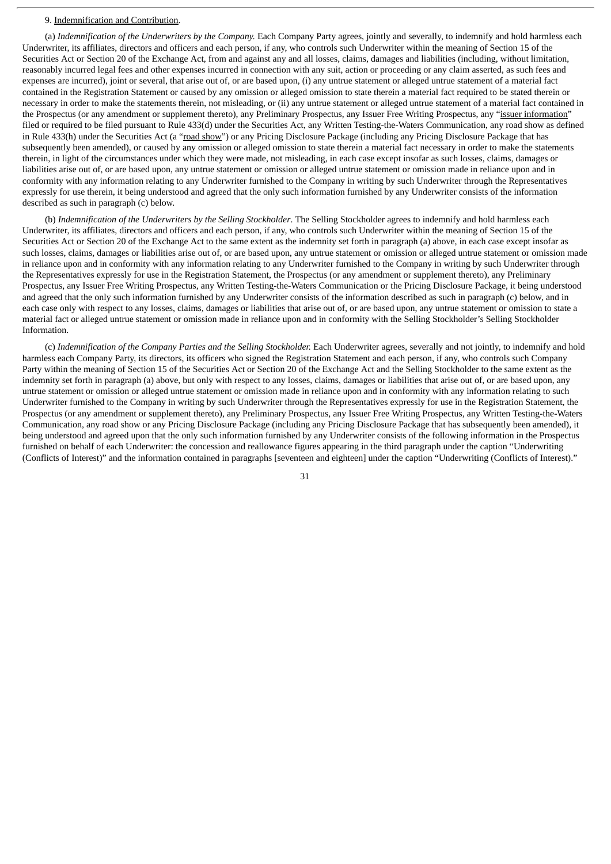## 9. Indemnification and Contribution.

(a) *Indemnification of the Underwriters by the Company.* Each Company Party agrees, jointly and severally, to indemnify and hold harmless each Underwriter, its affiliates, directors and officers and each person, if any, who controls such Underwriter within the meaning of Section 15 of the Securities Act or Section 20 of the Exchange Act, from and against any and all losses, claims, damages and liabilities (including, without limitation, reasonably incurred legal fees and other expenses incurred in connection with any suit, action or proceeding or any claim asserted, as such fees and expenses are incurred), joint or several, that arise out of, or are based upon, (i) any untrue statement or alleged untrue statement of a material fact contained in the Registration Statement or caused by any omission or alleged omission to state therein a material fact required to be stated therein or necessary in order to make the statements therein, not misleading, or (ii) any untrue statement or alleged untrue statement of a material fact contained in the Prospectus (or any amendment or supplement thereto), any Preliminary Prospectus, any Issuer Free Writing Prospectus, any "issuer information" filed or required to be filed pursuant to Rule 433(d) under the Securities Act, any Written Testing-the-Waters Communication, any road show as defined in Rule 433(h) under the Securities Act (a "road show") or any Pricing Disclosure Package (including any Pricing Disclosure Package that has subsequently been amended), or caused by any omission or alleged omission to state therein a material fact necessary in order to make the statements therein, in light of the circumstances under which they were made, not misleading, in each case except insofar as such losses, claims, damages or liabilities arise out of, or are based upon, any untrue statement or omission or alleged untrue statement or omission made in reliance upon and in conformity with any information relating to any Underwriter furnished to the Company in writing by such Underwriter through the Representatives expressly for use therein, it being understood and agreed that the only such information furnished by any Underwriter consists of the information described as such in paragraph (c) below.

(b) *Indemnification of the Underwriters by the Selling Stockholder*. The Selling Stockholder agrees to indemnify and hold harmless each Underwriter, its affiliates, directors and officers and each person, if any, who controls such Underwriter within the meaning of Section 15 of the Securities Act or Section 20 of the Exchange Act to the same extent as the indemnity set forth in paragraph (a) above, in each case except insofar as such losses, claims, damages or liabilities arise out of, or are based upon, any untrue statement or omission or alleged untrue statement or omission made in reliance upon and in conformity with any information relating to any Underwriter furnished to the Company in writing by such Underwriter through the Representatives expressly for use in the Registration Statement, the Prospectus (or any amendment or supplement thereto), any Preliminary Prospectus, any Issuer Free Writing Prospectus, any Written Testing-the-Waters Communication or the Pricing Disclosure Package, it being understood and agreed that the only such information furnished by any Underwriter consists of the information described as such in paragraph (c) below, and in each case only with respect to any losses, claims, damages or liabilities that arise out of, or are based upon, any untrue statement or omission to state a material fact or alleged untrue statement or omission made in reliance upon and in conformity with the Selling Stockholder's Selling Stockholder Information.

(c) *Indemnification of the Company Parties and the Selling Stockholder.* Each Underwriter agrees, severally and not jointly, to indemnify and hold harmless each Company Party, its directors, its officers who signed the Registration Statement and each person, if any, who controls such Company Party within the meaning of Section 15 of the Securities Act or Section 20 of the Exchange Act and the Selling Stockholder to the same extent as the indemnity set forth in paragraph (a) above, but only with respect to any losses, claims, damages or liabilities that arise out of, or are based upon, any untrue statement or omission or alleged untrue statement or omission made in reliance upon and in conformity with any information relating to such Underwriter furnished to the Company in writing by such Underwriter through the Representatives expressly for use in the Registration Statement, the Prospectus (or any amendment or supplement thereto), any Preliminary Prospectus, any Issuer Free Writing Prospectus, any Written Testing-the-Waters Communication, any road show or any Pricing Disclosure Package (including any Pricing Disclosure Package that has subsequently been amended), it being understood and agreed upon that the only such information furnished by any Underwriter consists of the following information in the Prospectus furnished on behalf of each Underwriter: the concession and reallowance figures appearing in the third paragraph under the caption "Underwriting (Conflicts of Interest)" and the information contained in paragraphs [seventeen and eighteen] under the caption "Underwriting (Conflicts of Interest)."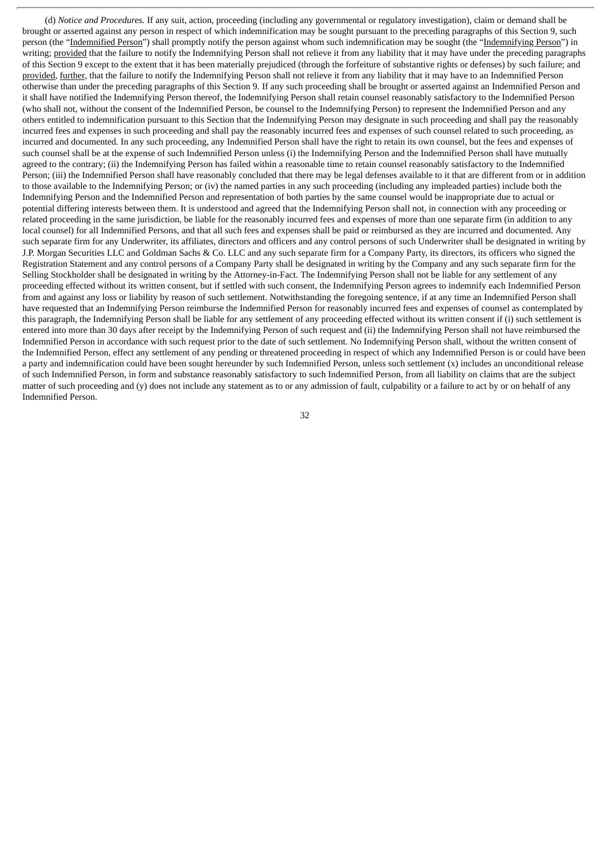(d) *Notice and Procedures.* If any suit, action, proceeding (including any governmental or regulatory investigation), claim or demand shall be brought or asserted against any person in respect of which indemnification may be sought pursuant to the preceding paragraphs of this Section 9, such person (the "Indemnified Person") shall promptly notify the person against whom such indemnification may be sought (the "Indemnifying Person") in writing; provided that the failure to notify the Indemnifying Person shall not relieve it from any liability that it may have under the preceding paragraphs of this Section 9 except to the extent that it has been materially prejudiced (through the forfeiture of substantive rights or defenses) by such failure; and provided, further, that the failure to notify the Indemnifying Person shall not relieve it from any liability that it may have to an Indemnified Person otherwise than under the preceding paragraphs of this Section 9. If any such proceeding shall be brought or asserted against an Indemnified Person and it shall have notified the Indemnifying Person thereof, the Indemnifying Person shall retain counsel reasonably satisfactory to the Indemnified Person (who shall not, without the consent of the Indemnified Person, be counsel to the Indemnifying Person) to represent the Indemnified Person and any others entitled to indemnification pursuant to this Section that the Indemnifying Person may designate in such proceeding and shall pay the reasonably incurred fees and expenses in such proceeding and shall pay the reasonably incurred fees and expenses of such counsel related to such proceeding, as incurred and documented. In any such proceeding, any Indemnified Person shall have the right to retain its own counsel, but the fees and expenses of such counsel shall be at the expense of such Indemnified Person unless (i) the Indemnifying Person and the Indemnified Person shall have mutually agreed to the contrary; (ii) the Indemnifying Person has failed within a reasonable time to retain counsel reasonably satisfactory to the Indemnified Person; (iii) the Indemnified Person shall have reasonably concluded that there may be legal defenses available to it that are different from or in addition to those available to the Indemnifying Person; or (iv) the named parties in any such proceeding (including any impleaded parties) include both the Indemnifying Person and the Indemnified Person and representation of both parties by the same counsel would be inappropriate due to actual or potential differing interests between them. It is understood and agreed that the Indemnifying Person shall not, in connection with any proceeding or related proceeding in the same jurisdiction, be liable for the reasonably incurred fees and expenses of more than one separate firm (in addition to any local counsel) for all Indemnified Persons, and that all such fees and expenses shall be paid or reimbursed as they are incurred and documented. Any such separate firm for any Underwriter, its affiliates, directors and officers and any control persons of such Underwriter shall be designated in writing by J.P. Morgan Securities LLC and Goldman Sachs & Co. LLC and any such separate firm for a Company Party, its directors, its officers who signed the Registration Statement and any control persons of a Company Party shall be designated in writing by the Company and any such separate firm for the Selling Stockholder shall be designated in writing by the Attorney-in-Fact. The Indemnifying Person shall not be liable for any settlement of any proceeding effected without its written consent, but if settled with such consent, the Indemnifying Person agrees to indemnify each Indemnified Person from and against any loss or liability by reason of such settlement. Notwithstanding the foregoing sentence, if at any time an Indemnified Person shall have requested that an Indemnifying Person reimburse the Indemnified Person for reasonably incurred fees and expenses of counsel as contemplated by this paragraph, the Indemnifying Person shall be liable for any settlement of any proceeding effected without its written consent if (i) such settlement is entered into more than 30 days after receipt by the Indemnifying Person of such request and (ii) the Indemnifying Person shall not have reimbursed the Indemnified Person in accordance with such request prior to the date of such settlement. No Indemnifying Person shall, without the written consent of the Indemnified Person, effect any settlement of any pending or threatened proceeding in respect of which any Indemnified Person is or could have been a party and indemnification could have been sought hereunder by such Indemnified Person, unless such settlement (x) includes an unconditional release of such Indemnified Person, in form and substance reasonably satisfactory to such Indemnified Person, from all liability on claims that are the subject matter of such proceeding and (y) does not include any statement as to or any admission of fault, culpability or a failure to act by or on behalf of any Indemnified Person.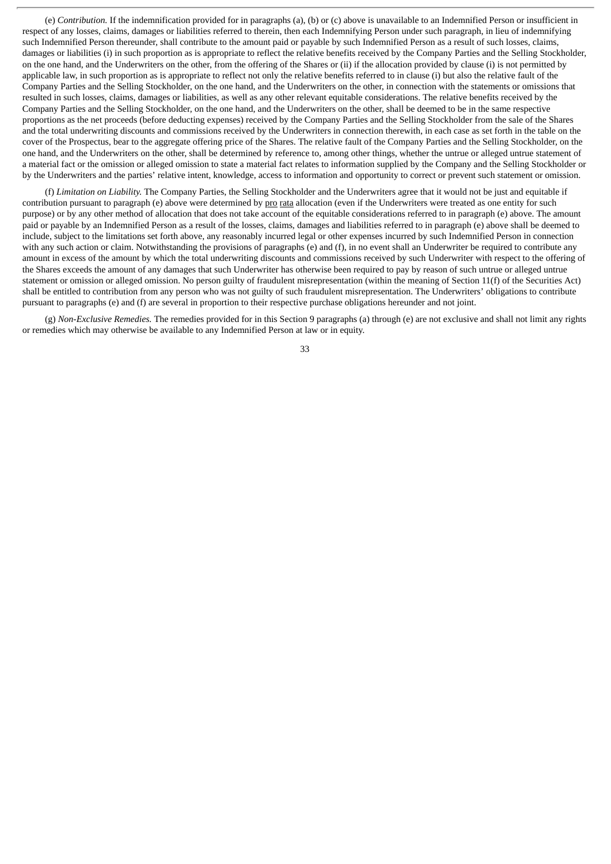(e) *Contribution.* If the indemnification provided for in paragraphs (a), (b) or (c) above is unavailable to an Indemnified Person or insufficient in respect of any losses, claims, damages or liabilities referred to therein, then each Indemnifying Person under such paragraph, in lieu of indemnifying such Indemnified Person thereunder, shall contribute to the amount paid or payable by such Indemnified Person as a result of such losses, claims, damages or liabilities (i) in such proportion as is appropriate to reflect the relative benefits received by the Company Parties and the Selling Stockholder, on the one hand, and the Underwriters on the other, from the offering of the Shares or (ii) if the allocation provided by clause (i) is not permitted by applicable law, in such proportion as is appropriate to reflect not only the relative benefits referred to in clause (i) but also the relative fault of the Company Parties and the Selling Stockholder, on the one hand, and the Underwriters on the other, in connection with the statements or omissions that resulted in such losses, claims, damages or liabilities, as well as any other relevant equitable considerations. The relative benefits received by the Company Parties and the Selling Stockholder, on the one hand, and the Underwriters on the other, shall be deemed to be in the same respective proportions as the net proceeds (before deducting expenses) received by the Company Parties and the Selling Stockholder from the sale of the Shares and the total underwriting discounts and commissions received by the Underwriters in connection therewith, in each case as set forth in the table on the cover of the Prospectus, bear to the aggregate offering price of the Shares. The relative fault of the Company Parties and the Selling Stockholder, on the one hand, and the Underwriters on the other, shall be determined by reference to, among other things, whether the untrue or alleged untrue statement of a material fact or the omission or alleged omission to state a material fact relates to information supplied by the Company and the Selling Stockholder or by the Underwriters and the parties' relative intent, knowledge, access to information and opportunity to correct or prevent such statement or omission.

(f) *Limitation on Liability.* The Company Parties, the Selling Stockholder and the Underwriters agree that it would not be just and equitable if contribution pursuant to paragraph (e) above were determined by pro rata allocation (even if the Underwriters were treated as one entity for such purpose) or by any other method of allocation that does not take account of the equitable considerations referred to in paragraph (e) above. The amount paid or payable by an Indemnified Person as a result of the losses, claims, damages and liabilities referred to in paragraph (e) above shall be deemed to include, subject to the limitations set forth above, any reasonably incurred legal or other expenses incurred by such Indemnified Person in connection with any such action or claim. Notwithstanding the provisions of paragraphs (e) and (f), in no event shall an Underwriter be required to contribute any amount in excess of the amount by which the total underwriting discounts and commissions received by such Underwriter with respect to the offering of the Shares exceeds the amount of any damages that such Underwriter has otherwise been required to pay by reason of such untrue or alleged untrue statement or omission or alleged omission. No person guilty of fraudulent misrepresentation (within the meaning of Section 11(f) of the Securities Act) shall be entitled to contribution from any person who was not guilty of such fraudulent misrepresentation. The Underwriters' obligations to contribute pursuant to paragraphs (e) and (f) are several in proportion to their respective purchase obligations hereunder and not joint.

(g) *Non-Exclusive Remedies.* The remedies provided for in this Section 9 paragraphs (a) through (e) are not exclusive and shall not limit any rights or remedies which may otherwise be available to any Indemnified Person at law or in equity.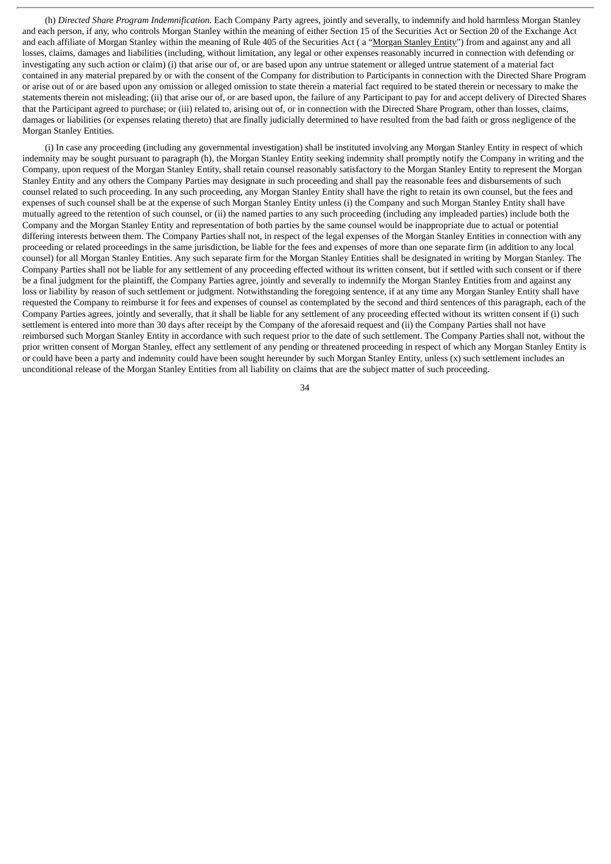(h) *Directed Share Program Indemnification.* Each Company Party agrees, jointly and severally, to indemnify and hold harmless Morgan Stanley and each person, if any, who controls Morgan Stanley within the meaning of either Section 15 of the Securities Act or Section 20 of the Exchange Act and each affiliate of Morgan Stanley within the meaning of Rule 405 of the Securities Act (a "Morgan Stanley Entity") from and against any and all losses, claims, damages and liabilities (including, without limitation, any legal or other expenses reasonably incurred in connection with defending or investigating any such action or claim) (i) that arise our of, or are based upon any untrue statement or alleged untrue statement of a material fact contained in any material prepared by or with the consent of the Company for distribution to Participants in connection with the Directed Share Program or arise out of or are based upon any omission or alleged omission to state therein a material fact required to be stated therein or necessary to make the statements therein not misleading; (ii) that arise our of, or are based upon, the failure of any Participant to pay for and accept delivery of Directed Shares that the Participant agreed to purchase; or (iii) related to, arising out of, or in connection with the Directed Share Program, other than losses, claims, damages or liabilities (or expenses relating thereto) that are finally judicially determined to have resulted from the bad faith or gross negligence of the Morgan Stanley Entities.

(i) In case any proceeding (including any governmental investigation) shall be instituted involving any Morgan Stanley Entity in respect of which indemnity may be sought pursuant to paragraph (h), the Morgan Stanley Entity seeking indemnity shall promptly notify the Company in writing and the Company, upon request of the Morgan Stanley Entity, shall retain counsel reasonably satisfactory to the Morgan Stanley Entity to represent the Morgan Stanley Entity and any others the Company Parties may designate in such proceeding and shall pay the reasonable fees and disbursements of such counsel related to such proceeding. In any such proceeding, any Morgan Stanley Entity shall have the right to retain its own counsel, but the fees and expenses of such counsel shall be at the expense of such Morgan Stanley Entity unless (i) the Company and such Morgan Stanley Entity shall have mutually agreed to the retention of such counsel, or (ii) the named parties to any such proceeding (including any impleaded parties) include both the Company and the Morgan Stanley Entity and representation of both parties by the same counsel would be inappropriate due to actual or potential differing interests between them. The Company Parties shall not, in respect of the legal expenses of the Morgan Stanley Entities in connection with any proceeding or related proceedings in the same jurisdiction, be liable for the fees and expenses of more than one separate firm (in addition to any local counsel) for all Morgan Stanley Entities. Any such separate firm for the Morgan Stanley Entities shall be designated in writing by Morgan Stanley. The Company Parties shall not be liable for any settlement of any proceeding effected without its written consent, but if settled with such consent or if there be a final judgment for the plaintiff, the Company Parties agree, jointly and severally to indemnify the Morgan Stanley Entities from and against any loss or liability by reason of such settlement or judgment. Notwithstanding the foregoing sentence, if at any time any Morgan Stanley Entity shall have requested the Company to reimburse it for fees and expenses of counsel as contemplated by the second and third sentences of this paragraph, each of the Company Parties agrees, jointly and severally, that it shall be liable for any settlement of any proceeding effected without its written consent if (i) such settlement is entered into more than 30 days after receipt by the Company of the aforesaid request and (ii) the Company Parties shall not have reimbursed such Morgan Stanley Entity in accordance with such request prior to the date of such settlement. The Company Parties shall not, without the prior written consent of Morgan Stanley, effect any settlement of any pending or threatened proceeding in respect of which any Morgan Stanley Entity is or could have been a party and indemnity could have been sought hereunder by such Morgan Stanley Entity, unless (x) such settlement includes an unconditional release of the Morgan Stanley Entities from all liability on claims that are the subject matter of such proceeding.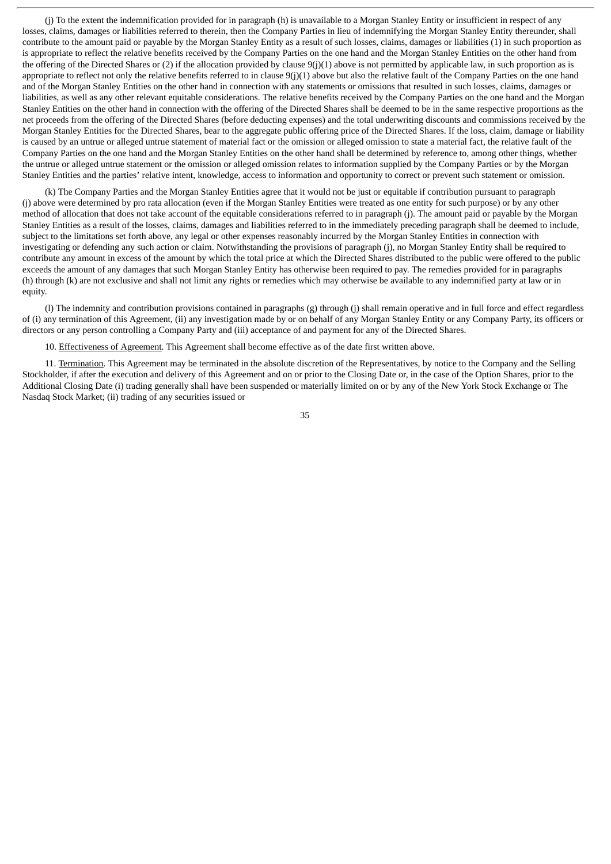(j) To the extent the indemnification provided for in paragraph (h) is unavailable to a Morgan Stanley Entity or insufficient in respect of any losses, claims, damages or liabilities referred to therein, then the Company Parties in lieu of indemnifying the Morgan Stanley Entity thereunder, shall contribute to the amount paid or payable by the Morgan Stanley Entity as a result of such losses, claims, damages or liabilities (1) in such proportion as is appropriate to reflect the relative benefits received by the Company Parties on the one hand and the Morgan Stanley Entities on the other hand from the offering of the Directed Shares or (2) if the allocation provided by clause 9(j)(1) above is not permitted by applicable law, in such proportion as is appropriate to reflect not only the relative benefits referred to in clause 9(j)(1) above but also the relative fault of the Company Parties on the one hand and of the Morgan Stanley Entities on the other hand in connection with any statements or omissions that resulted in such losses, claims, damages or liabilities, as well as any other relevant equitable considerations. The relative benefits received by the Company Parties on the one hand and the Morgan Stanley Entities on the other hand in connection with the offering of the Directed Shares shall be deemed to be in the same respective proportions as the net proceeds from the offering of the Directed Shares (before deducting expenses) and the total underwriting discounts and commissions received by the Morgan Stanley Entities for the Directed Shares, bear to the aggregate public offering price of the Directed Shares. If the loss, claim, damage or liability is caused by an untrue or alleged untrue statement of material fact or the omission or alleged omission to state a material fact, the relative fault of the Company Parties on the one hand and the Morgan Stanley Entities on the other hand shall be determined by reference to, among other things, whether the untrue or alleged untrue statement or the omission or alleged omission relates to information supplied by the Company Parties or by the Morgan Stanley Entities and the parties' relative intent, knowledge, access to information and opportunity to correct or prevent such statement or omission.

(k) The Company Parties and the Morgan Stanley Entities agree that it would not be just or equitable if contribution pursuant to paragraph (j) above were determined by pro rata allocation (even if the Morgan Stanley Entities were treated as one entity for such purpose) or by any other method of allocation that does not take account of the equitable considerations referred to in paragraph (j). The amount paid or payable by the Morgan Stanley Entities as a result of the losses, claims, damages and liabilities referred to in the immediately preceding paragraph shall be deemed to include, subject to the limitations set forth above, any legal or other expenses reasonably incurred by the Morgan Stanley Entities in connection with investigating or defending any such action or claim. Notwithstanding the provisions of paragraph (j), no Morgan Stanley Entity shall be required to contribute any amount in excess of the amount by which the total price at which the Directed Shares distributed to the public were offered to the public exceeds the amount of any damages that such Morgan Stanley Entity has otherwise been required to pay. The remedies provided for in paragraphs (h) through (k) are not exclusive and shall not limit any rights or remedies which may otherwise be available to any indemnified party at law or in equity.

(l) The indemnity and contribution provisions contained in paragraphs (g) through (j) shall remain operative and in full force and effect regardless of (i) any termination of this Agreement, (ii) any investigation made by or on behalf of any Morgan Stanley Entity or any Company Party, its officers or directors or any person controlling a Company Party and (iii) acceptance of and payment for any of the Directed Shares.

10. Effectiveness of Agreement. This Agreement shall become effective as of the date first written above.

11. Termination. This Agreement may be terminated in the absolute discretion of the Representatives, by notice to the Company and the Selling Stockholder, if after the execution and delivery of this Agreement and on or prior to the Closing Date or, in the case of the Option Shares, prior to the Additional Closing Date (i) trading generally shall have been suspended or materially limited on or by any of the New York Stock Exchange or The Nasdaq Stock Market; (ii) trading of any securities issued or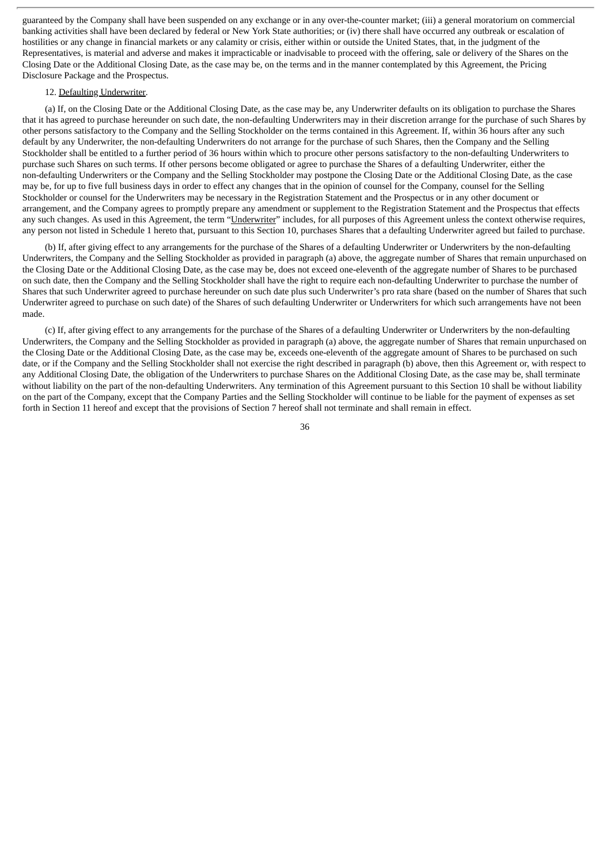guaranteed by the Company shall have been suspended on any exchange or in any over-the-counter market; (iii) a general moratorium on commercial banking activities shall have been declared by federal or New York State authorities; or (iv) there shall have occurred any outbreak or escalation of hostilities or any change in financial markets or any calamity or crisis, either within or outside the United States, that, in the judgment of the Representatives, is material and adverse and makes it impracticable or inadvisable to proceed with the offering, sale or delivery of the Shares on the Closing Date or the Additional Closing Date, as the case may be, on the terms and in the manner contemplated by this Agreement, the Pricing Disclosure Package and the Prospectus.

#### 12. Defaulting Underwriter.

(a) If, on the Closing Date or the Additional Closing Date, as the case may be, any Underwriter defaults on its obligation to purchase the Shares that it has agreed to purchase hereunder on such date, the non-defaulting Underwriters may in their discretion arrange for the purchase of such Shares by other persons satisfactory to the Company and the Selling Stockholder on the terms contained in this Agreement. If, within 36 hours after any such default by any Underwriter, the non-defaulting Underwriters do not arrange for the purchase of such Shares, then the Company and the Selling Stockholder shall be entitled to a further period of 36 hours within which to procure other persons satisfactory to the non-defaulting Underwriters to purchase such Shares on such terms. If other persons become obligated or agree to purchase the Shares of a defaulting Underwriter, either the non-defaulting Underwriters or the Company and the Selling Stockholder may postpone the Closing Date or the Additional Closing Date, as the case may be, for up to five full business days in order to effect any changes that in the opinion of counsel for the Company, counsel for the Selling Stockholder or counsel for the Underwriters may be necessary in the Registration Statement and the Prospectus or in any other document or arrangement, and the Company agrees to promptly prepare any amendment or supplement to the Registration Statement and the Prospectus that effects any such changes. As used in this Agreement, the term "Underwriter" includes, for all purposes of this Agreement unless the context otherwise requires, any person not listed in Schedule 1 hereto that, pursuant to this Section 10, purchases Shares that a defaulting Underwriter agreed but failed to purchase.

(b) If, after giving effect to any arrangements for the purchase of the Shares of a defaulting Underwriter or Underwriters by the non-defaulting Underwriters, the Company and the Selling Stockholder as provided in paragraph (a) above, the aggregate number of Shares that remain unpurchased on the Closing Date or the Additional Closing Date, as the case may be, does not exceed one-eleventh of the aggregate number of Shares to be purchased on such date, then the Company and the Selling Stockholder shall have the right to require each non-defaulting Underwriter to purchase the number of Shares that such Underwriter agreed to purchase hereunder on such date plus such Underwriter's pro rata share (based on the number of Shares that such Underwriter agreed to purchase on such date) of the Shares of such defaulting Underwriter or Underwriters for which such arrangements have not been made.

(c) If, after giving effect to any arrangements for the purchase of the Shares of a defaulting Underwriter or Underwriters by the non-defaulting Underwriters, the Company and the Selling Stockholder as provided in paragraph (a) above, the aggregate number of Shares that remain unpurchased on the Closing Date or the Additional Closing Date, as the case may be, exceeds one-eleventh of the aggregate amount of Shares to be purchased on such date, or if the Company and the Selling Stockholder shall not exercise the right described in paragraph (b) above, then this Agreement or, with respect to any Additional Closing Date, the obligation of the Underwriters to purchase Shares on the Additional Closing Date, as the case may be, shall terminate without liability on the part of the non-defaulting Underwriters. Any termination of this Agreement pursuant to this Section 10 shall be without liability on the part of the Company, except that the Company Parties and the Selling Stockholder will continue to be liable for the payment of expenses as set forth in Section 11 hereof and except that the provisions of Section 7 hereof shall not terminate and shall remain in effect.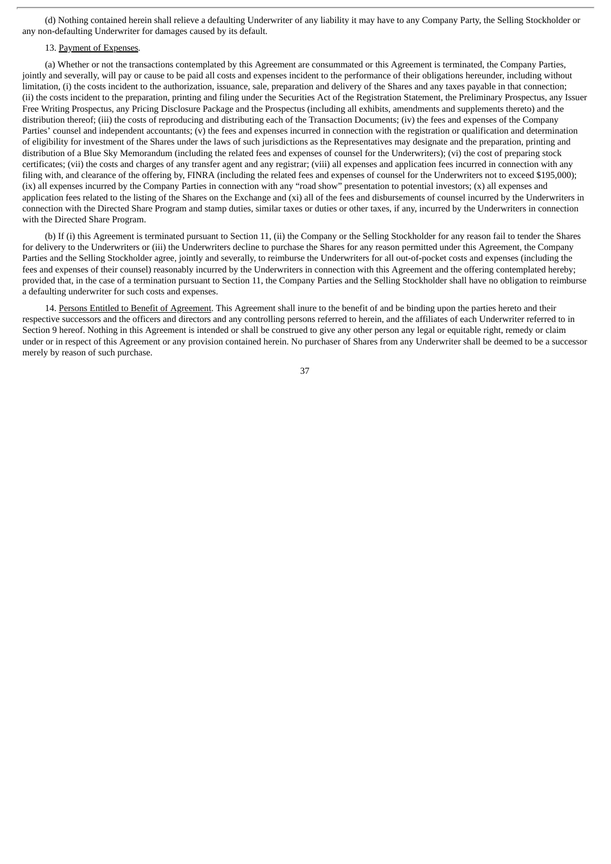(d) Nothing contained herein shall relieve a defaulting Underwriter of any liability it may have to any Company Party, the Selling Stockholder or any non-defaulting Underwriter for damages caused by its default.

#### 13. Payment of Expenses*.*

(a) Whether or not the transactions contemplated by this Agreement are consummated or this Agreement is terminated, the Company Parties, jointly and severally, will pay or cause to be paid all costs and expenses incident to the performance of their obligations hereunder, including without limitation, (i) the costs incident to the authorization, issuance, sale, preparation and delivery of the Shares and any taxes payable in that connection; (ii) the costs incident to the preparation, printing and filing under the Securities Act of the Registration Statement, the Preliminary Prospectus, any Issuer Free Writing Prospectus, any Pricing Disclosure Package and the Prospectus (including all exhibits, amendments and supplements thereto) and the distribution thereof; (iii) the costs of reproducing and distributing each of the Transaction Documents; (iv) the fees and expenses of the Company Parties' counsel and independent accountants; (y) the fees and expenses incurred in connection with the registration or qualification and determination of eligibility for investment of the Shares under the laws of such jurisdictions as the Representatives may designate and the preparation, printing and distribution of a Blue Sky Memorandum (including the related fees and expenses of counsel for the Underwriters); (vi) the cost of preparing stock certificates; (vii) the costs and charges of any transfer agent and any registrar; (viii) all expenses and application fees incurred in connection with any filing with, and clearance of the offering by, FINRA (including the related fees and expenses of counsel for the Underwriters not to exceed \$195,000); (ix) all expenses incurred by the Company Parties in connection with any "road show" presentation to potential investors; (x) all expenses and application fees related to the listing of the Shares on the Exchange and (xi) all of the fees and disbursements of counsel incurred by the Underwriters in connection with the Directed Share Program and stamp duties, similar taxes or duties or other taxes, if any, incurred by the Underwriters in connection with the Directed Share Program.

(b) If (i) this Agreement is terminated pursuant to Section 11, (ii) the Company or the Selling Stockholder for any reason fail to tender the Shares for delivery to the Underwriters or (iii) the Underwriters decline to purchase the Shares for any reason permitted under this Agreement, the Company Parties and the Selling Stockholder agree, jointly and severally, to reimburse the Underwriters for all out-of-pocket costs and expenses (including the fees and expenses of their counsel) reasonably incurred by the Underwriters in connection with this Agreement and the offering contemplated hereby; provided that, in the case of a termination pursuant to Section 11, the Company Parties and the Selling Stockholder shall have no obligation to reimburse a defaulting underwriter for such costs and expenses.

14. Persons Entitled to Benefit of Agreement. This Agreement shall inure to the benefit of and be binding upon the parties hereto and their respective successors and the officers and directors and any controlling persons referred to herein, and the affiliates of each Underwriter referred to in Section 9 hereof. Nothing in this Agreement is intended or shall be construed to give any other person any legal or equitable right, remedy or claim under or in respect of this Agreement or any provision contained herein. No purchaser of Shares from any Underwriter shall be deemed to be a successor merely by reason of such purchase.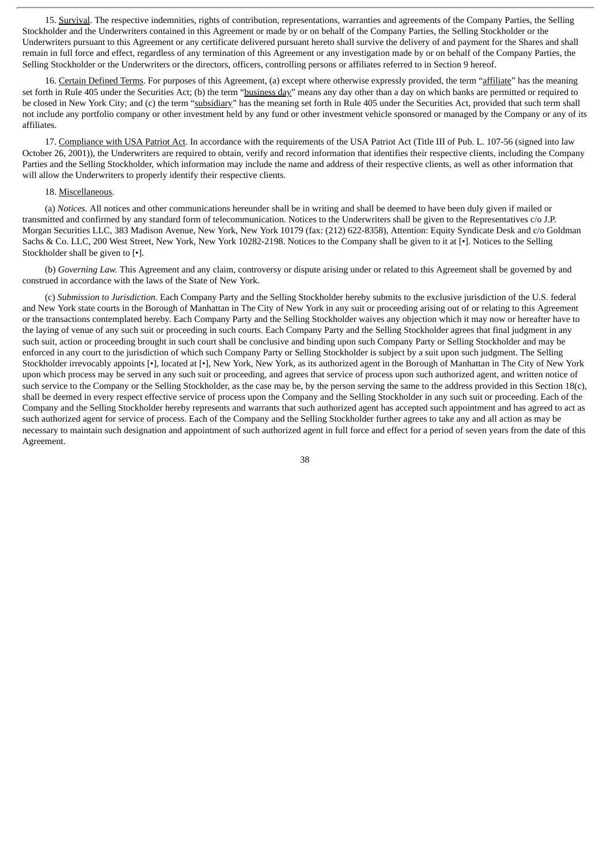15. Survival. The respective indemnities, rights of contribution, representations, warranties and agreements of the Company Parties, the Selling Stockholder and the Underwriters contained in this Agreement or made by or on behalf of the Company Parties, the Selling Stockholder or the Underwriters pursuant to this Agreement or any certificate delivered pursuant hereto shall survive the delivery of and payment for the Shares and shall remain in full force and effect, regardless of any termination of this Agreement or any investigation made by or on behalf of the Company Parties, the Selling Stockholder or the Underwriters or the directors, officers, controlling persons or affiliates referred to in Section 9 hereof.

16. Certain Defined Terms. For purposes of this Agreement, (a) except where otherwise expressly provided, the term "affiliate" has the meaning set forth in Rule 405 under the Securities Act; (b) the term "business day" means any day other than a day on which banks are permitted or required to be closed in New York City; and (c) the term "subsidiary" has the meaning set forth in Rule 405 under the Securities Act, provided that such term shall not include any portfolio company or other investment held by any fund or other investment vehicle sponsored or managed by the Company or any of its affiliates.

17. Compliance with USA Patriot Act. In accordance with the requirements of the USA Patriot Act (Title III of Pub. L. 107-56 (signed into law October 26, 2001)), the Underwriters are required to obtain, verify and record information that identifies their respective clients, including the Company Parties and the Selling Stockholder, which information may include the name and address of their respective clients, as well as other information that will allow the Underwriters to properly identify their respective clients.

#### 18. Miscellaneous.

(a) *Notices.* All notices and other communications hereunder shall be in writing and shall be deemed to have been duly given if mailed or transmitted and confirmed by any standard form of telecommunication. Notices to the Underwriters shall be given to the Representatives c/o J.P. Morgan Securities LLC, 383 Madison Avenue, New York, New York 10179 (fax: (212) 622-8358), Attention: Equity Syndicate Desk and c/o Goldman Sachs & Co. LLC, 200 West Street, New York, New York 10282-2198. Notices to the Company shall be given to it at [•]. Notices to the Selling Stockholder shall be given to [•].

(b) *Governing Law.* This Agreement and any claim, controversy or dispute arising under or related to this Agreement shall be governed by and construed in accordance with the laws of the State of New York.

(c) *Submission to Jurisdiction*. Each Company Party and the Selling Stockholder hereby submits to the exclusive jurisdiction of the U.S. federal and New York state courts in the Borough of Manhattan in The City of New York in any suit or proceeding arising out of or relating to this Agreement or the transactions contemplated hereby. Each Company Party and the Selling Stockholder waives any objection which it may now or hereafter have to the laying of venue of any such suit or proceeding in such courts. Each Company Party and the Selling Stockholder agrees that final judgment in any such suit, action or proceeding brought in such court shall be conclusive and binding upon such Company Party or Selling Stockholder and may be enforced in any court to the jurisdiction of which such Company Party or Selling Stockholder is subject by a suit upon such judgment. The Selling Stockholder irrevocably appoints [•], located at [•], New York, New York, as its authorized agent in the Borough of Manhattan in The City of New York upon which process may be served in any such suit or proceeding, and agrees that service of process upon such authorized agent, and written notice of such service to the Company or the Selling Stockholder, as the case may be, by the person serving the same to the address provided in this Section 18(c), shall be deemed in every respect effective service of process upon the Company and the Selling Stockholder in any such suit or proceeding. Each of the Company and the Selling Stockholder hereby represents and warrants that such authorized agent has accepted such appointment and has agreed to act as such authorized agent for service of process. Each of the Company and the Selling Stockholder further agrees to take any and all action as may be necessary to maintain such designation and appointment of such authorized agent in full force and effect for a period of seven years from the date of this Agreement.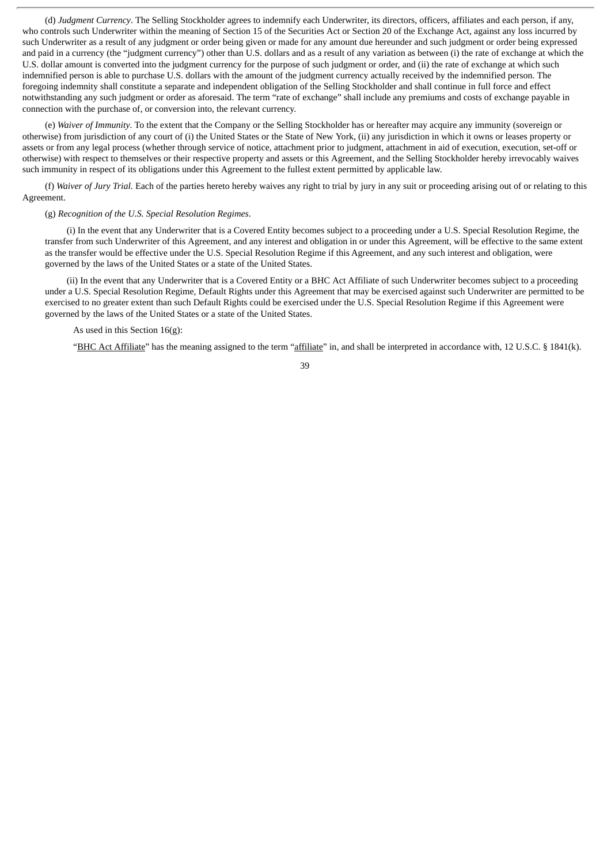(d) *Judgment Currency*. The Selling Stockholder agrees to indemnify each Underwriter, its directors, officers, affiliates and each person, if any, who controls such Underwriter within the meaning of Section 15 of the Securities Act or Section 20 of the Exchange Act, against any loss incurred by such Underwriter as a result of any judgment or order being given or made for any amount due hereunder and such judgment or order being expressed and paid in a currency (the "judgment currency") other than U.S. dollars and as a result of any variation as between (i) the rate of exchange at which the U.S. dollar amount is converted into the judgment currency for the purpose of such judgment or order, and (ii) the rate of exchange at which such indemnified person is able to purchase U.S. dollars with the amount of the judgment currency actually received by the indemnified person. The foregoing indemnity shall constitute a separate and independent obligation of the Selling Stockholder and shall continue in full force and effect notwithstanding any such judgment or order as aforesaid. The term "rate of exchange" shall include any premiums and costs of exchange payable in connection with the purchase of, or conversion into, the relevant currency.

(e) *Waiver of Immunity*. To the extent that the Company or the Selling Stockholder has or hereafter may acquire any immunity (sovereign or otherwise) from jurisdiction of any court of (i) the United States or the State of New York, (ii) any jurisdiction in which it owns or leases property or assets or from any legal process (whether through service of notice, attachment prior to judgment, attachment in aid of execution, execution, set-off or otherwise) with respect to themselves or their respective property and assets or this Agreement, and the Selling Stockholder hereby irrevocably waives such immunity in respect of its obligations under this Agreement to the fullest extent permitted by applicable law.

(f) *Waiver of Jury Trial.* Each of the parties hereto hereby waives any right to trial by jury in any suit or proceeding arising out of or relating to this Agreement.

#### (g) *Recognition of the U.S. Special Resolution Regimes*.

(i) In the event that any Underwriter that is a Covered Entity becomes subject to a proceeding under a U.S. Special Resolution Regime, the transfer from such Underwriter of this Agreement, and any interest and obligation in or under this Agreement, will be effective to the same extent as the transfer would be effective under the U.S. Special Resolution Regime if this Agreement, and any such interest and obligation, were governed by the laws of the United States or a state of the United States.

(ii) In the event that any Underwriter that is a Covered Entity or a BHC Act Affiliate of such Underwriter becomes subject to a proceeding under a U.S. Special Resolution Regime, Default Rights under this Agreement that may be exercised against such Underwriter are permitted to be exercised to no greater extent than such Default Rights could be exercised under the U.S. Special Resolution Regime if this Agreement were governed by the laws of the United States or a state of the United States.

#### As used in this Section 16(g):

"BHC Act Affiliate" has the meaning assigned to the term "affiliate" in, and shall be interpreted in accordance with, 12 U.S.C. § 1841(k).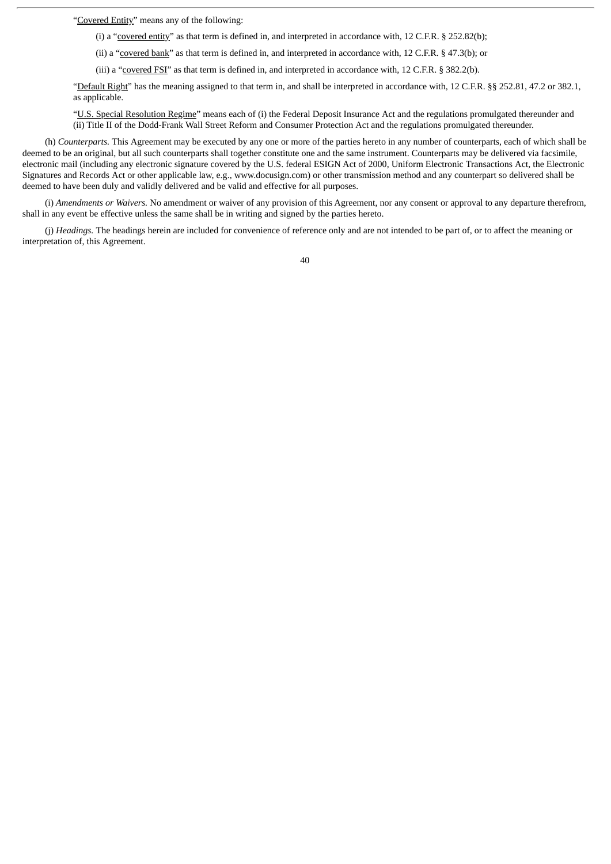"Covered Entity" means any of the following:

(i) a "covered entity" as that term is defined in, and interpreted in accordance with, 12 C.F.R. § 252.82(b);

(ii) a "covered bank" as that term is defined in, and interpreted in accordance with, 12 C.F.R. § 47.3(b); or

(iii) a "covered FSI" as that term is defined in, and interpreted in accordance with, 12 C.F.R. § 382.2(b).

"Default Right" has the meaning assigned to that term in, and shall be interpreted in accordance with, 12 C.F.R. §§ 252.81, 47.2 or 382.1, as applicable.

"U.S. Special Resolution Regime" means each of (i) the Federal Deposit Insurance Act and the regulations promulgated thereunder and (ii) Title II of the Dodd-Frank Wall Street Reform and Consumer Protection Act and the regulations promulgated thereunder.

(h) *Counterparts.* This Agreement may be executed by any one or more of the parties hereto in any number of counterparts, each of which shall be deemed to be an original, but all such counterparts shall together constitute one and the same instrument. Counterparts may be delivered via facsimile, electronic mail (including any electronic signature covered by the U.S. federal ESIGN Act of 2000, Uniform Electronic Transactions Act, the Electronic Signatures and Records Act or other applicable law, e.g., www.docusign.com) or other transmission method and any counterpart so delivered shall be deemed to have been duly and validly delivered and be valid and effective for all purposes.

(i) *Amendments or Waivers.* No amendment or waiver of any provision of this Agreement, nor any consent or approval to any departure therefrom, shall in any event be effective unless the same shall be in writing and signed by the parties hereto.

(j) *Headings.* The headings herein are included for convenience of reference only and are not intended to be part of, or to affect the meaning or interpretation of, this Agreement.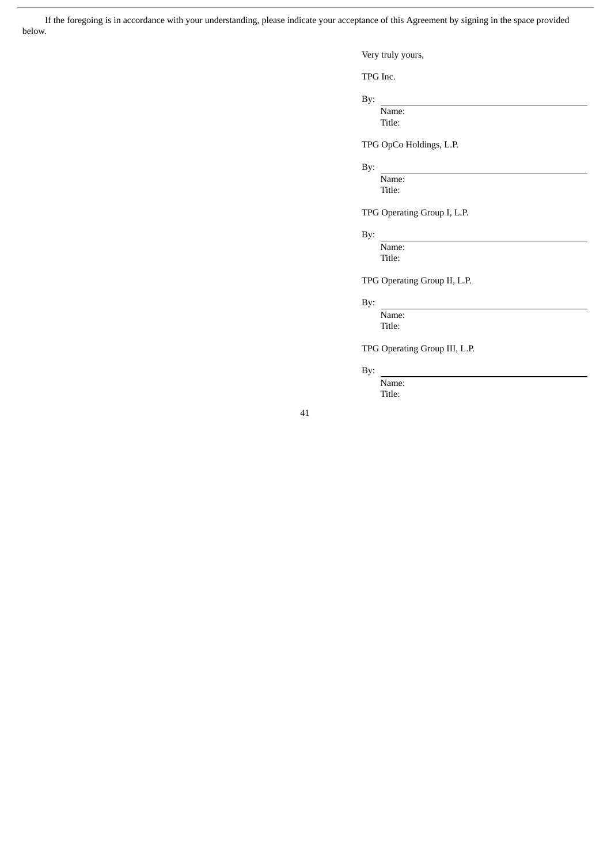If the foregoing is in accordance with your understanding, please indicate your acceptance of this Agreement by signing in the space provided below.

Very truly yours,

TPG Inc.

By:

Name: Title:

TPG OpCo Holdings, L.P.

## By:

Name: Title:

TPG Operating Group I, L.P.

## By:

Name: Title:

TPG Operating Group II, L.P.

## By:

Name: Title:

TPG Operating Group III, L.P.

### By:

Name: Title: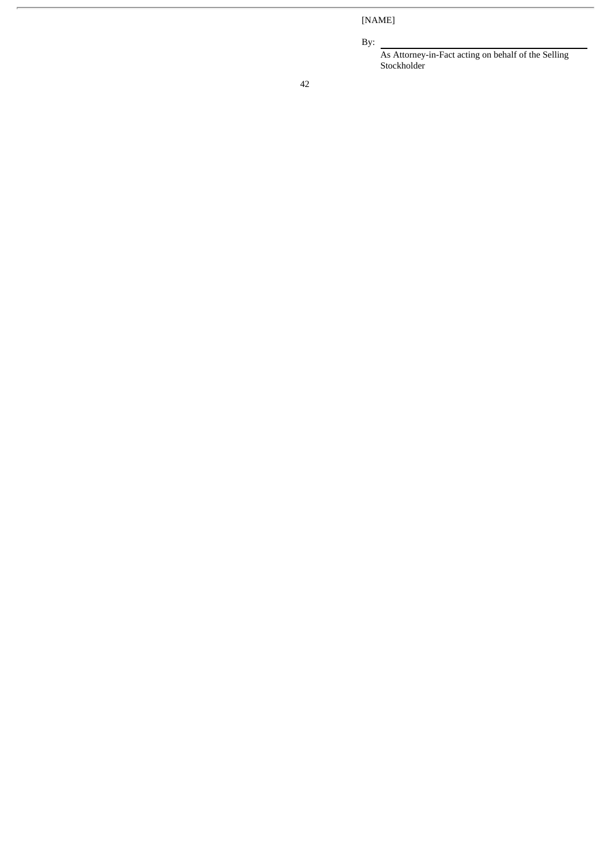[NAME]

By:

As Attorney-in-Fact acting on behalf of the Selling Stockholder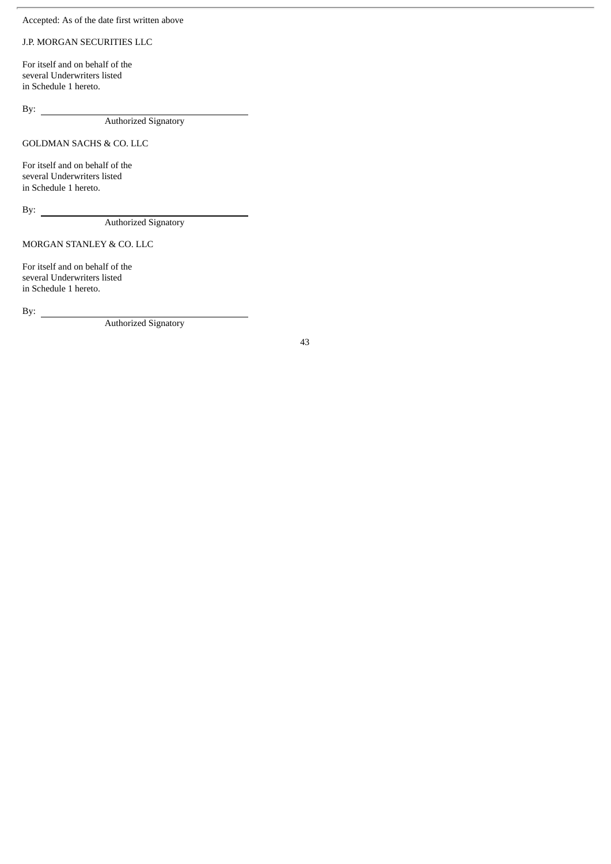## Accepted: As of the date first written above

## J.P. MORGAN SECURITIES LLC

For itself and on behalf of the several Underwriters listed in Schedule 1 hereto.

By:

Authorized Signatory

## GOLDMAN SACHS & CO. LLC

For itself and on behalf of the several Underwriters listed in Schedule 1 hereto.

By:  $\qquad \qquad$ 

Authorized Signatory

MORGAN STANLEY & CO. LLC

For itself and on behalf of the several Underwriters listed in Schedule 1 hereto.

By:  $\qquad \qquad$ 

Authorized Signatory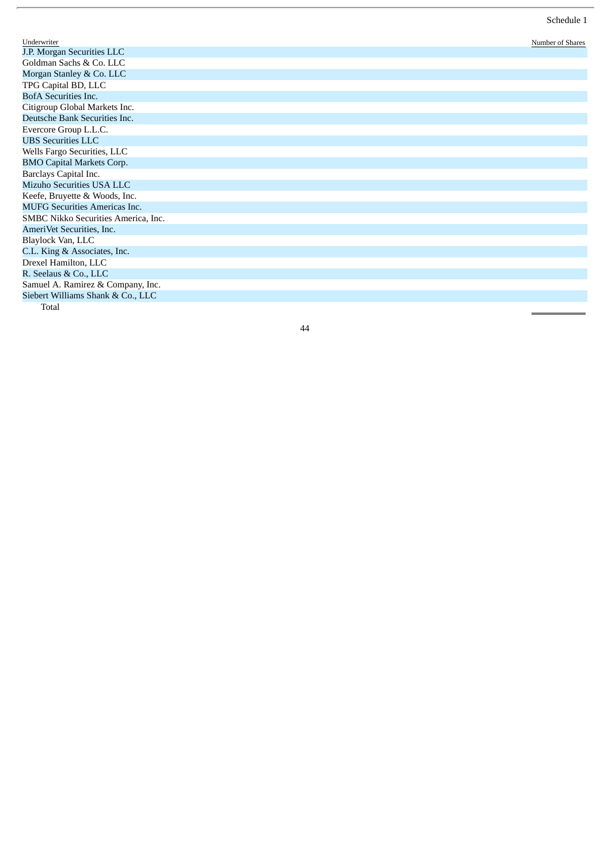| Underwriter                          | Number of Shares |
|--------------------------------------|------------------|
| J.P. Morgan Securities LLC           |                  |
| Goldman Sachs & Co. LLC              |                  |
| Morgan Stanley & Co. LLC             |                  |
| TPG Capital BD, LLC                  |                  |
| <b>BofA</b> Securities Inc.          |                  |
| Citigroup Global Markets Inc.        |                  |
| Deutsche Bank Securities Inc.        |                  |
| Evercore Group L.L.C.                |                  |
| <b>UBS Securities LLC</b>            |                  |
| Wells Fargo Securities, LLC          |                  |
| <b>BMO Capital Markets Corp.</b>     |                  |
| Barclays Capital Inc.                |                  |
| Mizuho Securities USA LLC            |                  |
| Keefe, Bruyette & Woods, Inc.        |                  |
| <b>MUFG Securities Americas Inc.</b> |                  |
| SMBC Nikko Securities America, Inc.  |                  |
| AmeriVet Securities, Inc.            |                  |
| Blaylock Van, LLC                    |                  |
| C.L. King & Associates, Inc.         |                  |
| Drexel Hamilton, LLC                 |                  |
| R. Seelaus & Co., LLC                |                  |
| Samuel A. Ramirez & Company, Inc.    |                  |
| Siebert Williams Shank & Co., LLC    |                  |
| Total                                |                  |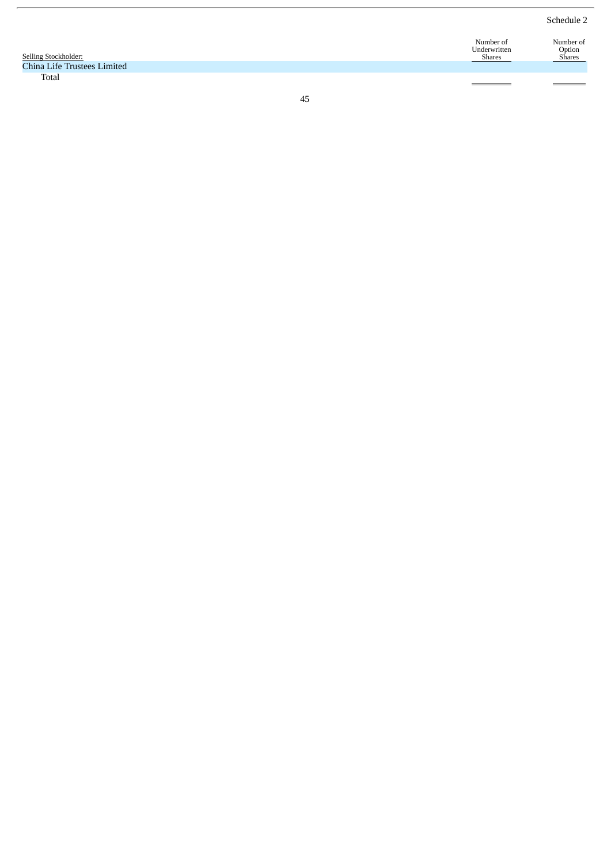Schedule 2

|                             | Number of    | Number of     |
|-----------------------------|--------------|---------------|
|                             | Underwritten | Option        |
| Selling Stockholder:        | Shares       | <b>Shares</b> |
| China Life Trustees Limited |              |               |
| Total                       |              |               |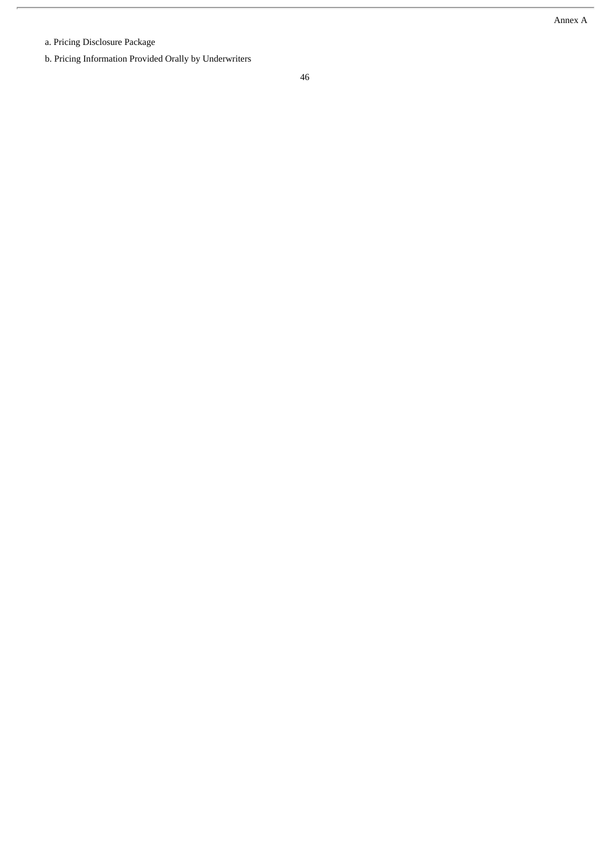a. Pricing Disclosure Package

b. Pricing Information Provided Orally by Underwriters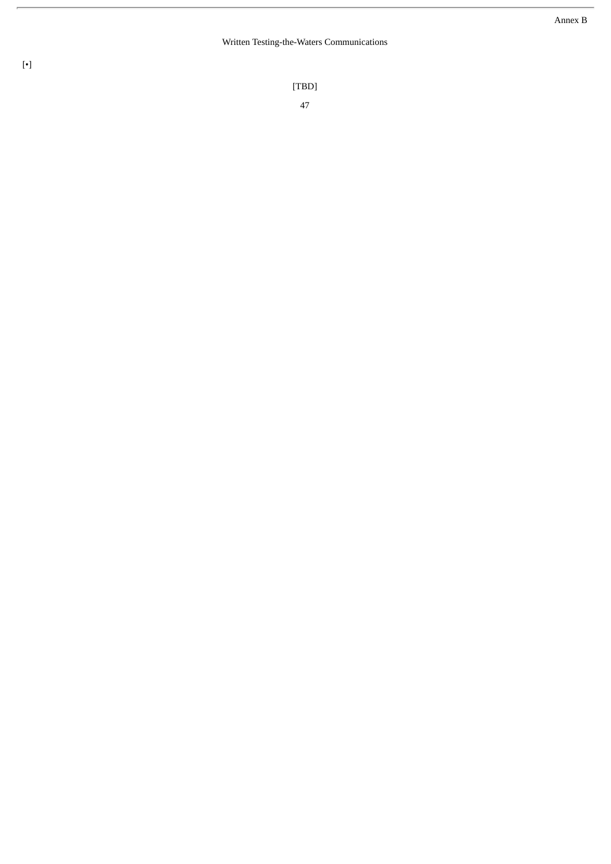#### Written Testing-the-Waters Communications

[ T B D ]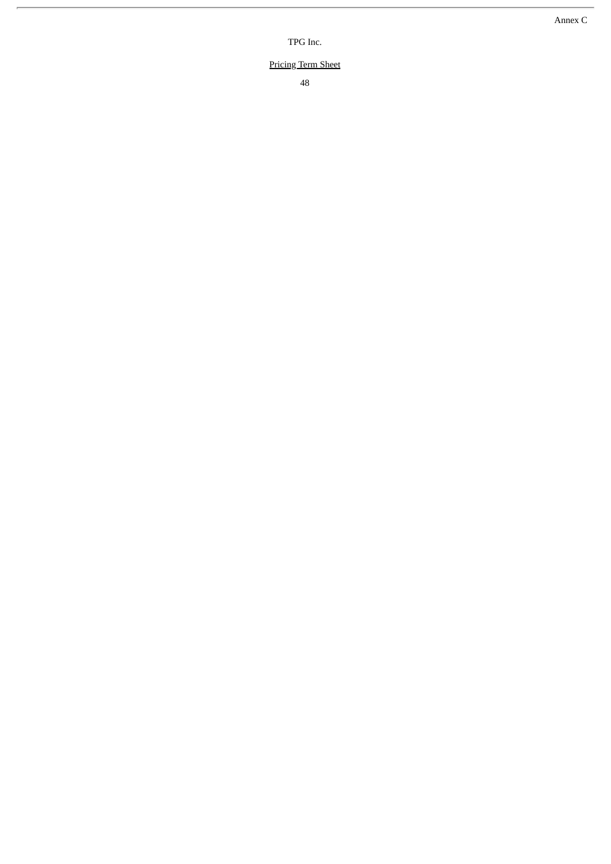TPG Inc.

#### **Pricing Term Sheet**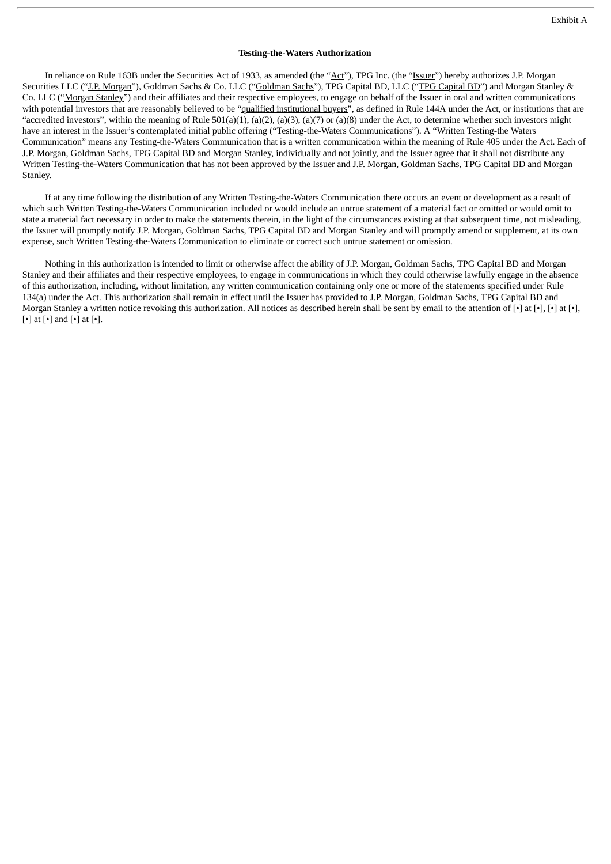#### **Testing-the-Waters Authorization**

In reliance on Rule 163B under the Securities Act of 1933, as amended (the "Act"), TPG Inc. (the "Issuer") hereby authorizes J.P. Morgan Securities LLC ("J.P. Morgan"), Goldman Sachs & Co. LLC ("Goldman Sachs"), TPG Capital BD, LLC ("TPG Capital BD") and Morgan Stanley & Co. LLC ("Morgan Stanley") and their affiliates and their respective employees, to engage on behalf of the Issuer in oral and written communications with potential investors that are reasonably believed to be "qualified institutional buyers", as defined in Rule 144A under the Act, or institutions that are "accredited investors", within the meaning of Rule 501(a)(1), (a)(2), (a)(3), (a)(7) or (a)(8) under the Act, to determine whether such investors might have an interest in the Issuer's contemplated initial public offering ("Testing-the-Waters Communications"). A "Written Testing-the Waters Communication" means any Testing-the-Waters Communication that is a written communication within the meaning of Rule 405 under the Act. Each of J.P. Morgan, Goldman Sachs, TPG Capital BD and Morgan Stanley, individually and not jointly, and the Issuer agree that it shall not distribute any Written Testing-the-Waters Communication that has not been approved by the Issuer and J.P. Morgan, Goldman Sachs, TPG Capital BD and Morgan Stanley.

If at any time following the distribution of any Written Testing-the-Waters Communication there occurs an event or development as a result of which such Written Testing-the-Waters Communication included or would include an untrue statement of a material fact or omitted or would omit to state a material fact necessary in order to make the statements therein, in the light of the circumstances existing at that subsequent time, not misleading, the Issuer will promptly notify J.P. Morgan, Goldman Sachs, TPG Capital BD and Morgan Stanley and will promptly amend or supplement, at its own expense, such Written Testing-the-Waters Communication to eliminate or correct such untrue statement or omission.

Nothing in this authorization is intended to limit or otherwise affect the ability of J.P. Morgan, Goldman Sachs, TPG Capital BD and Morgan Stanley and their affiliates and their respective employees, to engage in communications in which they could otherwise lawfully engage in the absence of this authorization, including, without limitation, any written communication containing only one or more of the statements specified under Rule 134(a) under the Act. This authorization shall remain in effect until the Issuer has provided to J.P. Morgan, Goldman Sachs, TPG Capital BD and Morgan Stanley a written notice revoking this authorization. All notices as described herein shall be sent by email to the attention of  $[\cdot]$  at  $[\cdot]$ ,  $[\cdot]$  at  $[\cdot]$ ,  $[\cdot]$  at  $[\cdot]$ , [•] at [•] and [•] at [•].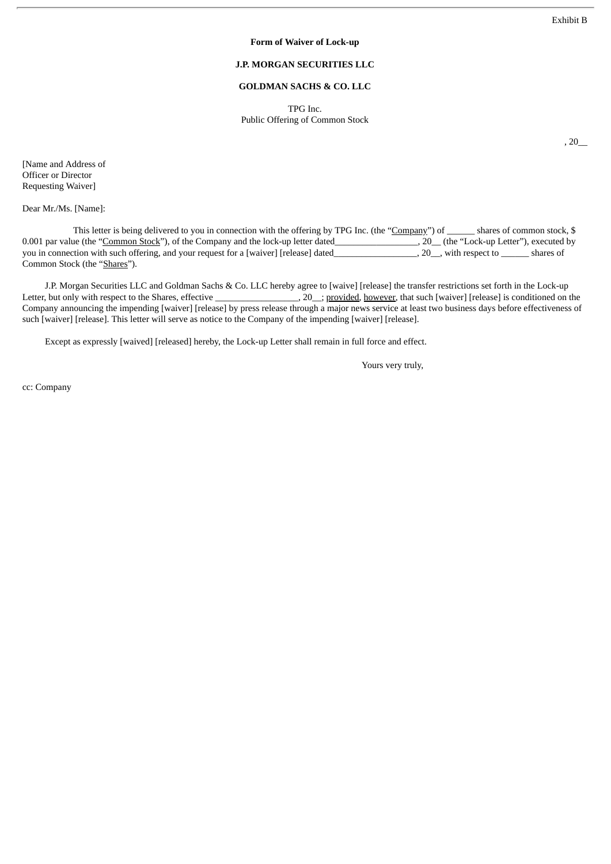, 20\_\_

#### **Form of Waiver of Lock-up**

## **J.P. MORGAN SECURITIES LLC**

#### **GOLDMAN SACHS & CO. LLC**

TPG Inc. Public Offering of Common Stock

[Name and Address of Officer or Director Requesting Waiver]

Dear Mr./Ms. [Name]:

This letter is being delivered to you in connection with the offering by TPG Inc. (the "Company") of shares of common stock, \$ 0.001 par value (the "Common Stock"), of the Company and the lock-up letter dated\_\_\_\_\_\_\_\_\_\_\_\_\_\_\_\_\_\_, 20\_\_ (the "Lock-up Letter"), executed by you in connection with such offering, and your request for a [waiver] [release] dated\_\_\_\_\_\_\_\_\_\_\_\_\_\_\_\_\_\_\_\_, 20\_\_, with respect to \_\_\_\_\_\_\_\_ shares of Common Stock (the "Shares").

J.P. Morgan Securities LLC and Goldman Sachs & Co. LLC hereby agree to [waive] [release] the transfer restrictions set forth in the Lock-up Letter, but only with respect to the Shares, effective \_\_\_\_\_\_\_\_\_\_\_\_\_\_\_\_\_\_\_\_\_\_\_\_\_\_\_ Letter, 20<sub>cani</sub>c provided, however, that such [waiver] [release] is conditioned on the Company announcing the impending [waiver] [release] by press release through a major news service at least two business days before effectiveness of such [waiver] [release]. This letter will serve as notice to the Company of the impending [waiver] [release].

Except as expressly [waived] [released] hereby, the Lock-up Letter shall remain in full force and effect.

Yours very truly,

cc: Company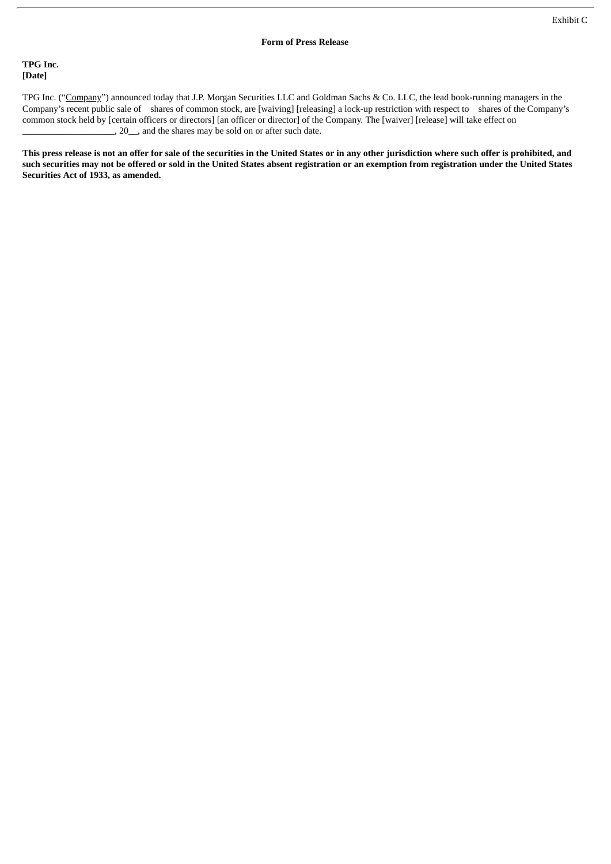## **TPG Inc. [Date]**

TPG Inc. ("Company") announced today that J.P. Morgan Securities LLC and Goldman Sachs & Co. LLC, the lead book-running managers in the Company's recent public sale of shares of common stock, are [waiving] [releasing] a lock-up restriction with respect to shares of the Company's common stock held by [certain officers or directors] [an officer or director] of the Company. The [waiver] [release] will take effect on  $\overline{\phantom{a}}$ , 20  $\overline{\phantom{a}}$ , and the shares may be sold on or after such date.

This press release is not an offer for sale of the securities in the United States or in any other jurisdiction where such offer is prohibited, and such securities may not be offered or sold in the United States absent registration or an exemption from registration under the United States **Securities Act of 1933, as amended.**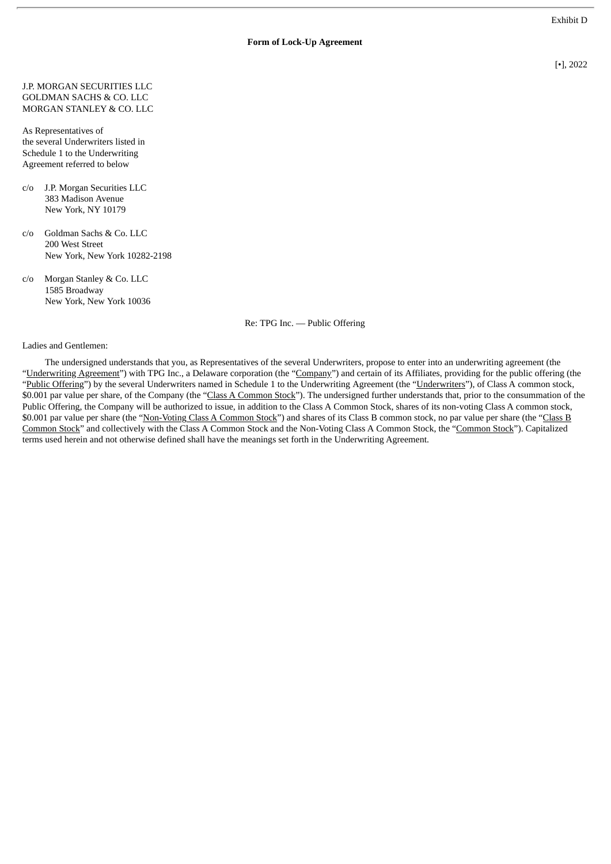#### **Form of Lock-Up Agreement**

[•], 2022

J.P. MORGAN SECURITIES LLC GOLDMAN SACHS & CO. LLC MORGAN STANLEY & CO. LLC

As Representatives of the several Underwriters listed in Schedule 1 to the Underwriting Agreement referred to below

- c/o J.P. Morgan Securities LLC 383 Madison Avenue New York, NY 10179
- c/o Goldman Sachs & Co. LLC 200 West Street New York, New York 10282-2198
- c/o Morgan Stanley & Co. LLC 1585 Broadway New York, New York 10036

Re: TPG Inc. — Public Offering

Ladies and Gentlemen:

The undersigned understands that you, as Representatives of the several Underwriters, propose to enter into an underwriting agreement (the "Underwriting Agreement") with TPG Inc., a Delaware corporation (the "Company") and certain of its Affiliates, providing for the public offering (the "Public Offering") by the several Underwriters named in Schedule 1 to the Underwriting Agreement (the "Underwriters"), of Class A common stock, \$0.001 par value per share, of the Company (the "Class A Common Stock"). The undersigned further understands that, prior to the consummation of the Public Offering, the Company will be authorized to issue, in addition to the Class A Common Stock, shares of its non-voting Class A common stock, \$0.001 par value per share (the "Non-Voting Class A Common Stock") and shares of its Class B common stock, no par value per share (the "Class B Common Stock" and collectively with the Class A Common Stock and the Non-Voting Class A Common Stock, the "Common Stock"). Capitalized terms used herein and not otherwise defined shall have the meanings set forth in the Underwriting Agreement.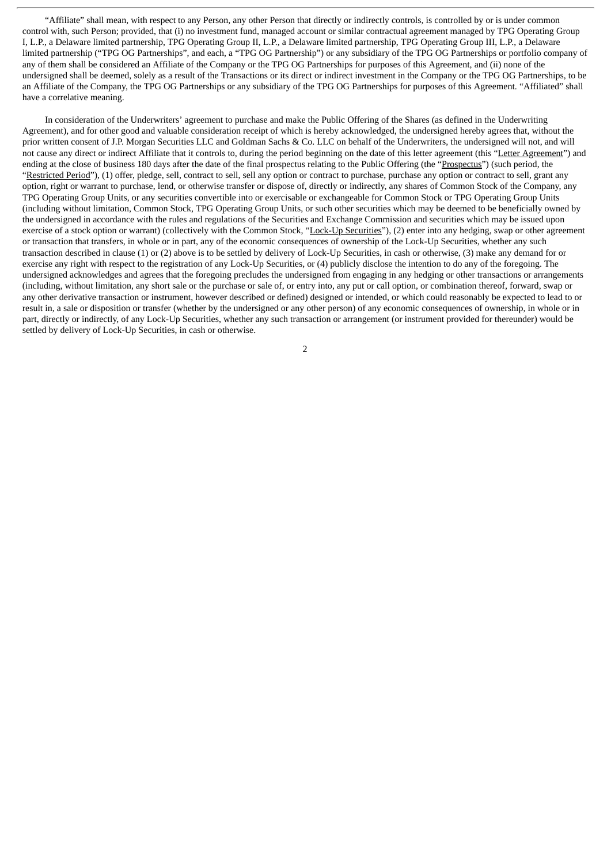"Affiliate" shall mean, with respect to any Person, any other Person that directly or indirectly controls, is controlled by or is under common control with, such Person; provided, that (i) no investment fund, managed account or similar contractual agreement managed by TPG Operating Group I, L.P., a Delaware limited partnership, TPG Operating Group II, L.P., a Delaware limited partnership, TPG Operating Group III, L.P., a Delaware limited partnership ("TPG OG Partnerships", and each, a "TPG OG Partnership") or any subsidiary of the TPG OG Partnerships or portfolio company of any of them shall be considered an Affiliate of the Company or the TPG OG Partnerships for purposes of this Agreement, and (ii) none of the undersigned shall be deemed, solely as a result of the Transactions or its direct or indirect investment in the Company or the TPG OG Partnerships, to be an Affiliate of the Company, the TPG OG Partnerships or any subsidiary of the TPG OG Partnerships for purposes of this Agreement. "Affiliated" shall have a correlative meaning.

In consideration of the Underwriters' agreement to purchase and make the Public Offering of the Shares (as defined in the Underwriting Agreement), and for other good and valuable consideration receipt of which is hereby acknowledged, the undersigned hereby agrees that, without the prior written consent of J.P. Morgan Securities LLC and Goldman Sachs & Co. LLC on behalf of the Underwriters, the undersigned will not, and will not cause any direct or indirect Affiliate that it controls to, during the period beginning on the date of this letter agreement (this "Letter Agreement") and ending at the close of business 180 days after the date of the final prospectus relating to the Public Offering (the "Prospectus") (such period, the "Restricted Period"), (1) offer, pledge, sell, contract to sell, sell any option or contract to purchase, purchase any option or contract to sell, grant any option, right or warrant to purchase, lend, or otherwise transfer or dispose of, directly or indirectly, any shares of Common Stock of the Company, any TPG Operating Group Units, or any securities convertible into or exercisable or exchangeable for Common Stock or TPG Operating Group Units (including without limitation, Common Stock, TPG Operating Group Units, or such other securities which may be deemed to be beneficially owned by the undersigned in accordance with the rules and regulations of the Securities and Exchange Commission and securities which may be issued upon exercise of a stock option or warrant) (collectively with the Common Stock, "Lock-Up Securities"), (2) enter into any hedging, swap or other agreement or transaction that transfers, in whole or in part, any of the economic consequences of ownership of the Lock-Up Securities, whether any such transaction described in clause (1) or (2) above is to be settled by delivery of Lock-Up Securities, in cash or otherwise, (3) make any demand for or exercise any right with respect to the registration of any Lock-Up Securities, or (4) publicly disclose the intention to do any of the foregoing. The undersigned acknowledges and agrees that the foregoing precludes the undersigned from engaging in any hedging or other transactions or arrangements (including, without limitation, any short sale or the purchase or sale of, or entry into, any put or call option, or combination thereof, forward, swap or any other derivative transaction or instrument, however described or defined) designed or intended, or which could reasonably be expected to lead to or result in, a sale or disposition or transfer (whether by the undersigned or any other person) of any economic consequences of ownership, in whole or in part, directly or indirectly, of any Lock-Up Securities, whether any such transaction or arrangement (or instrument provided for thereunder) would be settled by delivery of Lock-Up Securities, in cash or otherwise.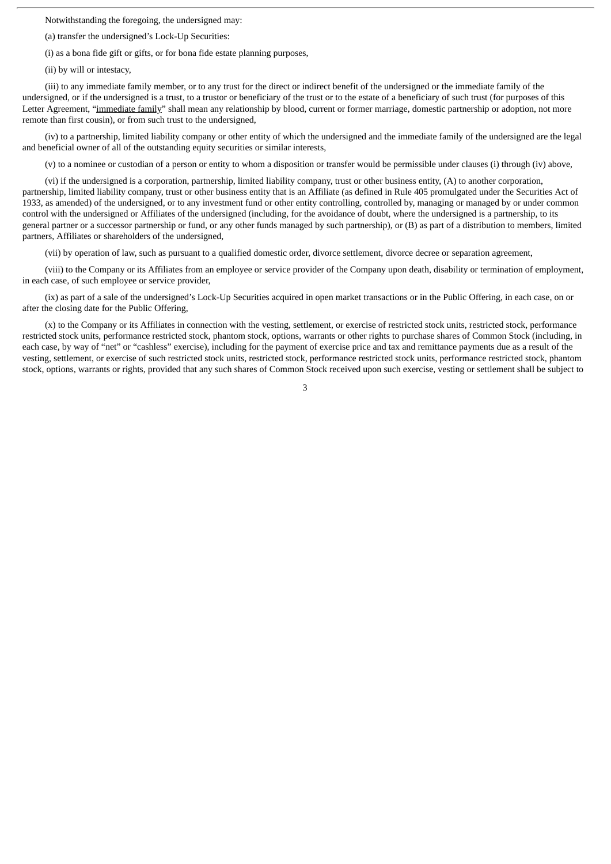Notwithstanding the foregoing, the undersigned may:

(a) transfer the undersigned's Lock-Up Securities:

(i) as a bona fide gift or gifts, or for bona fide estate planning purposes,

(ii) by will or intestacy,

(iii) to any immediate family member, or to any trust for the direct or indirect benefit of the undersigned or the immediate family of the undersigned, or if the undersigned is a trust, to a trustor or beneficiary of the trust or to the estate of a beneficiary of such trust (for purposes of this Letter Agreement, "immediate family" shall mean any relationship by blood, current or former marriage, domestic partnership or adoption, not more remote than first cousin), or from such trust to the undersigned,

(iv) to a partnership, limited liability company or other entity of which the undersigned and the immediate family of the undersigned are the legal and beneficial owner of all of the outstanding equity securities or similar interests,

(v) to a nominee or custodian of a person or entity to whom a disposition or transfer would be permissible under clauses (i) through (iv) above,

(vi) if the undersigned is a corporation, partnership, limited liability company, trust or other business entity, (A) to another corporation, partnership, limited liability company, trust or other business entity that is an Affiliate (as defined in Rule 405 promulgated under the Securities Act of 1933, as amended) of the undersigned, or to any investment fund or other entity controlling, controlled by, managing or managed by or under common control with the undersigned or Affiliates of the undersigned (including, for the avoidance of doubt, where the undersigned is a partnership, to its general partner or a successor partnership or fund, or any other funds managed by such partnership), or (B) as part of a distribution to members, limited partners, Affiliates or shareholders of the undersigned,

(vii) by operation of law, such as pursuant to a qualified domestic order, divorce settlement, divorce decree or separation agreement,

(viii) to the Company or its Affiliates from an employee or service provider of the Company upon death, disability or termination of employment, in each case, of such employee or service provider,

(ix) as part of a sale of the undersigned's Lock-Up Securities acquired in open market transactions or in the Public Offering, in each case, on or after the closing date for the Public Offering,

(x) to the Company or its Affiliates in connection with the vesting, settlement, or exercise of restricted stock units, restricted stock, performance restricted stock units, performance restricted stock, phantom stock, options, warrants or other rights to purchase shares of Common Stock (including, in each case, by way of "net" or "cashless" exercise), including for the payment of exercise price and tax and remittance payments due as a result of the vesting, settlement, or exercise of such restricted stock units, restricted stock, performance restricted stock units, performance restricted stock, phantom stock, options, warrants or rights, provided that any such shares of Common Stock received upon such exercise, vesting or settlement shall be subject to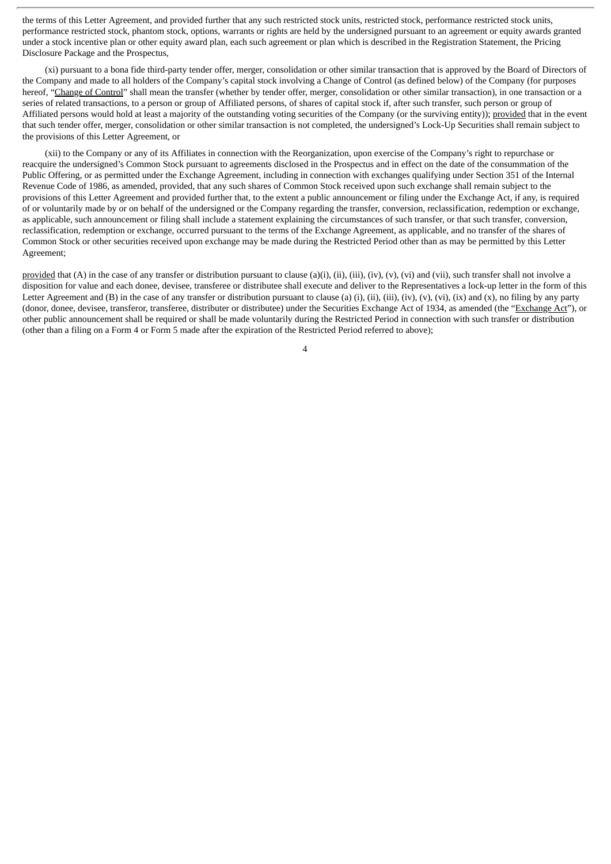the terms of this Letter Agreement, and provided further that any such restricted stock units, restricted stock, performance restricted stock units, performance restricted stock, phantom stock, options, warrants or rights are held by the undersigned pursuant to an agreement or equity awards granted under a stock incentive plan or other equity award plan, each such agreement or plan which is described in the Registration Statement, the Pricing Disclosure Package and the Prospectus,

(xi) pursuant to a bona fide third-party tender offer, merger, consolidation or other similar transaction that is approved by the Board of Directors of the Company and made to all holders of the Company's capital stock involving a Change of Control (as defined below) of the Company (for purposes hereof, "Change of Control" shall mean the transfer (whether by tender offer, merger, consolidation or other similar transaction), in one transaction or a series of related transactions, to a person or group of Affiliated persons, of shares of capital stock if, after such transfer, such person or group of Affiliated persons would hold at least a majority of the outstanding voting securities of the Company (or the surviving entity)); provided that in the event that such tender offer, merger, consolidation or other similar transaction is not completed, the undersigned's Lock-Up Securities shall remain subject to the provisions of this Letter Agreement, or

(xii) to the Company or any of its Affiliates in connection with the Reorganization, upon exercise of the Company's right to repurchase or reacquire the undersigned's Common Stock pursuant to agreements disclosed in the Prospectus and in effect on the date of the consummation of the Public Offering, or as permitted under the Exchange Agreement, including in connection with exchanges qualifying under Section 351 of the Internal Revenue Code of 1986, as amended, provided, that any such shares of Common Stock received upon such exchange shall remain subject to the provisions of this Letter Agreement and provided further that, to the extent a public announcement or filing under the Exchange Act, if any, is required of or voluntarily made by or on behalf of the undersigned or the Company regarding the transfer, conversion, reclassification, redemption or exchange, as applicable, such announcement or filing shall include a statement explaining the circumstances of such transfer, or that such transfer, conversion, reclassification, redemption or exchange, occurred pursuant to the terms of the Exchange Agreement, as applicable, and no transfer of the shares of Common Stock or other securities received upon exchange may be made during the Restricted Period other than as may be permitted by this Letter Agreement;

provided that (A) in the case of any transfer or distribution pursuant to clause (a)(i), (ii), (iii), (iv), (v), (vi) and (vii), such transfer shall not involve a disposition for value and each donee, devisee, transferee or distributee shall execute and deliver to the Representatives a lock-up letter in the form of this Letter Agreement and (B) in the case of any transfer or distribution pursuant to clause (a) (i), (ii), (iii), (iv), (v), (vi), (ix) and (x), no filing by any party (donor, donee, devisee, transferor, transferee, distributer or distributee) under the Securities Exchange Act of 1934, as amended (the "Exchange Act"), or other public announcement shall be required or shall be made voluntarily during the Restricted Period in connection with such transfer or distribution (other than a filing on a Form 4 or Form 5 made after the expiration of the Restricted Period referred to above);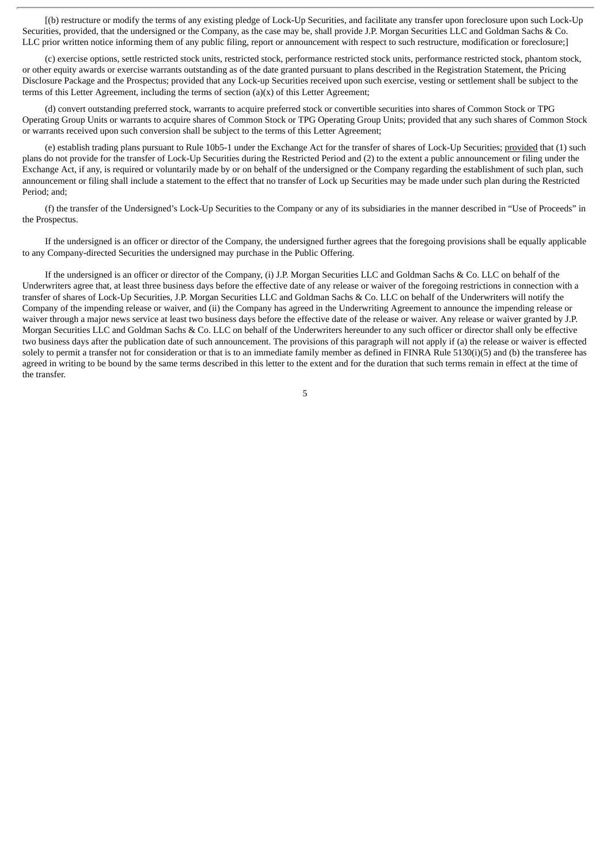[(b) restructure or modify the terms of any existing pledge of Lock-Up Securities, and facilitate any transfer upon foreclosure upon such Lock-Up Securities, provided, that the undersigned or the Company, as the case may be, shall provide J.P. Morgan Securities LLC and Goldman Sachs & Co. LLC prior written notice informing them of any public filing, report or announcement with respect to such restructure, modification or foreclosure;]

(c) exercise options, settle restricted stock units, restricted stock, performance restricted stock units, performance restricted stock, phantom stock, or other equity awards or exercise warrants outstanding as of the date granted pursuant to plans described in the Registration Statement, the Pricing Disclosure Package and the Prospectus; provided that any Lock-up Securities received upon such exercise, vesting or settlement shall be subject to the terms of this Letter Agreement, including the terms of section  $(a)(x)$  of this Letter Agreement;

(d) convert outstanding preferred stock, warrants to acquire preferred stock or convertible securities into shares of Common Stock or TPG Operating Group Units or warrants to acquire shares of Common Stock or TPG Operating Group Units; provided that any such shares of Common Stock or warrants received upon such conversion shall be subject to the terms of this Letter Agreement;

(e) establish trading plans pursuant to Rule 10b5-1 under the Exchange Act for the transfer of shares of Lock-Up Securities; provided that (1) such plans do not provide for the transfer of Lock-Up Securities during the Restricted Period and (2) to the extent a public announcement or filing under the Exchange Act, if any, is required or voluntarily made by or on behalf of the undersigned or the Company regarding the establishment of such plan, such announcement or filing shall include a statement to the effect that no transfer of Lock up Securities may be made under such plan during the Restricted Period; and;

(f) the transfer of the Undersigned's Lock-Up Securities to the Company or any of its subsidiaries in the manner described in "Use of Proceeds" in the Prospectus.

If the undersigned is an officer or director of the Company, the undersigned further agrees that the foregoing provisions shall be equally applicable to any Company-directed Securities the undersigned may purchase in the Public Offering.

If the undersigned is an officer or director of the Company, (i) J.P. Morgan Securities LLC and Goldman Sachs & Co. LLC on behalf of the Underwriters agree that, at least three business days before the effective date of any release or waiver of the foregoing restrictions in connection with a transfer of shares of Lock-Up Securities, J.P. Morgan Securities LLC and Goldman Sachs & Co. LLC on behalf of the Underwriters will notify the Company of the impending release or waiver, and (ii) the Company has agreed in the Underwriting Agreement to announce the impending release or waiver through a major news service at least two business days before the effective date of the release or waiver. Any release or waiver granted by J.P. Morgan Securities LLC and Goldman Sachs & Co. LLC on behalf of the Underwriters hereunder to any such officer or director shall only be effective two business days after the publication date of such announcement. The provisions of this paragraph will not apply if (a) the release or waiver is effected solely to permit a transfer not for consideration or that is to an immediate family member as defined in FINRA Rule 5130(i)(5) and (b) the transferee has agreed in writing to be bound by the same terms described in this letter to the extent and for the duration that such terms remain in effect at the time of the transfer.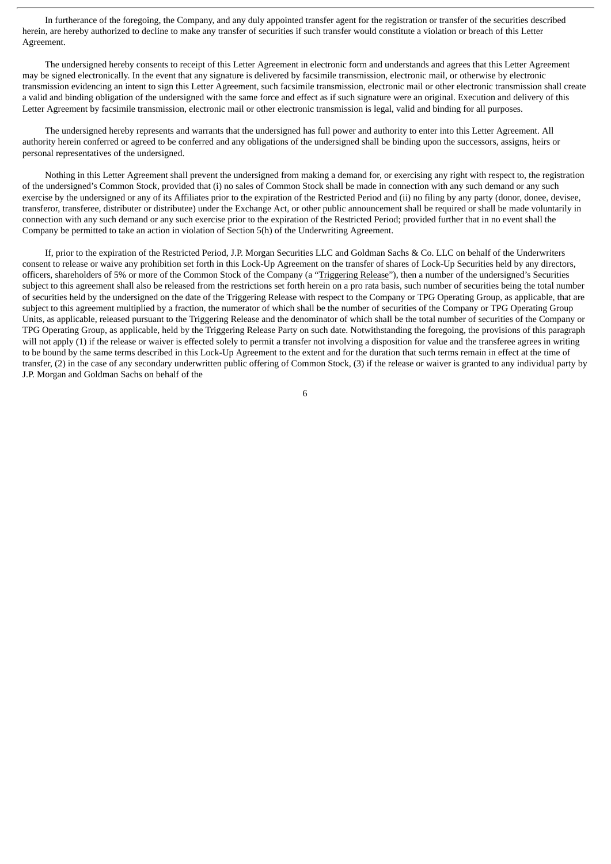In furtherance of the foregoing, the Company, and any duly appointed transfer agent for the registration or transfer of the securities described herein, are hereby authorized to decline to make any transfer of securities if such transfer would constitute a violation or breach of this Letter Agreement.

The undersigned hereby consents to receipt of this Letter Agreement in electronic form and understands and agrees that this Letter Agreement may be signed electronically. In the event that any signature is delivered by facsimile transmission, electronic mail, or otherwise by electronic transmission evidencing an intent to sign this Letter Agreement, such facsimile transmission, electronic mail or other electronic transmission shall create a valid and binding obligation of the undersigned with the same force and effect as if such signature were an original. Execution and delivery of this Letter Agreement by facsimile transmission, electronic mail or other electronic transmission is legal, valid and binding for all purposes.

The undersigned hereby represents and warrants that the undersigned has full power and authority to enter into this Letter Agreement. All authority herein conferred or agreed to be conferred and any obligations of the undersigned shall be binding upon the successors, assigns, heirs or personal representatives of the undersigned.

Nothing in this Letter Agreement shall prevent the undersigned from making a demand for, or exercising any right with respect to, the registration of the undersigned's Common Stock, provided that (i) no sales of Common Stock shall be made in connection with any such demand or any such exercise by the undersigned or any of its Affiliates prior to the expiration of the Restricted Period and (ii) no filing by any party (donor, donee, devisee, transferor, transferee, distributer or distributee) under the Exchange Act, or other public announcement shall be required or shall be made voluntarily in connection with any such demand or any such exercise prior to the expiration of the Restricted Period; provided further that in no event shall the Company be permitted to take an action in violation of Section 5(h) of the Underwriting Agreement.

If, prior to the expiration of the Restricted Period, J.P. Morgan Securities LLC and Goldman Sachs & Co. LLC on behalf of the Underwriters consent to release or waive any prohibition set forth in this Lock-Up Agreement on the transfer of shares of Lock-Up Securities held by any directors, officers, shareholders of 5% or more of the Common Stock of the Company (a "Triggering Release"), then a number of the undersigned's Securities subject to this agreement shall also be released from the restrictions set forth herein on a pro rata basis, such number of securities being the total number of securities held by the undersigned on the date of the Triggering Release with respect to the Company or TPG Operating Group, as applicable, that are subject to this agreement multiplied by a fraction, the numerator of which shall be the number of securities of the Company or TPG Operating Group Units, as applicable, released pursuant to the Triggering Release and the denominator of which shall be the total number of securities of the Company or TPG Operating Group, as applicable, held by the Triggering Release Party on such date. Notwithstanding the foregoing, the provisions of this paragraph will not apply (1) if the release or waiver is effected solely to permit a transfer not involving a disposition for value and the transferee agrees in writing to be bound by the same terms described in this Lock-Up Agreement to the extent and for the duration that such terms remain in effect at the time of transfer, (2) in the case of any secondary underwritten public offering of Common Stock, (3) if the release or waiver is granted to any individual party by J.P. Morgan and Goldman Sachs on behalf of the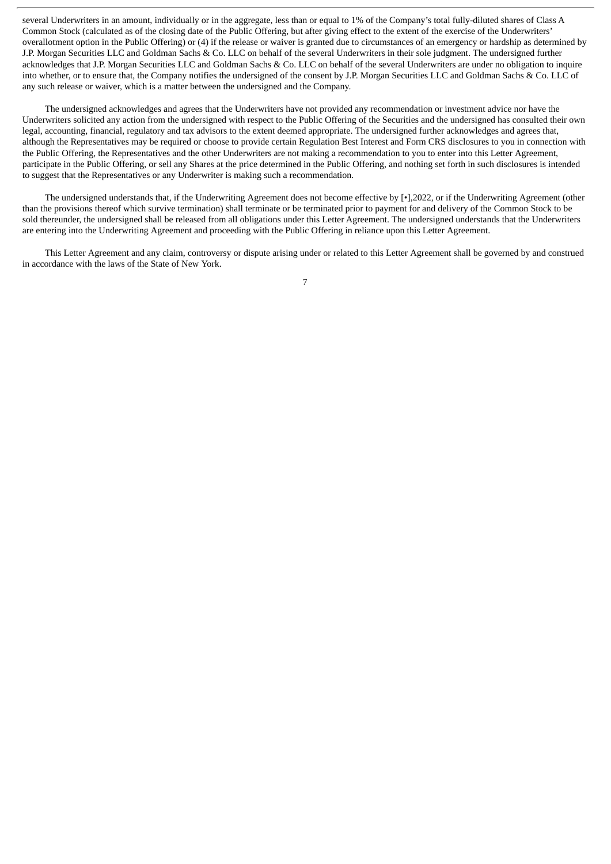several Underwriters in an amount, individually or in the aggregate, less than or equal to 1% of the Company's total fully-diluted shares of Class A Common Stock (calculated as of the closing date of the Public Offering, but after giving effect to the extent of the exercise of the Underwriters' overallotment option in the Public Offering) or (4) if the release or waiver is granted due to circumstances of an emergency or hardship as determined by J.P. Morgan Securities LLC and Goldman Sachs & Co. LLC on behalf of the several Underwriters in their sole judgment. The undersigned further acknowledges that J.P. Morgan Securities LLC and Goldman Sachs & Co. LLC on behalf of the several Underwriters are under no obligation to inquire into whether, or to ensure that, the Company notifies the undersigned of the consent by J.P. Morgan Securities LLC and Goldman Sachs & Co. LLC of any such release or waiver, which is a matter between the undersigned and the Company.

The undersigned acknowledges and agrees that the Underwriters have not provided any recommendation or investment advice nor have the Underwriters solicited any action from the undersigned with respect to the Public Offering of the Securities and the undersigned has consulted their own legal, accounting, financial, regulatory and tax advisors to the extent deemed appropriate. The undersigned further acknowledges and agrees that, although the Representatives may be required or choose to provide certain Regulation Best Interest and Form CRS disclosures to you in connection with the Public Offering, the Representatives and the other Underwriters are not making a recommendation to you to enter into this Letter Agreement, participate in the Public Offering, or sell any Shares at the price determined in the Public Offering, and nothing set forth in such disclosures is intended to suggest that the Representatives or any Underwriter is making such a recommendation.

The undersigned understands that, if the Underwriting Agreement does not become effective by [ $\cdot$ ],2022, or if the Underwriting Agreement (other than the provisions thereof which survive termination) shall terminate or be terminated prior to payment for and delivery of the Common Stock to be sold thereunder, the undersigned shall be released from all obligations under this Letter Agreement. The undersigned understands that the Underwriters are entering into the Underwriting Agreement and proceeding with the Public Offering in reliance upon this Letter Agreement.

This Letter Agreement and any claim, controversy or dispute arising under or related to this Letter Agreement shall be governed by and construed in accordance with the laws of the State of New York.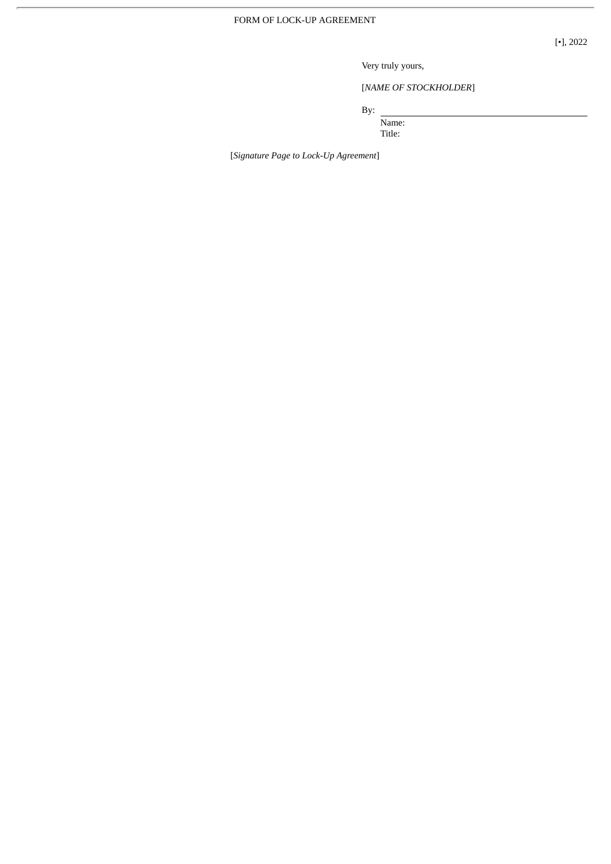[•], 2022

Very truly yours,

[*NAME OF STOCKHOLDER*]

By:

Name: Title:

[*Signature Page to Lock-Up Agreement*]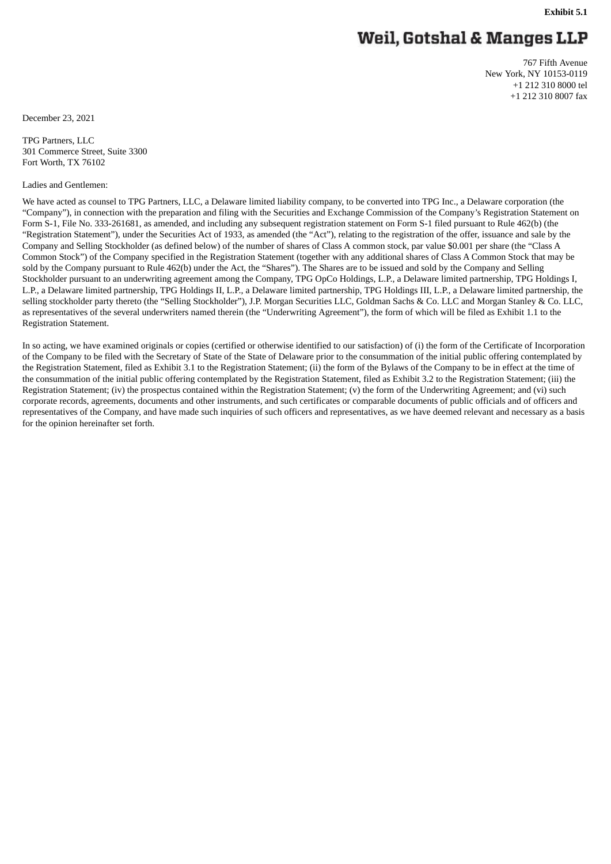# Weil, Gotshal & Manges LLP

767 Fifth Avenue New York, NY 10153-0119 +1 212 310 8000 tel +1 212 310 8007 fax

December 23, 2021

TPG Partners, LLC 301 Commerce Street, Suite 3300 Fort Worth, TX 76102

#### Ladies and Gentlemen:

We have acted as counsel to TPG Partners, LLC, a Delaware limited liability company, to be converted into TPG Inc., a Delaware corporation (the "Company"), in connection with the preparation and filing with the Securities and Exchange Commission of the Company's Registration Statement on Form S-1, File No. 333-261681, as amended, and including any subsequent registration statement on Form S-1 filed pursuant to Rule 462(b) (the "Registration Statement"), under the Securities Act of 1933, as amended (the "Act"), relating to the registration of the offer, issuance and sale by the Company and Selling Stockholder (as defined below) of the number of shares of Class A common stock, par value \$0.001 per share (the "Class A Common Stock") of the Company specified in the Registration Statement (together with any additional shares of Class A Common Stock that may be sold by the Company pursuant to Rule 462(b) under the Act, the "Shares"). The Shares are to be issued and sold by the Company and Selling Stockholder pursuant to an underwriting agreement among the Company, TPG OpCo Holdings, L.P., a Delaware limited partnership, TPG Holdings I, L.P., a Delaware limited partnership, TPG Holdings II, L.P., a Delaware limited partnership, TPG Holdings III, L.P., a Delaware limited partnership, the selling stockholder party thereto (the "Selling Stockholder"), J.P. Morgan Securities LLC, Goldman Sachs & Co. LLC and Morgan Stanley & Co. LLC, as representatives of the several underwriters named therein (the "Underwriting Agreement"), the form of which will be filed as Exhibit 1.1 to the Registration Statement.

In so acting, we have examined originals or copies (certified or otherwise identified to our satisfaction) of (i) the form of the Certificate of Incorporation of the Company to be filed with the Secretary of State of the State of Delaware prior to the consummation of the initial public offering contemplated by the Registration Statement, filed as Exhibit 3.1 to the Registration Statement; (ii) the form of the Bylaws of the Company to be in effect at the time of the consummation of the initial public offering contemplated by the Registration Statement, filed as Exhibit 3.2 to the Registration Statement; (iii) the Registration Statement; (iv) the prospectus contained within the Registration Statement; (v) the form of the Underwriting Agreement; and (vi) such corporate records, agreements, documents and other instruments, and such certificates or comparable documents of public officials and of officers and representatives of the Company, and have made such inquiries of such officers and representatives, as we have deemed relevant and necessary as a basis for the opinion hereinafter set forth.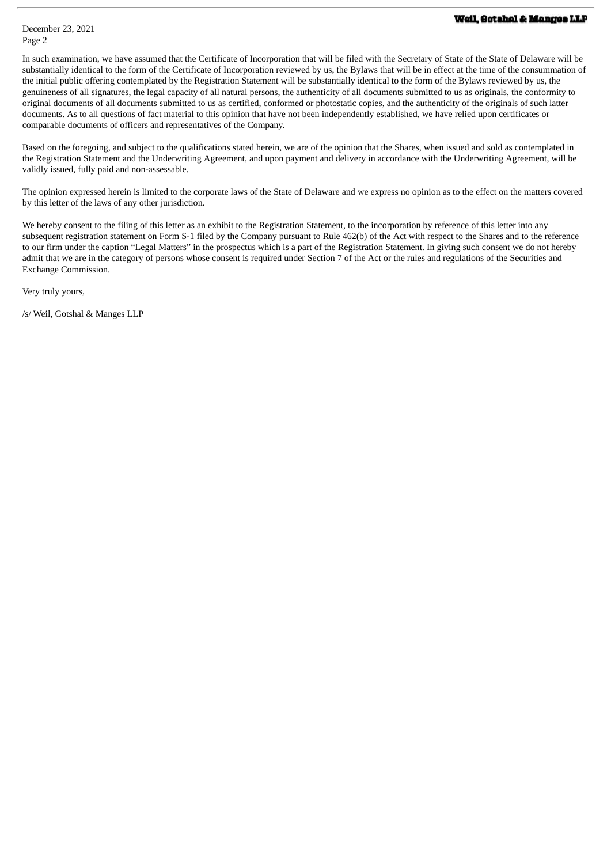In such examination, we have assumed that the Certificate of Incorporation that will be filed with the Secretary of State of the State of Delaware will be substantially identical to the form of the Certificate of Incorporation reviewed by us, the Bylaws that will be in effect at the time of the consummation of the initial public offering contemplated by the Registration Statement will be substantially identical to the form of the Bylaws reviewed by us, the genuineness of all signatures, the legal capacity of all natural persons, the authenticity of all documents submitted to us as originals, the conformity to original documents of all documents submitted to us as certified, conformed or photostatic copies, and the authenticity of the originals of such latter documents. As to all questions of fact material to this opinion that have not been independently established, we have relied upon certificates or comparable documents of officers and representatives of the Company.

Based on the foregoing, and subject to the qualifications stated herein, we are of the opinion that the Shares, when issued and sold as contemplated in the Registration Statement and the Underwriting Agreement, and upon payment and delivery in accordance with the Underwriting Agreement, will be validly issued, fully paid and non-assessable.

The opinion expressed herein is limited to the corporate laws of the State of Delaware and we express no opinion as to the effect on the matters covered by this letter of the laws of any other jurisdiction.

We hereby consent to the filing of this letter as an exhibit to the Registration Statement, to the incorporation by reference of this letter into any subsequent registration statement on Form S-1 filed by the Company pursuant to Rule 462(b) of the Act with respect to the Shares and to the reference to our firm under the caption "Legal Matters" in the prospectus which is a part of the Registration Statement. In giving such consent we do not hereby admit that we are in the category of persons whose consent is required under Section 7 of the Act or the rules and regulations of the Securities and Exchange Commission.

Very truly yours,

/s/ Weil, Gotshal & Manges LLP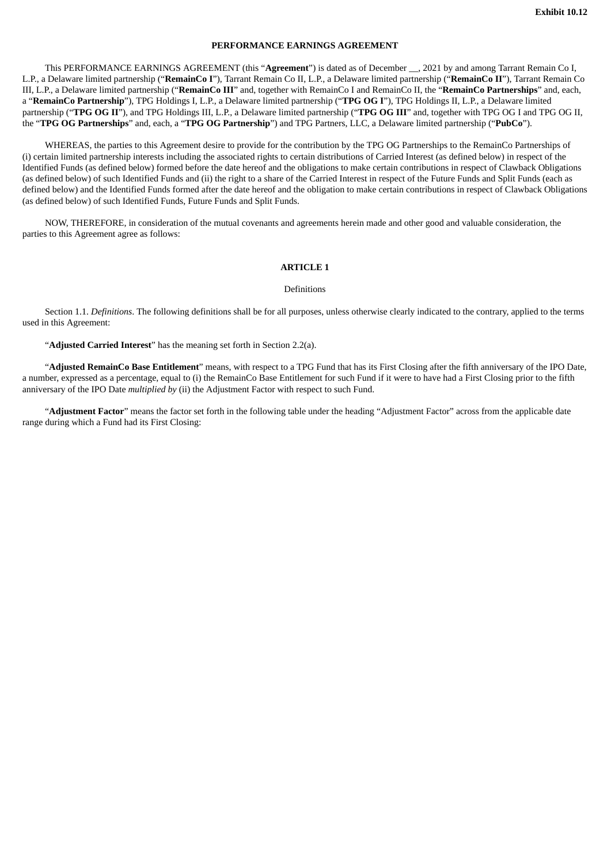#### **PERFORMANCE EARNINGS AGREEMENT**

This PERFORMANCE EARNINGS AGREEMENT (this "**Agreement**") is dated as of December \_\_, 2021 by and among Tarrant Remain Co I, L.P., a Delaware limited partnership ("**RemainCo I**"), Tarrant Remain Co II, L.P., a Delaware limited partnership ("**RemainCo II**"), Tarrant Remain Co III, L.P., a Delaware limited partnership ("**RemainCo III**" and, together with RemainCo I and RemainCo II, the "**RemainCo Partnerships**" and, each, a "**RemainCo Partnership**"), TPG Holdings I, L.P., a Delaware limited partnership ("**TPG OG I**"), TPG Holdings II, L.P., a Delaware limited partnership ("**TPG OG II**"), and TPG Holdings III, L.P., a Delaware limited partnership ("**TPG OG III**" and, together with TPG OG I and TPG OG II, the "**TPG OG Partnerships**" and, each, a "**TPG OG Partnership**") and TPG Partners, LLC, a Delaware limited partnership ("**PubCo**").

WHEREAS, the parties to this Agreement desire to provide for the contribution by the TPG OG Partnerships to the RemainCo Partnerships of (i) certain limited partnership interests including the associated rights to certain distributions of Carried Interest (as defined below) in respect of the Identified Funds (as defined below) formed before the date hereof and the obligations to make certain contributions in respect of Clawback Obligations (as defined below) of such Identified Funds and (ii) the right to a share of the Carried Interest in respect of the Future Funds and Split Funds (each as defined below) and the Identified Funds formed after the date hereof and the obligation to make certain contributions in respect of Clawback Obligations (as defined below) of such Identified Funds, Future Funds and Split Funds.

NOW, THEREFORE, in consideration of the mutual covenants and agreements herein made and other good and valuable consideration, the parties to this Agreement agree as follows:

#### **ARTICLE 1**

#### Definitions

Section 1.1. *Definitions*. The following definitions shall be for all purposes, unless otherwise clearly indicated to the contrary, applied to the terms used in this Agreement:

"**Adjusted Carried Interest**" has the meaning set forth in Section 2.2(a).

"**Adjusted RemainCo Base Entitlement**" means, with respect to a TPG Fund that has its First Closing after the fifth anniversary of the IPO Date, a number, expressed as a percentage, equal to (i) the RemainCo Base Entitlement for such Fund if it were to have had a First Closing prior to the fifth anniversary of the IPO Date *multiplied by* (ii) the Adjustment Factor with respect to such Fund.

"**Adjustment Factor**" means the factor set forth in the following table under the heading "Adjustment Factor" across from the applicable date range during which a Fund had its First Closing: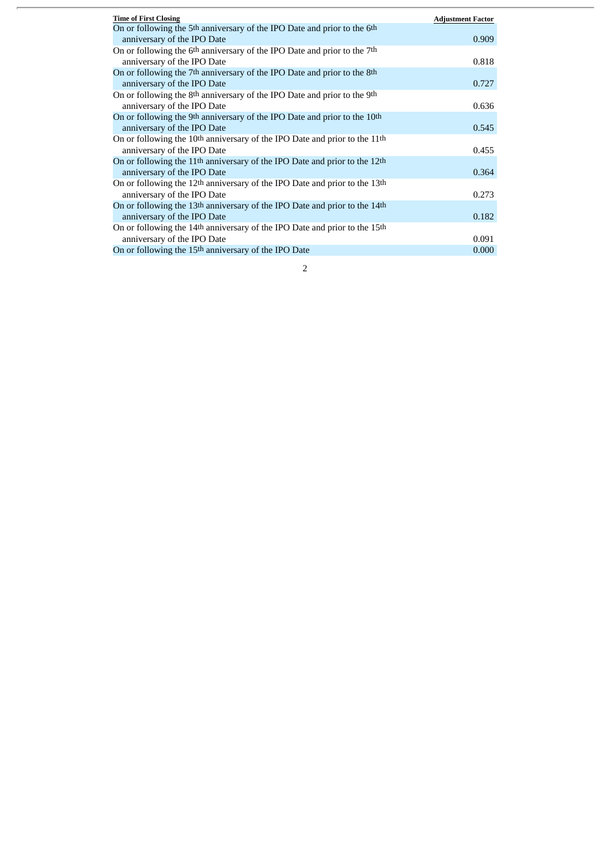| <b>Time of First Closing</b>                                                                       | <b>Adjustment Factor</b> |
|----------------------------------------------------------------------------------------------------|--------------------------|
| On or following the 5 <sup>th</sup> anniversary of the IPO Date and prior to the 6 <sup>th</sup>   |                          |
| anniversary of the IPO Date                                                                        | 0.909                    |
| On or following the 6th anniversary of the IPO Date and prior to the 7th                           |                          |
| anniversary of the IPO Date                                                                        | 0.818                    |
| On or following the 7 <sup>th</sup> anniversary of the IPO Date and prior to the 8 <sup>th</sup>   |                          |
| anniversary of the IPO Date                                                                        | 0.727                    |
| On or following the 8th anniversary of the IPO Date and prior to the 9th                           |                          |
| anniversary of the IPO Date                                                                        | 0.636                    |
| On or following the 9th anniversary of the IPO Date and prior to the 10th                          |                          |
| anniversary of the IPO Date                                                                        | 0.545                    |
| On or following the 10 <sup>th</sup> anniversary of the IPO Date and prior to the 11 <sup>th</sup> |                          |
| anniversary of the IPO Date                                                                        | 0.455                    |
| On or following the 11 <sup>th</sup> anniversary of the IPO Date and prior to the 12 <sup>th</sup> |                          |
| anniversary of the IPO Date                                                                        | 0.364                    |
| On or following the 12 <sup>th</sup> anniversary of the IPO Date and prior to the 13 <sup>th</sup> |                          |
| anniversary of the IPO Date                                                                        | 0.273                    |
| On or following the 13th anniversary of the IPO Date and prior to the 14th                         |                          |
| anniversary of the IPO Date                                                                        | 0.182                    |
| On or following the 14th anniversary of the IPO Date and prior to the 15th                         |                          |
| anniversary of the IPO Date                                                                        | 0.091                    |
| On or following the 15 <sup>th</sup> anniversary of the IPO Date                                   | 0.000                    |

 $\overline{a}$ 

 $\overline{\phantom{a}}$ 

| I |  |
|---|--|
| I |  |
|   |  |
|   |  |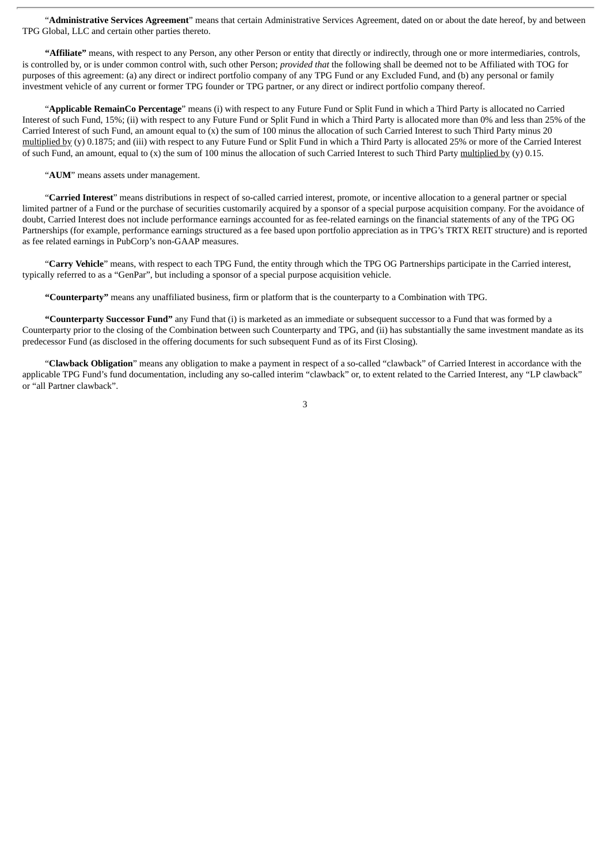"**Administrative Services Agreement**" means that certain Administrative Services Agreement, dated on or about the date hereof, by and between TPG Global, LLC and certain other parties thereto.

**"Affiliate"** means, with respect to any Person, any other Person or entity that directly or indirectly, through one or more intermediaries, controls, is controlled by, or is under common control with, such other Person; *provided that* the following shall be deemed not to be Affiliated with TOG for purposes of this agreement: (a) any direct or indirect portfolio company of any TPG Fund or any Excluded Fund, and (b) any personal or family investment vehicle of any current or former TPG founder or TPG partner, or any direct or indirect portfolio company thereof.

"**Applicable RemainCo Percentage**" means (i) with respect to any Future Fund or Split Fund in which a Third Party is allocated no Carried Interest of such Fund, 15%; (ii) with respect to any Future Fund or Split Fund in which a Third Party is allocated more than 0% and less than 25% of the Carried Interest of such Fund, an amount equal to (x) the sum of 100 minus the allocation of such Carried Interest to such Third Party minus 20 multiplied by (y) 0.1875; and (iii) with respect to any Future Fund or Split Fund in which a Third Party is allocated 25% or more of the Carried Interest of such Fund, an amount, equal to (x) the sum of 100 minus the allocation of such Carried Interest to such Third Party multiplied by (y) 0.15.

"**AUM**" means assets under management.

"**Carried Interest**" means distributions in respect of so-called carried interest, promote, or incentive allocation to a general partner or special limited partner of a Fund or the purchase of securities customarily acquired by a sponsor of a special purpose acquisition company. For the avoidance of doubt, Carried Interest does not include performance earnings accounted for as fee-related earnings on the financial statements of any of the TPG OG Partnerships (for example, performance earnings structured as a fee based upon portfolio appreciation as in TPG's TRTX REIT structure) and is reported as fee related earnings in PubCorp's non-GAAP measures.

"**Carry Vehicle**" means, with respect to each TPG Fund, the entity through which the TPG OG Partnerships participate in the Carried interest, typically referred to as a "GenPar", but including a sponsor of a special purpose acquisition vehicle.

**"Counterparty"** means any unaffiliated business, firm or platform that is the counterparty to a Combination with TPG.

**"Counterparty Successor Fund"** any Fund that (i) is marketed as an immediate or subsequent successor to a Fund that was formed by a Counterparty prior to the closing of the Combination between such Counterparty and TPG, and (ii) has substantially the same investment mandate as its predecessor Fund (as disclosed in the offering documents for such subsequent Fund as of its First Closing).

"**Clawback Obligation**" means any obligation to make a payment in respect of a so-called "clawback" of Carried Interest in accordance with the applicable TPG Fund's fund documentation, including any so-called interim "clawback" or, to extent related to the Carried Interest, any "LP clawback" or "all Partner clawback".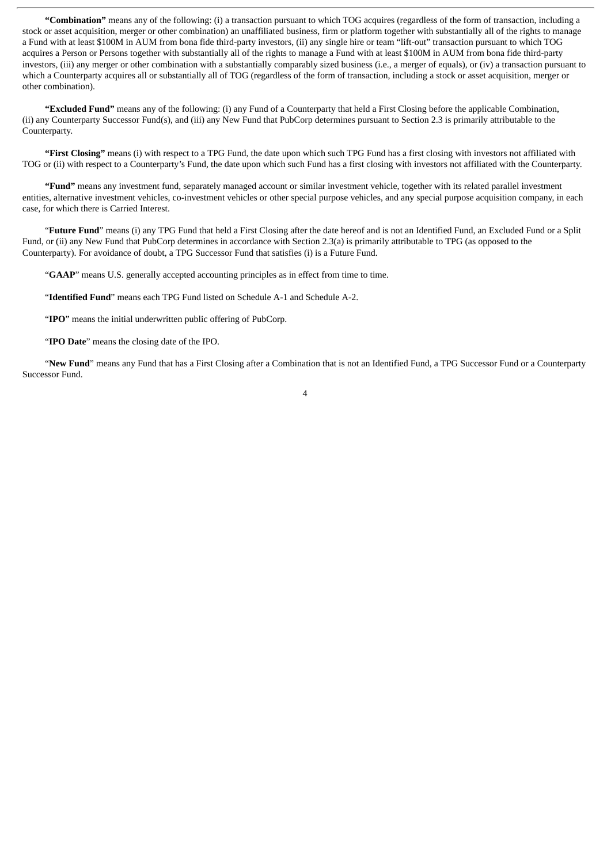**"Combination"** means any of the following: (i) a transaction pursuant to which TOG acquires (regardless of the form of transaction, including a stock or asset acquisition, merger or other combination) an unaffiliated business, firm or platform together with substantially all of the rights to manage a Fund with at least \$100M in AUM from bona fide third-party investors, (ii) any single hire or team "lift-out" transaction pursuant to which TOG acquires a Person or Persons together with substantially all of the rights to manage a Fund with at least \$100M in AUM from bona fide third-party investors, (iii) any merger or other combination with a substantially comparably sized business (i.e., a merger of equals), or (iv) a transaction pursuant to which a Counterparty acquires all or substantially all of TOG (regardless of the form of transaction, including a stock or asset acquisition, merger or other combination).

**"Excluded Fund"** means any of the following: (i) any Fund of a Counterparty that held a First Closing before the applicable Combination, (ii) any Counterparty Successor Fund(s), and (iii) any New Fund that PubCorp determines pursuant to Section 2.3 is primarily attributable to the Counterparty.

**"First Closing"** means (i) with respect to a TPG Fund, the date upon which such TPG Fund has a first closing with investors not affiliated with TOG or (ii) with respect to a Counterparty's Fund, the date upon which such Fund has a first closing with investors not affiliated with the Counterparty.

**"Fund"** means any investment fund, separately managed account or similar investment vehicle, together with its related parallel investment entities, alternative investment vehicles, co-investment vehicles or other special purpose vehicles, and any special purpose acquisition company, in each case, for which there is Carried Interest.

"**Future Fund**" means (i) any TPG Fund that held a First Closing after the date hereof and is not an Identified Fund, an Excluded Fund or a Split Fund, or (ii) any New Fund that PubCorp determines in accordance with Section 2.3(a) is primarily attributable to TPG (as opposed to the Counterparty). For avoidance of doubt, a TPG Successor Fund that satisfies (i) is a Future Fund.

"**GAAP**" means U.S. generally accepted accounting principles as in effect from time to time.

"**Identified Fund**" means each TPG Fund listed on Schedule A-1 and Schedule A-2.

"**IPO**" means the initial underwritten public offering of PubCorp.

"**IPO Date**" means the closing date of the IPO.

"**New Fund**" means any Fund that has a First Closing after a Combination that is not an Identified Fund, a TPG Successor Fund or a Counterparty Successor Fund.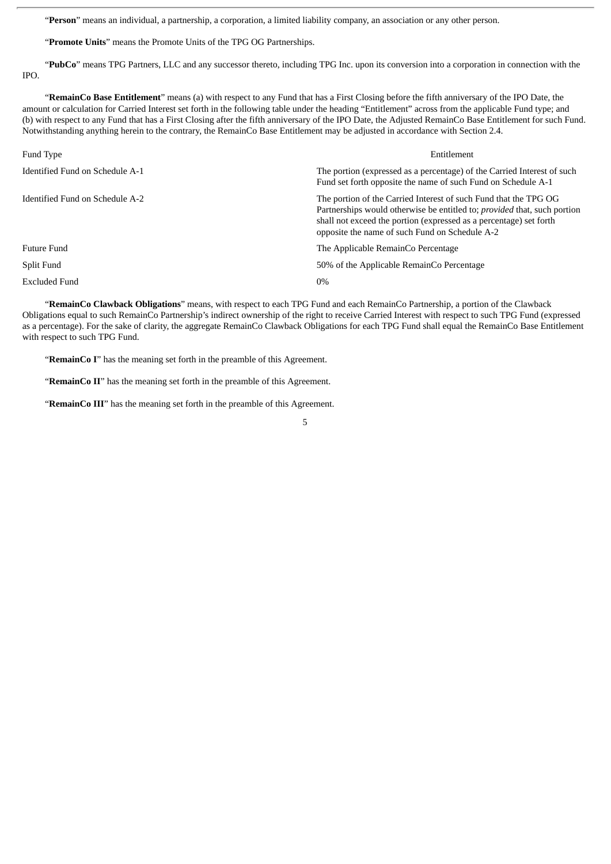"**Person**" means an individual, a partnership, a corporation, a limited liability company, an association or any other person.

"**Promote Units**" means the Promote Units of the TPG OG Partnerships.

"**PubCo**" means TPG Partners, LLC and any successor thereto, including TPG Inc. upon its conversion into a corporation in connection with the IPO.

"**RemainCo Base Entitlement**" means (a) with respect to any Fund that has a First Closing before the fifth anniversary of the IPO Date, the amount or calculation for Carried Interest set forth in the following table under the heading "Entitlement" across from the applicable Fund type; and (b) with respect to any Fund that has a First Closing after the fifth anniversary of the IPO Date, the Adjusted RemainCo Base Entitlement for such Fund. Notwithstanding anything herein to the contrary, the RemainCo Base Entitlement may be adjusted in accordance with Section 2.4.

| Fund Type                       | Entitlement                                                                                                                                                                                                                                                          |
|---------------------------------|----------------------------------------------------------------------------------------------------------------------------------------------------------------------------------------------------------------------------------------------------------------------|
| Identified Fund on Schedule A-1 | The portion (expressed as a percentage) of the Carried Interest of such<br>Fund set forth opposite the name of such Fund on Schedule A-1                                                                                                                             |
| Identified Fund on Schedule A-2 | The portion of the Carried Interest of such Fund that the TPG OG<br>Partnerships would otherwise be entitled to; provided that, such portion<br>shall not exceed the portion (expressed as a percentage) set forth<br>opposite the name of such Fund on Schedule A-2 |
| <b>Future Fund</b>              | The Applicable RemainCo Percentage                                                                                                                                                                                                                                   |
| Split Fund                      | 50% of the Applicable RemainCo Percentage                                                                                                                                                                                                                            |
| Excluded Fund                   | 0%                                                                                                                                                                                                                                                                   |

"**RemainCo Clawback Obligations**" means, with respect to each TPG Fund and each RemainCo Partnership, a portion of the Clawback Obligations equal to such RemainCo Partnership's indirect ownership of the right to receive Carried Interest with respect to such TPG Fund (expressed as a percentage). For the sake of clarity, the aggregate RemainCo Clawback Obligations for each TPG Fund shall equal the RemainCo Base Entitlement with respect to such TPG Fund.

"**RemainCo I**" has the meaning set forth in the preamble of this Agreement.

"**RemainCo II**" has the meaning set forth in the preamble of this Agreement.

"**RemainCo III**" has the meaning set forth in the preamble of this Agreement.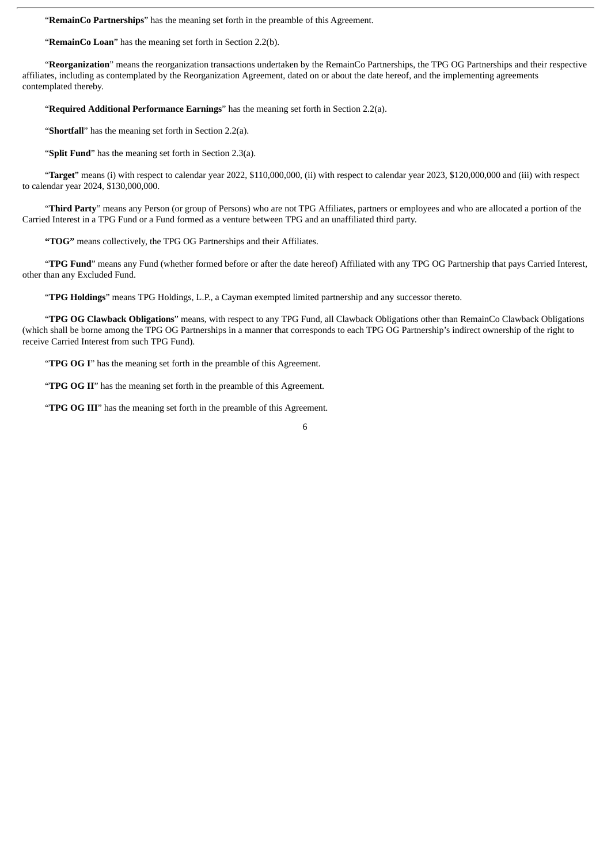"**RemainCo Partnerships**" has the meaning set forth in the preamble of this Agreement.

"**RemainCo Loan**" has the meaning set forth in Section 2.2(b).

"**Reorganization**" means the reorganization transactions undertaken by the RemainCo Partnerships, the TPG OG Partnerships and their respective affiliates, including as contemplated by the Reorganization Agreement, dated on or about the date hereof, and the implementing agreements contemplated thereby.

"**Required Additional Performance Earnings**" has the meaning set forth in Section 2.2(a).

"**Shortfall**" has the meaning set forth in Section 2.2(a).

"**Split Fund**" has the meaning set forth in Section 2.3(a).

"**Target**" means (i) with respect to calendar year 2022, \$110,000,000, (ii) with respect to calendar year 2023, \$120,000,000 and (iii) with respect to calendar year 2024, \$130,000,000.

"**Third Party**" means any Person (or group of Persons) who are not TPG Affiliates, partners or employees and who are allocated a portion of the Carried Interest in a TPG Fund or a Fund formed as a venture between TPG and an unaffiliated third party.

**"TOG"** means collectively, the TPG OG Partnerships and their Affiliates.

"**TPG Fund**" means any Fund (whether formed before or after the date hereof) Affiliated with any TPG OG Partnership that pays Carried Interest, other than any Excluded Fund.

"**TPG Holdings**" means TPG Holdings, L.P., a Cayman exempted limited partnership and any successor thereto.

"**TPG OG Clawback Obligations**" means, with respect to any TPG Fund, all Clawback Obligations other than RemainCo Clawback Obligations (which shall be borne among the TPG OG Partnerships in a manner that corresponds to each TPG OG Partnership's indirect ownership of the right to receive Carried Interest from such TPG Fund).

"**TPG OG I**" has the meaning set forth in the preamble of this Agreement.

"**TPG OG II**" has the meaning set forth in the preamble of this Agreement.

"**TPG OG III**" has the meaning set forth in the preamble of this Agreement.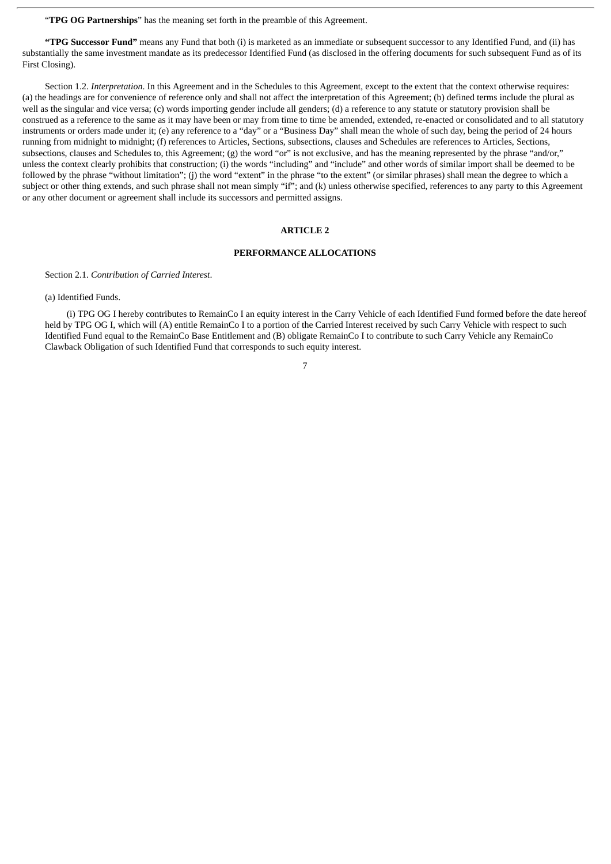"**TPG OG Partnerships**" has the meaning set forth in the preamble of this Agreement.

**"TPG Successor Fund"** means any Fund that both (i) is marketed as an immediate or subsequent successor to any Identified Fund, and (ii) has substantially the same investment mandate as its predecessor Identified Fund (as disclosed in the offering documents for such subsequent Fund as of its First Closing).

Section 1.2. *Interpretation*. In this Agreement and in the Schedules to this Agreement, except to the extent that the context otherwise requires: (a) the headings are for convenience of reference only and shall not affect the interpretation of this Agreement; (b) defined terms include the plural as well as the singular and vice versa; (c) words importing gender include all genders; (d) a reference to any statute or statutory provision shall be construed as a reference to the same as it may have been or may from time to time be amended, extended, re-enacted or consolidated and to all statutory instruments or orders made under it; (e) any reference to a "day" or a "Business Day" shall mean the whole of such day, being the period of 24 hours running from midnight to midnight; (f) references to Articles, Sections, subsections, clauses and Schedules are references to Articles, Sections, subsections, clauses and Schedules to, this Agreement; (g) the word "or" is not exclusive, and has the meaning represented by the phrase "and/or," unless the context clearly prohibits that construction; (i) the words "including" and "include" and other words of similar import shall be deemed to be followed by the phrase "without limitation"; (j) the word "extent" in the phrase "to the extent" (or similar phrases) shall mean the degree to which a subject or other thing extends, and such phrase shall not mean simply "if"; and (k) unless otherwise specified, references to any party to this Agreement or any other document or agreement shall include its successors and permitted assigns.

### **ARTICLE 2**

### **PERFORMANCE ALLOCATIONS**

Section 2.1. *Contribution of Carried Interest*.

(a) Identified Funds.

(i) TPG OG I hereby contributes to RemainCo I an equity interest in the Carry Vehicle of each Identified Fund formed before the date hereof held by TPG OG I, which will (A) entitle RemainCo I to a portion of the Carried Interest received by such Carry Vehicle with respect to such Identified Fund equal to the RemainCo Base Entitlement and (B) obligate RemainCo I to contribute to such Carry Vehicle any RemainCo Clawback Obligation of such Identified Fund that corresponds to such equity interest.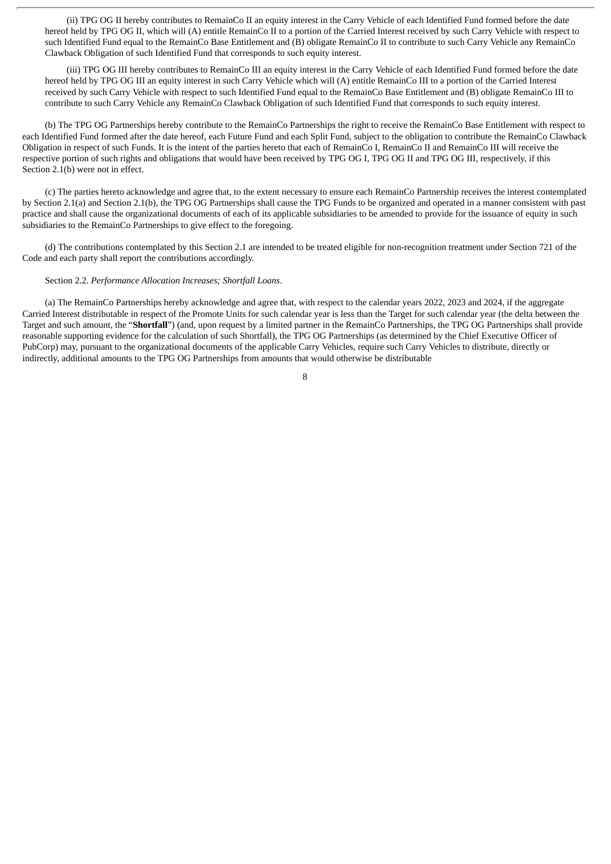(ii) TPG OG II hereby contributes to RemainCo II an equity interest in the Carry Vehicle of each Identified Fund formed before the date hereof held by TPG OG II, which will (A) entitle RemainCo II to a portion of the Carried Interest received by such Carry Vehicle with respect to such Identified Fund equal to the RemainCo Base Entitlement and (B) obligate RemainCo II to contribute to such Carry Vehicle any RemainCo Clawback Obligation of such Identified Fund that corresponds to such equity interest.

(iii) TPG OG III hereby contributes to RemainCo III an equity interest in the Carry Vehicle of each Identified Fund formed before the date hereof held by TPG OG III an equity interest in such Carry Vehicle which will (A) entitle RemainCo III to a portion of the Carried Interest received by such Carry Vehicle with respect to such Identified Fund equal to the RemainCo Base Entitlement and (B) obligate RemainCo III to contribute to such Carry Vehicle any RemainCo Clawback Obligation of such Identified Fund that corresponds to such equity interest.

(b) The TPG OG Partnerships hereby contribute to the RemainCo Partnerships the right to receive the RemainCo Base Entitlement with respect to each Identified Fund formed after the date hereof, each Future Fund and each Split Fund, subject to the obligation to contribute the RemainCo Clawback Obligation in respect of such Funds. It is the intent of the parties hereto that each of RemainCo I, RemainCo II and RemainCo III will receive the respective portion of such rights and obligations that would have been received by TPG OG I, TPG OG II and TPG OG III, respectively, if this Section 2.1(b) were not in effect.

(c) The parties hereto acknowledge and agree that, to the extent necessary to ensure each RemainCo Partnership receives the interest contemplated by Section 2.1(a) and Section 2.1(b), the TPG OG Partnerships shall cause the TPG Funds to be organized and operated in a manner consistent with past practice and shall cause the organizational documents of each of its applicable subsidiaries to be amended to provide for the issuance of equity in such subsidiaries to the RemainCo Partnerships to give effect to the foregoing.

(d) The contributions contemplated by this Section 2.1 are intended to be treated eligible for non-recognition treatment under Section 721 of the Code and each party shall report the contributions accordingly.

### Section 2.2. *Performance Allocation Increases; Shortfall Loans*.

(a) The RemainCo Partnerships hereby acknowledge and agree that, with respect to the calendar years 2022, 2023 and 2024, if the aggregate Carried Interest distributable in respect of the Promote Units for such calendar year is less than the Target for such calendar year (the delta between the Target and such amount, the "**Shortfall**") (and, upon request by a limited partner in the RemainCo Partnerships, the TPG OG Partnerships shall provide reasonable supporting evidence for the calculation of such Shortfall), the TPG OG Partnerships (as determined by the Chief Executive Officer of PubCorp) may, pursuant to the organizational documents of the applicable Carry Vehicles, require such Carry Vehicles to distribute, directly or indirectly, additional amounts to the TPG OG Partnerships from amounts that would otherwise be distributable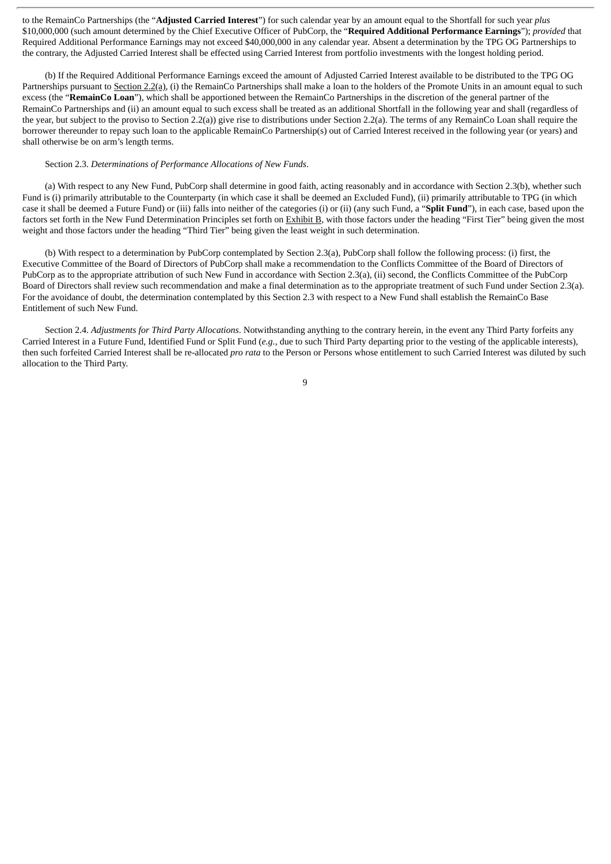to the RemainCo Partnerships (the "**Adjusted Carried Interest**") for such calendar year by an amount equal to the Shortfall for such year *plus* \$10,000,000 (such amount determined by the Chief Executive Officer of PubCorp, the "**Required Additional Performance Earnings**"); *provided* that Required Additional Performance Earnings may not exceed \$40,000,000 in any calendar year. Absent a determination by the TPG OG Partnerships to the contrary, the Adjusted Carried Interest shall be effected using Carried Interest from portfolio investments with the longest holding period.

(b) If the Required Additional Performance Earnings exceed the amount of Adjusted Carried Interest available to be distributed to the TPG OG Partnerships pursuant to Section 2.2(a), (i) the RemainCo Partnerships shall make a loan to the holders of the Promote Units in an amount equal to such excess (the "**RemainCo Loan**"), which shall be apportioned between the RemainCo Partnerships in the discretion of the general partner of the RemainCo Partnerships and (ii) an amount equal to such excess shall be treated as an additional Shortfall in the following year and shall (regardless of the year, but subject to the proviso to Section 2.2(a)) give rise to distributions under Section 2.2(a). The terms of any RemainCo Loan shall require the borrower thereunder to repay such loan to the applicable RemainCo Partnership(s) out of Carried Interest received in the following year (or years) and shall otherwise be on arm's length terms.

# Section 2.3. *Determinations of Performance Allocations of New Funds*.

(a) With respect to any New Fund, PubCorp shall determine in good faith, acting reasonably and in accordance with Section 2.3(b), whether such Fund is (i) primarily attributable to the Counterparty (in which case it shall be deemed an Excluded Fund), (ii) primarily attributable to TPG (in which case it shall be deemed a Future Fund) or (iii) falls into neither of the categories (i) or (ii) (any such Fund, a "**Split Fund**"), in each case, based upon the factors set forth in the New Fund Determination Principles set forth on Exhibit B, with those factors under the heading "First Tier" being given the most weight and those factors under the heading "Third Tier" being given the least weight in such determination.

(b) With respect to a determination by PubCorp contemplated by Section 2.3(a), PubCorp shall follow the following process: (i) first, the Executive Committee of the Board of Directors of PubCorp shall make a recommendation to the Conflicts Committee of the Board of Directors of PubCorp as to the appropriate attribution of such New Fund in accordance with Section 2.3(a), (ii) second, the Conflicts Committee of the PubCorp Board of Directors shall review such recommendation and make a final determination as to the appropriate treatment of such Fund under Section 2.3(a). For the avoidance of doubt, the determination contemplated by this Section 2.3 with respect to a New Fund shall establish the RemainCo Base Entitlement of such New Fund.

Section 2.4. *Adjustments for Third Party Allocations*. Notwithstanding anything to the contrary herein, in the event any Third Party forfeits any Carried Interest in a Future Fund, Identified Fund or Split Fund (*e.g.*, due to such Third Party departing prior to the vesting of the applicable interests), then such forfeited Carried Interest shall be re-allocated *pro rata* to the Person or Persons whose entitlement to such Carried Interest was diluted by such allocation to the Third Party.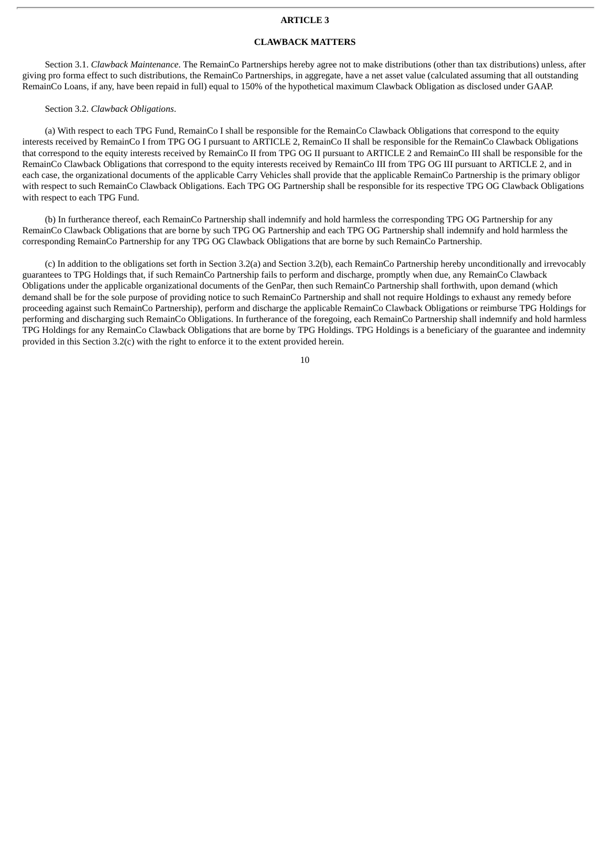### **ARTICLE 3**

### **CLAWBACK MATTERS**

Section 3.1. *Clawback Maintenance*. The RemainCo Partnerships hereby agree not to make distributions (other than tax distributions) unless, after giving pro forma effect to such distributions, the RemainCo Partnerships, in aggregate, have a net asset value (calculated assuming that all outstanding RemainCo Loans, if any, have been repaid in full) equal to 150% of the hypothetical maximum Clawback Obligation as disclosed under GAAP.

### Section 3.2. *Clawback Obligations*.

(a) With respect to each TPG Fund, RemainCo I shall be responsible for the RemainCo Clawback Obligations that correspond to the equity interests received by RemainCo I from TPG OG I pursuant to ARTICLE 2, RemainCo II shall be responsible for the RemainCo Clawback Obligations that correspond to the equity interests received by RemainCo II from TPG OG II pursuant to ARTICLE 2 and RemainCo III shall be responsible for the RemainCo Clawback Obligations that correspond to the equity interests received by RemainCo III from TPG OG III pursuant to ARTICLE 2, and in each case, the organizational documents of the applicable Carry Vehicles shall provide that the applicable RemainCo Partnership is the primary obligor with respect to such RemainCo Clawback Obligations. Each TPG OG Partnership shall be responsible for its respective TPG OG Clawback Obligations with respect to each TPG Fund.

(b) In furtherance thereof, each RemainCo Partnership shall indemnify and hold harmless the corresponding TPG OG Partnership for any RemainCo Clawback Obligations that are borne by such TPG OG Partnership and each TPG OG Partnership shall indemnify and hold harmless the corresponding RemainCo Partnership for any TPG OG Clawback Obligations that are borne by such RemainCo Partnership.

(c) In addition to the obligations set forth in Section 3.2(a) and Section 3.2(b), each RemainCo Partnership hereby unconditionally and irrevocably guarantees to TPG Holdings that, if such RemainCo Partnership fails to perform and discharge, promptly when due, any RemainCo Clawback Obligations under the applicable organizational documents of the GenPar, then such RemainCo Partnership shall forthwith, upon demand (which demand shall be for the sole purpose of providing notice to such RemainCo Partnership and shall not require Holdings to exhaust any remedy before proceeding against such RemainCo Partnership), perform and discharge the applicable RemainCo Clawback Obligations or reimburse TPG Holdings for performing and discharging such RemainCo Obligations. In furtherance of the foregoing, each RemainCo Partnership shall indemnify and hold harmless TPG Holdings for any RemainCo Clawback Obligations that are borne by TPG Holdings. TPG Holdings is a beneficiary of the guarantee and indemnity provided in this Section 3.2(c) with the right to enforce it to the extent provided herein.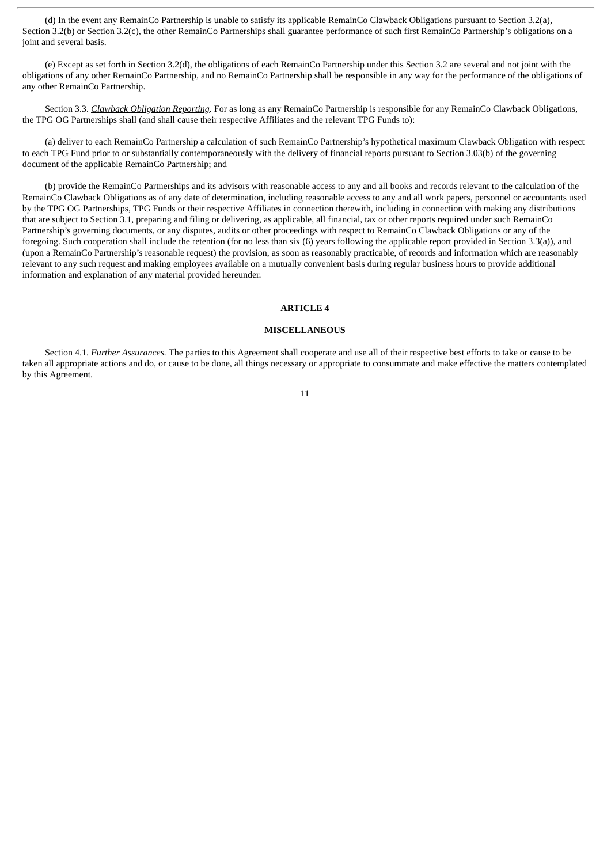(d) In the event any RemainCo Partnership is unable to satisfy its applicable RemainCo Clawback Obligations pursuant to Section 3.2(a), Section 3.2(b) or Section 3.2(c), the other RemainCo Partnerships shall guarantee performance of such first RemainCo Partnership's obligations on a joint and several basis.

(e) Except as set forth in Section 3.2(d), the obligations of each RemainCo Partnership under this Section 3.2 are several and not joint with the obligations of any other RemainCo Partnership, and no RemainCo Partnership shall be responsible in any way for the performance of the obligations of any other RemainCo Partnership.

Section 3.3. *Clawback Obligation Reporting*. For as long as any RemainCo Partnership is responsible for any RemainCo Clawback Obligations, the TPG OG Partnerships shall (and shall cause their respective Affiliates and the relevant TPG Funds to):

(a) deliver to each RemainCo Partnership a calculation of such RemainCo Partnership's hypothetical maximum Clawback Obligation with respect to each TPG Fund prior to or substantially contemporaneously with the delivery of financial reports pursuant to Section 3.03(b) of the governing document of the applicable RemainCo Partnership; and

(b) provide the RemainCo Partnerships and its advisors with reasonable access to any and all books and records relevant to the calculation of the RemainCo Clawback Obligations as of any date of determination, including reasonable access to any and all work papers, personnel or accountants used by the TPG OG Partnerships, TPG Funds or their respective Affiliates in connection therewith, including in connection with making any distributions that are subject to Section 3.1, preparing and filing or delivering, as applicable, all financial, tax or other reports required under such RemainCo Partnership's governing documents, or any disputes, audits or other proceedings with respect to RemainCo Clawback Obligations or any of the foregoing. Such cooperation shall include the retention (for no less than six (6) years following the applicable report provided in Section 3.3(a)), and (upon a RemainCo Partnership's reasonable request) the provision, as soon as reasonably practicable, of records and information which are reasonably relevant to any such request and making employees available on a mutually convenient basis during regular business hours to provide additional information and explanation of any material provided hereunder.

### **ARTICLE 4**

#### **MISCELLANEOUS**

Section 4.1. *Further Assurances.* The parties to this Agreement shall cooperate and use all of their respective best efforts to take or cause to be taken all appropriate actions and do, or cause to be done, all things necessary or appropriate to consummate and make effective the matters contemplated by this Agreement.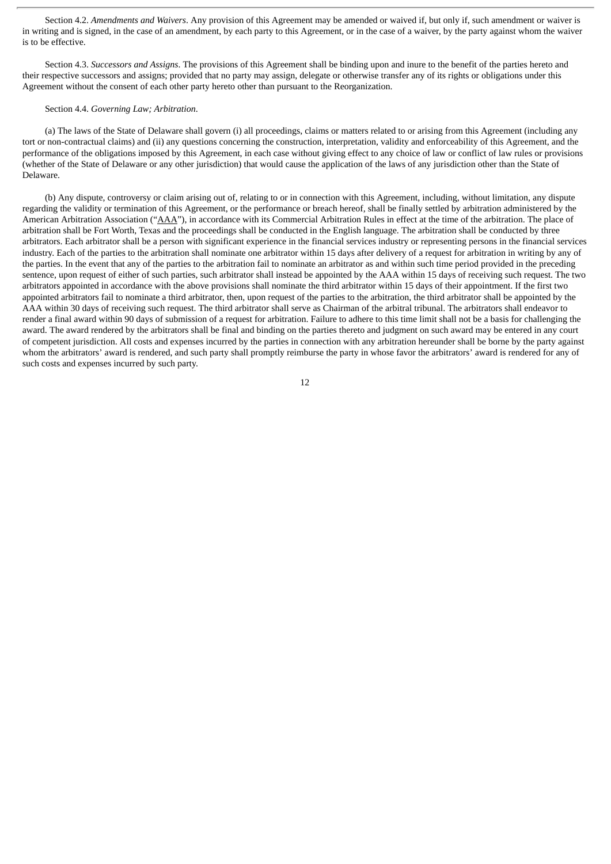Section 4.2. *Amendments and Waivers*. Any provision of this Agreement may be amended or waived if, but only if, such amendment or waiver is in writing and is signed, in the case of an amendment, by each party to this Agreement, or in the case of a waiver, by the party against whom the waiver is to be effective.

Section 4.3. *Successors and Assigns*. The provisions of this Agreement shall be binding upon and inure to the benefit of the parties hereto and their respective successors and assigns; provided that no party may assign, delegate or otherwise transfer any of its rights or obligations under this Agreement without the consent of each other party hereto other than pursuant to the Reorganization.

### Section 4.4. *Governing Law; Arbitration*.

(a) The laws of the State of Delaware shall govern (i) all proceedings, claims or matters related to or arising from this Agreement (including any tort or non-contractual claims) and (ii) any questions concerning the construction, interpretation, validity and enforceability of this Agreement, and the performance of the obligations imposed by this Agreement, in each case without giving effect to any choice of law or conflict of law rules or provisions (whether of the State of Delaware or any other jurisdiction) that would cause the application of the laws of any jurisdiction other than the State of Delaware.

(b) Any dispute, controversy or claim arising out of, relating to or in connection with this Agreement, including, without limitation, any dispute regarding the validity or termination of this Agreement, or the performance or breach hereof, shall be finally settled by arbitration administered by the American Arbitration Association ("AAA"), in accordance with its Commercial Arbitration Rules in effect at the time of the arbitration. The place of arbitration shall be Fort Worth, Texas and the proceedings shall be conducted in the English language. The arbitration shall be conducted by three arbitrators. Each arbitrator shall be a person with significant experience in the financial services industry or representing persons in the financial services industry. Each of the parties to the arbitration shall nominate one arbitrator within 15 days after delivery of a request for arbitration in writing by any of the parties. In the event that any of the parties to the arbitration fail to nominate an arbitrator as and within such time period provided in the preceding sentence, upon request of either of such parties, such arbitrator shall instead be appointed by the AAA within 15 days of receiving such request. The two arbitrators appointed in accordance with the above provisions shall nominate the third arbitrator within 15 days of their appointment. If the first two appointed arbitrators fail to nominate a third arbitrator, then, upon request of the parties to the arbitration, the third arbitrator shall be appointed by the AAA within 30 days of receiving such request. The third arbitrator shall serve as Chairman of the arbitral tribunal. The arbitrators shall endeavor to render a final award within 90 days of submission of a request for arbitration. Failure to adhere to this time limit shall not be a basis for challenging the award. The award rendered by the arbitrators shall be final and binding on the parties thereto and judgment on such award may be entered in any court of competent jurisdiction. All costs and expenses incurred by the parties in connection with any arbitration hereunder shall be borne by the party against whom the arbitrators' award is rendered, and such party shall promptly reimburse the party in whose favor the arbitrators' award is rendered for any of such costs and expenses incurred by such party.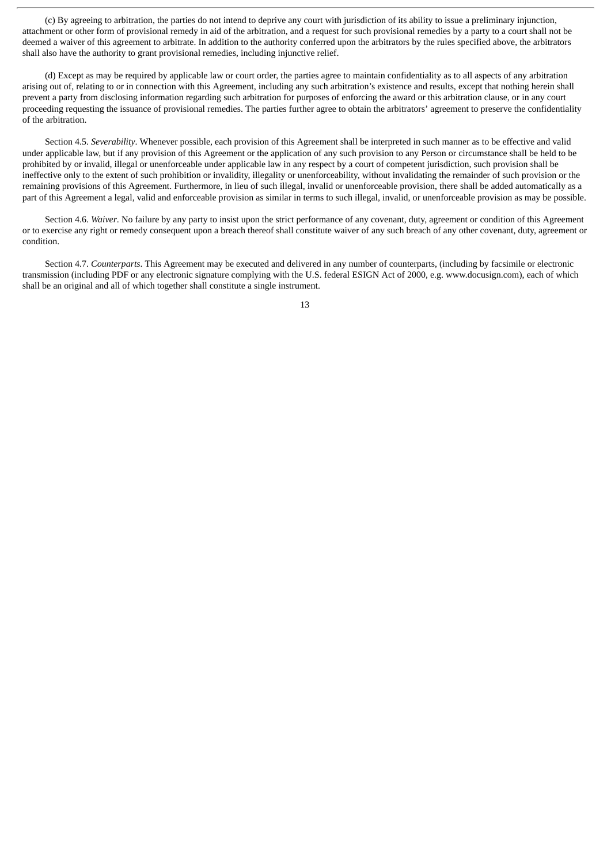(c) By agreeing to arbitration, the parties do not intend to deprive any court with jurisdiction of its ability to issue a preliminary injunction, attachment or other form of provisional remedy in aid of the arbitration, and a request for such provisional remedies by a party to a court shall not be deemed a waiver of this agreement to arbitrate. In addition to the authority conferred upon the arbitrators by the rules specified above, the arbitrators shall also have the authority to grant provisional remedies, including injunctive relief.

(d) Except as may be required by applicable law or court order, the parties agree to maintain confidentiality as to all aspects of any arbitration arising out of, relating to or in connection with this Agreement, including any such arbitration's existence and results, except that nothing herein shall prevent a party from disclosing information regarding such arbitration for purposes of enforcing the award or this arbitration clause, or in any court proceeding requesting the issuance of provisional remedies. The parties further agree to obtain the arbitrators' agreement to preserve the confidentiality of the arbitration.

Section 4.5. *Severability*. Whenever possible, each provision of this Agreement shall be interpreted in such manner as to be effective and valid under applicable law, but if any provision of this Agreement or the application of any such provision to any Person or circumstance shall be held to be prohibited by or invalid, illegal or unenforceable under applicable law in any respect by a court of competent jurisdiction, such provision shall be ineffective only to the extent of such prohibition or invalidity, illegality or unenforceability, without invalidating the remainder of such provision or the remaining provisions of this Agreement. Furthermore, in lieu of such illegal, invalid or unenforceable provision, there shall be added automatically as a part of this Agreement a legal, valid and enforceable provision as similar in terms to such illegal, invalid, or unenforceable provision as may be possible.

Section 4.6. *Waiver*. No failure by any party to insist upon the strict performance of any covenant, duty, agreement or condition of this Agreement or to exercise any right or remedy consequent upon a breach thereof shall constitute waiver of any such breach of any other covenant, duty, agreement or condition.

Section 4.7. *Counterparts*. This Agreement may be executed and delivered in any number of counterparts, (including by facsimile or electronic transmission (including PDF or any electronic signature complying with the U.S. federal ESIGN Act of 2000, e.g. www.docusign.com), each of which shall be an original and all of which together shall constitute a single instrument.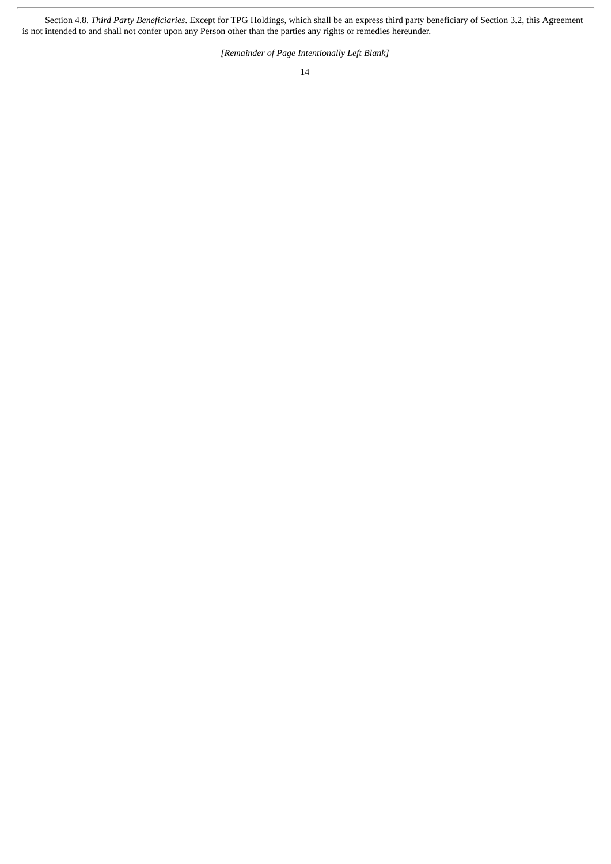Section 4.8. *Third Party Beneficiaries*. Except for TPG Holdings, which shall be an express third party beneficiary of Section 3.2, this Agreement is not intended to and shall not confer upon any Person other than the parties any rights or remedies hereunder.

*[Remainder of Page Intentionally Left Blank]*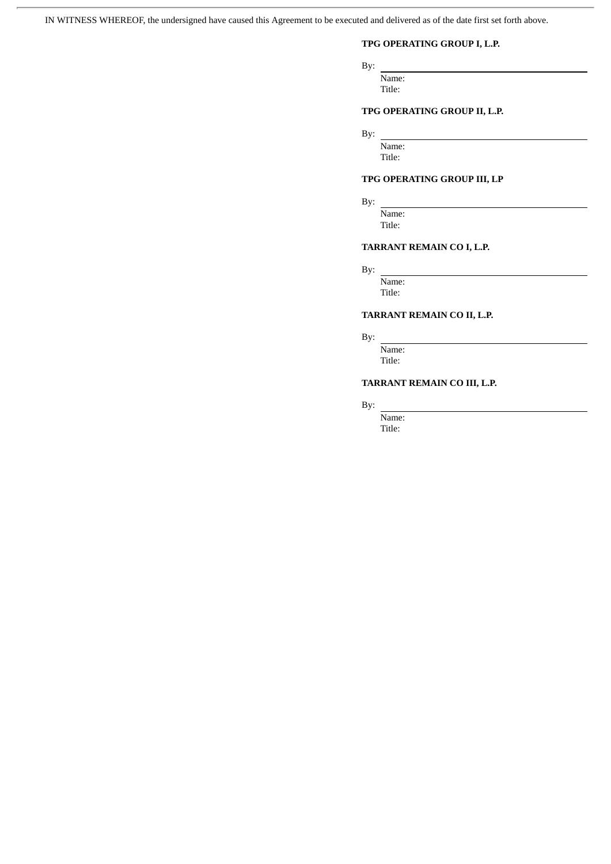IN WITNESS WHEREOF, the undersigned have caused this Agreement to be executed and delivered as of the date first set forth above.

# **TPG OPERATING GROUP I, L.P.**

By:

Name:

Title:

# **TPG OPERATING GROUP II, L.P.**

By:

Name: Title:

# **TPG OPERATING GROUP III, LP**

By:

Name: Title:

# **TARRANT REMAIN CO I, L.P.**

By:

Name: Title:

# **TARRANT REMAIN CO II, L.P.**

By:

Name: Title:

# **TARRANT REMAIN CO III, L.P.**

By:

Name: Title: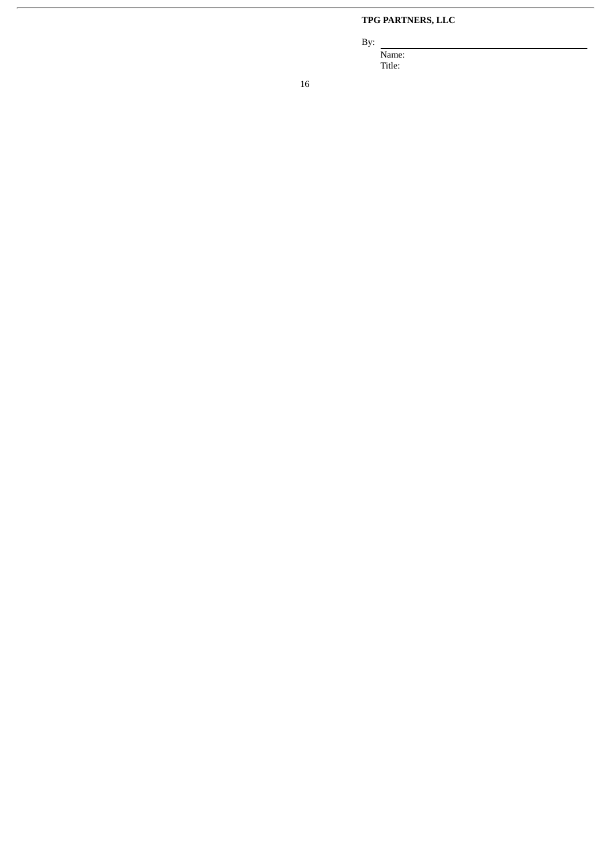# **TPG PARTNERS, LLC**

By:

Name: Title: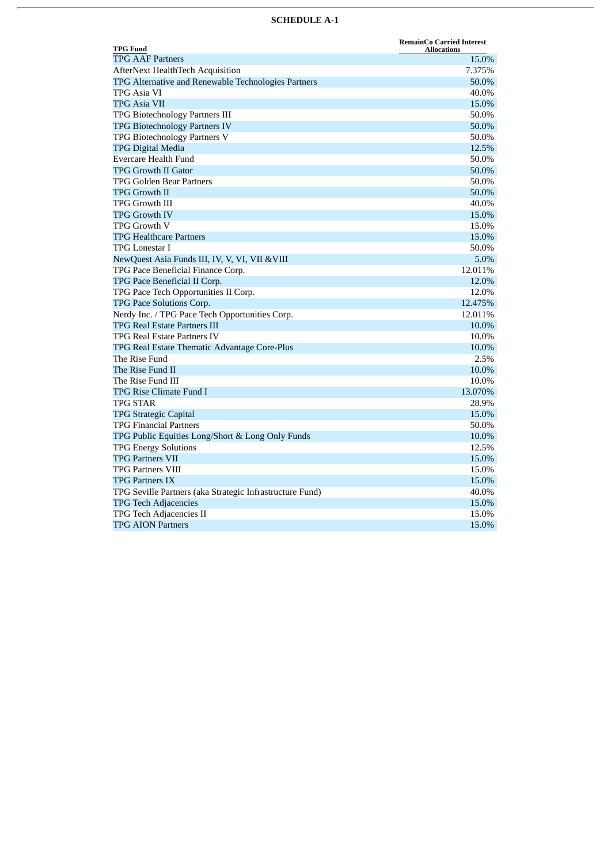# **SCHEDULE A-1**

| <b>TPG Fund</b>                                          | <b>RemainCo Carried Interest</b><br><b>Allocations</b> |
|----------------------------------------------------------|--------------------------------------------------------|
| <b>TPG AAF Partners</b>                                  | 15.0%                                                  |
| <b>AfterNext HealthTech Acquisition</b>                  | 7.375%                                                 |
| TPG Alternative and Renewable Technologies Partners      | 50.0%                                                  |
| TPG Asia VI                                              | 40.0%                                                  |
| <b>TPG Asia VII</b>                                      | 15.0%                                                  |
| TPG Biotechnology Partners III                           | 50.0%                                                  |
| <b>TPG Biotechnology Partners IV</b>                     | 50.0%                                                  |
| TPG Biotechnology Partners V                             | 50.0%                                                  |
| <b>TPG Digital Media</b>                                 | 12.5%                                                  |
| Evercare Health Fund                                     | 50.0%                                                  |
| <b>TPG Growth II Gator</b>                               | 50.0%                                                  |
| TPG Golden Bear Partners                                 | 50.0%                                                  |
| <b>TPG Growth II</b>                                     | 50.0%                                                  |
| <b>TPG Growth III</b>                                    | 40.0%                                                  |
| <b>TPG Growth IV</b>                                     | 15.0%                                                  |
| <b>TPG Growth V</b>                                      | 15.0%                                                  |
| <b>TPG Healthcare Partners</b>                           | 15.0%                                                  |
| <b>TPG Lonestar I</b>                                    | 50.0%                                                  |
| NewQuest Asia Funds III, IV, V, VI, VII & VIII           | 5.0%                                                   |
| TPG Pace Beneficial Finance Corp.                        | 12.011%                                                |
| TPG Pace Beneficial II Corp.                             | 12.0%                                                  |
| TPG Pace Tech Opportunities II Corp.                     | 12.0%                                                  |
| TPG Pace Solutions Corp.                                 | 12.475%                                                |
| Nerdy Inc. / TPG Pace Tech Opportunities Corp.           | 12.011%                                                |
| <b>TPG Real Estate Partners III</b>                      | 10.0%                                                  |
| <b>TPG Real Estate Partners IV</b>                       | 10.0%                                                  |
| TPG Real Estate Thematic Advantage Core-Plus             | 10.0%                                                  |
| The Rise Fund                                            | 2.5%                                                   |
| The Rise Fund II                                         | 10.0%                                                  |
| The Rise Fund III                                        | 10.0%                                                  |
| TPG Rise Climate Fund I                                  | 13.070%                                                |
| <b>TPG STAR</b>                                          | 28.9%                                                  |
| <b>TPG Strategic Capital</b>                             | 15.0%                                                  |
| <b>TPG Financial Partners</b>                            | 50.0%                                                  |
| TPG Public Equities Long/Short & Long Only Funds         | 10.0%                                                  |
| <b>TPG Energy Solutions</b>                              | 12.5%                                                  |
| <b>TPG Partners VII</b>                                  | 15.0%                                                  |
| <b>TPG Partners VIII</b>                                 | 15.0%                                                  |
| <b>TPG Partners IX</b>                                   | 15.0%                                                  |
| TPG Seville Partners (aka Strategic Infrastructure Fund) | 40.0%                                                  |
| <b>TPG Tech Adjacencies</b>                              | 15.0%                                                  |
| TPG Tech Adjacencies II                                  | 15.0%                                                  |
| <b>TPG AION Partners</b>                                 | 15.0%                                                  |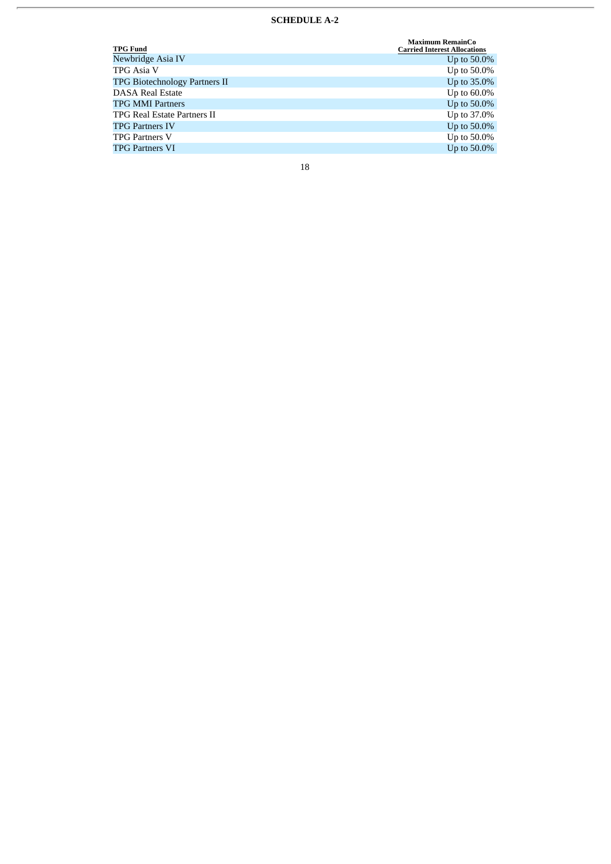# **SCHEDULE A-2**

| <b>TPG Fund</b>                      | <b>Maximum RemainCo</b><br><b>Carried Interest Allocations</b> |
|--------------------------------------|----------------------------------------------------------------|
| Newbridge Asia IV                    | Up to $50.0\%$                                                 |
| TPG Asia V                           | Up to 50.0%                                                    |
| <b>TPG Biotechnology Partners II</b> | Up to 35.0%                                                    |
| <b>DASA Real Estate</b>              | Up to $60.0\%$                                                 |
| <b>TPG MMI Partners</b>              | Up to 50.0%                                                    |
| <b>TPG Real Estate Partners II</b>   | Up to 37.0%                                                    |
| <b>TPG Partners IV</b>               | Up to 50.0%                                                    |
| <b>TPG Partners V</b>                | Up to 50.0%                                                    |
| <b>TPG Partners VI</b>               | Up to 50.0%                                                    |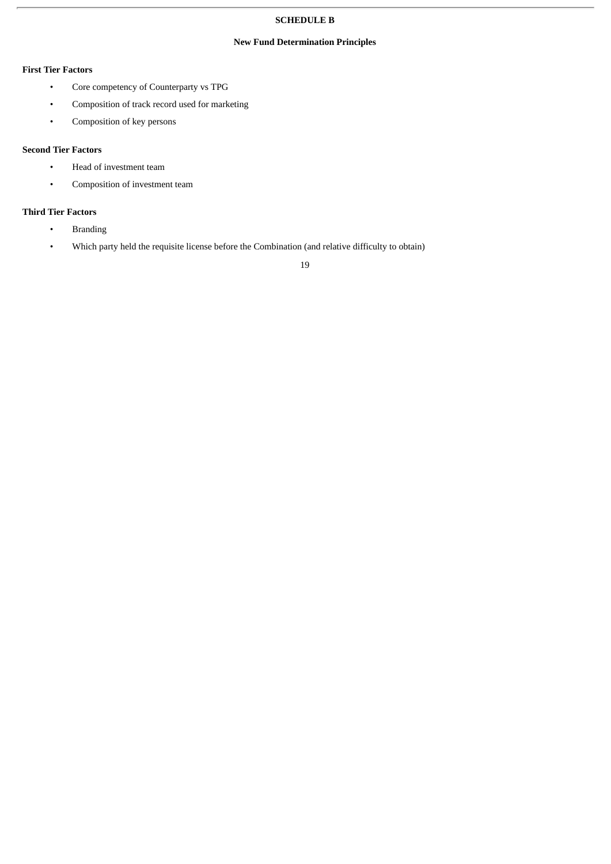# **SCHEDULE B**

# **New Fund Determination Principles**

# **First Tier Factors**

- Core competency of Counterparty vs TPG
- Composition of track record used for marketing
- Composition of key persons

# **Second Tier Factors**

- Head of investment team
- Composition of investment team

# **Third Tier Factors**

- Branding
- Which party held the requisite license before the Combination (and relative difficulty to obtain)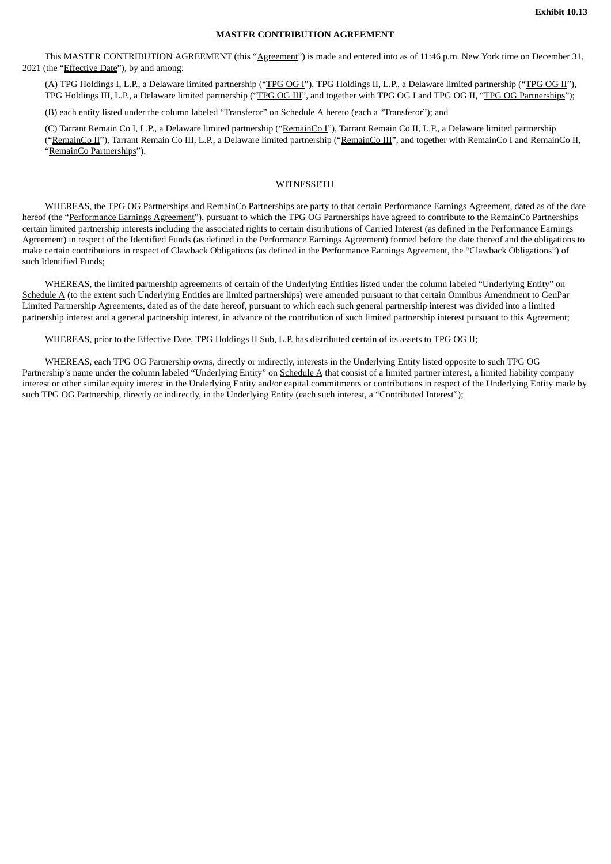# **MASTER CONTRIBUTION AGREEMENT**

This MASTER CONTRIBUTION AGREEMENT (this "Agreement") is made and entered into as of 11:46 p.m. New York time on December 31, 2021 (the "*Effective Date*"), by and among:

(A) TPG Holdings I, L.P., a Delaware limited partnership ("TPG OG I"), TPG Holdings II, L.P., a Delaware limited partnership ("TPG OG II"), TPG Holdings III, L.P., a Delaware limited partnership ("TPG OG III", and together with TPG OG I and TPG OG II, "TPG OG Partnerships");

(B) each entity listed under the column labeled "Transferor" on Schedule A hereto (each a "Transferor"); and

(C) Tarrant Remain Co I, L.P., a Delaware limited partnership ("RemainCo I"), Tarrant Remain Co II, L.P., a Delaware limited partnership ("RemainCo II"), Tarrant Remain Co III, L.P., a Delaware limited partnership ("RemainCo III", and together with RemainCo I and RemainCo II, "RemainCo Partnerships").

### WITNESSETH

WHEREAS, the TPG OG Partnerships and RemainCo Partnerships are party to that certain Performance Earnings Agreement, dated as of the date hereof (the "Performance Earnings Agreement"), pursuant to which the TPG OG Partnerships have agreed to contribute to the RemainCo Partnerships certain limited partnership interests including the associated rights to certain distributions of Carried Interest (as defined in the Performance Earnings Agreement) in respect of the Identified Funds (as defined in the Performance Earnings Agreement) formed before the date thereof and the obligations to make certain contributions in respect of Clawback Obligations (as defined in the Performance Earnings Agreement, the "Clawback Obligations") of such Identified Funds;

WHEREAS, the limited partnership agreements of certain of the Underlying Entities listed under the column labeled "Underlying Entity" on Schedule A (to the extent such Underlying Entities are limited partnerships) were amended pursuant to that certain Omnibus Amendment to GenPar Limited Partnership Agreements, dated as of the date hereof, pursuant to which each such general partnership interest was divided into a limited partnership interest and a general partnership interest, in advance of the contribution of such limited partnership interest pursuant to this Agreement;

WHEREAS, prior to the Effective Date, TPG Holdings II Sub, L.P. has distributed certain of its assets to TPG OG II;

WHEREAS, each TPG OG Partnership owns, directly or indirectly, interests in the Underlying Entity listed opposite to such TPG OG Partnership's name under the column labeled "Underlying Entity" on Schedule A that consist of a limited partner interest, a limited liability company interest or other similar equity interest in the Underlying Entity and/or capital commitments or contributions in respect of the Underlying Entity made by such TPG OG Partnership, directly or indirectly, in the Underlying Entity (each such interest, a "Contributed Interest");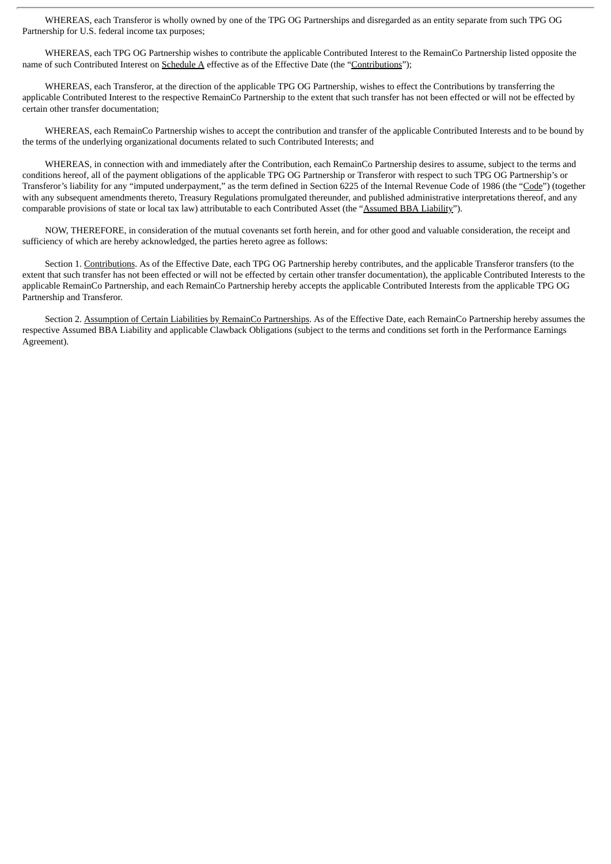WHEREAS, each Transferor is wholly owned by one of the TPG OG Partnerships and disregarded as an entity separate from such TPG OG Partnership for U.S. federal income tax purposes;

WHEREAS, each TPG OG Partnership wishes to contribute the applicable Contributed Interest to the RemainCo Partnership listed opposite the name of such Contributed Interest on Schedule A effective as of the Effective Date (the "Contributions");

WHEREAS, each Transferor, at the direction of the applicable TPG OG Partnership, wishes to effect the Contributions by transferring the applicable Contributed Interest to the respective RemainCo Partnership to the extent that such transfer has not been effected or will not be effected by certain other transfer documentation;

WHEREAS, each RemainCo Partnership wishes to accept the contribution and transfer of the applicable Contributed Interests and to be bound by the terms of the underlying organizational documents related to such Contributed Interests; and

WHEREAS, in connection with and immediately after the Contribution, each RemainCo Partnership desires to assume, subject to the terms and conditions hereof, all of the payment obligations of the applicable TPG OG Partnership or Transferor with respect to such TPG OG Partnership's or Transferor's liability for any "imputed underpayment," as the term defined in Section 6225 of the Internal Revenue Code of 1986 (the "Code") (together with any subsequent amendments thereto, Treasury Regulations promulgated thereunder, and published administrative interpretations thereof, and any comparable provisions of state or local tax law) attributable to each Contributed Asset (the "Assumed BBA Liability").

NOW, THEREFORE, in consideration of the mutual covenants set forth herein, and for other good and valuable consideration, the receipt and sufficiency of which are hereby acknowledged, the parties hereto agree as follows:

Section 1. Contributions. As of the Effective Date, each TPG OG Partnership hereby contributes, and the applicable Transferor transfers (to the extent that such transfer has not been effected or will not be effected by certain other transfer documentation), the applicable Contributed Interests to the applicable RemainCo Partnership, and each RemainCo Partnership hereby accepts the applicable Contributed Interests from the applicable TPG OG Partnership and Transferor.

Section 2. Assumption of Certain Liabilities by RemainCo Partnerships. As of the Effective Date, each RemainCo Partnership hereby assumes the respective Assumed BBA Liability and applicable Clawback Obligations (subject to the terms and conditions set forth in the Performance Earnings Agreement).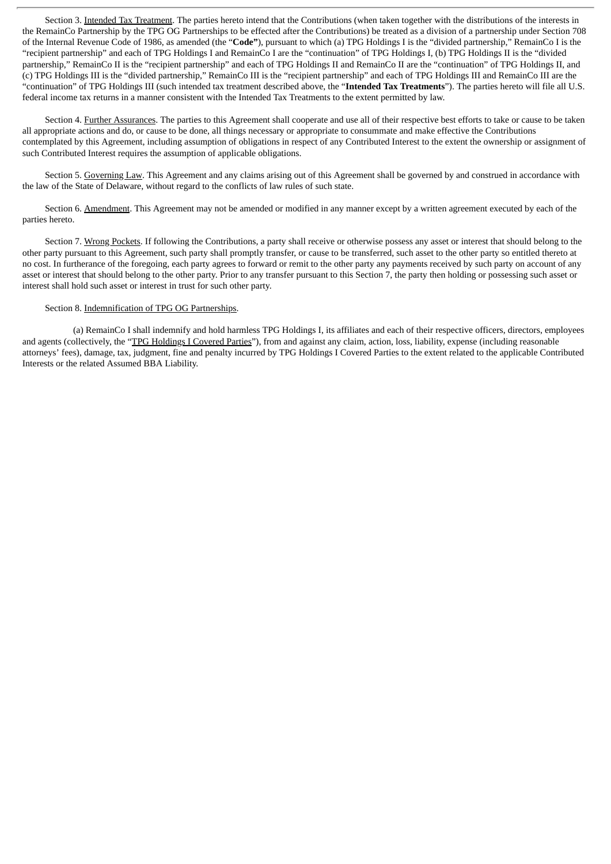Section 3. Intended Tax Treatment. The parties hereto intend that the Contributions (when taken together with the distributions of the interests in the RemainCo Partnership by the TPG OG Partnerships to be effected after the Contributions) be treated as a division of a partnership under Section 708 of the Internal Revenue Code of 1986, as amended (the "**Code"**), pursuant to which (a) TPG Holdings I is the "divided partnership," RemainCo I is the "recipient partnership" and each of TPG Holdings I and RemainCo I are the "continuation" of TPG Holdings I, (b) TPG Holdings II is the "divided partnership," RemainCo II is the "recipient partnership" and each of TPG Holdings II and RemainCo II are the "continuation" of TPG Holdings II, and (c) TPG Holdings III is the "divided partnership," RemainCo III is the "recipient partnership" and each of TPG Holdings III and RemainCo III are the "continuation" of TPG Holdings III (such intended tax treatment described above, the "**Intended Tax Treatments**"). The parties hereto will file all U.S. federal income tax returns in a manner consistent with the Intended Tax Treatments to the extent permitted by law.

Section 4. Further Assurances. The parties to this Agreement shall cooperate and use all of their respective best efforts to take or cause to be taken all appropriate actions and do, or cause to be done, all things necessary or appropriate to consummate and make effective the Contributions contemplated by this Agreement, including assumption of obligations in respect of any Contributed Interest to the extent the ownership or assignment of such Contributed Interest requires the assumption of applicable obligations.

Section 5. Governing Law. This Agreement and any claims arising out of this Agreement shall be governed by and construed in accordance with the law of the State of Delaware, without regard to the conflicts of law rules of such state.

Section 6. Amendment. This Agreement may not be amended or modified in any manner except by a written agreement executed by each of the parties hereto.

Section 7. Wrong Pockets. If following the Contributions, a party shall receive or otherwise possess any asset or interest that should belong to the other party pursuant to this Agreement, such party shall promptly transfer, or cause to be transferred, such asset to the other party so entitled thereto at no cost. In furtherance of the foregoing, each party agrees to forward or remit to the other party any payments received by such party on account of any asset or interest that should belong to the other party. Prior to any transfer pursuant to this Section 7, the party then holding or possessing such asset or interest shall hold such asset or interest in trust for such other party.

# Section 8. Indemnification of TPG OG Partnerships.

(a) RemainCo I shall indemnify and hold harmless TPG Holdings I, its affiliates and each of their respective officers, directors, employees and agents (collectively, the "TPG Holdings I Covered Parties"), from and against any claim, action, loss, liability, expense (including reasonable attorneys' fees), damage, tax, judgment, fine and penalty incurred by TPG Holdings I Covered Parties to the extent related to the applicable Contributed Interests or the related Assumed BBA Liability.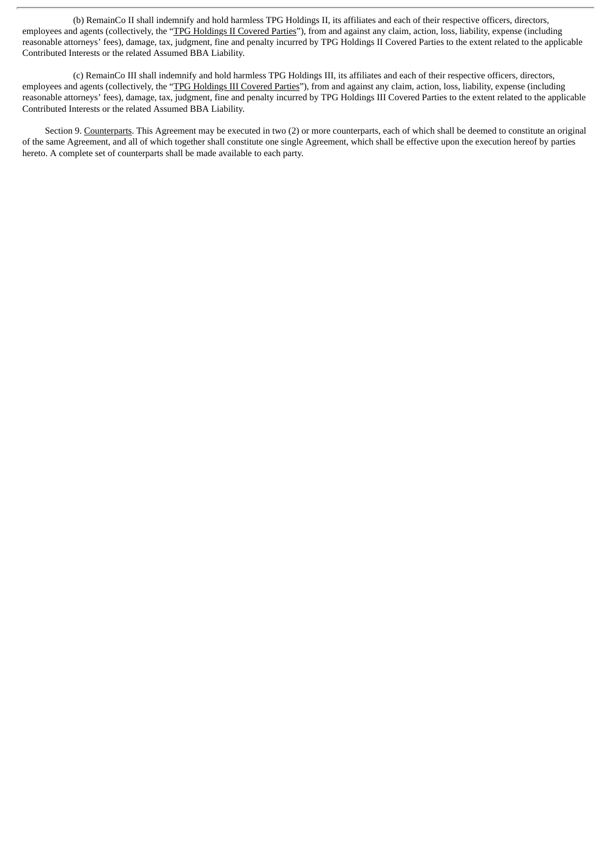(b) RemainCo II shall indemnify and hold harmless TPG Holdings II, its affiliates and each of their respective officers, directors, employees and agents (collectively, the "TPG Holdings II Covered Parties"), from and against any claim, action, loss, liability, expense (including reasonable attorneys' fees), damage, tax, judgment, fine and penalty incurred by TPG Holdings II Covered Parties to the extent related to the applicable Contributed Interests or the related Assumed BBA Liability.

(c) RemainCo III shall indemnify and hold harmless TPG Holdings III, its affiliates and each of their respective officers, directors, employees and agents (collectively, the "TPG Holdings III Covered Parties"), from and against any claim, action, loss, liability, expense (including reasonable attorneys' fees), damage, tax, judgment, fine and penalty incurred by TPG Holdings III Covered Parties to the extent related to the applicable Contributed Interests or the related Assumed BBA Liability.

Section 9. Counterparts. This Agreement may be executed in two (2) or more counterparts, each of which shall be deemed to constitute an original of the same Agreement, and all of which together shall constitute one single Agreement, which shall be effective upon the execution hereof by parties hereto. A complete set of counterparts shall be made available to each party.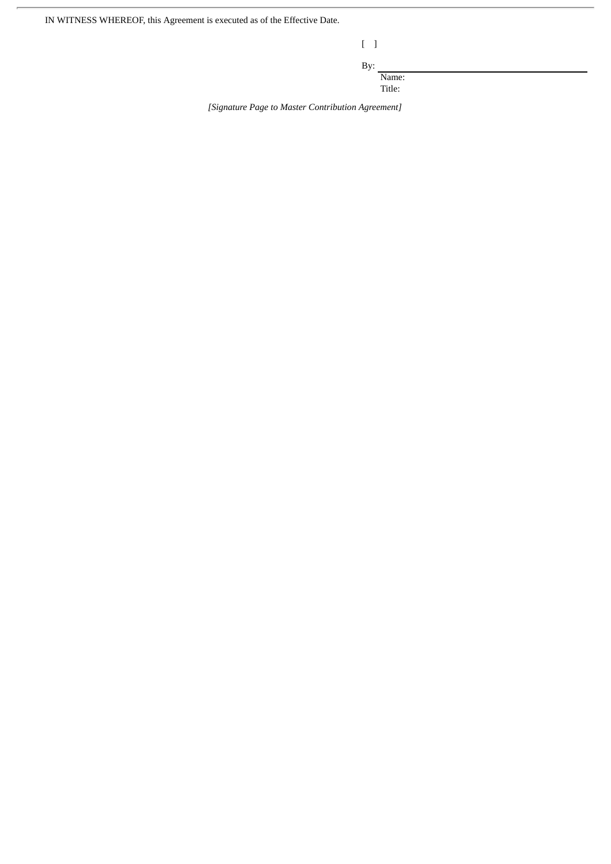IN WITNESS WHEREOF, this Agreement is executed as of the Effective Date.

| ł |  |
|---|--|

By:

Name:

Title:

*[Signature Page to Master Contribution Agreement]*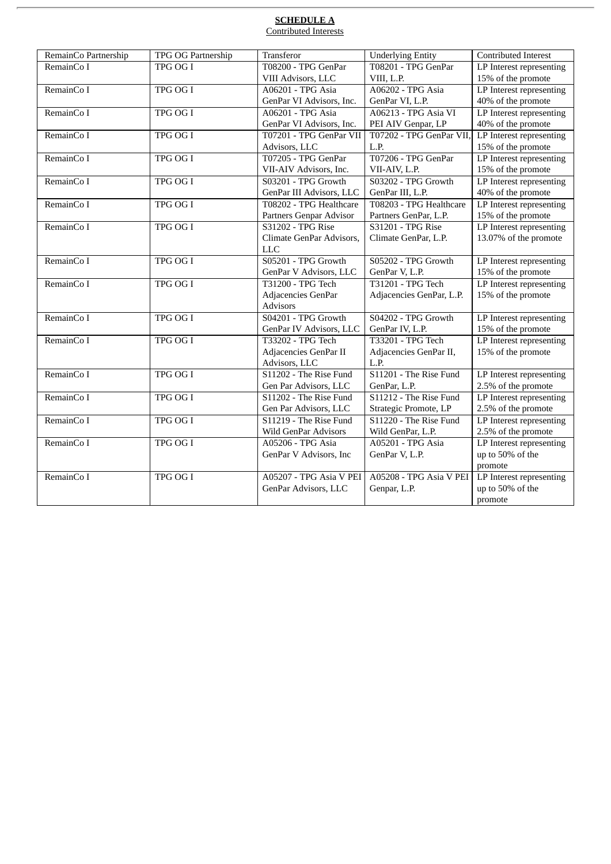# **SCHEDULE A** Contributed Interests

| RemainCo Partnership | TPG OG Partnership | Transferor                  | <b>Underlying Entity</b>    | Contributed Interest     |
|----------------------|--------------------|-----------------------------|-----------------------------|--------------------------|
| RemainCo I           | <b>TPG OG I</b>    | T08200 - TPG GenPar         | T08201 - TPG GenPar         | LP Interest representing |
|                      |                    | VIII Advisors, LLC          | VIII, L.P.                  | 15% of the promote       |
| RemainCo I           | TPG OG I           | A06201 - TPG Asia           | A06202 - TPG Asia           | LP Interest representing |
|                      |                    | GenPar VI Advisors, Inc.    | GenPar VI, L.P.             | 40% of the promote       |
| RemainCo I           | TPG OG I           | A06201 - TPG Asia           | <b>A06213 - TPG Asia VI</b> | LP Interest representing |
|                      |                    | GenPar VI Advisors, Inc.    | PEI AIV Genpar, LP          | 40% of the promote       |
| RemainCo I           | TPG OG I           | T07201 - TPG GenPar VII     | T07202 - TPG GenPar VII,    | LP Interest representing |
|                      |                    | Advisors, LLC               | L.P.                        | 15% of the promote       |
| RemainCo I           | TPG OG I           | T07205 - TPG GenPar         | T07206 - TPG GenPar         | LP Interest representing |
|                      |                    | VII-AIV Advisors, Inc.      | VII-AIV, L.P.               | 15% of the promote       |
| RemainCo I           | TPG OG I           | S03201 - TPG Growth         | S03202 - TPG Growth         | LP Interest representing |
|                      |                    | GenPar III Advisors, LLC    | GenPar III, L.P.            | 40% of the promote       |
| RemainCo I           | <b>TPG OG I</b>    | T08202 - TPG Healthcare     | T08203 - TPG Healthcare     | LP Interest representing |
|                      |                    | Partners Genpar Advisor     | Partners GenPar, L.P.       | 15% of the promote       |
| RemainCo I           | TPG OG I           | S31202 - TPG Rise           | S31201 - TPG Rise           | LP Interest representing |
|                      |                    | Climate GenPar Advisors,    | Climate GenPar, L.P.        | 13.07% of the promote    |
|                      |                    | <b>LLC</b>                  |                             |                          |
| RemainCo I           | <b>TPG OG I</b>    | S05201 - TPG Growth         | S05202 - TPG Growth         | LP Interest representing |
|                      |                    | GenPar V Advisors, LLC      | GenPar V, L.P.              | 15% of the promote       |
| RemainCo I           | TPG OG I           | T31200 - TPG Tech           | T31201 - TPG Tech           | LP Interest representing |
|                      |                    | Adjacencies GenPar          | Adjacencies GenPar, L.P.    | 15% of the promote       |
|                      |                    | <b>Advisors</b>             |                             |                          |
| RemainCo I           | TPG OG I           | S04201 - TPG Growth         | S04202 - TPG Growth         | LP Interest representing |
|                      |                    | GenPar IV Advisors, LLC     | GenPar IV, L.P.             | 15% of the promote       |
| RemainCo I           | TPG OG I           | T33202 - TPG Tech           | T33201 - TPG Tech           | LP Interest representing |
|                      |                    | Adjacencies GenPar II       | Adjacencies GenPar II,      | 15% of the promote       |
|                      |                    | Advisors, LLC               | L.P.                        |                          |
| RemainCo I           | <b>TPG OG I</b>    | S11202 - The Rise Fund      | S11201 - The Rise Fund      | LP Interest representing |
|                      |                    | Gen Par Advisors, LLC       | GenPar, L.P.                | 2.5% of the promote      |
| RemainCo I           | TPG OG I           | S11202 - The Rise Fund      | S11212 - The Rise Fund      | LP Interest representing |
|                      |                    | Gen Par Advisors, LLC       | Strategic Promote, LP       | 2.5% of the promote      |
| RemainCo I           | TPG OG I           | S11219 - The Rise Fund      | S11220 - The Rise Fund      | LP Interest representing |
|                      |                    | <b>Wild GenPar Advisors</b> | Wild GenPar, L.P.           | 2.5% of the promote      |
| RemainCo I           | <b>TPG OG I</b>    | A05206 - TPG Asia           | A05201 - TPG Asia           | LP Interest representing |
|                      |                    | GenPar V Advisors, Inc      | GenPar V, L.P.              | up to 50% of the         |
|                      |                    |                             |                             | promote                  |
| RemainCo I           | TPG OG I           | A05207 - TPG Asia V PEI     | A05208 - TPG Asia V PEI     | LP Interest representing |
|                      |                    | GenPar Advisors, LLC        | Genpar, L.P.                | up to 50% of the         |
|                      |                    |                             |                             | promote                  |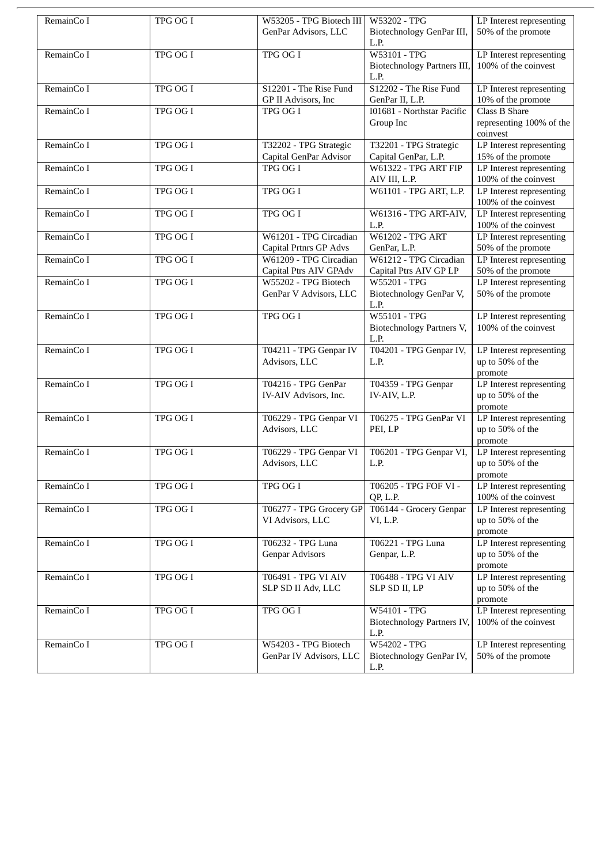| RemainCo I | TPG OG I        | W53205 - TPG Biotech III                                | W53202 - TPG                                                     | LP Interest representing                                |
|------------|-----------------|---------------------------------------------------------|------------------------------------------------------------------|---------------------------------------------------------|
|            |                 | GenPar Advisors, LLC                                    | Biotechnology GenPar III,<br>L.P.                                | 50% of the promote                                      |
| RemainCo I | TPG OG I        | TPG OG I                                                | W53101 - TPG<br>Biotechnology Partners III,<br>L.P.              | LP Interest representing<br>100% of the coinvest        |
| RemainCo I | TPG OG I        | S12201 - The Rise Fund<br>GP II Advisors, Inc           | S12202 - The Rise Fund<br>GenPar II, L.P.                        | LP Interest representing<br>10% of the promote          |
| RemainCo I | TPG OG I        | TPG OG I                                                | 101681 - Northstar Pacific<br>Group Inc                          | Class B Share<br>representing 100% of the<br>coinvest   |
| RemainCo I | TPG OG I        | T32202 - TPG Strategic<br>Capital GenPar Advisor        | T32201 - TPG Strategic<br>Capital GenPar, L.P.                   | LP Interest representing<br>15% of the promote          |
| RemainCo I | TPG OG I        | TPG OG I                                                | <b>W61322 - TPG ART FIP</b><br>AIV III, L.P.                     | LP Interest representing<br>100% of the coinvest        |
| RemainCo I | TPG OG I        | TPG OG I                                                | W61101 - TPG ART, L.P.                                           | LP Interest representing<br>100% of the coinvest        |
| RemainCo I | <b>TPG OG I</b> | <b>TPG OG I</b>                                         | W61316 - TPG ART-AIV,<br>L.P.                                    | LP Interest representing<br>100% of the coinvest        |
| RemainCo I | TPG OG I        | W61201 - TPG Circadian<br><b>Capital Prtnrs GP Advs</b> | <b>W61202 - TPG ART</b><br>GenPar, L.P.                          | LP Interest representing<br>50% of the promote          |
| RemainCo I | <b>TPG OG I</b> | W61209 - TPG Circadian<br>Capital Ptrs AIV GPAdv        | W61212 - TPG Circadian<br>Capital Ptrs AIV GP LP                 | LP Interest representing<br>50% of the promote          |
| RemainCo I | TPG OG I        | W55202 - TPG Biotech<br>GenPar V Advisors, LLC          | W55201 - TPG<br>Biotechnology GenPar V,<br>L.P.                  | LP Interest representing<br>50% of the promote          |
| RemainCo I | TPG OG I        | TPG OG I                                                | W55101 - TPG<br>Biotechnology Partners V,<br>L.P.                | LP Interest representing<br>100% of the coinvest        |
| RemainCo I | TPG OG I        | T04211 - TPG Genpar IV<br>Advisors, LLC                 | T04201 - TPG Genpar IV,<br>L.P.                                  | LP Interest representing<br>up to 50% of the<br>promote |
| RemainCo I | <b>TPG OG I</b> | T04216 - TPG GenPar<br>IV-AIV Advisors, Inc.            | T04359 - TPG Genpar<br>IV-AIV, L.P.                              | LP Interest representing<br>up to 50% of the<br>promote |
| RemainCo I | TPG OG I        | T06229 - TPG Genpar VI<br>Advisors, LLC                 | T06275 - TPG GenPar VI<br>PEI, LP                                | LP Interest representing<br>up to 50% of the<br>promote |
| RemainCo I | TPG OG I        | T06229 - TPG Genpar VI<br>Advisors, LLC                 | T06201 - TPG Genpar VI,<br>L.P.                                  | LP Interest representing<br>up to 50% of the<br>promote |
| RemainCo I | TPG OG I        | TPG OG I                                                | T06205 - TPG FOF VI -<br>QP, L.P.                                | LP Interest representing<br>100% of the coinvest        |
| RemainCo I | TPG OG I        | T06277 - TPG Grocery GP<br>VI Advisors, LLC             | T06144 - Grocery Genpar<br>VI, L.P.                              | LP Interest representing<br>up to 50% of the<br>promote |
| RemainCo I | TPG OG I        | T06232 - TPG Luna<br><b>Genpar Advisors</b>             | T06221 - TPG Luna<br>Genpar, L.P.                                | LP Interest representing<br>up to 50% of the<br>promote |
| RemainCo I | TPG OG I        | <b>T06491 - TPG VI AIV</b><br>SLP SD II Adv, LLC        | T06488 - TPG VI AIV<br>SLP SD II, LP                             | LP Interest representing<br>up to 50% of the<br>promote |
| RemainCo I | TPG OG I        | <b>TPG OG I</b>                                         | <b>W54101 - TPG</b><br><b>Biotechnology Partners IV,</b><br>L.P. | LP Interest representing<br>100% of the coinvest        |
| RemainCo I | TPG OG I        | W54203 - TPG Biotech<br>GenPar IV Advisors, LLC         | W54202 - TPG<br>Biotechnology GenPar IV,<br>L.P.                 | LP Interest representing<br>50% of the promote          |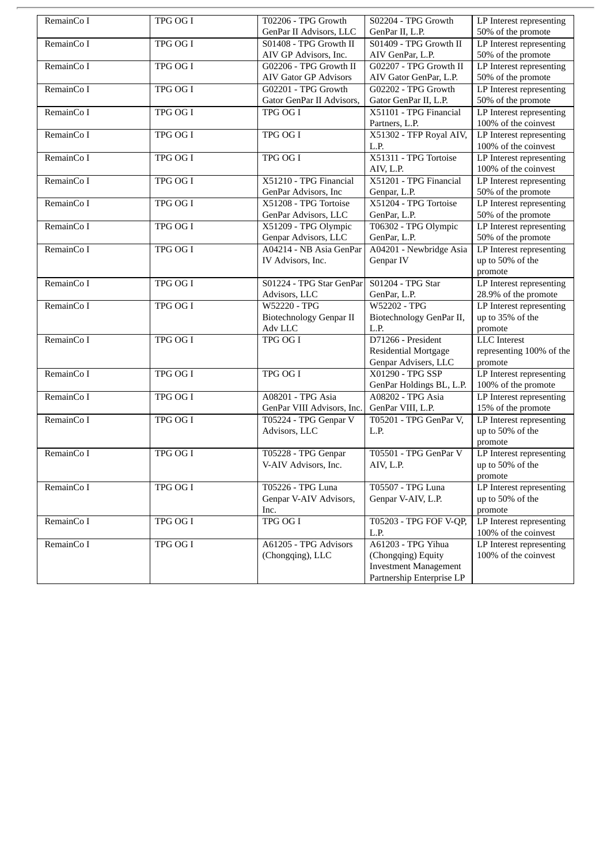| RemainCo I | TPG OG I        | T02206 - TPG Growth            | S02204 - TPG Growth          | LP Interest representing |
|------------|-----------------|--------------------------------|------------------------------|--------------------------|
|            |                 | GenPar II Advisors, LLC        | GenPar II, L.P.              | 50% of the promote       |
| RemainCo I | <b>TPG OG I</b> | S01408 - TPG Growth II         | S01409 - TPG Growth II       | LP Interest representing |
|            |                 | AIV GP Advisors, Inc.          | AIV GenPar, L.P.             | 50% of the promote       |
| RemainCo I | TPG OG I        | G02206 - TPG Growth II         | G02207 - TPG Growth II       | LP Interest representing |
|            |                 | <b>AIV Gator GP Advisors</b>   | AIV Gator GenPar, L.P.       | 50% of the promote       |
| RemainCo I | TPG OG I        | G02201 - TPG Growth            | G02202 - TPG Growth          | LP Interest representing |
|            |                 | Gator GenPar II Advisors,      | Gator GenPar II, L.P.        | 50% of the promote       |
| RemainCo I | TPG OG I        | TPG OG I                       | X51101 - TPG Financial       | LP Interest representing |
|            |                 |                                | Partners, L.P.               | 100% of the coinvest     |
| RemainCo I | TPG OG I        | TPG OG I                       | X51302 - TFP Royal AIV,      | LP Interest representing |
|            |                 |                                | L.P.                         | 100% of the coinvest     |
| RemainCo I | <b>TPG OG I</b> | <b>TPG OG I</b>                | X51311 - TPG Tortoise        | LP Interest representing |
|            |                 |                                | AIV, L.P.                    | 100% of the coinvest     |
| RemainCo I | TPG OG I        | X51210 - TPG Financial         | X51201 - TPG Financial       | LP Interest representing |
|            |                 | GenPar Advisors, Inc           | Genpar, L.P.                 | 50% of the promote       |
| RemainCo I | <b>TPG OG I</b> | X51208 - TPG Tortoise          | X51204 - TPG Tortoise        | LP Interest representing |
|            |                 | GenPar Advisors, LLC           | GenPar, L.P.                 | 50% of the promote       |
| RemainCo I | TPG OG I        | X51209 - TPG Olympic           | T06302 - TPG Olympic         | LP Interest representing |
|            |                 | Genpar Advisors, LLC           | GenPar, L.P.                 | 50% of the promote       |
| RemainCo I | TPG OG I        | A04214 - NB Asia GenPar        | A04201 - Newbridge Asia      | LP Interest representing |
|            |                 | IV Advisors, Inc.              | Genpar IV                    | up to 50% of the         |
|            |                 |                                |                              | promote                  |
| RemainCo I | TPG OG I        | S01224 - TPG Star GenPar       | S01204 - TPG Star            | LP Interest representing |
|            |                 | Advisors, LLC                  | GenPar, L.P.                 | 28.9% of the promote     |
| RemainCo I | TPG OG I        | <b>W52220 - TPG</b>            | W52202 - TPG                 | LP Interest representing |
|            |                 | <b>Biotechnology Genpar II</b> | Biotechnology GenPar II,     | up to 35% of the         |
|            |                 | Adv LLC                        | L.P.                         | promote                  |
| RemainCo I | <b>TPG OG I</b> | TPG OG I                       | D71266 - President           | <b>LLC</b> Interest      |
|            |                 |                                | <b>Residential Mortgage</b>  | representing 100% of the |
|            |                 |                                | Genpar Advisers, LLC         | promote                  |
| RemainCo I | <b>TPG OG I</b> | <b>TPG OG I</b>                | X01290 - TPG SSP             | LP Interest representing |
|            |                 |                                | GenPar Holdings BL, L.P.     | 100% of the promote      |
| RemainCo I | TPG OG I        | A08201 - TPG Asia              | A08202 - TPG Asia            | LP Interest representing |
|            |                 | GenPar VIII Advisors, Inc.     | GenPar VIII, L.P.            | 15% of the promote       |
| RemainCo I | <b>TPG OG I</b> | T05224 - TPG Genpar V          | T05201 - TPG GenPar V,       | LP Interest representing |
|            |                 | Advisors, LLC                  | L.P.                         | up to 50% of the         |
|            |                 |                                |                              | promote                  |
| RemainCo I | <b>TPG OG I</b> | T05228 - TPG Genpar            | T05501 - TPG GenPar V        | LP Interest representing |
|            |                 | V-AIV Advisors, Inc.           | AIV, L.P.                    | up to 50% of the         |
|            |                 |                                |                              | promote                  |
| RemainCo I | TPG OG I        | T05226 - TPG Luna              | T05507 - TPG Luna            | LP Interest representing |
|            |                 | Genpar V-AIV Advisors,         | Genpar V-AIV, L.P.           | up to 50% of the         |
|            |                 | Inc.                           |                              | promote                  |
| RemainCo I | <b>TPG OG I</b> | TPG OG I                       | T05203 - TPG FOF V-QP,       | LP Interest representing |
|            |                 |                                | L.P.                         | 100% of the coinvest     |
| RemainCo I | <b>TPG OG I</b> | A61205 - TPG Advisors          | A61203 - TPG Yihua           | LP Interest representing |
|            |                 | (Chongqing), LLC               | (Chongqing) Equity           | 100% of the coinvest     |
|            |                 |                                | <b>Investment Management</b> |                          |
|            |                 |                                | Partnership Enterprise LP    |                          |
|            |                 |                                |                              |                          |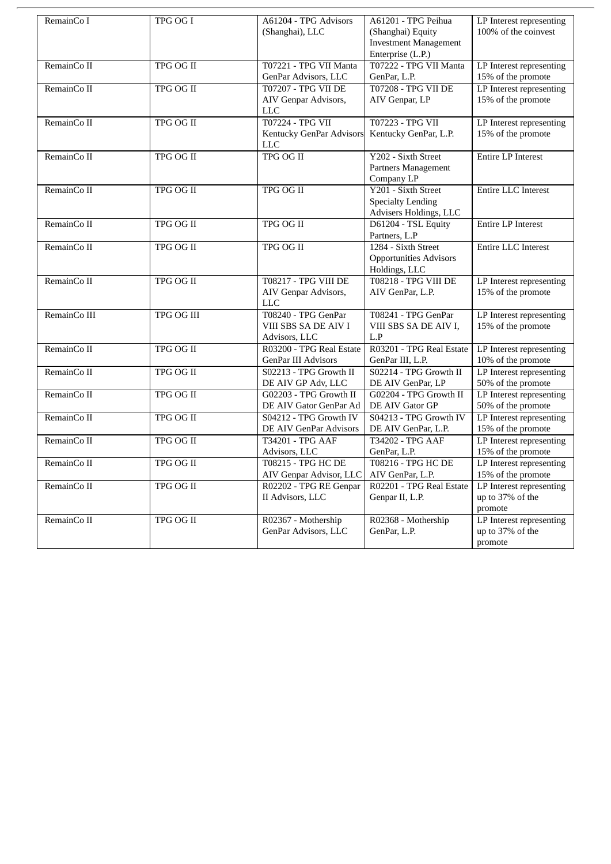| RemainCo I   | TPG OG I          | A61204 - TPG Advisors           | A61201 - TPG Peihua           | LP Interest representing   |
|--------------|-------------------|---------------------------------|-------------------------------|----------------------------|
|              |                   | (Shanghai), LLC                 | (Shanghai) Equity             | 100% of the coinvest       |
|              |                   |                                 | <b>Investment Management</b>  |                            |
|              |                   |                                 | Enterprise (L.P.)             |                            |
| RemainCo II  | TPG OG II         | T07221 - TPG VII Manta          | T07222 - TPG VII Manta        | LP Interest representing   |
|              |                   | GenPar Advisors, LLC            | GenPar, L.P.                  | 15% of the promote         |
| RemainCo II  | TPG OG II         | <b>T07207 - TPG VII DE</b>      | <b>T07208 - TPG VII DE</b>    | LP Interest representing   |
|              |                   | AIV Genpar Advisors,            | AIV Genpar, LP                | 15% of the promote         |
|              |                   | <b>LLC</b>                      |                               |                            |
| RemainCo II  | TPG OG II         | T07224 - TPG VII                | T07223 - TPG VII              | LP Interest representing   |
|              |                   | <b>Kentucky GenPar Advisors</b> | Kentucky GenPar, L.P.         | 15% of the promote         |
|              |                   | <b>LLC</b>                      |                               |                            |
| RemainCo II  | TPG OG II         | <b>TPG OG II</b>                | Y202 - Sixth Street           | <b>Entire LP Interest</b>  |
|              |                   |                                 | Partners Management           |                            |
|              |                   |                                 | Company LP                    |                            |
| RemainCo II  | <b>TPG OG II</b>  | TPG OG II                       | Y201 - Sixth Street           | <b>Entire LLC Interest</b> |
|              |                   |                                 | <b>Specialty Lending</b>      |                            |
|              |                   |                                 | Advisers Holdings, LLC        |                            |
| RemainCo II  | TPG OG II         | <b>TPG OG II</b>                | D61204 - TSL Equity           | <b>Entire LP Interest</b>  |
|              |                   |                                 | Partners, L.P                 |                            |
| RemainCo II  | TPG OG II         | TPG OG II                       | 1284 - Sixth Street           | Entire LLC Interest        |
|              |                   |                                 | <b>Opportunities Advisors</b> |                            |
|              |                   |                                 | Holdings, LLC                 |                            |
| RemainCo II  | TPG OG II         | <b>T08217 - TPG VIII DE</b>     | T08218 - TPG VIII DE          | LP Interest representing   |
|              |                   | AIV Genpar Advisors,            | AIV GenPar, L.P.              | 15% of the promote         |
|              |                   | <b>LLC</b>                      |                               |                            |
| RemainCo III | <b>TPG OG III</b> | T08240 - TPG GenPar             | T08241 - TPG GenPar           | LP Interest representing   |
|              |                   | VIII SBS SA DE AIV I            | VIII SBS SA DE AIV I,         | 15% of the promote         |
|              |                   |                                 | L.P                           |                            |
|              |                   | Advisors, LLC                   |                               |                            |
| RemainCo II  | <b>TPG OG II</b>  | R03200 - TPG Real Estate        | R03201 - TPG Real Estate      | LP Interest representing   |
|              |                   | <b>GenPar III Advisors</b>      | GenPar III, L.P.              | 10% of the promote         |
| RemainCo II  | TPG OG II         | S02213 - TPG Growth II          | S02214 - TPG Growth II        | LP Interest representing   |
|              |                   | DE AIV GP Adv, LLC              | DE AIV GenPar, LP             | 50% of the promote         |
| RemainCo II  | <b>TPG OG II</b>  | G02203 - TPG Growth II          | G02204 - TPG Growth II        | LP Interest representing   |
|              |                   | DE AIV Gator GenPar Ad          | DE AIV Gator GP               | 50% of the promote         |
| RemainCo II  | <b>TPG OG II</b>  | S04212 - TPG Growth IV          | S04213 - TPG Growth IV        | LP Interest representing   |
|              |                   | DE AIV GenPar Advisors          | DE AIV GenPar, L.P.           | 15% of the promote         |
| RemainCo II  | <b>TPG OG II</b>  | T34201 - TPG AAF                | T34202 - TPG AAF              | LP Interest representing   |
|              |                   | Advisors, LLC                   | GenPar, L.P.                  | 15% of the promote         |
| RemainCo II  | <b>TPG OG II</b>  | <b>T08215 - TPG HC DE</b>       | <b>T08216 - TPG HC DE</b>     | LP Interest representing   |
|              |                   | AIV Genpar Advisor, LLC         | AIV GenPar, L.P.              | 15% of the promote         |
| RemainCo II  | TPG OG II         | R02202 - TPG RE Genpar          | R02201 - TPG Real Estate      | LP Interest representing   |
|              |                   | II Advisors, LLC                | Genpar II, L.P.               | up to 37% of the           |
|              |                   |                                 |                               | promote                    |
| RemainCo II  | <b>TPG OG II</b>  | R02367 - Mothership             | R02368 - Mothership           | LP Interest representing   |
|              |                   | GenPar Advisors, LLC            | GenPar, L.P.                  | up to 37% of the           |
|              |                   |                                 |                               | promote                    |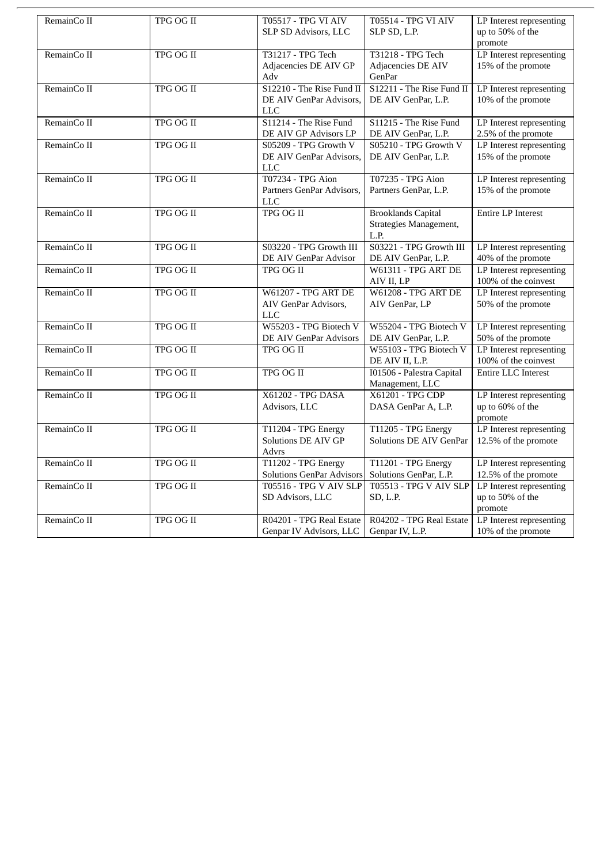| RemainCo II | TPG OG II        | T05517 - TPG VI AIV              | T05514 - TPG VI AIV                 | LP Interest representing   |
|-------------|------------------|----------------------------------|-------------------------------------|----------------------------|
|             |                  | SLP SD Advisors, LLC             | SLP SD, L.P.                        | up to 50% of the           |
|             |                  |                                  |                                     | promote                    |
| RemainCo II | TPG OG II        | T31217 - TPG Tech                | T31218 - TPG Tech                   | LP Interest representing   |
|             |                  | Adjacencies DE AIV GP            | Adjacencies DE AIV                  | 15% of the promote         |
|             |                  | Adv                              | GenPar                              |                            |
| RemainCo II | <b>TPG OG II</b> | S12210 - The Rise Fund II        | S12211 - The Rise Fund II           | LP Interest representing   |
|             |                  | DE AIV GenPar Advisors,          | DE AIV GenPar, L.P.                 | 10% of the promote         |
|             |                  | <b>LLC</b>                       |                                     |                            |
| RemainCo II | <b>TPG OG II</b> | S11214 - The Rise Fund           | S11215 - The Rise Fund              | LP Interest representing   |
|             |                  | DE AIV GP Advisors LP            | DE AIV GenPar, L.P.                 | 2.5% of the promote        |
| RemainCo II | <b>TPG OG II</b> | S05209 - TPG Growth V            | S05210 - TPG Growth V               | LP Interest representing   |
|             |                  | DE AIV GenPar Advisors,          | DE AIV GenPar, L.P.                 | 15% of the promote         |
|             |                  | <b>LLC</b>                       |                                     |                            |
| RemainCo II | TPG OG II        | <b>T07234 - TPG Aion</b>         | T07235 - TPG Aion                   | LP Interest representing   |
|             |                  | Partners GenPar Advisors,        | Partners GenPar, L.P.               | 15% of the promote         |
|             |                  | <b>LLC</b>                       |                                     |                            |
| RemainCo II | TPG OG II        | <b>TPG OG II</b>                 | <b>Brooklands Capital</b>           | <b>Entire LP Interest</b>  |
|             |                  |                                  | Strategies Management,              |                            |
|             |                  |                                  | L.P.                                |                            |
| RemainCo II | TPG OG II        | S03220 - TPG Growth III          | S03221 - TPG Growth III             | LP Interest representing   |
|             |                  | DE AIV GenPar Advisor            | DE AIV GenPar, L.P.                 | 40% of the promote         |
| RemainCo II | TPG OG II        | <b>TPG OG II</b>                 | <b>W61311 - TPG ART DE</b>          | LP Interest representing   |
|             |                  |                                  | AIV II, LP                          | 100% of the coinvest       |
| RemainCo II | <b>TPG OG II</b> | <b>W61207 - TPG ART DE</b>       | <b>W61208 - TPG ART DE</b>          | LP Interest representing   |
|             |                  | AIV GenPar Advisors,             | AIV GenPar, LP                      | 50% of the promote         |
|             |                  | <b>LLC</b>                       |                                     |                            |
| RemainCo II | TPG OG II        | W55203 - TPG Biotech V           | W55204 - TPG Biotech V              | LP Interest representing   |
|             |                  | DE AIV GenPar Advisors           | DE AIV GenPar, L.P.                 | 50% of the promote         |
| RemainCo II | <b>TPG OG II</b> | TPG OG II                        | W55103 - TPG Biotech V              | LP Interest representing   |
|             |                  |                                  | DE AIV II, L.P.                     | 100% of the coinvest       |
| RemainCo II | <b>TPG OG II</b> | <b>TPG OG II</b>                 | 101506 - Palestra Capital           | <b>Entire LLC Interest</b> |
|             |                  |                                  |                                     |                            |
|             |                  | X61202 - TPG DASA                | Management, LLC<br>X61201 - TPG CDP |                            |
| RemainCo II | TPG OG II        |                                  |                                     | LP Interest representing   |
|             |                  | Advisors, LLC                    | DASA GenPar A, L.P.                 | up to 60% of the           |
|             |                  |                                  |                                     | promote                    |
| RemainCo II | <b>TPG OG II</b> | T11204 - TPG Energy              | T11205 - TPG Energy                 | LP Interest representing   |
|             |                  | Solutions DE AIV GP              | Solutions DE AIV GenPar             | 12.5% of the promote       |
|             |                  | Advrs                            |                                     |                            |
| RemainCo II | <b>TPG OG II</b> | T11202 - TPG Energy              | T11201 - TPG Energy                 | LP Interest representing   |
|             |                  | <b>Solutions GenPar Advisors</b> | Solutions GenPar, L.P.              | 12.5% of the promote       |
| RemainCo II | TPG OG II        | <b>T05516 - TPG V AIV SLP</b>    | <b>T05513 - TPG V AIV SLP</b>       | LP Interest representing   |
|             |                  | SD Advisors, LLC                 | SD, L.P.                            | up to 50% of the           |
|             |                  |                                  |                                     | promote                    |
| RemainCo II | TPG OG II        | R04201 - TPG Real Estate         | R04202 - TPG Real Estate            | LP Interest representing   |
|             |                  | Genpar IV Advisors, LLC          | Genpar IV, L.P.                     | 10% of the promote         |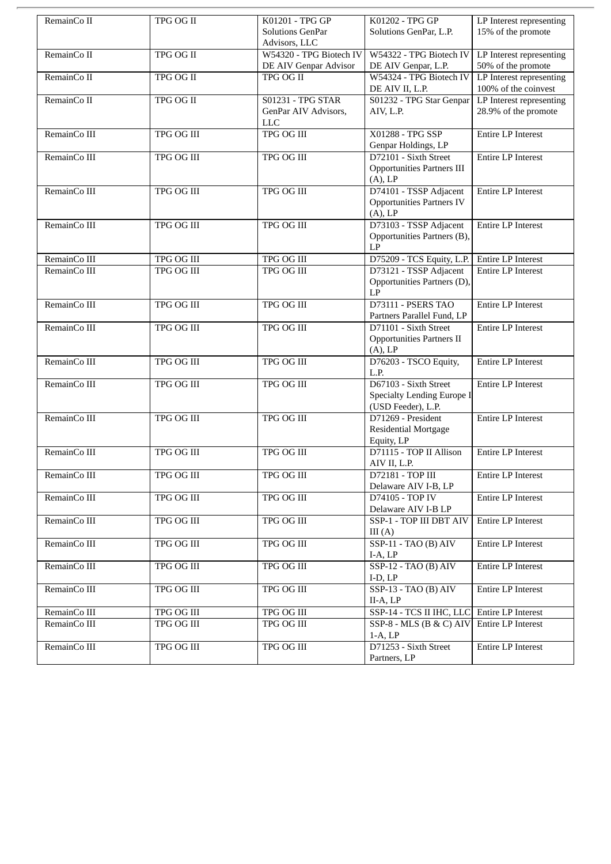| RemainCo II  | TPG OG II         | K01201 - TPG GP<br><b>Solutions GenPar</b>                     | K01202 - TPG GP<br>Solutions GenPar, L.P.                                        | LP Interest representing<br>$15\%$ of the promote |
|--------------|-------------------|----------------------------------------------------------------|----------------------------------------------------------------------------------|---------------------------------------------------|
| RemainCo II  | <b>TPG OG II</b>  | Advisors, LLC<br>W54320 - TPG Biotech IV                       | W54322 - TPG Biotech IV                                                          | LP Interest representing                          |
|              |                   | DE AIV Genpar Advisor                                          | DE AIV Genpar, L.P.                                                              | 50% of the promote                                |
| RemainCo II  | <b>TPG OG II</b>  | TPG OG II                                                      | W54324 - TPG Biotech IV<br>DE AIV II, L.P.                                       | LP Interest representing<br>100% of the coinvest  |
| RemainCo II  | TPG OG II         | <b>S01231 - TPG STAR</b><br>GenPar AIV Advisors,<br><b>LLC</b> | S01232 - TPG Star Genpar<br>AIV, L.P.                                            | LP Interest representing<br>28.9% of the promote  |
| RemainCo III | <b>TPG OG III</b> | <b>TPG OG III</b>                                              | X01288 - TPG SSP<br>Genpar Holdings, LP                                          | <b>Entire LP Interest</b>                         |
| RemainCo III | <b>TPG OG III</b> | <b>TPG OG III</b>                                              | D72101 - Sixth Street<br><b>Opportunities Partners III</b><br>$(A)$ , LP         | <b>Entire LP Interest</b>                         |
| RemainCo III | TPG OG III        | TPG OG III                                                     | D74101 - TSSP Adjacent<br><b>Opportunities Partners IV</b><br>(A), LP            | <b>Entire LP Interest</b>                         |
| RemainCo III | <b>TPG OG III</b> | <b>TPG OG III</b>                                              | D73103 - TSSP Adjacent<br>Opportunities Partners (B),<br>LP                      | <b>Entire LP Interest</b>                         |
| RemainCo III | <b>TPG OG III</b> | <b>TPG OG III</b>                                              | D75209 - TCS Equity, L.P.                                                        | <b>Entire LP Interest</b>                         |
| RemainCo III | TPG OG III        | TPG OG III                                                     | D73121 - TSSP Adjacent<br>Opportunities Partners (D),<br>LP                      | <b>Entire LP Interest</b>                         |
| RemainCo III | <b>TPG OG III</b> | <b>TPG OG III</b>                                              | <b>D73111 - PSERS TAO</b><br>Partners Parallel Fund, LP                          | <b>Entire LP Interest</b>                         |
| RemainCo III | <b>TPG OG III</b> | TPG OG III                                                     | D71101 - Sixth Street<br><b>Opportunities Partners II</b><br>(A), LP             | <b>Entire LP Interest</b>                         |
| RemainCo III | <b>TPG OG III</b> | <b>TPG OG III</b>                                              | D76203 - TSCO Equity,<br>L.P.                                                    | <b>Entire LP Interest</b>                         |
| RemainCo III | <b>TPG OG III</b> | <b>TPG OG III</b>                                              | D67103 - Sixth Street<br><b>Specialty Lending Europe I</b><br>(USD Feeder), L.P. | <b>Entire LP Interest</b>                         |
| RemainCo III | TPG OG III        | TPG OG III                                                     | D71269 - President<br><b>Residential Mortgage</b><br>Equity, LP                  | <b>Entire LP Interest</b>                         |
| RemainCo III | <b>TPG OG III</b> | TPG OG III                                                     | D71115 - TOP II Allison<br>AIV II, L.P.                                          | <b>Entire LP Interest</b>                         |
| RemainCo III | TPG OG III        | TPG OG III                                                     | D72181 - TOP III<br>Delaware AIV I-B, LP                                         | Entire LP Interest                                |
| RemainCo III | TPG OG III        | TPG OG III                                                     | D74105 - TOP IV<br>Delaware AIV I-B LP                                           | Entire LP Interest                                |
| RemainCo III | TPG OG III        | TPG OG III                                                     | SSP-1 - TOP III DBT AIV<br>III(A)                                                | Entire LP Interest                                |
| RemainCo III | <b>TPG OG III</b> | <b>TPG OG III</b>                                              | SSP-11 - TAO (B) AIV<br>$I-A, LP$                                                | <b>Entire LP Interest</b>                         |
| RemainCo III | TPG OG III        | TPG OG III                                                     | SSP-12 - TAO (B) AIV<br>$I-D, LP$                                                | Entire LP Interest                                |
| RemainCo III | TPG OG III        | TPG OG III                                                     | $SSP-13 - TAO(B)$ AIV<br>$II-A, LP$                                              | Entire LP Interest                                |
| RemainCo III | TPG OG III        | TPG OG III                                                     | SSP-14 - TCS II IHC, LLC                                                         | Entire LP Interest                                |
| RemainCo III | TPG OG III        | TPG OG III                                                     | SSP-8 - MLS (B & C) AIV<br>$1-A, LP$                                             | Entire LP Interest                                |
| RemainCo III | TPG OG III        | TPG OG III                                                     | D71253 - Sixth Street<br>Partners, LP                                            | Entire LP Interest                                |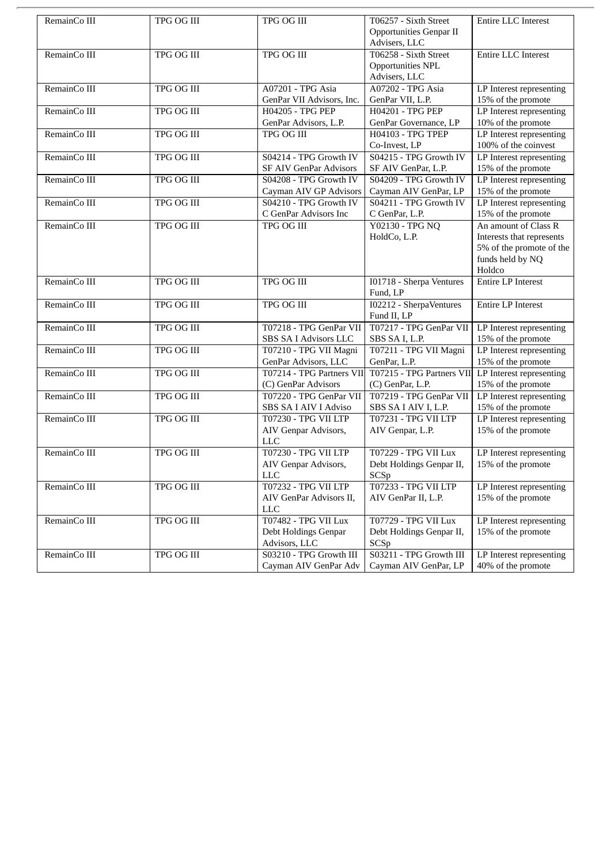| RemainCo III<br>TPG OG III<br>TPG OG III<br>T06257 - Sixth Street<br>Entire LLC Interest<br><b>Opportunities Genpar II</b><br>Advisers, LLC<br>T06258 - Sixth Street<br>RemainCo III<br><b>TPG OG III</b><br><b>TPG OG III</b><br><b>Entire LLC Interest</b><br>Opportunities NPL<br>Advisers, LLC<br>A07201 - TPG Asia<br><b>A07202 - TPG Asia</b><br>RemainCo III<br><b>TPG OG III</b><br>LP Interest representing<br>15% of the promote<br>GenPar VII Advisors, Inc.<br>GenPar VII, L.P.<br>H04205 - TPG PEP<br>RemainCo III<br>TPG OG III<br>H04201 - TPG PEP<br>LP Interest representing<br>GenPar Advisors, L.P.<br>GenPar Governance, LP<br>10% of the promote<br>LP Interest representing<br>RemainCo III<br><b>TPG OG III</b><br>TPG OG III<br><b>H04103 - TPG TPEP</b><br>100% of the coinvest<br>Co-Invest, LP<br>S04215 - TPG Growth IV<br>LP Interest representing<br>RemainCo III<br>TPG OG III<br>S04214 - TPG Growth IV<br>15% of the promote<br><b>SF AIV GenPar Advisors</b><br>SF AIV GenPar, L.P.<br>RemainCo III<br><b>TPG OG III</b><br>S04208 - TPG Growth IV<br>S04209 - TPG Growth IV<br>LP Interest representing<br>15% of the promote<br>Cayman AIV GP Advisors<br>Cayman AIV GenPar, LP<br>RemainCo III<br><b>TPG OG III</b><br>S04210 - TPG Growth IV<br>S04211 - TPG Growth IV<br>LP Interest representing<br>C GenPar Advisors Inc<br>15% of the promote<br>C GenPar, L.P.<br>RemainCo III<br>TPG OG III<br><b>TPG OG III</b><br>Y02130 - TPG NQ<br>An amount of Class R<br>HoldCo, L.P.<br>Interests that represents<br>5% of the promote of the<br>funds held by NQ<br>Holdco<br>RemainCo III<br>TPG OG III<br>TPG OG III<br>I01718 - Sherpa Ventures<br><b>Entire LP Interest</b><br>Fund, LP<br><b>TPG OG III</b><br><b>TPG OG III</b><br>I02212 - SherpaVentures<br>RemainCo III<br><b>Entire LP Interest</b><br>Fund II, LP<br>RemainCo III<br>TPG OG III<br>T07218 - TPG GenPar VII<br>T07217 - TPG GenPar VII<br>LP Interest representing<br>15% of the promote<br>SBS SA I Advisors LLC<br>SBS SA I, L.P.<br>RemainCo III<br>TPG OG III<br>T07210 - TPG VII Magni<br>T07211 - TPG VII Magni<br>LP Interest representing<br>GenPar Advisors, LLC<br>GenPar, L.P.<br>15% of the promote<br>T07215 - TPG Partners VII LP Interest representing<br>T07214 - TPG Partners VII<br>RemainCo III<br><b>TPG OG III</b><br>15% of the promote<br>(C) GenPar Advisors<br>(C) GenPar, L.P.<br>T07219 - TPG GenPar VII<br>RemainCo III<br>TPG OG III<br>T07220 - TPG GenPar VII<br>LP Interest representing<br>15% of the promote<br>SBS SA I AIV I Adviso<br>SBS SA I AIV I, L.P.<br>RemainCo III<br><b>TPG OG III</b><br>T07230 - TPG VII LTP<br><b>T07231 - TPG VII LTP</b><br>LP Interest representing<br>AIV Genpar Advisors,<br>15% of the promote<br>AIV Genpar, L.P.<br><b>LLC</b><br><b>T07230 - TPG VII LTP</b><br>RemainCo III<br>TPG OG III<br><b>T07229 - TPG VII Lux</b><br>LP Interest representing<br>15% of the promote<br>AIV Genpar Advisors,<br>Debt Holdings Genpar II,<br><b>LLC</b><br>SCSp<br>RemainCo III<br>TPG OG III<br>T07232 - TPG VII LTP<br>T07233 - TPG VII LTP<br>LP Interest representing<br>AIV GenPar Advisors II.<br>15% of the promote<br>AIV GenPar II, L.P.<br><b>LLC</b><br><b>T07482 - TPG VII Lux</b><br>RemainCo III<br>TPG OG III<br>T07729 - TPG VII Lux<br>LP Interest representing<br>Debt Holdings Genpar<br>Debt Holdings Genpar II,<br>15% of the promote<br>Advisors, LLC<br>SCS <sub>p</sub><br><b>TPG OG III</b><br>S03211 - TPG Growth III<br>RemainCo III<br>S03210 - TPG Growth III<br>LP Interest representing<br>40% of the promote<br>Cayman AIV GenPar Adv<br>Cayman AIV GenPar, LP |  |  |  |
|------------------------------------------------------------------------------------------------------------------------------------------------------------------------------------------------------------------------------------------------------------------------------------------------------------------------------------------------------------------------------------------------------------------------------------------------------------------------------------------------------------------------------------------------------------------------------------------------------------------------------------------------------------------------------------------------------------------------------------------------------------------------------------------------------------------------------------------------------------------------------------------------------------------------------------------------------------------------------------------------------------------------------------------------------------------------------------------------------------------------------------------------------------------------------------------------------------------------------------------------------------------------------------------------------------------------------------------------------------------------------------------------------------------------------------------------------------------------------------------------------------------------------------------------------------------------------------------------------------------------------------------------------------------------------------------------------------------------------------------------------------------------------------------------------------------------------------------------------------------------------------------------------------------------------------------------------------------------------------------------------------------------------------------------------------------------------------------------------------------------------------------------------------------------------------------------------------------------------------------------------------------------------------------------------------------------------------------------------------------------------------------------------------------------------------------------------------------------------------------------------------------------------------------------------------------------------------------------------------------------------------------------------------------------------------------------------------------------------------------------------------------------------------------------------------------------------------------------------------------------------------------------------------------------------------------------------------------------------------------------------------------------------------------------------------------------------------------------------------------------------------------------------------------------------------------------------------------------------------------------------------------------------------------------------------------------------------------------------------------------------------------------------------------------------------------------------------------------------------------------------------------------------------------------------------------------------------------------------------------------------------------------------------------------------|--|--|--|
|                                                                                                                                                                                                                                                                                                                                                                                                                                                                                                                                                                                                                                                                                                                                                                                                                                                                                                                                                                                                                                                                                                                                                                                                                                                                                                                                                                                                                                                                                                                                                                                                                                                                                                                                                                                                                                                                                                                                                                                                                                                                                                                                                                                                                                                                                                                                                                                                                                                                                                                                                                                                                                                                                                                                                                                                                                                                                                                                                                                                                                                                                                                                                                                                                                                                                                                                                                                                                                                                                                                                                                                                                                                                              |  |  |  |
|                                                                                                                                                                                                                                                                                                                                                                                                                                                                                                                                                                                                                                                                                                                                                                                                                                                                                                                                                                                                                                                                                                                                                                                                                                                                                                                                                                                                                                                                                                                                                                                                                                                                                                                                                                                                                                                                                                                                                                                                                                                                                                                                                                                                                                                                                                                                                                                                                                                                                                                                                                                                                                                                                                                                                                                                                                                                                                                                                                                                                                                                                                                                                                                                                                                                                                                                                                                                                                                                                                                                                                                                                                                                              |  |  |  |
|                                                                                                                                                                                                                                                                                                                                                                                                                                                                                                                                                                                                                                                                                                                                                                                                                                                                                                                                                                                                                                                                                                                                                                                                                                                                                                                                                                                                                                                                                                                                                                                                                                                                                                                                                                                                                                                                                                                                                                                                                                                                                                                                                                                                                                                                                                                                                                                                                                                                                                                                                                                                                                                                                                                                                                                                                                                                                                                                                                                                                                                                                                                                                                                                                                                                                                                                                                                                                                                                                                                                                                                                                                                                              |  |  |  |
|                                                                                                                                                                                                                                                                                                                                                                                                                                                                                                                                                                                                                                                                                                                                                                                                                                                                                                                                                                                                                                                                                                                                                                                                                                                                                                                                                                                                                                                                                                                                                                                                                                                                                                                                                                                                                                                                                                                                                                                                                                                                                                                                                                                                                                                                                                                                                                                                                                                                                                                                                                                                                                                                                                                                                                                                                                                                                                                                                                                                                                                                                                                                                                                                                                                                                                                                                                                                                                                                                                                                                                                                                                                                              |  |  |  |
|                                                                                                                                                                                                                                                                                                                                                                                                                                                                                                                                                                                                                                                                                                                                                                                                                                                                                                                                                                                                                                                                                                                                                                                                                                                                                                                                                                                                                                                                                                                                                                                                                                                                                                                                                                                                                                                                                                                                                                                                                                                                                                                                                                                                                                                                                                                                                                                                                                                                                                                                                                                                                                                                                                                                                                                                                                                                                                                                                                                                                                                                                                                                                                                                                                                                                                                                                                                                                                                                                                                                                                                                                                                                              |  |  |  |
|                                                                                                                                                                                                                                                                                                                                                                                                                                                                                                                                                                                                                                                                                                                                                                                                                                                                                                                                                                                                                                                                                                                                                                                                                                                                                                                                                                                                                                                                                                                                                                                                                                                                                                                                                                                                                                                                                                                                                                                                                                                                                                                                                                                                                                                                                                                                                                                                                                                                                                                                                                                                                                                                                                                                                                                                                                                                                                                                                                                                                                                                                                                                                                                                                                                                                                                                                                                                                                                                                                                                                                                                                                                                              |  |  |  |
|                                                                                                                                                                                                                                                                                                                                                                                                                                                                                                                                                                                                                                                                                                                                                                                                                                                                                                                                                                                                                                                                                                                                                                                                                                                                                                                                                                                                                                                                                                                                                                                                                                                                                                                                                                                                                                                                                                                                                                                                                                                                                                                                                                                                                                                                                                                                                                                                                                                                                                                                                                                                                                                                                                                                                                                                                                                                                                                                                                                                                                                                                                                                                                                                                                                                                                                                                                                                                                                                                                                                                                                                                                                                              |  |  |  |
|                                                                                                                                                                                                                                                                                                                                                                                                                                                                                                                                                                                                                                                                                                                                                                                                                                                                                                                                                                                                                                                                                                                                                                                                                                                                                                                                                                                                                                                                                                                                                                                                                                                                                                                                                                                                                                                                                                                                                                                                                                                                                                                                                                                                                                                                                                                                                                                                                                                                                                                                                                                                                                                                                                                                                                                                                                                                                                                                                                                                                                                                                                                                                                                                                                                                                                                                                                                                                                                                                                                                                                                                                                                                              |  |  |  |
|                                                                                                                                                                                                                                                                                                                                                                                                                                                                                                                                                                                                                                                                                                                                                                                                                                                                                                                                                                                                                                                                                                                                                                                                                                                                                                                                                                                                                                                                                                                                                                                                                                                                                                                                                                                                                                                                                                                                                                                                                                                                                                                                                                                                                                                                                                                                                                                                                                                                                                                                                                                                                                                                                                                                                                                                                                                                                                                                                                                                                                                                                                                                                                                                                                                                                                                                                                                                                                                                                                                                                                                                                                                                              |  |  |  |
|                                                                                                                                                                                                                                                                                                                                                                                                                                                                                                                                                                                                                                                                                                                                                                                                                                                                                                                                                                                                                                                                                                                                                                                                                                                                                                                                                                                                                                                                                                                                                                                                                                                                                                                                                                                                                                                                                                                                                                                                                                                                                                                                                                                                                                                                                                                                                                                                                                                                                                                                                                                                                                                                                                                                                                                                                                                                                                                                                                                                                                                                                                                                                                                                                                                                                                                                                                                                                                                                                                                                                                                                                                                                              |  |  |  |
|                                                                                                                                                                                                                                                                                                                                                                                                                                                                                                                                                                                                                                                                                                                                                                                                                                                                                                                                                                                                                                                                                                                                                                                                                                                                                                                                                                                                                                                                                                                                                                                                                                                                                                                                                                                                                                                                                                                                                                                                                                                                                                                                                                                                                                                                                                                                                                                                                                                                                                                                                                                                                                                                                                                                                                                                                                                                                                                                                                                                                                                                                                                                                                                                                                                                                                                                                                                                                                                                                                                                                                                                                                                                              |  |  |  |
|                                                                                                                                                                                                                                                                                                                                                                                                                                                                                                                                                                                                                                                                                                                                                                                                                                                                                                                                                                                                                                                                                                                                                                                                                                                                                                                                                                                                                                                                                                                                                                                                                                                                                                                                                                                                                                                                                                                                                                                                                                                                                                                                                                                                                                                                                                                                                                                                                                                                                                                                                                                                                                                                                                                                                                                                                                                                                                                                                                                                                                                                                                                                                                                                                                                                                                                                                                                                                                                                                                                                                                                                                                                                              |  |  |  |
|                                                                                                                                                                                                                                                                                                                                                                                                                                                                                                                                                                                                                                                                                                                                                                                                                                                                                                                                                                                                                                                                                                                                                                                                                                                                                                                                                                                                                                                                                                                                                                                                                                                                                                                                                                                                                                                                                                                                                                                                                                                                                                                                                                                                                                                                                                                                                                                                                                                                                                                                                                                                                                                                                                                                                                                                                                                                                                                                                                                                                                                                                                                                                                                                                                                                                                                                                                                                                                                                                                                                                                                                                                                                              |  |  |  |
|                                                                                                                                                                                                                                                                                                                                                                                                                                                                                                                                                                                                                                                                                                                                                                                                                                                                                                                                                                                                                                                                                                                                                                                                                                                                                                                                                                                                                                                                                                                                                                                                                                                                                                                                                                                                                                                                                                                                                                                                                                                                                                                                                                                                                                                                                                                                                                                                                                                                                                                                                                                                                                                                                                                                                                                                                                                                                                                                                                                                                                                                                                                                                                                                                                                                                                                                                                                                                                                                                                                                                                                                                                                                              |  |  |  |
|                                                                                                                                                                                                                                                                                                                                                                                                                                                                                                                                                                                                                                                                                                                                                                                                                                                                                                                                                                                                                                                                                                                                                                                                                                                                                                                                                                                                                                                                                                                                                                                                                                                                                                                                                                                                                                                                                                                                                                                                                                                                                                                                                                                                                                                                                                                                                                                                                                                                                                                                                                                                                                                                                                                                                                                                                                                                                                                                                                                                                                                                                                                                                                                                                                                                                                                                                                                                                                                                                                                                                                                                                                                                              |  |  |  |
|                                                                                                                                                                                                                                                                                                                                                                                                                                                                                                                                                                                                                                                                                                                                                                                                                                                                                                                                                                                                                                                                                                                                                                                                                                                                                                                                                                                                                                                                                                                                                                                                                                                                                                                                                                                                                                                                                                                                                                                                                                                                                                                                                                                                                                                                                                                                                                                                                                                                                                                                                                                                                                                                                                                                                                                                                                                                                                                                                                                                                                                                                                                                                                                                                                                                                                                                                                                                                                                                                                                                                                                                                                                                              |  |  |  |
|                                                                                                                                                                                                                                                                                                                                                                                                                                                                                                                                                                                                                                                                                                                                                                                                                                                                                                                                                                                                                                                                                                                                                                                                                                                                                                                                                                                                                                                                                                                                                                                                                                                                                                                                                                                                                                                                                                                                                                                                                                                                                                                                                                                                                                                                                                                                                                                                                                                                                                                                                                                                                                                                                                                                                                                                                                                                                                                                                                                                                                                                                                                                                                                                                                                                                                                                                                                                                                                                                                                                                                                                                                                                              |  |  |  |
|                                                                                                                                                                                                                                                                                                                                                                                                                                                                                                                                                                                                                                                                                                                                                                                                                                                                                                                                                                                                                                                                                                                                                                                                                                                                                                                                                                                                                                                                                                                                                                                                                                                                                                                                                                                                                                                                                                                                                                                                                                                                                                                                                                                                                                                                                                                                                                                                                                                                                                                                                                                                                                                                                                                                                                                                                                                                                                                                                                                                                                                                                                                                                                                                                                                                                                                                                                                                                                                                                                                                                                                                                                                                              |  |  |  |
|                                                                                                                                                                                                                                                                                                                                                                                                                                                                                                                                                                                                                                                                                                                                                                                                                                                                                                                                                                                                                                                                                                                                                                                                                                                                                                                                                                                                                                                                                                                                                                                                                                                                                                                                                                                                                                                                                                                                                                                                                                                                                                                                                                                                                                                                                                                                                                                                                                                                                                                                                                                                                                                                                                                                                                                                                                                                                                                                                                                                                                                                                                                                                                                                                                                                                                                                                                                                                                                                                                                                                                                                                                                                              |  |  |  |
|                                                                                                                                                                                                                                                                                                                                                                                                                                                                                                                                                                                                                                                                                                                                                                                                                                                                                                                                                                                                                                                                                                                                                                                                                                                                                                                                                                                                                                                                                                                                                                                                                                                                                                                                                                                                                                                                                                                                                                                                                                                                                                                                                                                                                                                                                                                                                                                                                                                                                                                                                                                                                                                                                                                                                                                                                                                                                                                                                                                                                                                                                                                                                                                                                                                                                                                                                                                                                                                                                                                                                                                                                                                                              |  |  |  |
|                                                                                                                                                                                                                                                                                                                                                                                                                                                                                                                                                                                                                                                                                                                                                                                                                                                                                                                                                                                                                                                                                                                                                                                                                                                                                                                                                                                                                                                                                                                                                                                                                                                                                                                                                                                                                                                                                                                                                                                                                                                                                                                                                                                                                                                                                                                                                                                                                                                                                                                                                                                                                                                                                                                                                                                                                                                                                                                                                                                                                                                                                                                                                                                                                                                                                                                                                                                                                                                                                                                                                                                                                                                                              |  |  |  |
|                                                                                                                                                                                                                                                                                                                                                                                                                                                                                                                                                                                                                                                                                                                                                                                                                                                                                                                                                                                                                                                                                                                                                                                                                                                                                                                                                                                                                                                                                                                                                                                                                                                                                                                                                                                                                                                                                                                                                                                                                                                                                                                                                                                                                                                                                                                                                                                                                                                                                                                                                                                                                                                                                                                                                                                                                                                                                                                                                                                                                                                                                                                                                                                                                                                                                                                                                                                                                                                                                                                                                                                                                                                                              |  |  |  |
|                                                                                                                                                                                                                                                                                                                                                                                                                                                                                                                                                                                                                                                                                                                                                                                                                                                                                                                                                                                                                                                                                                                                                                                                                                                                                                                                                                                                                                                                                                                                                                                                                                                                                                                                                                                                                                                                                                                                                                                                                                                                                                                                                                                                                                                                                                                                                                                                                                                                                                                                                                                                                                                                                                                                                                                                                                                                                                                                                                                                                                                                                                                                                                                                                                                                                                                                                                                                                                                                                                                                                                                                                                                                              |  |  |  |
|                                                                                                                                                                                                                                                                                                                                                                                                                                                                                                                                                                                                                                                                                                                                                                                                                                                                                                                                                                                                                                                                                                                                                                                                                                                                                                                                                                                                                                                                                                                                                                                                                                                                                                                                                                                                                                                                                                                                                                                                                                                                                                                                                                                                                                                                                                                                                                                                                                                                                                                                                                                                                                                                                                                                                                                                                                                                                                                                                                                                                                                                                                                                                                                                                                                                                                                                                                                                                                                                                                                                                                                                                                                                              |  |  |  |
|                                                                                                                                                                                                                                                                                                                                                                                                                                                                                                                                                                                                                                                                                                                                                                                                                                                                                                                                                                                                                                                                                                                                                                                                                                                                                                                                                                                                                                                                                                                                                                                                                                                                                                                                                                                                                                                                                                                                                                                                                                                                                                                                                                                                                                                                                                                                                                                                                                                                                                                                                                                                                                                                                                                                                                                                                                                                                                                                                                                                                                                                                                                                                                                                                                                                                                                                                                                                                                                                                                                                                                                                                                                                              |  |  |  |
|                                                                                                                                                                                                                                                                                                                                                                                                                                                                                                                                                                                                                                                                                                                                                                                                                                                                                                                                                                                                                                                                                                                                                                                                                                                                                                                                                                                                                                                                                                                                                                                                                                                                                                                                                                                                                                                                                                                                                                                                                                                                                                                                                                                                                                                                                                                                                                                                                                                                                                                                                                                                                                                                                                                                                                                                                                                                                                                                                                                                                                                                                                                                                                                                                                                                                                                                                                                                                                                                                                                                                                                                                                                                              |  |  |  |
|                                                                                                                                                                                                                                                                                                                                                                                                                                                                                                                                                                                                                                                                                                                                                                                                                                                                                                                                                                                                                                                                                                                                                                                                                                                                                                                                                                                                                                                                                                                                                                                                                                                                                                                                                                                                                                                                                                                                                                                                                                                                                                                                                                                                                                                                                                                                                                                                                                                                                                                                                                                                                                                                                                                                                                                                                                                                                                                                                                                                                                                                                                                                                                                                                                                                                                                                                                                                                                                                                                                                                                                                                                                                              |  |  |  |
|                                                                                                                                                                                                                                                                                                                                                                                                                                                                                                                                                                                                                                                                                                                                                                                                                                                                                                                                                                                                                                                                                                                                                                                                                                                                                                                                                                                                                                                                                                                                                                                                                                                                                                                                                                                                                                                                                                                                                                                                                                                                                                                                                                                                                                                                                                                                                                                                                                                                                                                                                                                                                                                                                                                                                                                                                                                                                                                                                                                                                                                                                                                                                                                                                                                                                                                                                                                                                                                                                                                                                                                                                                                                              |  |  |  |
|                                                                                                                                                                                                                                                                                                                                                                                                                                                                                                                                                                                                                                                                                                                                                                                                                                                                                                                                                                                                                                                                                                                                                                                                                                                                                                                                                                                                                                                                                                                                                                                                                                                                                                                                                                                                                                                                                                                                                                                                                                                                                                                                                                                                                                                                                                                                                                                                                                                                                                                                                                                                                                                                                                                                                                                                                                                                                                                                                                                                                                                                                                                                                                                                                                                                                                                                                                                                                                                                                                                                                                                                                                                                              |  |  |  |
|                                                                                                                                                                                                                                                                                                                                                                                                                                                                                                                                                                                                                                                                                                                                                                                                                                                                                                                                                                                                                                                                                                                                                                                                                                                                                                                                                                                                                                                                                                                                                                                                                                                                                                                                                                                                                                                                                                                                                                                                                                                                                                                                                                                                                                                                                                                                                                                                                                                                                                                                                                                                                                                                                                                                                                                                                                                                                                                                                                                                                                                                                                                                                                                                                                                                                                                                                                                                                                                                                                                                                                                                                                                                              |  |  |  |
|                                                                                                                                                                                                                                                                                                                                                                                                                                                                                                                                                                                                                                                                                                                                                                                                                                                                                                                                                                                                                                                                                                                                                                                                                                                                                                                                                                                                                                                                                                                                                                                                                                                                                                                                                                                                                                                                                                                                                                                                                                                                                                                                                                                                                                                                                                                                                                                                                                                                                                                                                                                                                                                                                                                                                                                                                                                                                                                                                                                                                                                                                                                                                                                                                                                                                                                                                                                                                                                                                                                                                                                                                                                                              |  |  |  |
|                                                                                                                                                                                                                                                                                                                                                                                                                                                                                                                                                                                                                                                                                                                                                                                                                                                                                                                                                                                                                                                                                                                                                                                                                                                                                                                                                                                                                                                                                                                                                                                                                                                                                                                                                                                                                                                                                                                                                                                                                                                                                                                                                                                                                                                                                                                                                                                                                                                                                                                                                                                                                                                                                                                                                                                                                                                                                                                                                                                                                                                                                                                                                                                                                                                                                                                                                                                                                                                                                                                                                                                                                                                                              |  |  |  |
|                                                                                                                                                                                                                                                                                                                                                                                                                                                                                                                                                                                                                                                                                                                                                                                                                                                                                                                                                                                                                                                                                                                                                                                                                                                                                                                                                                                                                                                                                                                                                                                                                                                                                                                                                                                                                                                                                                                                                                                                                                                                                                                                                                                                                                                                                                                                                                                                                                                                                                                                                                                                                                                                                                                                                                                                                                                                                                                                                                                                                                                                                                                                                                                                                                                                                                                                                                                                                                                                                                                                                                                                                                                                              |  |  |  |
|                                                                                                                                                                                                                                                                                                                                                                                                                                                                                                                                                                                                                                                                                                                                                                                                                                                                                                                                                                                                                                                                                                                                                                                                                                                                                                                                                                                                                                                                                                                                                                                                                                                                                                                                                                                                                                                                                                                                                                                                                                                                                                                                                                                                                                                                                                                                                                                                                                                                                                                                                                                                                                                                                                                                                                                                                                                                                                                                                                                                                                                                                                                                                                                                                                                                                                                                                                                                                                                                                                                                                                                                                                                                              |  |  |  |
|                                                                                                                                                                                                                                                                                                                                                                                                                                                                                                                                                                                                                                                                                                                                                                                                                                                                                                                                                                                                                                                                                                                                                                                                                                                                                                                                                                                                                                                                                                                                                                                                                                                                                                                                                                                                                                                                                                                                                                                                                                                                                                                                                                                                                                                                                                                                                                                                                                                                                                                                                                                                                                                                                                                                                                                                                                                                                                                                                                                                                                                                                                                                                                                                                                                                                                                                                                                                                                                                                                                                                                                                                                                                              |  |  |  |
|                                                                                                                                                                                                                                                                                                                                                                                                                                                                                                                                                                                                                                                                                                                                                                                                                                                                                                                                                                                                                                                                                                                                                                                                                                                                                                                                                                                                                                                                                                                                                                                                                                                                                                                                                                                                                                                                                                                                                                                                                                                                                                                                                                                                                                                                                                                                                                                                                                                                                                                                                                                                                                                                                                                                                                                                                                                                                                                                                                                                                                                                                                                                                                                                                                                                                                                                                                                                                                                                                                                                                                                                                                                                              |  |  |  |
|                                                                                                                                                                                                                                                                                                                                                                                                                                                                                                                                                                                                                                                                                                                                                                                                                                                                                                                                                                                                                                                                                                                                                                                                                                                                                                                                                                                                                                                                                                                                                                                                                                                                                                                                                                                                                                                                                                                                                                                                                                                                                                                                                                                                                                                                                                                                                                                                                                                                                                                                                                                                                                                                                                                                                                                                                                                                                                                                                                                                                                                                                                                                                                                                                                                                                                                                                                                                                                                                                                                                                                                                                                                                              |  |  |  |
|                                                                                                                                                                                                                                                                                                                                                                                                                                                                                                                                                                                                                                                                                                                                                                                                                                                                                                                                                                                                                                                                                                                                                                                                                                                                                                                                                                                                                                                                                                                                                                                                                                                                                                                                                                                                                                                                                                                                                                                                                                                                                                                                                                                                                                                                                                                                                                                                                                                                                                                                                                                                                                                                                                                                                                                                                                                                                                                                                                                                                                                                                                                                                                                                                                                                                                                                                                                                                                                                                                                                                                                                                                                                              |  |  |  |
|                                                                                                                                                                                                                                                                                                                                                                                                                                                                                                                                                                                                                                                                                                                                                                                                                                                                                                                                                                                                                                                                                                                                                                                                                                                                                                                                                                                                                                                                                                                                                                                                                                                                                                                                                                                                                                                                                                                                                                                                                                                                                                                                                                                                                                                                                                                                                                                                                                                                                                                                                                                                                                                                                                                                                                                                                                                                                                                                                                                                                                                                                                                                                                                                                                                                                                                                                                                                                                                                                                                                                                                                                                                                              |  |  |  |
|                                                                                                                                                                                                                                                                                                                                                                                                                                                                                                                                                                                                                                                                                                                                                                                                                                                                                                                                                                                                                                                                                                                                                                                                                                                                                                                                                                                                                                                                                                                                                                                                                                                                                                                                                                                                                                                                                                                                                                                                                                                                                                                                                                                                                                                                                                                                                                                                                                                                                                                                                                                                                                                                                                                                                                                                                                                                                                                                                                                                                                                                                                                                                                                                                                                                                                                                                                                                                                                                                                                                                                                                                                                                              |  |  |  |
|                                                                                                                                                                                                                                                                                                                                                                                                                                                                                                                                                                                                                                                                                                                                                                                                                                                                                                                                                                                                                                                                                                                                                                                                                                                                                                                                                                                                                                                                                                                                                                                                                                                                                                                                                                                                                                                                                                                                                                                                                                                                                                                                                                                                                                                                                                                                                                                                                                                                                                                                                                                                                                                                                                                                                                                                                                                                                                                                                                                                                                                                                                                                                                                                                                                                                                                                                                                                                                                                                                                                                                                                                                                                              |  |  |  |
|                                                                                                                                                                                                                                                                                                                                                                                                                                                                                                                                                                                                                                                                                                                                                                                                                                                                                                                                                                                                                                                                                                                                                                                                                                                                                                                                                                                                                                                                                                                                                                                                                                                                                                                                                                                                                                                                                                                                                                                                                                                                                                                                                                                                                                                                                                                                                                                                                                                                                                                                                                                                                                                                                                                                                                                                                                                                                                                                                                                                                                                                                                                                                                                                                                                                                                                                                                                                                                                                                                                                                                                                                                                                              |  |  |  |
|                                                                                                                                                                                                                                                                                                                                                                                                                                                                                                                                                                                                                                                                                                                                                                                                                                                                                                                                                                                                                                                                                                                                                                                                                                                                                                                                                                                                                                                                                                                                                                                                                                                                                                                                                                                                                                                                                                                                                                                                                                                                                                                                                                                                                                                                                                                                                                                                                                                                                                                                                                                                                                                                                                                                                                                                                                                                                                                                                                                                                                                                                                                                                                                                                                                                                                                                                                                                                                                                                                                                                                                                                                                                              |  |  |  |
|                                                                                                                                                                                                                                                                                                                                                                                                                                                                                                                                                                                                                                                                                                                                                                                                                                                                                                                                                                                                                                                                                                                                                                                                                                                                                                                                                                                                                                                                                                                                                                                                                                                                                                                                                                                                                                                                                                                                                                                                                                                                                                                                                                                                                                                                                                                                                                                                                                                                                                                                                                                                                                                                                                                                                                                                                                                                                                                                                                                                                                                                                                                                                                                                                                                                                                                                                                                                                                                                                                                                                                                                                                                                              |  |  |  |
|                                                                                                                                                                                                                                                                                                                                                                                                                                                                                                                                                                                                                                                                                                                                                                                                                                                                                                                                                                                                                                                                                                                                                                                                                                                                                                                                                                                                                                                                                                                                                                                                                                                                                                                                                                                                                                                                                                                                                                                                                                                                                                                                                                                                                                                                                                                                                                                                                                                                                                                                                                                                                                                                                                                                                                                                                                                                                                                                                                                                                                                                                                                                                                                                                                                                                                                                                                                                                                                                                                                                                                                                                                                                              |  |  |  |
|                                                                                                                                                                                                                                                                                                                                                                                                                                                                                                                                                                                                                                                                                                                                                                                                                                                                                                                                                                                                                                                                                                                                                                                                                                                                                                                                                                                                                                                                                                                                                                                                                                                                                                                                                                                                                                                                                                                                                                                                                                                                                                                                                                                                                                                                                                                                                                                                                                                                                                                                                                                                                                                                                                                                                                                                                                                                                                                                                                                                                                                                                                                                                                                                                                                                                                                                                                                                                                                                                                                                                                                                                                                                              |  |  |  |
|                                                                                                                                                                                                                                                                                                                                                                                                                                                                                                                                                                                                                                                                                                                                                                                                                                                                                                                                                                                                                                                                                                                                                                                                                                                                                                                                                                                                                                                                                                                                                                                                                                                                                                                                                                                                                                                                                                                                                                                                                                                                                                                                                                                                                                                                                                                                                                                                                                                                                                                                                                                                                                                                                                                                                                                                                                                                                                                                                                                                                                                                                                                                                                                                                                                                                                                                                                                                                                                                                                                                                                                                                                                                              |  |  |  |
|                                                                                                                                                                                                                                                                                                                                                                                                                                                                                                                                                                                                                                                                                                                                                                                                                                                                                                                                                                                                                                                                                                                                                                                                                                                                                                                                                                                                                                                                                                                                                                                                                                                                                                                                                                                                                                                                                                                                                                                                                                                                                                                                                                                                                                                                                                                                                                                                                                                                                                                                                                                                                                                                                                                                                                                                                                                                                                                                                                                                                                                                                                                                                                                                                                                                                                                                                                                                                                                                                                                                                                                                                                                                              |  |  |  |
|                                                                                                                                                                                                                                                                                                                                                                                                                                                                                                                                                                                                                                                                                                                                                                                                                                                                                                                                                                                                                                                                                                                                                                                                                                                                                                                                                                                                                                                                                                                                                                                                                                                                                                                                                                                                                                                                                                                                                                                                                                                                                                                                                                                                                                                                                                                                                                                                                                                                                                                                                                                                                                                                                                                                                                                                                                                                                                                                                                                                                                                                                                                                                                                                                                                                                                                                                                                                                                                                                                                                                                                                                                                                              |  |  |  |
|                                                                                                                                                                                                                                                                                                                                                                                                                                                                                                                                                                                                                                                                                                                                                                                                                                                                                                                                                                                                                                                                                                                                                                                                                                                                                                                                                                                                                                                                                                                                                                                                                                                                                                                                                                                                                                                                                                                                                                                                                                                                                                                                                                                                                                                                                                                                                                                                                                                                                                                                                                                                                                                                                                                                                                                                                                                                                                                                                                                                                                                                                                                                                                                                                                                                                                                                                                                                                                                                                                                                                                                                                                                                              |  |  |  |
|                                                                                                                                                                                                                                                                                                                                                                                                                                                                                                                                                                                                                                                                                                                                                                                                                                                                                                                                                                                                                                                                                                                                                                                                                                                                                                                                                                                                                                                                                                                                                                                                                                                                                                                                                                                                                                                                                                                                                                                                                                                                                                                                                                                                                                                                                                                                                                                                                                                                                                                                                                                                                                                                                                                                                                                                                                                                                                                                                                                                                                                                                                                                                                                                                                                                                                                                                                                                                                                                                                                                                                                                                                                                              |  |  |  |
|                                                                                                                                                                                                                                                                                                                                                                                                                                                                                                                                                                                                                                                                                                                                                                                                                                                                                                                                                                                                                                                                                                                                                                                                                                                                                                                                                                                                                                                                                                                                                                                                                                                                                                                                                                                                                                                                                                                                                                                                                                                                                                                                                                                                                                                                                                                                                                                                                                                                                                                                                                                                                                                                                                                                                                                                                                                                                                                                                                                                                                                                                                                                                                                                                                                                                                                                                                                                                                                                                                                                                                                                                                                                              |  |  |  |
|                                                                                                                                                                                                                                                                                                                                                                                                                                                                                                                                                                                                                                                                                                                                                                                                                                                                                                                                                                                                                                                                                                                                                                                                                                                                                                                                                                                                                                                                                                                                                                                                                                                                                                                                                                                                                                                                                                                                                                                                                                                                                                                                                                                                                                                                                                                                                                                                                                                                                                                                                                                                                                                                                                                                                                                                                                                                                                                                                                                                                                                                                                                                                                                                                                                                                                                                                                                                                                                                                                                                                                                                                                                                              |  |  |  |
|                                                                                                                                                                                                                                                                                                                                                                                                                                                                                                                                                                                                                                                                                                                                                                                                                                                                                                                                                                                                                                                                                                                                                                                                                                                                                                                                                                                                                                                                                                                                                                                                                                                                                                                                                                                                                                                                                                                                                                                                                                                                                                                                                                                                                                                                                                                                                                                                                                                                                                                                                                                                                                                                                                                                                                                                                                                                                                                                                                                                                                                                                                                                                                                                                                                                                                                                                                                                                                                                                                                                                                                                                                                                              |  |  |  |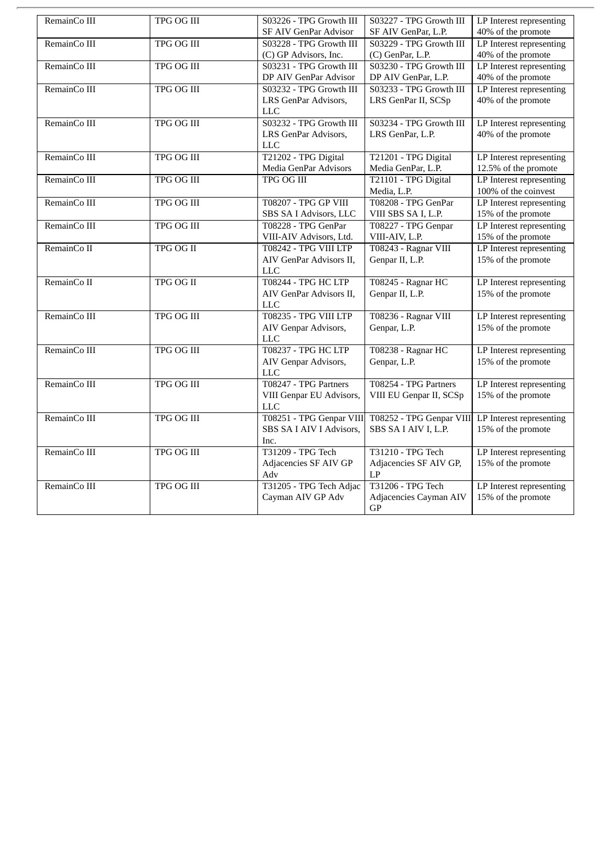| RemainCo III | TPG OG III        | S03226 - TPG Growth III     | S03227 - TPG Growth III  | LP Interest representing |
|--------------|-------------------|-----------------------------|--------------------------|--------------------------|
|              |                   | SF AIV GenPar Advisor       | SF AIV GenPar, L.P.      | 40% of the promote       |
| RemainCo III | <b>TPG OG III</b> | S03228 - TPG Growth III     | S03229 - TPG Growth III  | LP Interest representing |
|              |                   | (C) GP Advisors, Inc.       | (C) GenPar, L.P.         | 40% of the promote       |
| RemainCo III | TPG OG III        | S03231 - TPG Growth III     | S03230 - TPG Growth III  | LP Interest representing |
|              |                   | DP AIV GenPar Advisor       | DP AIV GenPar, L.P.      | 40% of the promote       |
| RemainCo III | <b>TPG OG III</b> | S03232 - TPG Growth III     | S03233 - TPG Growth III  | LP Interest representing |
|              |                   | LRS GenPar Advisors,        | LRS GenPar II, SCSp      | 40% of the promote       |
|              |                   | <b>LLC</b>                  |                          |                          |
| RemainCo III | TPG OG III        | S03232 - TPG Growth III     | S03234 - TPG Growth III  | LP Interest representing |
|              |                   | LRS GenPar Advisors,        | LRS GenPar, L.P.         | 40% of the promote       |
|              |                   | <b>LLC</b>                  |                          |                          |
| RemainCo III | <b>TPG OG III</b> | T21202 - TPG Digital        | T21201 - TPG Digital     | LP Interest representing |
|              |                   | Media GenPar Advisors       | Media GenPar, L.P.       | 12.5% of the promote     |
| RemainCo III | <b>TPG OG III</b> | <b>TPG OG III</b>           | T21101 - TPG Digital     | LP Interest representing |
|              |                   |                             | Media, L.P.              | 100% of the coinvest     |
| RemainCo III | <b>TPG OG III</b> | <b>T08207 - TPG GP VIII</b> | T08208 - TPG GenPar      | LP Interest representing |
|              |                   | SBS SA I Advisors, LLC      | VIII SBS SA I, L.P.      | 15% of the promote       |
| RemainCo III | <b>TPG OG III</b> | T08228 - TPG GenPar         | T08227 - TPG Genpar      | LP Interest representing |
|              |                   | VIII-AIV Advisors, Ltd.     | VIII-AIV, L.P.           | 15% of the promote       |
| RemainCo II  | <b>TPG OG II</b>  | T08242 - TPG VIII LTP       | T08243 - Ragnar VIII     | LP Interest representing |
|              |                   | AIV GenPar Advisors II,     | Genpar II, L.P.          | 15% of the promote       |
|              |                   | <b>LLC</b>                  |                          |                          |
| RemainCo II  | TPG OG II         | <b>T08244 - TPG HC LTP</b>  | T08245 - Ragnar HC       | LP Interest representing |
|              |                   | AIV GenPar Advisors II,     | Genpar II, L.P.          | 15% of the promote       |
|              |                   | <b>LLC</b>                  |                          |                          |
| RemainCo III | TPG OG III        | T08235 - TPG VIII LTP       | T08236 - Ragnar VIII     | LP Interest representing |
|              |                   | AIV Genpar Advisors,        | Genpar, L.P.             | 15% of the promote       |
|              |                   | <b>LLC</b>                  |                          |                          |
| RemainCo III | <b>TPG OG III</b> | <b>T08237 - TPG HC LTP</b>  | T08238 - Ragnar HC       | LP Interest representing |
|              |                   | AIV Genpar Advisors,        | Genpar, L.P.             | 15% of the promote       |
|              |                   | <b>LLC</b>                  |                          |                          |
| RemainCo III | <b>TPG OG III</b> | T08247 - TPG Partners       | T08254 - TPG Partners    | LP Interest representing |
|              |                   | VIII Genpar EU Advisors,    | VIII EU Genpar II, SCSp  | 15% of the promote       |
|              |                   | <b>LLC</b>                  |                          |                          |
| RemainCo III | <b>TPG OG III</b> | T08251 - TPG Genpar VIII    | T08252 - TPG Genpar VIII | LP Interest representing |
|              |                   | SBS SA I AIV I Advisors,    | SBS SA I AIV I, L.P.     | 15% of the promote       |
|              |                   | Inc.                        |                          |                          |
| RemainCo III | <b>TPG OG III</b> | <b>T31209 - TPG Tech</b>    | T31210 - TPG Tech        | LP Interest representing |
|              |                   | Adjacencies SF AIV GP       | Adjacencies SF AIV GP,   | 15% of the promote       |
|              |                   | Adv                         | LP                       |                          |
| RemainCo III | TPG OG III        | T31205 - TPG Tech Adjac     | T31206 - TPG Tech        | LP Interest representing |
|              |                   | Cayman AIV GP Adv           | Adjacencies Cayman AIV   | 15% of the promote       |
|              |                   |                             | GP                       |                          |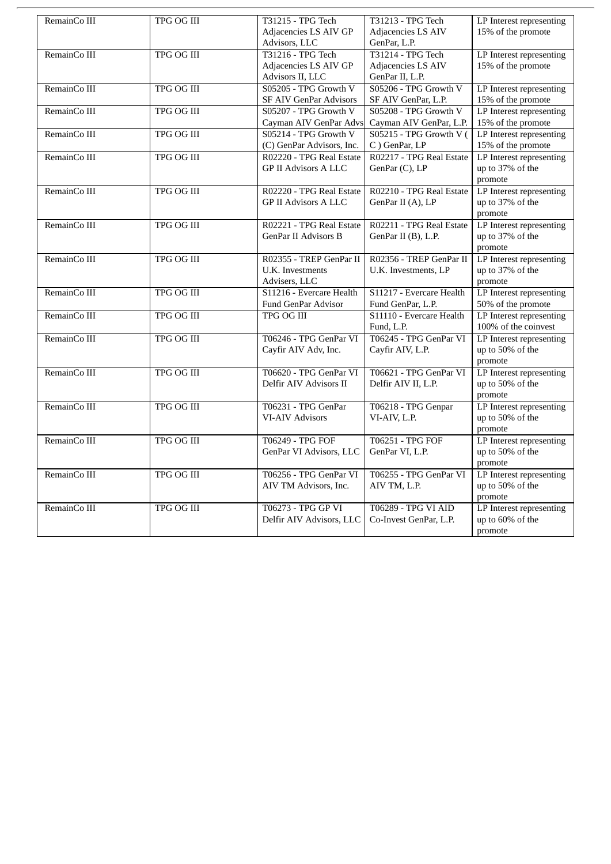| RemainCo III | TPG OG III        | <b>T31215 - TPG Tech</b>      | T31213 - TPG Tech        | LP Interest representing |
|--------------|-------------------|-------------------------------|--------------------------|--------------------------|
|              |                   | Adjacencies LS AIV GP         | Adjacencies LS AIV       | 15% of the promote       |
|              |                   | Advisors, LLC                 | GenPar, L.P.             |                          |
| RemainCo III | <b>TPG OG III</b> | T31216 - TPG Tech             | T31214 - TPG Tech        | LP Interest representing |
|              |                   | Adjacencies LS AIV GP         | Adjacencies LS AIV       | 15% of the promote       |
|              |                   | Advisors II, LLC              | GenPar II, L.P.          |                          |
| RemainCo III | TPG OG III        | S05205 - TPG Growth V         | S05206 - TPG Growth V    | LP Interest representing |
|              |                   | <b>SF AIV GenPar Advisors</b> | SF AIV GenPar, L.P.      | 15% of the promote       |
| RemainCo III | <b>TPG OG III</b> | S05207 - TPG Growth V         | S05208 - TPG Growth V    | LP Interest representing |
|              |                   | Cayman AIV GenPar Advs        | Cayman AIV GenPar, L.P.  | 15% of the promote       |
| RemainCo III | <b>TPG OG III</b> | S05214 - TPG Growth V         | S05215 - TPG Growth V (  | LP Interest representing |
|              |                   | (C) GenPar Advisors, Inc.     | C) GenPar, LP            | 15% of the promote       |
| RemainCo III | <b>TPG OG III</b> | R02220 - TPG Real Estate      | R02217 - TPG Real Estate | LP Interest representing |
|              |                   | <b>GP II Advisors A LLC</b>   | GenPar (C), LP           | up to 37% of the         |
|              |                   |                               |                          | promote                  |
| RemainCo III | TPG OG III        | R02220 - TPG Real Estate      | R02210 - TPG Real Estate | LP Interest representing |
|              |                   | <b>GP II Advisors A LLC</b>   | GenPar II (A), LP        | up to 37% of the         |
|              |                   |                               |                          | promote                  |
| RemainCo III | <b>TPG OG III</b> | R02221 - TPG Real Estate      | R02211 - TPG Real Estate | LP Interest representing |
|              |                   | <b>GenPar II Advisors B</b>   | GenPar II (B), L.P.      | up to 37% of the         |
|              |                   |                               |                          | promote                  |
| RemainCo III | <b>TPG OG III</b> | R02355 - TREP GenPar II       | R02356 - TREP GenPar II  | LP Interest representing |
|              |                   | U.K. Investments              | U.K. Investments, LP     | up to 37% of the         |
|              |                   | Advisers, LLC                 |                          | promote                  |
| RemainCo III | TPG OG III        | S11216 - Evercare Health      | S11217 - Evercare Health | LP Interest representing |
|              |                   | Fund GenPar Advisor           | Fund GenPar, L.P.        | 50% of the promote       |
| RemainCo III | <b>TPG OG III</b> | TPG OG III                    | S11110 - Evercare Health | LP Interest representing |
|              |                   |                               | Fund, L.P.               | 100% of the coinvest     |
| RemainCo III | <b>TPG OG III</b> | T06246 - TPG GenPar VI        | T06245 - TPG GenPar VI   | LP Interest representing |
|              |                   | Cayfir AIV Adv, Inc.          | Cayfir AIV, L.P.         | up to 50% of the         |
|              |                   |                               |                          | promote                  |
| RemainCo III | <b>TPG OG III</b> | T06620 - TPG GenPar VI        | T06621 - TPG GenPar VI   | LP Interest representing |
|              |                   | Delfir AIV Advisors II        | Delfir AIV II, L.P.      | up to 50% of the         |
|              |                   |                               |                          | promote                  |
| RemainCo III | TPG OG III        | T06231 - TPG GenPar           | T06218 - TPG Genpar      | LP Interest representing |
|              |                   | <b>VI-AIV Advisors</b>        | VI-AIV, L.P.             | up to 50% of the         |
|              |                   |                               |                          | promote                  |
| RemainCo III | <b>TPG OG III</b> | T06249 - TPG FOF              | T06251 - TPG FOF         | LP Interest representing |
|              |                   | GenPar VI Advisors, LLC       | GenPar VI, L.P.          | up to 50% of the         |
|              |                   |                               |                          | promote                  |
| RemainCo III | <b>TPG OG III</b> | T06256 - TPG GenPar VI        | T06255 - TPG GenPar VI   | LP Interest representing |
|              |                   | AIV TM Advisors, Inc.         | AIV TM, L.P.             | up to 50% of the         |
|              |                   |                               |                          | promote                  |
| RemainCo III | <b>TPG OG III</b> | T06273 - TPG GP VI            | T06289 - TPG VI AID      | LP Interest representing |
|              |                   | Delfir AIV Advisors, LLC      | Co-Invest GenPar, L.P.   | up to 60% of the         |
|              |                   |                               |                          | promote                  |
|              |                   |                               |                          |                          |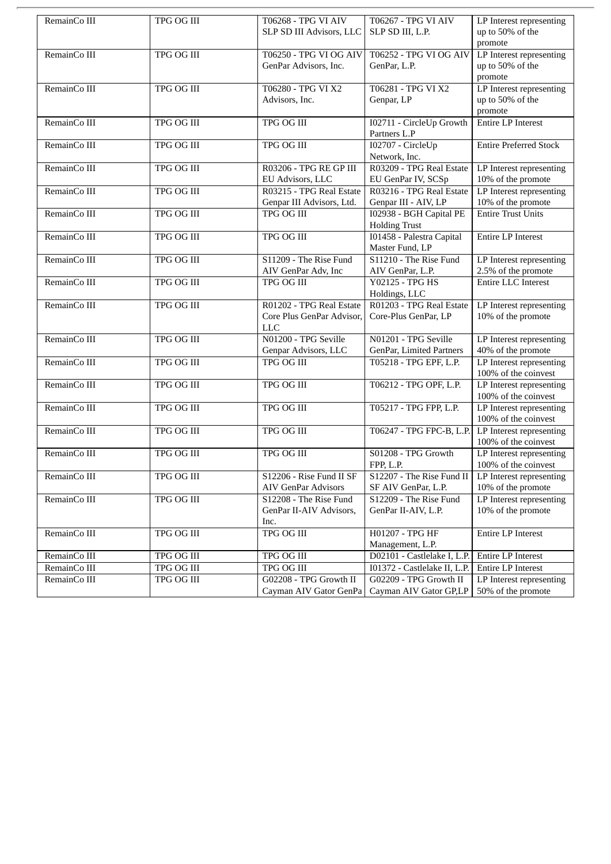| RemainCo III | TPG OG III        | T06268 - TPG VI AIV        | T06267 - TPG VI AIV          | LP Interest representing      |
|--------------|-------------------|----------------------------|------------------------------|-------------------------------|
|              |                   | SLP SD III Advisors, LLC   | SLP SD III, L.P.             | up to 50% of the              |
|              |                   |                            |                              | promote                       |
| RemainCo III | <b>TPG OG III</b> | T06250 - TPG VI OG AIV     | T06252 - TPG VI OG AIV       | LP Interest representing      |
|              |                   | GenPar Advisors, Inc.      | GenPar, L.P.                 | up to 50% of the              |
|              |                   |                            |                              | promote                       |
| RemainCo III | <b>TPG OG III</b> | T06280 - TPG VI X2         | T06281 - TPG VI X2           | LP Interest representing      |
|              |                   | Advisors, Inc.             | Genpar, LP                   | up to 50% of the              |
|              |                   |                            |                              | promote                       |
|              |                   |                            |                              |                               |
| RemainCo III | TPG OG III        | TPG OG III                 | I02711 - CircleUp Growth     | Entire LP Interest            |
|              |                   |                            | Partners L.P                 |                               |
| RemainCo III | <b>TPG OG III</b> | <b>TPG OG III</b>          | I02707 - CircleUp            | <b>Entire Preferred Stock</b> |
|              |                   |                            | Network, Inc.                |                               |
| RemainCo III | <b>TPG OG III</b> | R03206 - TPG RE GP III     | R03209 - TPG Real Estate     | LP Interest representing      |
|              |                   | EU Advisors, LLC           | EU GenPar IV, SCSp           | 10% of the promote            |
| RemainCo III | TPG OG III        | R03215 - TPG Real Estate   | R03216 - TPG Real Estate     | LP Interest representing      |
|              |                   | Genpar III Advisors, Ltd.  | Genpar III - AIV, LP         | 10% of the promote            |
| RemainCo III | <b>TPG OG III</b> | <b>TPG OG III</b>          | I02938 - BGH Capital PE      | <b>Entire Trust Units</b>     |
|              |                   |                            | <b>Holding Trust</b>         |                               |
| RemainCo III | TPG OG III        | TPG OG III                 | 101458 - Palestra Capital    | Entire LP Interest            |
|              |                   |                            | Master Fund, LP              |                               |
| RemainCo III | <b>TPG OG III</b> | S11209 - The Rise Fund     | S11210 - The Rise Fund       | LP Interest representing      |
|              |                   | AIV GenPar Adv, Inc        | AIV GenPar, L.P.             | 2.5% of the promote           |
|              | <b>TPG OG III</b> | <b>TPG OG III</b>          |                              |                               |
| RemainCo III |                   |                            | Y02125 - TPG HS              | Entire LLC Interest           |
|              |                   |                            | Holdings, LLC                |                               |
| RemainCo III | TPG OG III        | R01202 - TPG Real Estate   | R01203 - TPG Real Estate     | LP Interest representing      |
|              |                   | Core Plus GenPar Advisor,  | Core-Plus GenPar, LP         | 10% of the promote            |
|              |                   | <b>LLC</b>                 |                              |                               |
| RemainCo III | <b>TPG OG III</b> | N01200 - TPG Seville       | N01201 - TPG Seville         | LP Interest representing      |
|              |                   | Genpar Advisors, LLC       | GenPar, Limited Partners     | 40% of the promote            |
| RemainCo III | TPG OG III        | TPG OG III                 | T05218 - TPG EPF, L.P.       | LP Interest representing      |
|              |                   |                            |                              | 100% of the coinvest          |
| RemainCo III | <b>TPG OG III</b> | <b>TPG OG III</b>          | T06212 - TPG OPF, L.P.       | LP Interest representing      |
|              |                   |                            |                              | 100% of the coinvest          |
| RemainCo III | <b>TPG OG III</b> | <b>TPG OG III</b>          | T05217 - TPG FPP, L.P.       | LP Interest representing      |
|              |                   |                            |                              | 100% of the coinvest          |
| RemainCo III | TPG OG III        | TPG OG III                 | T06247 - TPG FPC-B, L.P.     | LP Interest representing      |
|              |                   |                            |                              | 100% of the coinvest          |
| RemainCo III | TPG OG III        | <b>TPG OG III</b>          | S01208 - TPG Growth          | LP Interest representing      |
|              |                   |                            | FPP, L.P.                    | 100% of the coinvest          |
|              |                   |                            |                              |                               |
| RemainCo III | TPG OG III        | S12206 - Rise Fund II SF   | S12207 - The Rise Fund II    | LP Interest representing      |
|              |                   | <b>AIV GenPar Advisors</b> | SF AIV GenPar, L.P.          | $10\%$ of the promote         |
| RemainCo III | <b>TPG OG III</b> | S12208 - The Rise Fund     | S12209 - The Rise Fund       | LP Interest representing      |
|              |                   | GenPar II-AIV Advisors,    | GenPar II-AIV, L.P.          | 10% of the promote            |
|              |                   | Inc.                       |                              |                               |
| RemainCo III | TPG OG III        | <b>TPG OG III</b>          | H01207 - TPG HF              | Entire LP Interest            |
|              |                   |                            | Management, L.P.             |                               |
| RemainCo III | TPG OG III        | TPG OG III                 | D02101 - Castlelake I, L.P.  | Entire LP Interest            |
| RemainCo III | <b>TPG OG III</b> | TPG OG III                 | I01372 - Castlelake II, L.P. | <b>Entire LP Interest</b>     |
| RemainCo III | TPG OG III        | G02208 - TPG Growth II     | G02209 - TPG Growth II       | LP Interest representing      |
|              |                   | Cayman AIV Gator GenPa     | Cayman AIV Gator GP,LP       | 50% of the promote            |
|              |                   |                            |                              |                               |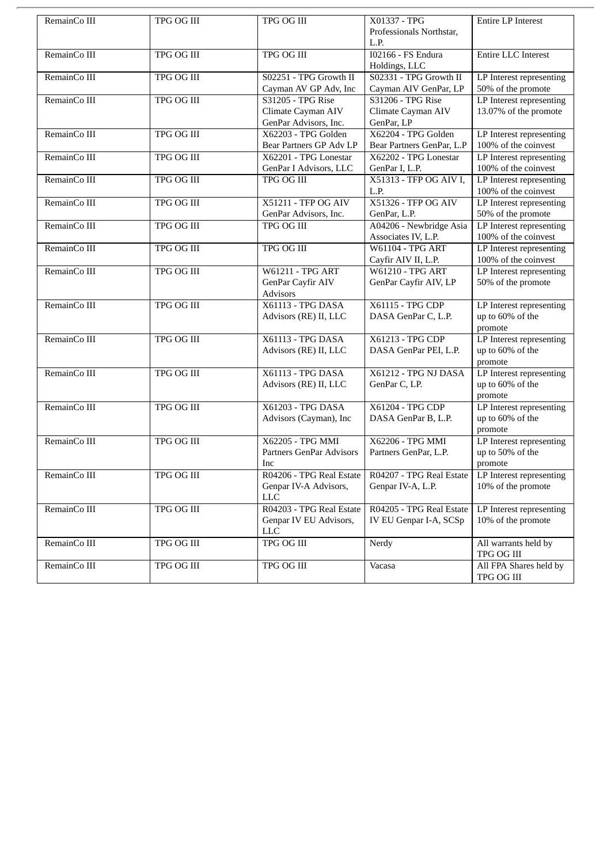| RemainCo III | TPG OG III        | TPG OG III                      | X01337 - TPG              | Entire LP Interest         |
|--------------|-------------------|---------------------------------|---------------------------|----------------------------|
|              |                   |                                 | Professionals Northstar,  |                            |
|              |                   |                                 | L.P.                      |                            |
| RemainCo III | <b>TPG OG III</b> | <b>TPG OG III</b>               | <b>I02166 - FS Endura</b> | <b>Entire LLC Interest</b> |
|              |                   |                                 | Holdings, LLC             |                            |
| RemainCo III | TPG OG III        | S02251 - TPG Growth II          | S02331 - TPG Growth II    | LP Interest representing   |
|              |                   | Cayman AV GP Adv, Inc           | Cayman AIV GenPar, LP     | 50% of the promote         |
| RemainCo III | TPG OG III        | S31205 - TPG Rise               | S31206 - TPG Rise         | LP Interest representing   |
|              |                   |                                 |                           |                            |
|              |                   | Climate Cayman AIV              | Climate Cayman AIV        | 13.07% of the promote      |
|              |                   | GenPar Advisors, Inc.           | GenPar, LP                |                            |
| RemainCo III | <b>TPG OG III</b> | X62203 - TPG Golden             | X62204 - TPG Golden       | LP Interest representing   |
|              |                   | Bear Partners GP Adv LP         | Bear Partners GenPar, L.P | 100% of the coinvest       |
| RemainCo III | TPG OG III        | X62201 - TPG Lonestar           | X62202 - TPG Lonestar     | LP Interest representing   |
|              |                   | GenPar I Advisors, LLC          | GenPar I, L.P.            | 100% of the coinvest       |
| RemainCo III | <b>TPG OG III</b> | <b>TPG OG III</b>               | X51313 - TFP OG AIV I,    | LP Interest representing   |
|              |                   |                                 | L.P.                      | 100% of the coinvest       |
| RemainCo III | TPG OG III        | X51211 - TFP OG AIV             | X51326 - TFP OG AIV       | LP Interest representing   |
|              |                   | GenPar Advisors, Inc.           | GenPar, L.P.              | 50% of the promote         |
|              | <b>TPG OG III</b> |                                 |                           |                            |
| RemainCo III |                   | TPG OG III                      | A04206 - Newbridge Asia   | LP Interest representing   |
|              |                   |                                 | Associates IV, L.P.       | 100% of the coinvest       |
| RemainCo III | <b>TPG OG III</b> | <b>TPG OG III</b>               | <b>W61104 - TPG ART</b>   | LP Interest representing   |
|              |                   |                                 | Cayfir AIV II, L.P.       | 100% of the coinvest       |
| RemainCo III | TPG OG III        | <b>W61211 - TPG ART</b>         | <b>W61210 - TPG ART</b>   | LP Interest representing   |
|              |                   | GenPar Cayfir AIV               | GenPar Cayfir AIV, LP     | 50% of the promote         |
|              |                   | <b>Advisors</b>                 |                           |                            |
| RemainCo III | TPG OG III        | X61113 - TPG DASA               | X61115 - TPG CDP          | LP Interest representing   |
|              |                   | Advisors (RE) II, LLC           | DASA GenPar C, L.P.       | up to 60% of the           |
|              |                   |                                 |                           | promote                    |
| RemainCo III | <b>TPG OG III</b> | <b>X61113 - TPG DASA</b>        | X61213 - TPG CDP          |                            |
|              |                   |                                 |                           | LP Interest representing   |
|              |                   | Advisors (RE) II, LLC           | DASA GenPar PEI, L.P.     | up to 60% of the           |
|              |                   |                                 |                           | promote                    |
| RemainCo III | <b>TPG OG III</b> | X61113 - TPG DASA               | X61212 - TPG NJ DASA      | LP Interest representing   |
|              |                   | Advisors (RE) II, LLC           | GenPar C, LP.             | up to 60% of the           |
|              |                   |                                 |                           | promote                    |
| RemainCo III | TPG OG III        | X61203 - TPG DASA               | X61204 - TPG CDP          | LP Interest representing   |
|              |                   | Advisors (Cayman), Inc          | DASA GenPar B, L.P.       | up to 60% of the           |
|              |                   |                                 |                           | promote                    |
| RemainCo III | TPG OG III        | X62205 - TPG MMI                | X62206 - TPG MMI          | LP Interest representing   |
|              |                   | <b>Partners GenPar Advisors</b> | Partners GenPar, L.P.     | up to 50% of the           |
|              |                   | Inc                             |                           | promote                    |
|              | <b>TPG OG III</b> | R04206 - TPG Real Estate        | R04207 - TPG Real Estate  |                            |
| RemainCo III |                   |                                 |                           | LP Interest representing   |
|              |                   | Genpar IV-A Advisors,           | Genpar IV-A, L.P.         | $10\%$ of the promote      |
|              |                   | <b>LLC</b>                      |                           |                            |
| RemainCo III | TPG OG III        | R04203 - TPG Real Estate        | R04205 - TPG Real Estate  | LP Interest representing   |
|              |                   | Genpar IV EU Advisors,          | IV EU Genpar I-A, SCSp    | 10% of the promote         |
|              |                   | <b>LLC</b>                      |                           |                            |
| RemainCo III | TPG OG III        | TPG OG III                      | Nerdy                     | All warrants held by       |
|              |                   |                                 |                           | TPG OG III                 |
| RemainCo III | TPG OG III        | TPG OG III                      | Vacasa                    | All FPA Shares held by     |
|              |                   |                                 |                           | TPG OG III                 |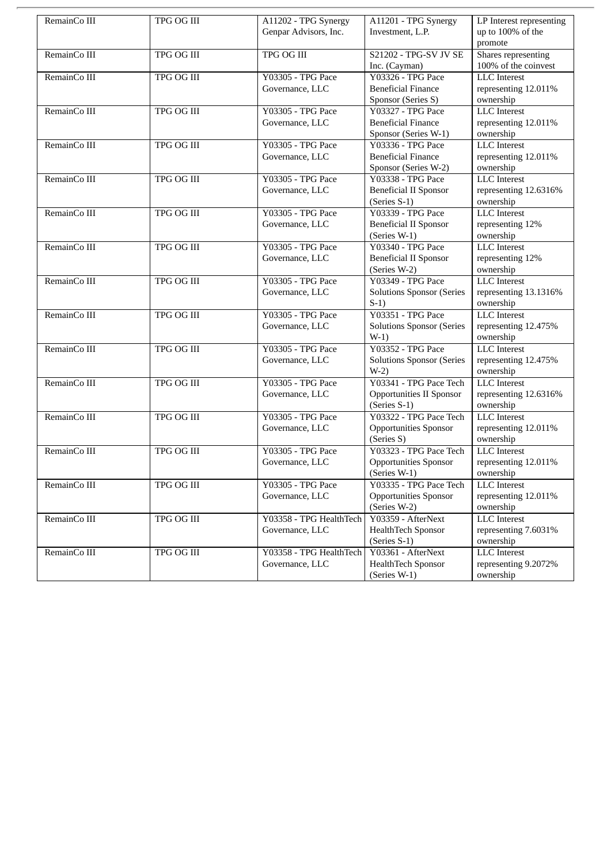| RemainCo III | TPG OG III        | A11202 - TPG Synergy    | A11201 - TPG Synergy             | LP Interest representing |
|--------------|-------------------|-------------------------|----------------------------------|--------------------------|
|              |                   | Genpar Advisors, Inc.   | Investment, L.P.                 | up to 100% of the        |
|              |                   |                         |                                  | promote                  |
| RemainCo III | <b>TPG OG III</b> | <b>TPG OG III</b>       | S21202 - TPG-SV JV SE            | Shares representing      |
|              |                   |                         | Inc. (Cayman)                    | 100% of the coinvest     |
| RemainCo III | <b>TPG OG III</b> | Y03305 - TPG Pace       | Y03326 - TPG Pace                | <b>LLC</b> Interest      |
|              |                   | Governance, LLC         | <b>Beneficial Finance</b>        | representing 12.011%     |
|              |                   |                         | Sponsor (Series S)               | ownership                |
| RemainCo III | TPG OG III        | Y03305 - TPG Pace       | Y03327 - TPG Pace                | <b>LLC</b> Interest      |
|              |                   | Governance, LLC         | <b>Beneficial Finance</b>        | representing 12.011%     |
|              |                   |                         | Sponsor (Series W-1)             | ownership                |
| RemainCo III | TPG OG III        | Y03305 - TPG Pace       | Y03336 - TPG Pace                | <b>LLC</b> Interest      |
|              |                   | Governance, LLC         | <b>Beneficial Finance</b>        | representing 12.011%     |
|              |                   |                         | Sponsor (Series W-2)             | ownership                |
| RemainCo III | <b>TPG OG III</b> | Y03305 - TPG Pace       | Y03338 - TPG Pace                | <b>LLC</b> Interest      |
|              |                   | Governance, LLC         | <b>Beneficial II Sponsor</b>     | representing 12.6316%    |
|              |                   |                         | (Series S-1)                     | ownership                |
| RemainCo III | TPG OG III        | Y03305 - TPG Pace       | Y03339 - TPG Pace                | <b>LLC</b> Interest      |
|              |                   | Governance, LLC         | <b>Beneficial II Sponsor</b>     | representing 12%         |
|              |                   |                         | (Series W-1)                     | ownership                |
| RemainCo III | TPG OG III        | Y03305 - TPG Pace       | Y03340 - TPG Pace                | <b>LLC</b> Interest      |
|              |                   | Governance, LLC         | <b>Beneficial II Sponsor</b>     | representing 12%         |
|              |                   |                         | (Series W-2)                     | ownership                |
| RemainCo III | TPG OG III        | Y03305 - TPG Pace       | Y03349 - TPG Pace                | <b>LLC</b> Interest      |
|              |                   | Governance, LLC         | <b>Solutions Sponsor (Series</b> | representing 13.1316%    |
|              |                   |                         | $S-1$                            | ownership                |
| RemainCo III | <b>TPG OG III</b> | Y03305 - TPG Pace       | Y03351 - TPG Pace                | <b>LLC</b> Interest      |
|              |                   | Governance, LLC         | <b>Solutions Sponsor (Series</b> | representing 12.475%     |
|              |                   |                         | $W-1)$                           | ownership                |
| RemainCo III | <b>TPG OG III</b> | Y03305 - TPG Pace       | Y03352 - TPG Pace                | <b>LLC</b> Interest      |
|              |                   | Governance, LLC         | <b>Solutions Sponsor (Series</b> | representing 12.475%     |
|              |                   |                         | $W-2)$                           | ownership                |
| RemainCo III | TPG OG III        | Y03305 - TPG Pace       | Y03341 - TPG Pace Tech           | <b>LLC</b> Interest      |
|              |                   | Governance, LLC         | <b>Opportunities II Sponsor</b>  | representing 12.6316%    |
|              |                   |                         | (Series S-1)                     | ownership                |
| RemainCo III | TPG OG III        | Y03305 - TPG Pace       | Y03322 - TPG Pace Tech           | <b>LLC</b> Interest      |
|              |                   | Governance, LLC         | Opportunities Sponsor            | representing 12.011%     |
|              |                   |                         | (Series S)                       | ownership                |
| RemainCo III | <b>TPG OG III</b> | Y03305 - TPG Pace       | Y03323 - TPG Pace Tech           | <b>LLC</b> Interest      |
|              |                   | Governance, LLC         | <b>Opportunities Sponsor</b>     | representing 12.011%     |
|              |                   |                         | (Series W-1)                     | ownership                |
| RemainCo III | TPG OG III        | Y03305 - TPG Pace       | Y03335 - TPG Pace Tech           | <b>LLC</b> Interest      |
|              |                   | Governance, LLC         | <b>Opportunities Sponsor</b>     | representing 12.011%     |
|              |                   |                         | (Series W-2)                     | ownership                |
| RemainCo III | TPG OG III        | Y03358 - TPG HealthTech | Y03359 - AfterNext               | <b>LLC</b> Interest      |
|              |                   | Governance, LLC         | HealthTech Sponsor               | representing 7.6031%     |
|              |                   |                         | (Series S-1)                     | ownership                |
| RemainCo III | TPG OG III        | Y03358 - TPG HealthTech | Y03361 - AfterNext               | <b>LLC</b> Interest      |
|              |                   | Governance, LLC         | <b>HealthTech Sponsor</b>        | representing 9.2072%     |
|              |                   |                         | (Series W-1)                     | ownership                |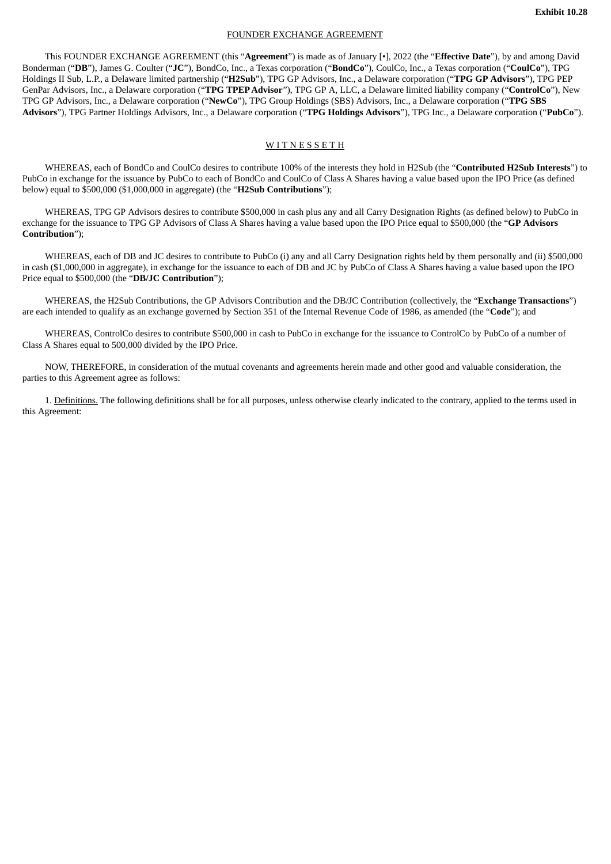### FOUNDER EXCHANGE AGREEMENT

This FOUNDER EXCHANGE AGREEMENT (this "**Agreement**") is made as of January [•], 2022 (the "**Effective Date**"), by and among David Bonderman ("**DB**"), James G. Coulter ("**JC**"), BondCo, Inc., a Texas corporation ("**BondCo**"), CoulCo, Inc., a Texas corporation ("**CoulCo**"), TPG Holdings II Sub, L.P., a Delaware limited partnership ("**H2Sub**"), TPG GP Advisors, Inc., a Delaware corporation ("**TPG GP Advisors**"), TPG PEP GenPar Advisors, Inc., a Delaware corporation ("**TPG TPEPAdvisor**"), TPG GP A, LLC, a Delaware limited liability company ("**ControlCo**"), New TPG GP Advisors, Inc., a Delaware corporation ("**NewCo**"), TPG Group Holdings (SBS) Advisors, Inc., a Delaware corporation ("**TPG SBS Advisors**"), TPG Partner Holdings Advisors, Inc., a Delaware corporation ("**TPG Holdings Advisors**"), TPG Inc., a Delaware corporation ("**PubCo**").

### **WITNESSETH**

WHEREAS, each of BondCo and CoulCo desires to contribute 100% of the interests they hold in H2Sub (the "**Contributed H2Sub Interests**") to PubCo in exchange for the issuance by PubCo to each of BondCo and CoulCo of Class A Shares having a value based upon the IPO Price (as defined below) equal to \$500,000 (\$1,000,000 in aggregate) (the "**H2Sub Contributions**");

WHEREAS, TPG GP Advisors desires to contribute \$500,000 in cash plus any and all Carry Designation Rights (as defined below) to PubCo in exchange for the issuance to TPG GP Advisors of Class A Shares having a value based upon the IPO Price equal to \$500,000 (the "**GP Advisors Contribution**");

WHEREAS, each of DB and JC desires to contribute to PubCo (i) any and all Carry Designation rights held by them personally and (ii) \$500,000 in cash (\$1,000,000 in aggregate), in exchange for the issuance to each of DB and JC by PubCo of Class A Shares having a value based upon the IPO Price equal to \$500,000 (the "**DB/JC Contribution**");

WHEREAS, the H2Sub Contributions, the GP Advisors Contribution and the DB/JC Contribution (collectively, the "**Exchange Transactions**") are each intended to qualify as an exchange governed by Section 351 of the Internal Revenue Code of 1986, as amended (the "**Code**"); and

WHEREAS, ControlCo desires to contribute \$500,000 in cash to PubCo in exchange for the issuance to ControlCo by PubCo of a number of Class A Shares equal to 500,000 divided by the IPO Price.

NOW, THEREFORE, in consideration of the mutual covenants and agreements herein made and other good and valuable consideration, the parties to this Agreement agree as follows:

1. Definitions. The following definitions shall be for all purposes, unless otherwise clearly indicated to the contrary, applied to the terms used in this Agreement: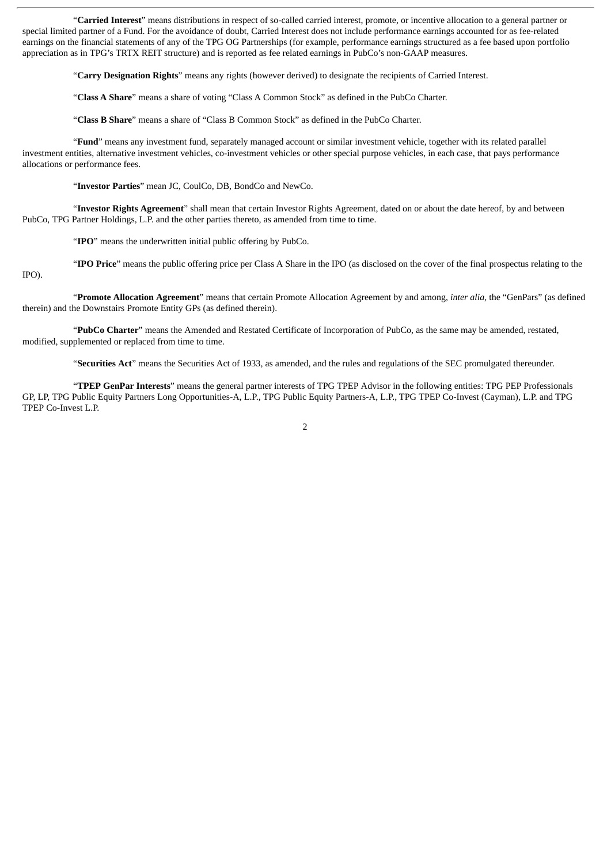"**Carried Interest**" means distributions in respect of so-called carried interest, promote, or incentive allocation to a general partner or special limited partner of a Fund. For the avoidance of doubt, Carried Interest does not include performance earnings accounted for as fee-related earnings on the financial statements of any of the TPG OG Partnerships (for example, performance earnings structured as a fee based upon portfolio appreciation as in TPG's TRTX REIT structure) and is reported as fee related earnings in PubCo's non-GAAP measures.

"**Carry Designation Rights**" means any rights (however derived) to designate the recipients of Carried Interest.

"**Class A Share**" means a share of voting "Class A Common Stock" as defined in the PubCo Charter.

"**Class B Share**" means a share of "Class B Common Stock" as defined in the PubCo Charter.

"**Fund**" means any investment fund, separately managed account or similar investment vehicle, together with its related parallel investment entities, alternative investment vehicles, co-investment vehicles or other special purpose vehicles, in each case, that pays performance allocations or performance fees.

"**Investor Parties**" mean JC, CoulCo, DB, BondCo and NewCo.

"**Investor Rights Agreement**" shall mean that certain Investor Rights Agreement, dated on or about the date hereof, by and between PubCo, TPG Partner Holdings, L.P. and the other parties thereto, as amended from time to time.

"**IPO**" means the underwritten initial public offering by PubCo.

"**IPO Price**" means the public offering price per Class A Share in the IPO (as disclosed on the cover of the final prospectus relating to the

IPO).

"**Promote Allocation Agreement**" means that certain Promote Allocation Agreement by and among, *inter alia,* the "GenPars" (as defined therein) and the Downstairs Promote Entity GPs (as defined therein).

"**PubCo Charter**" means the Amended and Restated Certificate of Incorporation of PubCo, as the same may be amended, restated, modified, supplemented or replaced from time to time.

"**Securities Act**" means the Securities Act of 1933, as amended, and the rules and regulations of the SEC promulgated thereunder.

"**TPEP GenPar Interests**" means the general partner interests of TPG TPEP Advisor in the following entities: TPG PEP Professionals GP, LP, TPG Public Equity Partners Long Opportunities-A, L.P., TPG Public Equity Partners-A, L.P., TPG TPEP Co-Invest (Cayman), L.P. and TPG TPEP Co-Invest L.P.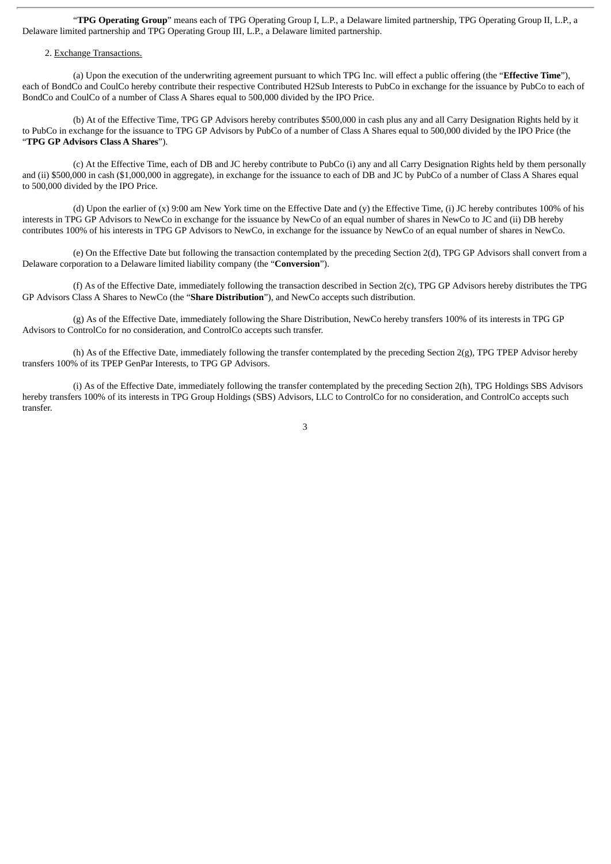"**TPG Operating Group**" means each of TPG Operating Group I, L.P., a Delaware limited partnership, TPG Operating Group II, L.P., a Delaware limited partnership and TPG Operating Group III, L.P., a Delaware limited partnership.

# 2. Exchange Transactions.

(a) Upon the execution of the underwriting agreement pursuant to which TPG Inc. will effect a public offering (the "**Effective Time**"), each of BondCo and CoulCo hereby contribute their respective Contributed H2Sub Interests to PubCo in exchange for the issuance by PubCo to each of BondCo and CoulCo of a number of Class A Shares equal to 500,000 divided by the IPO Price.

(b) At of the Effective Time, TPG GP Advisors hereby contributes \$500,000 in cash plus any and all Carry Designation Rights held by it to PubCo in exchange for the issuance to TPG GP Advisors by PubCo of a number of Class A Shares equal to 500,000 divided by the IPO Price (the "**TPG GP Advisors Class A Shares**").

(c) At the Effective Time, each of DB and JC hereby contribute to PubCo (i) any and all Carry Designation Rights held by them personally and (ii) \$500,000 in cash (\$1,000,000 in aggregate), in exchange for the issuance to each of DB and JC by PubCo of a number of Class A Shares equal to 500,000 divided by the IPO Price.

(d) Upon the earlier of (x) 9:00 am New York time on the Effective Date and (y) the Effective Time, (i) JC hereby contributes 100% of his interests in TPG GP Advisors to NewCo in exchange for the issuance by NewCo of an equal number of shares in NewCo to JC and (ii) DB hereby contributes 100% of his interests in TPG GP Advisors to NewCo, in exchange for the issuance by NewCo of an equal number of shares in NewCo.

(e) On the Effective Date but following the transaction contemplated by the preceding Section 2(d), TPG GP Advisors shall convert from a Delaware corporation to a Delaware limited liability company (the "**Conversion**").

(f) As of the Effective Date, immediately following the transaction described in Section 2(c), TPG GP Advisors hereby distributes the TPG GP Advisors Class A Shares to NewCo (the "**Share Distribution**"), and NewCo accepts such distribution.

(g) As of the Effective Date, immediately following the Share Distribution, NewCo hereby transfers 100% of its interests in TPG GP Advisors to ControlCo for no consideration, and ControlCo accepts such transfer.

(h) As of the Effective Date, immediately following the transfer contemplated by the preceding Section 2(g), TPG TPEP Advisor hereby transfers 100% of its TPEP GenPar Interests, to TPG GP Advisors.

(i) As of the Effective Date, immediately following the transfer contemplated by the preceding Section 2(h), TPG Holdings SBS Advisors hereby transfers 100% of its interests in TPG Group Holdings (SBS) Advisors, LLC to ControlCo for no consideration, and ControlCo accepts such transfer.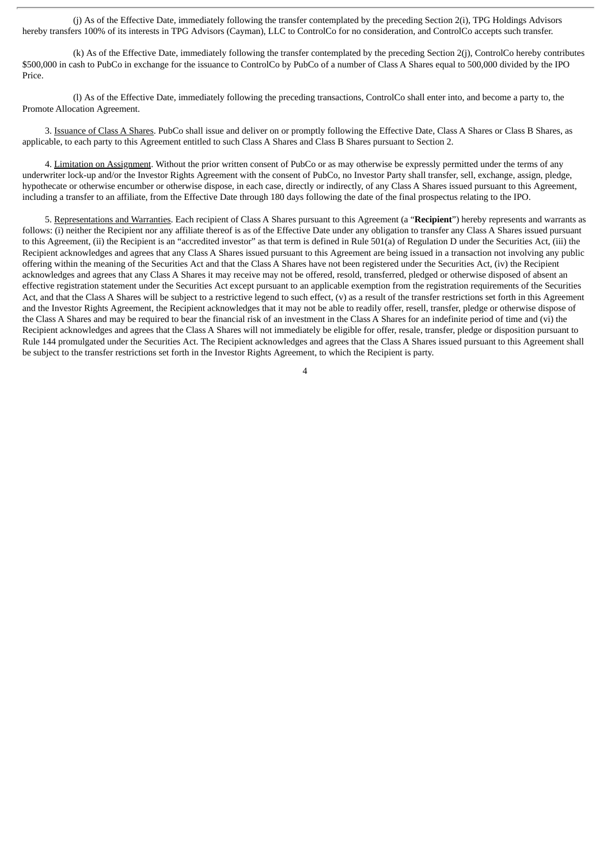(j) As of the Effective Date, immediately following the transfer contemplated by the preceding Section 2(i), TPG Holdings Advisors hereby transfers 100% of its interests in TPG Advisors (Cayman), LLC to ControlCo for no consideration, and ControlCo accepts such transfer.

(k) As of the Effective Date, immediately following the transfer contemplated by the preceding Section 2(j), ControlCo hereby contributes \$500,000 in cash to PubCo in exchange for the issuance to ControlCo by PubCo of a number of Class A Shares equal to 500,000 divided by the IPO Price.

(l) As of the Effective Date, immediately following the preceding transactions, ControlCo shall enter into, and become a party to, the Promote Allocation Agreement.

3. Issuance of Class A Shares. PubCo shall issue and deliver on or promptly following the Effective Date, Class A Shares or Class B Shares, as applicable, to each party to this Agreement entitled to such Class A Shares and Class B Shares pursuant to Section 2.

4. Limitation on Assignment. Without the prior written consent of PubCo or as may otherwise be expressly permitted under the terms of any underwriter lock-up and/or the Investor Rights Agreement with the consent of PubCo, no Investor Party shall transfer, sell, exchange, assign, pledge, hypothecate or otherwise encumber or otherwise dispose, in each case, directly or indirectly, of any Class A Shares issued pursuant to this Agreement, including a transfer to an affiliate, from the Effective Date through 180 days following the date of the final prospectus relating to the IPO.

5. Representations and Warranties. Each recipient of Class A Shares pursuant to this Agreement (a "**Recipient**") hereby represents and warrants as follows: (i) neither the Recipient nor any affiliate thereof is as of the Effective Date under any obligation to transfer any Class A Shares issued pursuant to this Agreement, (ii) the Recipient is an "accredited investor" as that term is defined in Rule 501(a) of Regulation D under the Securities Act, (iii) the Recipient acknowledges and agrees that any Class A Shares issued pursuant to this Agreement are being issued in a transaction not involving any public offering within the meaning of the Securities Act and that the Class A Shares have not been registered under the Securities Act, (iv) the Recipient acknowledges and agrees that any Class A Shares it may receive may not be offered, resold, transferred, pledged or otherwise disposed of absent an effective registration statement under the Securities Act except pursuant to an applicable exemption from the registration requirements of the Securities Act, and that the Class A Shares will be subject to a restrictive legend to such effect, (v) as a result of the transfer restrictions set forth in this Agreement and the Investor Rights Agreement, the Recipient acknowledges that it may not be able to readily offer, resell, transfer, pledge or otherwise dispose of the Class A Shares and may be required to bear the financial risk of an investment in the Class A Shares for an indefinite period of time and (vi) the Recipient acknowledges and agrees that the Class A Shares will not immediately be eligible for offer, resale, transfer, pledge or disposition pursuant to Rule 144 promulgated under the Securities Act. The Recipient acknowledges and agrees that the Class A Shares issued pursuant to this Agreement shall be subject to the transfer restrictions set forth in the Investor Rights Agreement, to which the Recipient is party.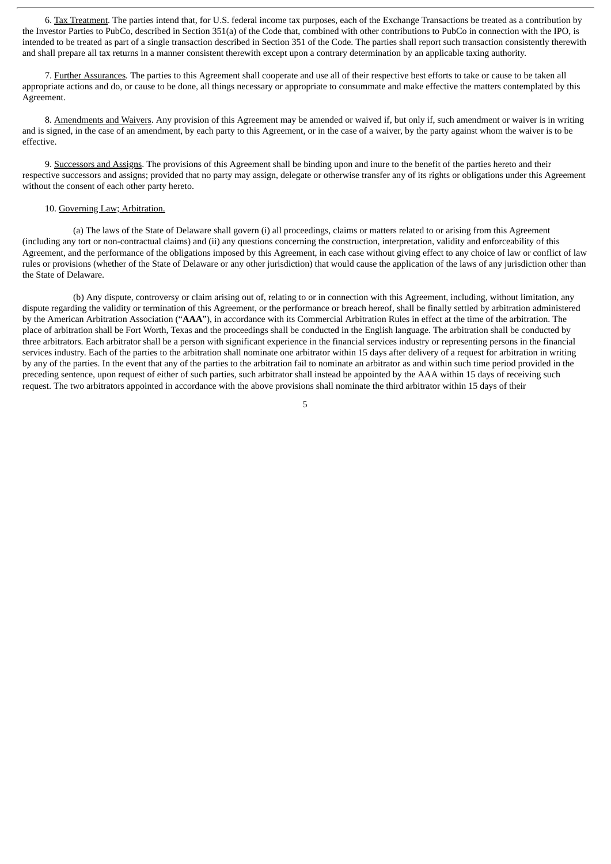6. Tax Treatment. The parties intend that, for U.S. federal income tax purposes, each of the Exchange Transactions be treated as a contribution by the Investor Parties to PubCo, described in Section 351(a) of the Code that, combined with other contributions to PubCo in connection with the IPO, is intended to be treated as part of a single transaction described in Section 351 of the Code. The parties shall report such transaction consistently therewith and shall prepare all tax returns in a manner consistent therewith except upon a contrary determination by an applicable taxing authority.

7. Further Assurances*.* The parties to this Agreement shall cooperate and use all of their respective best efforts to take or cause to be taken all appropriate actions and do, or cause to be done, all things necessary or appropriate to consummate and make effective the matters contemplated by this Agreement.

8. Amendments and Waivers. Any provision of this Agreement may be amended or waived if, but only if, such amendment or waiver is in writing and is signed, in the case of an amendment, by each party to this Agreement, or in the case of a waiver, by the party against whom the waiver is to be effective.

9. Successors and Assigns. The provisions of this Agreement shall be binding upon and inure to the benefit of the parties hereto and their respective successors and assigns; provided that no party may assign, delegate or otherwise transfer any of its rights or obligations under this Agreement without the consent of each other party hereto.

# 10. Governing Law; Arbitration.

(a) The laws of the State of Delaware shall govern (i) all proceedings, claims or matters related to or arising from this Agreement (including any tort or non-contractual claims) and (ii) any questions concerning the construction, interpretation, validity and enforceability of this Agreement, and the performance of the obligations imposed by this Agreement, in each case without giving effect to any choice of law or conflict of law rules or provisions (whether of the State of Delaware or any other jurisdiction) that would cause the application of the laws of any jurisdiction other than the State of Delaware.

(b) Any dispute, controversy or claim arising out of, relating to or in connection with this Agreement, including, without limitation, any dispute regarding the validity or termination of this Agreement, or the performance or breach hereof, shall be finally settled by arbitration administered by the American Arbitration Association ("**AAA**"), in accordance with its Commercial Arbitration Rules in effect at the time of the arbitration. The place of arbitration shall be Fort Worth, Texas and the proceedings shall be conducted in the English language. The arbitration shall be conducted by three arbitrators. Each arbitrator shall be a person with significant experience in the financial services industry or representing persons in the financial services industry. Each of the parties to the arbitration shall nominate one arbitrator within 15 days after delivery of a request for arbitration in writing by any of the parties. In the event that any of the parties to the arbitration fail to nominate an arbitrator as and within such time period provided in the preceding sentence, upon request of either of such parties, such arbitrator shall instead be appointed by the AAA within 15 days of receiving such request. The two arbitrators appointed in accordance with the above provisions shall nominate the third arbitrator within 15 days of their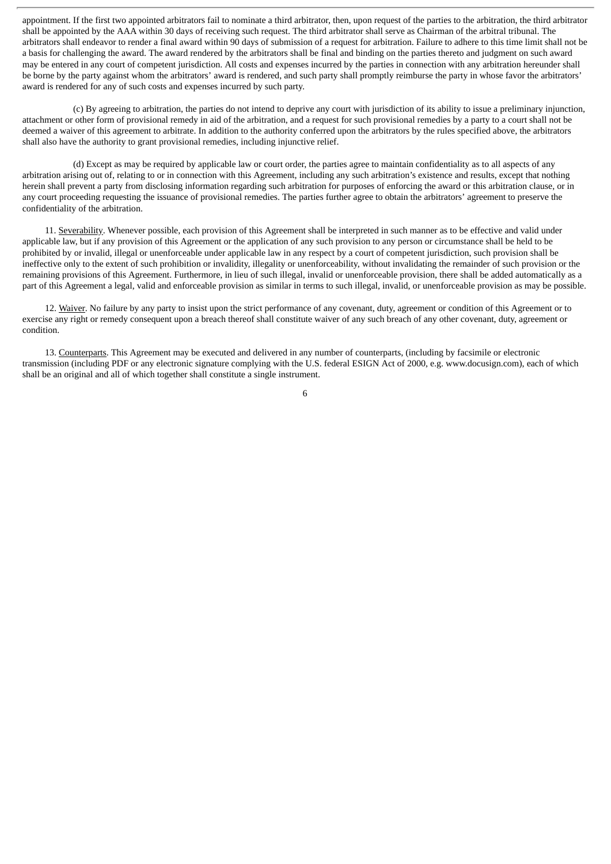appointment. If the first two appointed arbitrators fail to nominate a third arbitrator, then, upon request of the parties to the arbitration, the third arbitrator shall be appointed by the AAA within 30 days of receiving such request. The third arbitrator shall serve as Chairman of the arbitral tribunal. The arbitrators shall endeavor to render a final award within 90 days of submission of a request for arbitration. Failure to adhere to this time limit shall not be a basis for challenging the award. The award rendered by the arbitrators shall be final and binding on the parties thereto and judgment on such award may be entered in any court of competent jurisdiction. All costs and expenses incurred by the parties in connection with any arbitration hereunder shall be borne by the party against whom the arbitrators' award is rendered, and such party shall promptly reimburse the party in whose favor the arbitrators' award is rendered for any of such costs and expenses incurred by such party.

(c) By agreeing to arbitration, the parties do not intend to deprive any court with jurisdiction of its ability to issue a preliminary injunction, attachment or other form of provisional remedy in aid of the arbitration, and a request for such provisional remedies by a party to a court shall not be deemed a waiver of this agreement to arbitrate. In addition to the authority conferred upon the arbitrators by the rules specified above, the arbitrators shall also have the authority to grant provisional remedies, including injunctive relief.

(d) Except as may be required by applicable law or court order, the parties agree to maintain confidentiality as to all aspects of any arbitration arising out of, relating to or in connection with this Agreement, including any such arbitration's existence and results, except that nothing herein shall prevent a party from disclosing information regarding such arbitration for purposes of enforcing the award or this arbitration clause, or in any court proceeding requesting the issuance of provisional remedies. The parties further agree to obtain the arbitrators' agreement to preserve the confidentiality of the arbitration.

11. Severability. Whenever possible, each provision of this Agreement shall be interpreted in such manner as to be effective and valid under applicable law, but if any provision of this Agreement or the application of any such provision to any person or circumstance shall be held to be prohibited by or invalid, illegal or unenforceable under applicable law in any respect by a court of competent jurisdiction, such provision shall be ineffective only to the extent of such prohibition or invalidity, illegality or unenforceability, without invalidating the remainder of such provision or the remaining provisions of this Agreement. Furthermore, in lieu of such illegal, invalid or unenforceable provision, there shall be added automatically as a part of this Agreement a legal, valid and enforceable provision as similar in terms to such illegal, invalid, or unenforceable provision as may be possible.

12. Waiver. No failure by any party to insist upon the strict performance of any covenant, duty, agreement or condition of this Agreement or to exercise any right or remedy consequent upon a breach thereof shall constitute waiver of any such breach of any other covenant, duty, agreement or condition.

13. Counterparts. This Agreement may be executed and delivered in any number of counterparts, (including by facsimile or electronic transmission (including PDF or any electronic signature complying with the U.S. federal ESIGN Act of 2000, e.g. www.docusign.com), each of which shall be an original and all of which together shall constitute a single instrument.

6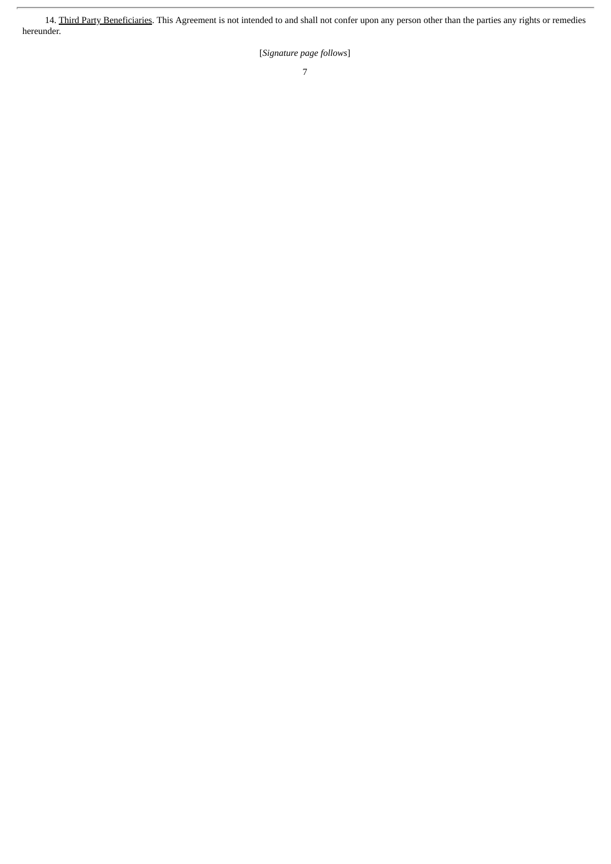14. Third Party Beneficiaries. This Agreement is not intended to and shall not confer upon any person other than the parties any rights or remedies hereunder.

[*Signature page follows*]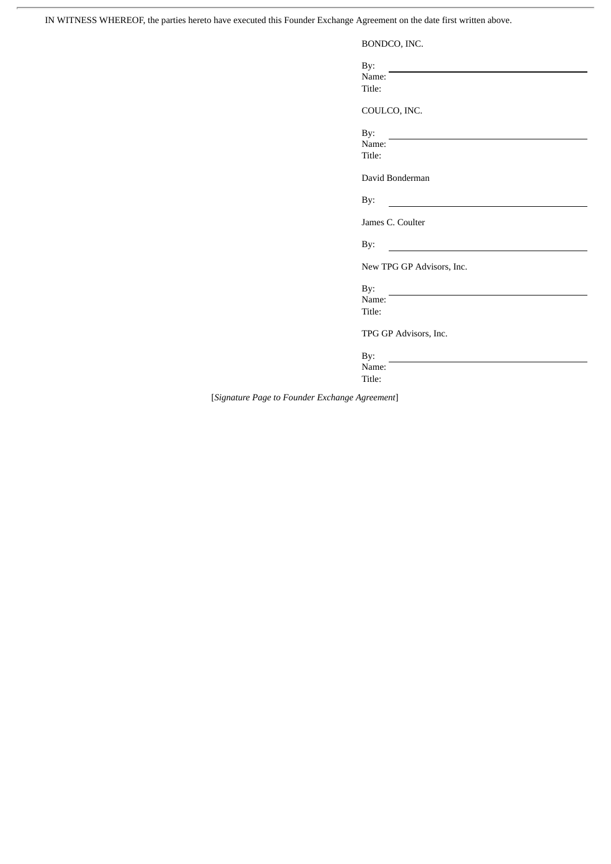IN WITNESS WHEREOF, the parties hereto have executed this Founder Exchange Agreement on the date first written above.

BONDCO, INC.

By: Name:

Title:

COULCO, INC.

By:

Name: Title:

David Bonderman

By:

James C. Coulter

By:

New TPG GP Advisors, Inc.

By: Name:

Title:

TPG GP Advisors, Inc.

By: Name:

Title:

[*Signature Page to Founder Exchange Agreement*]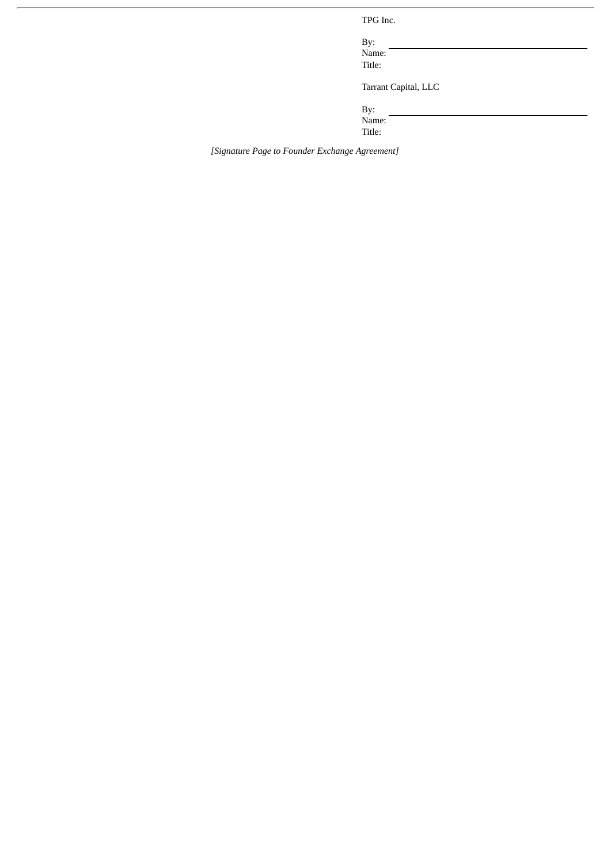TPG Inc.

By: Name: Title:

Tarrant Capital, LLC

By: Name:

Title:

*[Signature Page to Founder Exchange Agreement]*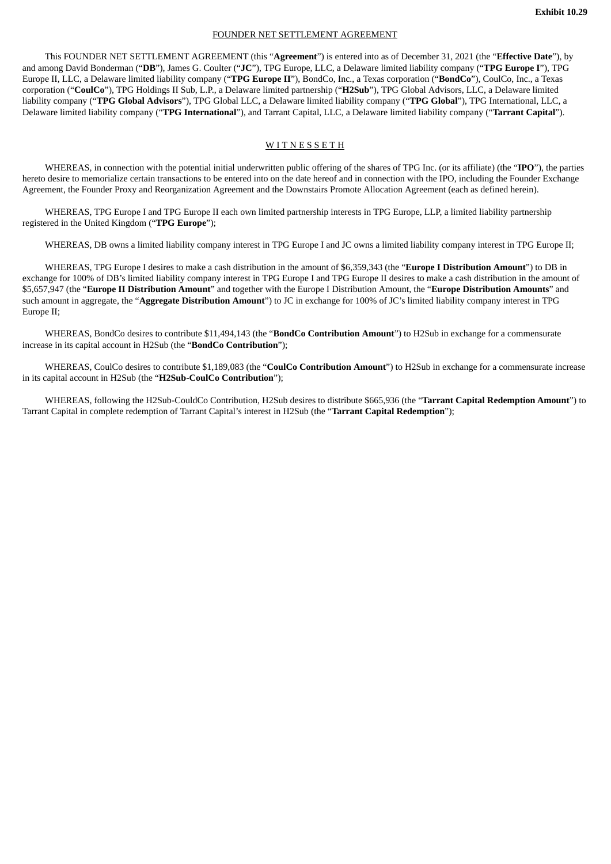#### FOUNDER NET SETTLEMENT AGREEMENT

This FOUNDER NET SETTLEMENT AGREEMENT (this "**Agreement**") is entered into as of December 31, 2021 (the "**Effective Date**"), by and among David Bonderman ("**DB**"), James G. Coulter ("**JC**"), TPG Europe, LLC, a Delaware limited liability company ("**TPG Europe I**"), TPG Europe II, LLC, a Delaware limited liability company ("**TPG Europe II**"), BondCo, Inc., a Texas corporation ("**BondCo**"), CoulCo, Inc., a Texas corporation ("**CoulCo**"), TPG Holdings II Sub, L.P., a Delaware limited partnership ("**H2Sub**"), TPG Global Advisors, LLC, a Delaware limited liability company ("**TPG Global Advisors**"), TPG Global LLC, a Delaware limited liability company ("**TPG Global**"), TPG International, LLC, a Delaware limited liability company ("**TPG International**"), and Tarrant Capital, LLC, a Delaware limited liability company ("**Tarrant Capital**").

## **WITNESSETH**

WHEREAS, in connection with the potential initial underwritten public offering of the shares of TPG Inc. (or its affiliate) (the "**IPO**"), the parties hereto desire to memorialize certain transactions to be entered into on the date hereof and in connection with the IPO, including the Founder Exchange Agreement, the Founder Proxy and Reorganization Agreement and the Downstairs Promote Allocation Agreement (each as defined herein).

WHEREAS, TPG Europe I and TPG Europe II each own limited partnership interests in TPG Europe, LLP, a limited liability partnership registered in the United Kingdom ("**TPG Europe**");

WHEREAS, DB owns a limited liability company interest in TPG Europe I and JC owns a limited liability company interest in TPG Europe II;

WHEREAS, TPG Europe I desires to make a cash distribution in the amount of \$6,359,343 (the "**Europe I Distribution Amount**") to DB in exchange for 100% of DB's limited liability company interest in TPG Europe I and TPG Europe II desires to make a cash distribution in the amount of \$5,657,947 (the "**Europe II Distribution Amount**" and together with the Europe I Distribution Amount, the "**Europe Distribution Amounts**" and such amount in aggregate, the "**Aggregate Distribution Amount**") to JC in exchange for 100% of JC's limited liability company interest in TPG Europe II;

WHEREAS, BondCo desires to contribute \$11,494,143 (the "**BondCo Contribution Amount**") to H2Sub in exchange for a commensurate increase in its capital account in H2Sub (the "**BondCo Contribution**");

WHEREAS, CoulCo desires to contribute \$1,189,083 (the "**CoulCo Contribution Amount**") to H2Sub in exchange for a commensurate increase in its capital account in H2Sub (the "**H2Sub-CoulCo Contribution**");

WHEREAS, following the H2Sub-CouldCo Contribution, H2Sub desires to distribute \$665,936 (the "**Tarrant Capital Redemption Amount**") to Tarrant Capital in complete redemption of Tarrant Capital's interest in H2Sub (the "**Tarrant Capital Redemption**");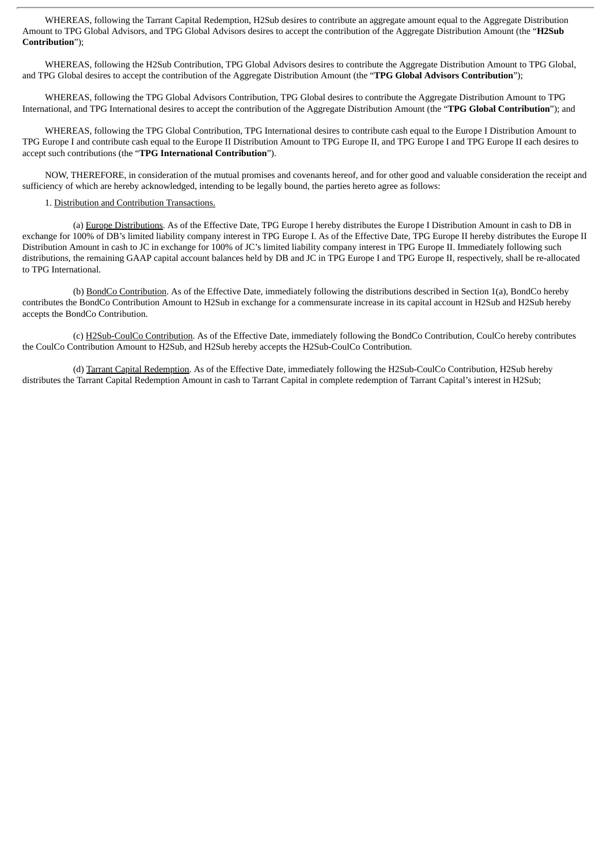WHEREAS, following the Tarrant Capital Redemption, H2Sub desires to contribute an aggregate amount equal to the Aggregate Distribution Amount to TPG Global Advisors, and TPG Global Advisors desires to accept the contribution of the Aggregate Distribution Amount (the "**H2Sub Contribution**");

WHEREAS, following the H2Sub Contribution, TPG Global Advisors desires to contribute the Aggregate Distribution Amount to TPG Global, and TPG Global desires to accept the contribution of the Aggregate Distribution Amount (the "**TPG Global Advisors Contribution**");

WHEREAS, following the TPG Global Advisors Contribution, TPG Global desires to contribute the Aggregate Distribution Amount to TPG International, and TPG International desires to accept the contribution of the Aggregate Distribution Amount (the "**TPG Global Contribution**"); and

WHEREAS, following the TPG Global Contribution, TPG International desires to contribute cash equal to the Europe I Distribution Amount to TPG Europe I and contribute cash equal to the Europe II Distribution Amount to TPG Europe II, and TPG Europe I and TPG Europe II each desires to accept such contributions (the "**TPG International Contribution**").

NOW, THEREFORE, in consideration of the mutual promises and covenants hereof, and for other good and valuable consideration the receipt and sufficiency of which are hereby acknowledged, intending to be legally bound, the parties hereto agree as follows:

### 1. Distribution and Contribution Transactions.

(a) Europe Distributions. As of the Effective Date, TPG Europe I hereby distributes the Europe I Distribution Amount in cash to DB in exchange for 100% of DB's limited liability company interest in TPG Europe I. As of the Effective Date, TPG Europe II hereby distributes the Europe II Distribution Amount in cash to JC in exchange for 100% of JC's limited liability company interest in TPG Europe II. Immediately following such distributions, the remaining GAAP capital account balances held by DB and JC in TPG Europe I and TPG Europe II, respectively, shall be re-allocated to TPG International.

(b) BondCo Contribution. As of the Effective Date, immediately following the distributions described in Section 1(a), BondCo hereby contributes the BondCo Contribution Amount to H2Sub in exchange for a commensurate increase in its capital account in H2Sub and H2Sub hereby accepts the BondCo Contribution.

(c) H2Sub-CoulCo Contribution. As of the Effective Date, immediately following the BondCo Contribution, CoulCo hereby contributes the CoulCo Contribution Amount to H2Sub, and H2Sub hereby accepts the H2Sub-CoulCo Contribution.

(d) Tarrant Capital Redemption. As of the Effective Date, immediately following the H2Sub-CoulCo Contribution, H2Sub hereby distributes the Tarrant Capital Redemption Amount in cash to Tarrant Capital in complete redemption of Tarrant Capital's interest in H2Sub;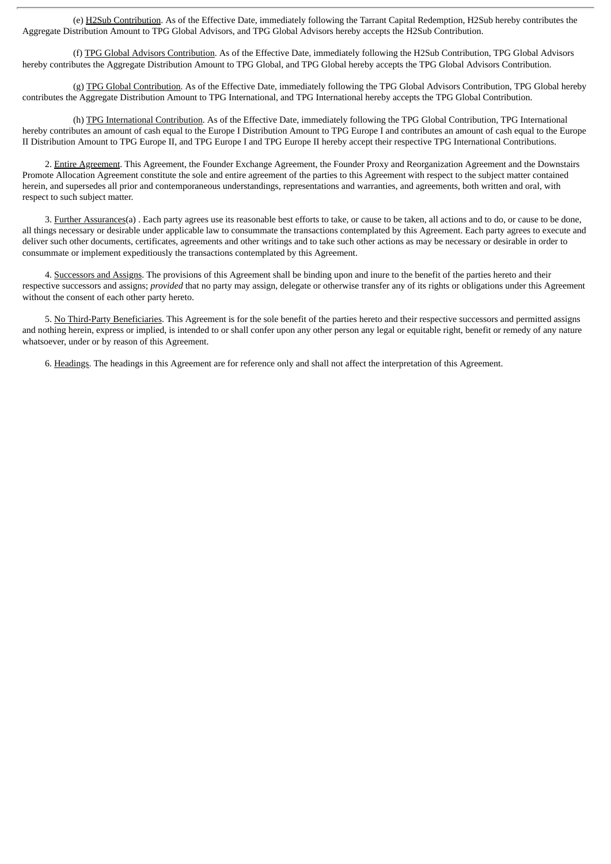(e) H2Sub Contribution. As of the Effective Date, immediately following the Tarrant Capital Redemption, H2Sub hereby contributes the Aggregate Distribution Amount to TPG Global Advisors, and TPG Global Advisors hereby accepts the H2Sub Contribution.

(f) TPG Global Advisors Contribution. As of the Effective Date, immediately following the H2Sub Contribution, TPG Global Advisors hereby contributes the Aggregate Distribution Amount to TPG Global, and TPG Global hereby accepts the TPG Global Advisors Contribution.

(g) TPG Global Contribution. As of the Effective Date, immediately following the TPG Global Advisors Contribution, TPG Global hereby contributes the Aggregate Distribution Amount to TPG International, and TPG International hereby accepts the TPG Global Contribution.

(h) TPG International Contribution. As of the Effective Date, immediately following the TPG Global Contribution, TPG International hereby contributes an amount of cash equal to the Europe I Distribution Amount to TPG Europe I and contributes an amount of cash equal to the Europe II Distribution Amount to TPG Europe II, and TPG Europe I and TPG Europe II hereby accept their respective TPG International Contributions.

2. Entire Agreement. This Agreement, the Founder Exchange Agreement, the Founder Proxy and Reorganization Agreement and the Downstairs Promote Allocation Agreement constitute the sole and entire agreement of the parties to this Agreement with respect to the subject matter contained herein, and supersedes all prior and contemporaneous understandings, representations and warranties, and agreements, both written and oral, with respect to such subject matter.

3. Further Assurances(a) . Each party agrees use its reasonable best efforts to take, or cause to be taken, all actions and to do, or cause to be done, all things necessary or desirable under applicable law to consummate the transactions contemplated by this Agreement. Each party agrees to execute and deliver such other documents, certificates, agreements and other writings and to take such other actions as may be necessary or desirable in order to consummate or implement expeditiously the transactions contemplated by this Agreement.

4. Successors and Assigns. The provisions of this Agreement shall be binding upon and inure to the benefit of the parties hereto and their respective successors and assigns; *provided* that no party may assign, delegate or otherwise transfer any of its rights or obligations under this Agreement without the consent of each other party hereto.

5. No Third-Party Beneficiaries. This Agreement is for the sole benefit of the parties hereto and their respective successors and permitted assigns and nothing herein, express or implied, is intended to or shall confer upon any other person any legal or equitable right, benefit or remedy of any nature whatsoever, under or by reason of this Agreement.

6. Headings. The headings in this Agreement are for reference only and shall not affect the interpretation of this Agreement.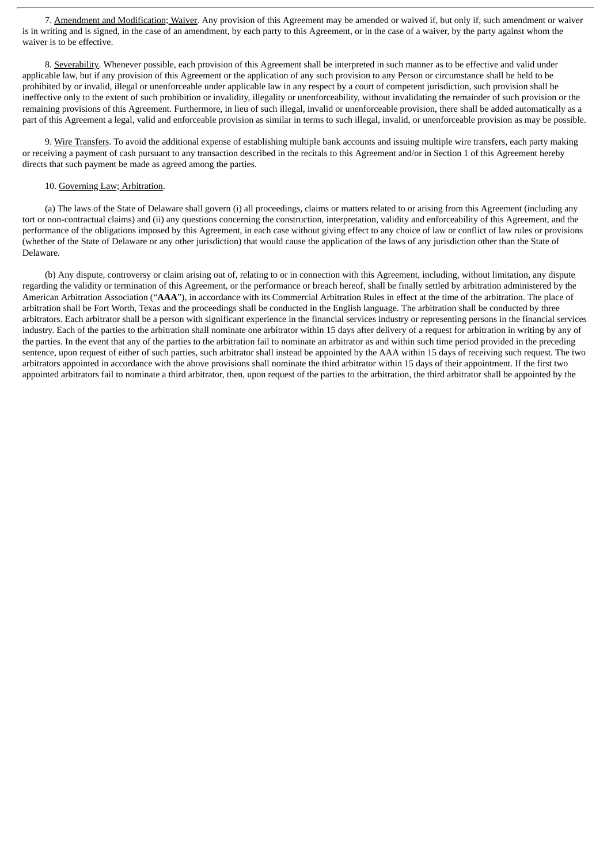7. Amendment and Modification; Waiver. Any provision of this Agreement may be amended or waived if, but only if, such amendment or waiver is in writing and is signed, in the case of an amendment, by each party to this Agreement, or in the case of a waiver, by the party against whom the waiver is to be effective.

8. Severability. Whenever possible, each provision of this Agreement shall be interpreted in such manner as to be effective and valid under applicable law, but if any provision of this Agreement or the application of any such provision to any Person or circumstance shall be held to be prohibited by or invalid, illegal or unenforceable under applicable law in any respect by a court of competent jurisdiction, such provision shall be ineffective only to the extent of such prohibition or invalidity, illegality or unenforceability, without invalidating the remainder of such provision or the remaining provisions of this Agreement. Furthermore, in lieu of such illegal, invalid or unenforceable provision, there shall be added automatically as a part of this Agreement a legal, valid and enforceable provision as similar in terms to such illegal, invalid, or unenforceable provision as may be possible.

9. Wire Transfers. To avoid the additional expense of establishing multiple bank accounts and issuing multiple wire transfers, each party making or receiving a payment of cash pursuant to any transaction described in the recitals to this Agreement and/or in Section 1 of this Agreement hereby directs that such payment be made as agreed among the parties.

#### 10. Governing Law; Arbitration.

(a) The laws of the State of Delaware shall govern (i) all proceedings, claims or matters related to or arising from this Agreement (including any tort or non-contractual claims) and (ii) any questions concerning the construction, interpretation, validity and enforceability of this Agreement, and the performance of the obligations imposed by this Agreement, in each case without giving effect to any choice of law or conflict of law rules or provisions (whether of the State of Delaware or any other jurisdiction) that would cause the application of the laws of any jurisdiction other than the State of Delaware.

(b) Any dispute, controversy or claim arising out of, relating to or in connection with this Agreement, including, without limitation, any dispute regarding the validity or termination of this Agreement, or the performance or breach hereof, shall be finally settled by arbitration administered by the American Arbitration Association ("**AAA**"), in accordance with its Commercial Arbitration Rules in effect at the time of the arbitration. The place of arbitration shall be Fort Worth, Texas and the proceedings shall be conducted in the English language. The arbitration shall be conducted by three arbitrators. Each arbitrator shall be a person with significant experience in the financial services industry or representing persons in the financial services industry. Each of the parties to the arbitration shall nominate one arbitrator within 15 days after delivery of a request for arbitration in writing by any of the parties. In the event that any of the parties to the arbitration fail to nominate an arbitrator as and within such time period provided in the preceding sentence, upon request of either of such parties, such arbitrator shall instead be appointed by the AAA within 15 days of receiving such request. The two arbitrators appointed in accordance with the above provisions shall nominate the third arbitrator within 15 days of their appointment. If the first two appointed arbitrators fail to nominate a third arbitrator, then, upon request of the parties to the arbitration, the third arbitrator shall be appointed by the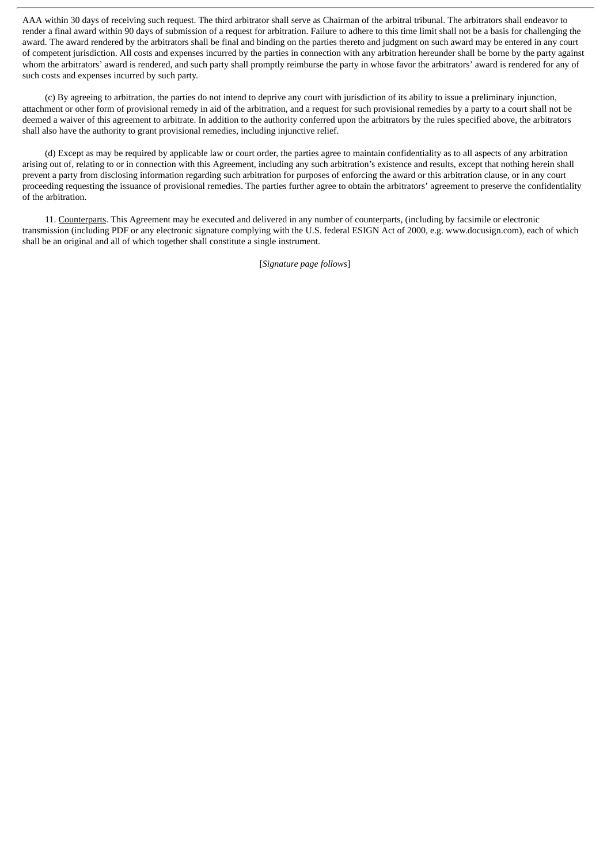AAA within 30 days of receiving such request. The third arbitrator shall serve as Chairman of the arbitral tribunal. The arbitrators shall endeavor to render a final award within 90 days of submission of a request for arbitration. Failure to adhere to this time limit shall not be a basis for challenging the award. The award rendered by the arbitrators shall be final and binding on the parties thereto and judgment on such award may be entered in any court of competent jurisdiction. All costs and expenses incurred by the parties in connection with any arbitration hereunder shall be borne by the party against whom the arbitrators' award is rendered, and such party shall promptly reimburse the party in whose favor the arbitrators' award is rendered for any of such costs and expenses incurred by such party.

(c) By agreeing to arbitration, the parties do not intend to deprive any court with jurisdiction of its ability to issue a preliminary injunction, attachment or other form of provisional remedy in aid of the arbitration, and a request for such provisional remedies by a party to a court shall not be deemed a waiver of this agreement to arbitrate. In addition to the authority conferred upon the arbitrators by the rules specified above, the arbitrators shall also have the authority to grant provisional remedies, including injunctive relief.

(d) Except as may be required by applicable law or court order, the parties agree to maintain confidentiality as to all aspects of any arbitration arising out of, relating to or in connection with this Agreement, including any such arbitration's existence and results, except that nothing herein shall prevent a party from disclosing information regarding such arbitration for purposes of enforcing the award or this arbitration clause, or in any court proceeding requesting the issuance of provisional remedies. The parties further agree to obtain the arbitrators' agreement to preserve the confidentiality of the arbitration.

11. Counterparts. This Agreement may be executed and delivered in any number of counterparts, (including by facsimile or electronic transmission (including PDF or any electronic signature complying with the U.S. federal ESIGN Act of 2000, e.g. www.docusign.com), each of which shall be an original and all of which together shall constitute a single instrument.

[*Signature page follows*]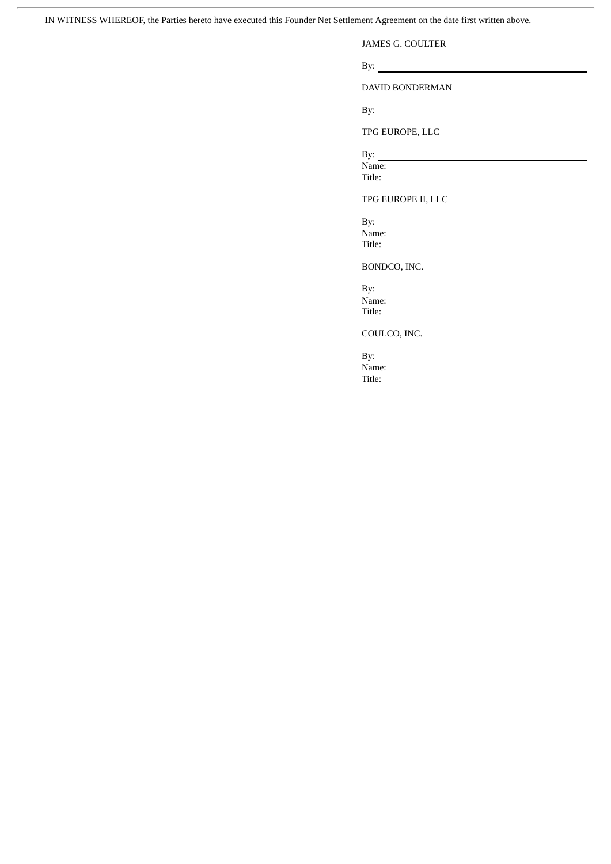IN WITNESS WHEREOF, the Parties hereto have executed this Founder Net Settlement Agreement on the date first written above.

ł.

JAMES G. COULTER

By:

DAVID BONDERMAN

By:

TPG EUROPE, LLC

By:

Name: Title:

TPG EUROPE II, LLC

By: Name:

Title:

BONDCO, INC.

By:  $\overline{\phantom{a}}$ Name:

Title:

COULCO, INC.

By:  $\overline{\phantom{a}}$ 

Name: Title: